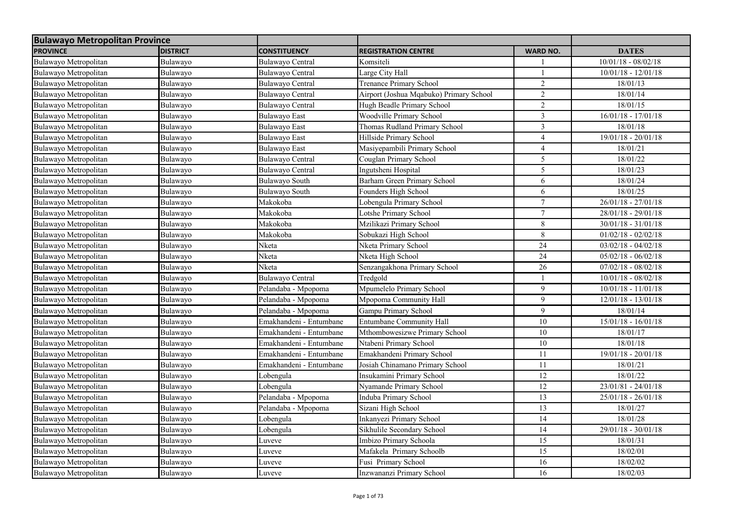| <b>Bulawayo Metropolitan Province</b> |                 |                         |                                         |                 |                       |
|---------------------------------------|-----------------|-------------------------|-----------------------------------------|-----------------|-----------------------|
| <b>PROVINCE</b>                       | <b>DISTRICT</b> | <b>CONSTITUENCY</b>     | <b>REGISTRATION CENTRE</b>              | <b>WARD NO.</b> | <b>DATES</b>          |
| Bulawayo Metropolitan                 | Bulawayo        | Bulawayo Central        | Komsiteli                               |                 | $10/01/18 - 08/02/18$ |
| Bulawayo Metropolitan                 | Bulawayo        | Bulawayo Central        | Large City Hall                         |                 | $10/01/18 - 12/01/18$ |
| Bulawayo Metropolitan                 | Bulawayo        | Bulawayo Central        | <b>Trenance Primary School</b>          | $\overline{2}$  | 18/01/13              |
| Bulawayo Metropolitan                 | Bulawayo        | Bulawayo Central        | Airport (Joshua Mqabuko) Primary School | $\overline{2}$  | 18/01/14              |
| Bulawayo Metropolitan                 | Bulawayo        | Bulawayo Central        | Hugh Beadle Primary School              | $\overline{2}$  | 18/01/15              |
| Bulawayo Metropolitan                 | Bulawayo        | <b>Bulawayo East</b>    | Woodville Primary School                | $\overline{3}$  | $16/01/18 - 17/01/18$ |
| Bulawayo Metropolitan                 | Bulawayo        | <b>Bulawayo East</b>    | Thomas Rudland Primary School           | 3               | 18/01/18              |
| Bulawayo Metropolitan                 | Bulawayo        | <b>Bulawayo East</b>    | Hillside Primary School                 | $\overline{4}$  | 19/01/18 - 20/01/18   |
| Bulawayo Metropolitan                 | Bulawayo        | <b>Bulawayo</b> East    | Masiyepambili Primary School            | 4               | 18/01/21              |
| Bulawayo Metropolitan                 | Bulawayo        | Bulawayo Central        | Couglan Primary School                  | 5               | 18/01/22              |
| Bulawayo Metropolitan                 | Bulawayo        | <b>Bulawayo Central</b> | Ingutsheni Hospital                     | 5               | 18/01/23              |
| Bulawayo Metropolitan                 | Bulawayo        | Bulawayo South          | Barham Green Primary School             | 6               | 18/01/24              |
| Bulawayo Metropolitan                 | Bulawayo        | Bulawayo South          | Founders High School                    | 6               | 18/01/25              |
| Bulawayo Metropolitan                 | Bulawayo        | Makokoba                | Lobengula Primary School                | $\tau$          | $26/01/18 - 27/01/18$ |
| Bulawayo Metropolitan                 | Bulawayo        | Makokoba                | Lotshe Primary School                   | $\tau$          | 28/01/18 - 29/01/18   |
| Bulawayo Metropolitan                 | Bulawayo        | Makokoba                | Mzilikazi Primary School                | 8               | $30/01/18 - 31/01/18$ |
| Bulawayo Metropolitan                 | Bulawayo        | Makokoba                | Sobukazi High School                    | $\overline{8}$  | $01/02/18 - 02/02/18$ |
| Bulawayo Metropolitan                 | Bulawayo        | Nketa                   | Nketa Primary School                    | $\overline{24}$ | $03/02/18 - 04/02/18$ |
| Bulawayo Metropolitan                 | Bulawayo        | Nketa                   | Nketa High School                       | 24              | $05/02/18 - 06/02/18$ |
| Bulawayo Metropolitan                 | Bulawayo        | Nketa                   | Senzangakhona Primary School            | 26              | $07/02/18 - 08/02/18$ |
| Bulawayo Metropolitan                 | Bulawayo        | <b>Bulawayo Central</b> | Tredgold                                |                 | $10/01/18 - 08/02/18$ |
| Bulawayo Metropolitan                 | Bulawayo        | Pelandaba - Mpopoma     | Mpumelelo Primary School                | 9               | $10/01/18 - 11/01/18$ |
| Bulawayo Metropolitan                 | Bulawayo        | Pelandaba - Mpopoma     | Mpopoma Community Hall                  | 9               | $12/01/18 - 13/01/18$ |
| Bulawayo Metropolitan                 | Bulawayo        | Pelandaba - Mpopoma     | Gampu Primary School                    | 9               | 18/01/14              |
| Bulawayo Metropolitan                 | Bulawayo        | Emakhandeni - Entumbane | Entumbane Community Hall                | 10              | $15/01/18 - 16/01/18$ |
| Bulawayo Metropolitan                 | Bulawayo        | Emakhandeni - Entumbane | Mthombowesizwe Primary School           | 10              | 18/01/17              |
| Bulawayo Metropolitan                 | Bulawayo        | Emakhandeni - Entumbane | Ntabeni Primary School                  | 10              | 18/01/18              |
| Bulawayo Metropolitan                 | Bulawayo        | Emakhandeni - Entumbane | Emakhandeni Primary School              | 11              | $19/01/18 - 20/01/18$ |
| Bulawayo Metropolitan                 | Bulawayo        | Emakhandeni - Entumbane | Josiah Chinamano Primary School         | 11              | 18/01/21              |
| Bulawayo Metropolitan                 | Bulawayo        | Lobengula               | Insukamini Primary School               | 12              | 18/01/22              |
| Bulawayo Metropolitan                 | Bulawayo        | Lobengula               | Nyamande Primary School                 | $12\,$          | $23/01/81 - 24/01/18$ |
| Bulawayo Metropolitan                 | Bulawayo        | Pelandaba - Mpopoma     | Induba Primary School                   | 13              | $25/01/18 - 26/01/18$ |
| Bulawayo Metropolitan                 | Bulawayo        | Pelandaba - Mpopoma     | Sizani High School                      | 13              | 18/01/27              |
| Bulawayo Metropolitan                 | Bulawayo        | Lobengula               | Inkanyezi Primary School                | 14              | 18/01/28              |
| Bulawayo Metropolitan                 | Bulawayo        | Lobengula               | Sikhulile Secondary School              | 14              | $29/01/18 - 30/01/18$ |
| Bulawayo Metropolitan                 | Bulawayo        | Luveve                  | Imbizo Primary Schoola                  | 15              | 18/01/31              |
| Bulawayo Metropolitan                 | Bulawayo        | Luveve                  | Mafakela Primary Schoolb                | 15              | 18/02/01              |
| Bulawayo Metropolitan                 | Bulawayo        | Luveve                  | Fusi Primary School                     | 16              | 18/02/02              |
| Bulawayo Metropolitan                 | Bulawayo        | Luveve                  | Inzwananzi Primary School               | 16              | 18/02/03              |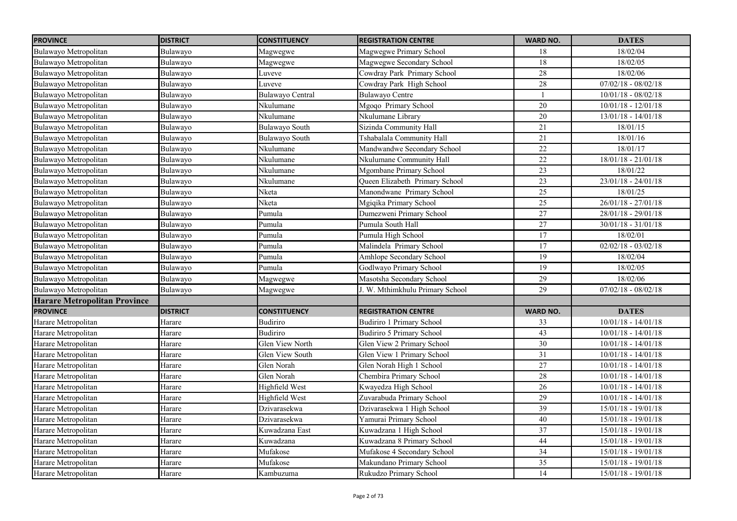| <b>PROVINCE</b>                     | <b>DISTRICT</b> | <b>CONSTITUENCY</b> | <b>REGISTRATION CENTRE</b>            | <b>WARD NO.</b> | <b>DATES</b>          |
|-------------------------------------|-----------------|---------------------|---------------------------------------|-----------------|-----------------------|
| Bulawayo Metropolitan               | Bulawayo        | Magwegwe            | Magwegwe Primary School               | 18              | 18/02/04              |
| Bulawayo Metropolitan               | Bulawayo        | Magwegwe            | Magwegwe Secondary School             | $\overline{18}$ | 18/02/05              |
| Bulawayo Metropolitan               | Bulawayo        | Luveve              | Cowdray Park Primary School           | 28              | 18/02/06              |
| Bulawayo Metropolitan               | Bulawayo        | Luveve              | Cowdray Park High School              | $28\,$          | $07/02/18 - 08/02/18$ |
| Bulawayo Metropolitan               | Bulawayo        | Bulawayo Central    | <b>Bulawayo Centre</b>                | $\mathbf{1}$    | $10/01/18 - 08/02/18$ |
| Bulawayo Metropolitan               | Bulawayo        | Nkulumane           | Mgoqo Primary School                  | $\overline{20}$ | $10/01/18 - 12/01/18$ |
| Bulawayo Metropolitan               | Bulawayo        | Nkulumane           | Nkulumane Library                     | $20\,$          | $13/01/18 - 14/01/18$ |
| Bulawayo Metropolitan               | Bulawayo        | Bulawayo South      | Sizinda Community Hall                | 21              | 18/01/15              |
| Bulawayo Metropolitan               | Bulawayo        | Bulawayo South      | Tshabalala Community Hall             | 21              | 18/01/16              |
| Bulawayo Metropolitan               | Bulawayo        | Nkulumane           | Mandwandwe Secondary School           | $\overline{22}$ | 18/01/17              |
| Bulawayo Metropolitan               | Bulawayo        | Nkulumane           | Nkulumane Community Hall              | $\overline{22}$ | $18/01/18 - 21/01/18$ |
| Bulawayo Metropolitan               | Bulawayo        | Nkulumane           | Mgombane Primary School               | $\overline{23}$ | 18/01/22              |
| Bulawayo Metropolitan               | Bulawayo        | Nkulumane           | <b>Oueen Elizabeth Primary School</b> | $\overline{23}$ | $23/01/18 - 24/01/18$ |
| Bulawayo Metropolitan               | Bulawayo        | Nketa               | Manondwane Primary School             | 25              | 18/01/25              |
| Bulawayo Metropolitan               | Bulawayo        | Nketa               | Mgiqika Primary School                | 25              | $26/01/18 - 27/01/18$ |
| Bulawayo Metropolitan               | Bulawayo        | Pumula              | Dumezweni Primary School              | 27              | 28/01/18 - 29/01/18   |
| Bulawayo Metropolitan               | Bulawayo        | Pumula              | Pumula South Hall                     | 27              | $30/01/18 - 31/01/18$ |
| Bulawayo Metropolitan               | Bulawayo        | Pumula              | Pumula High School                    | 17              | 18/02/01              |
| Bulawayo Metropolitan               | Bulawayo        | Pumula              | Malindela Primary School              | $\overline{17}$ | $02/02/18 - 03/02/18$ |
| Bulawayo Metropolitan               | Bulawayo        | Pumula              | Amhlope Secondary School              | 19              | 18/02/04              |
| Bulawayo Metropolitan               | Bulawayo        | Pumula              | Godlwayo Primary School               | 19              | 18/02/05              |
| Bulawayo Metropolitan               | Bulawayo        | Magwegwe            | Masotsha Secondary School             | 29              | 18/02/06              |
| Bulawayo Metropolitan               | Bulawayo        | Magwegwe            | J. W. Mthimkhulu Primary School       | 29              | $07/02/18 - 08/02/18$ |
| <b>Harare Metropolitan Province</b> |                 |                     |                                       |                 |                       |
| <b>PROVINCE</b>                     | <b>DISTRICT</b> | <b>CONSTITUENCY</b> | <b>REGISTRATION CENTRE</b>            | <b>WARD NO.</b> | <b>DATES</b>          |
| Harare Metropolitan                 | Harare          | <b>Budiriro</b>     | Budiriro 1 Primary School             | 33              | $10/01/18 - 14/01/18$ |
| Harare Metropolitan                 | Harare          | Budiriro            | <b>Budiriro 5 Primary School</b>      | 43              | $10/01/18 - 14/01/18$ |
| Harare Metropolitan                 | Harare          | Glen View North     | Glen View 2 Primary School            | 30              | $10/01/18 - 14/01/18$ |
| Harare Metropolitan                 | Harare          | Glen View South     | Glen View 1 Primary School            | 31              | $10/01/18 - 14/01/18$ |
| Harare Metropolitan                 | Harare          | Glen Norah          | Glen Norah High 1 School              | 27              | $10/01/18 - 14/01/18$ |
| Harare Metropolitan                 | Harare          | Glen Norah          | Chembira Primary School               | 28              | $10/01/18 - 14/01/18$ |
| Harare Metropolitan                 | Harare          | Highfield West      | Kwayedza High School                  | 26              | $10/01/18 - 14/01/18$ |
| Harare Metropolitan                 | Harare          | Highfield West      | Zuvarabuda Primary School             | $\overline{29}$ | $10/01/18 - 14/01/18$ |
| Harare Metropolitan                 | Harare          | Dzivarasekwa        | Dzivarasekwa 1 High School            | $\overline{39}$ | 15/01/18 - 19/01/18   |
| Harare Metropolitan                 | Harare          | Dzivarasekwa        | Yamurai Primary School                | 40              | $15/01/18 - 19/01/18$ |
| Harare Metropolitan                 | Harare          | Kuwadzana East      | Kuwadzana 1 High School               | 37              | 15/01/18 - 19/01/18   |
| Harare Metropolitan                 | Harare          | Kuwadzana           | Kuwadzana 8 Primary School            | 44              | $15/01/18 - 19/01/18$ |
| Harare Metropolitan                 | Harare          | Mufakose            | Mufakose 4 Secondary School           | $\overline{34}$ | $15/01/18 - 19/01/18$ |
| Harare Metropolitan                 | Harare          | Mufakose            | Makundano Primary School              | 35              | $15/01/18 - 19/01/18$ |
| Harare Metropolitan                 | Harare          | Kambuzuma           | Rukudzo Primary School                | $\overline{14}$ | $15/01/18 - 19/01/18$ |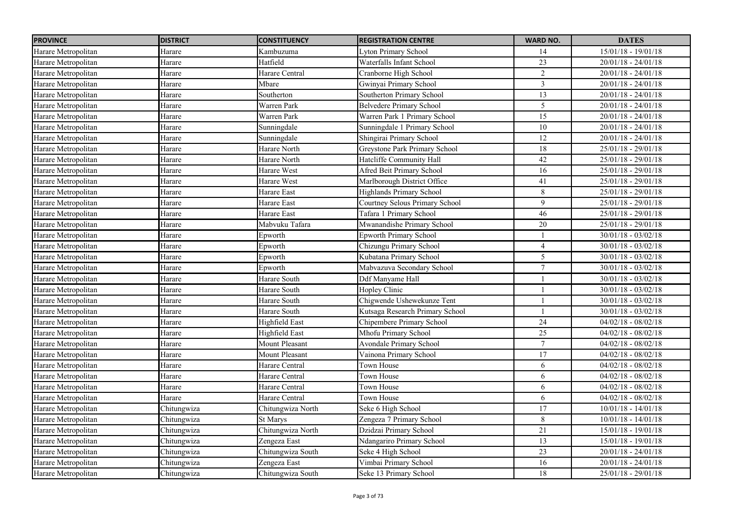| <b>PROVINCE</b>     | <b>DISTRICT</b> | <b>CONSTITUENCY</b> | <b>REGISTRATION CENTRE</b>      | <b>WARD NO.</b>  | <b>DATES</b>          |
|---------------------|-----------------|---------------------|---------------------------------|------------------|-----------------------|
| Harare Metropolitan | Harare          | Kambuzuma           | <b>Lyton Primary School</b>     | 14               | $15/01/18 - 19/01/18$ |
| Harare Metropolitan | Harare          | Hatfield            | Waterfalls Infant School        | 23               | $20/01/18 - 24/01/18$ |
| Harare Metropolitan | Harare          | Harare Central      | Cranborne High School           | $\overline{2}$   | $20/01/18 - 24/01/18$ |
| Harare Metropolitan | Harare          | Mbare               | Gwinyai Primary School          | $\mathfrak{Z}$   | $20/01/18 - 24/01/18$ |
| Harare Metropolitan | Harare          | Southerton          | Southerton Primary School       | 13               | $20/01/18 - 24/01/18$ |
| Harare Metropolitan | Harare          | Warren Park         | <b>Belvedere Primary School</b> | 5                | $20/01/18 - 24/01/18$ |
| Harare Metropolitan | Harare          | <b>Warren Park</b>  | Warren Park 1 Primary School    | $\overline{15}$  | $20/01/18 - 24/01/18$ |
| Harare Metropolitan | Harare          | Sunningdale         | Sunningdale 1 Primary School    | 10               | $20/01/18 - 24/01/18$ |
| Harare Metropolitan | Harare          | Sunningdale         | Shingirai Primary School        | 12               | $20/01/18 - 24/01/18$ |
| Harare Metropolitan | Harare          | Harare North        | Greystone Park Primary School   | $18\,$           | $25/01/18 - 29/01/18$ |
| Harare Metropolitan | Harare          | Harare North        | Hatcliffe Community Hall        | 42               | $25/01/18 - 29/01/18$ |
| Harare Metropolitan | Harare          | Harare West         | Afred Beit Primary School       | 16               | 25/01/18 - 29/01/18   |
| Harare Metropolitan | Harare          | Harare West         | Marlborough District Office     | 41               | $25/01/18 - 29/01/18$ |
| Harare Metropolitan | Harare          | Harare East         | Highlands Primary School        | $8\,$            | $25/01/18 - 29/01/18$ |
| Harare Metropolitan | Harare          | Harare East         | Courtney Selous Primary School  | 9                | $25/01/18 - 29/01/18$ |
| Harare Metropolitan | Harare          | Harare East         | Tafara 1 Primary School         | 46               | 25/01/18 - 29/01/18   |
| Harare Metropolitan | Harare          | Mabvuku Tafara      | Mwanandishe Primary School      | 20               | 25/01/18 - 29/01/18   |
| Harare Metropolitan | Harare          | Epworth             | <b>Epworth Primary School</b>   |                  | $30/01/18 - 03/02/18$ |
| Harare Metropolitan | Harare          | Epworth             | Chizungu Primary School         | $\overline{4}$   | $30/01/18 - 03/02/18$ |
| Harare Metropolitan | Harare          | Epworth             | Kubatana Primary School         | 5                | $30/01/18 - 03/02/18$ |
| Harare Metropolitan | Harare          | Epworth             | Mabvazuva Secondary School      | $\boldsymbol{7}$ | $30/01/18 - 03/02/18$ |
| Harare Metropolitan | Harare          | Harare South        | Ddf Manyame Hall                |                  | $30/01/18 - 03/02/18$ |
| Harare Metropolitan | Harare          | Harare South        | Hopley Clinic                   |                  | $30/01/18 - 03/02/18$ |
| Harare Metropolitan | Harare          | Harare South        | Chigwende Ushewekunze Tent      | $\mathbf{1}$     | $30/01/18 - 03/02/18$ |
| Harare Metropolitan | Harare          | Harare South        | Kutsaga Research Primary School |                  | $30/01/18 - 03/02/18$ |
| Harare Metropolitan | Harare          | Highfield East      | Chipembere Primary School       | 24               | $04/02/18 - 08/02/18$ |
| Harare Metropolitan | Harare          | Highfield East      | Mhofu Primary School            | $\overline{25}$  | $04/02/18 - 08/02/18$ |
| Harare Metropolitan | Harare          | Mount Pleasant      | Avondale Primary School         | $\tau$           | $04/02/18 - 08/02/18$ |
| Harare Metropolitan | Harare          | Mount Pleasant      | Vainona Primary School          | $\overline{17}$  | $04/02/18 - 08/02/18$ |
| Harare Metropolitan | Harare          | Harare Central      | Town House                      | 6                | $04/02/18 - 08/02/18$ |
| Harare Metropolitan | Harare          | Harare Central      | Town House                      | 6                | $04/02/18 - 08/02/18$ |
| Harare Metropolitan | Harare          | Harare Central      | Town House                      | 6                | $04/02/18 - 08/02/18$ |
| Harare Metropolitan | Harare          | Harare Central      | Town House                      | 6                | $04/02/18 - 08/02/18$ |
| Harare Metropolitan | Chitungwiza     | Chitungwiza North   | Seke 6 High School              | 17               | $10/01/18 - 14/01/18$ |
| Harare Metropolitan | Chitungwiza     | St Marys            | Zengeza 7 Primary School        | 8                | $10/01/18 - 14/01/18$ |
| Harare Metropolitan | Chitungwiza     | Chitungwiza North   | Dzidzai Primary School          | 21               | $15/01/18 - 19/01/18$ |
| Harare Metropolitan | Chitungwiza     | Zengeza East        | Ndangariro Primary School       | 13               | $15/01/18 - 19/01/18$ |
| Harare Metropolitan | Chitungwiza     | Chitungwiza South   | Seke 4 High School              | 23               | $20/01/18 - 24/01/18$ |
| Harare Metropolitan | Chitungwiza     | Zengeza East        | Vimbai Primary School           | 16               | $20/01/18 - 24/01/18$ |
| Harare Metropolitan | Chitungwiza     | Chitungwiza South   | Seke 13 Primary School          | 18               | 25/01/18 - 29/01/18   |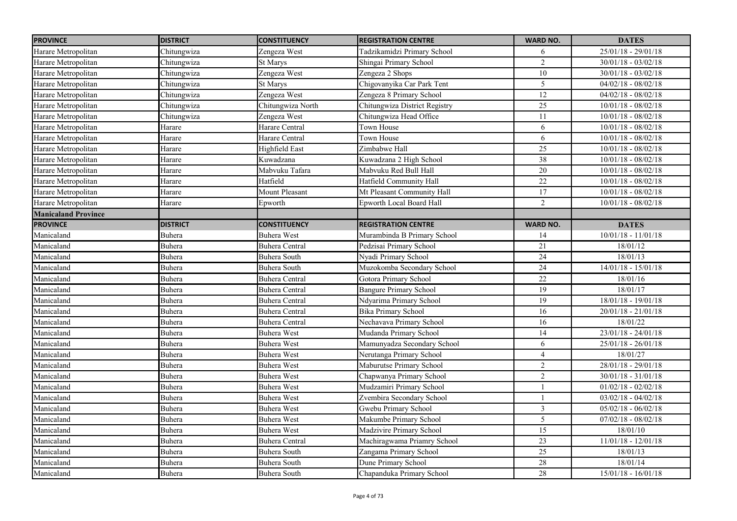| <b>PROVINCE</b>            | <b>DISTRICT</b> | <b>CONSTITUENCY</b>   | <b>REGISTRATION CENTRE</b>    | <b>WARD NO.</b>         | <b>DATES</b>          |
|----------------------------|-----------------|-----------------------|-------------------------------|-------------------------|-----------------------|
| Harare Metropolitan        | Chitungwiza     | Zengeza West          | Tadzikamidzi Primary School   | 6                       | 25/01/18 - 29/01/18   |
| Harare Metropolitan        | Chitungwiza     | St Marys              | Shingai Primary School        | $\overline{2}$          | $30/01/18 - 03/02/18$ |
| Harare Metropolitan        | Chitungwiza     | Zengeza West          | Zengeza 2 Shops               | $\overline{10}$         | $30/01/18 - 03/02/18$ |
| Harare Metropolitan        | Chitungwiza     | St Marys              | Chigovanyika Car Park Tent    | 5                       | $04/02/18 - 08/02/18$ |
| Harare Metropolitan        | Chitungwiza     | Zengeza West          | Zengeza 8 Primary School      | $\overline{12}$         | $04/02/18 - 08/02/18$ |
| Harare Metropolitan        | Chitungwiza     | Chitungwiza North     | Chitungwiza District Registry | $\overline{25}$         | $10/01/18 - 08/02/18$ |
| Harare Metropolitan        | Chitungwiza     | Zengeza West          | Chitungwiza Head Office       | 11                      | $10/01/18 - 08/02/18$ |
| Harare Metropolitan        | Harare          | Harare Central        | Town House                    | 6                       | $10/01/18 - 08/02/18$ |
| Harare Metropolitan        | Harare          | Harare Central        | Town House                    | 6                       | $10/01/18 - 08/02/18$ |
| Harare Metropolitan        | Harare          | <b>Highfield East</b> | Zimbabwe Hall                 | $\overline{25}$         | $10/01/18 - 08/02/18$ |
| Harare Metropolitan        | Harare          | Kuwadzana             | Kuwadzana 2 High School       | $\overline{38}$         | $10/01/18 - 08/02/18$ |
| Harare Metropolitan        | Harare          | Mabvuku Tafara        | Mabvuku Red Bull Hall         | $20\,$                  | $10/01/18 - 08/02/18$ |
| Harare Metropolitan        | Harare          | Hatfield              | Hatfield Community Hall       | $\overline{22}$         | $10/01/18 - 08/02/18$ |
| Harare Metropolitan        | Harare          | <b>Mount Pleasant</b> | Mt Pleasant Community Hall    | 17                      | $10/01/18 - 08/02/18$ |
| Harare Metropolitan        | Harare          | Epworth               | Epworth Local Board Hall      | $\overline{2}$          | $10/01/18 - 08/02/18$ |
| <b>Manicaland Province</b> |                 |                       |                               |                         |                       |
| <b>PROVINCE</b>            | <b>DISTRICT</b> | <b>CONSTITUENCY</b>   | <b>REGISTRATION CENTRE</b>    | <b>WARD NO.</b>         | <b>DATES</b>          |
| Manicaland                 | Buhera          | <b>Buhera West</b>    | Murambinda B Primary School   | 14                      | $10/01/18 - 11/01/18$ |
| Manicaland                 | Buhera          | <b>Buhera Central</b> | Pedzisai Primary School       | 21                      | 18/01/12              |
| Manicaland                 | Buhera          | Buhera South          | Nyadi Primary School          | 24                      | 18/01/13              |
| Manicaland                 | Buhera          | Buhera South          | Muzokomba Secondary School    | $24\,$                  | $14/01/18 - 15/01/18$ |
| Manicaland                 | Buhera          | <b>Buhera Central</b> | Gotora Primary School         | 22                      | 18/01/16              |
| Manicaland                 | Buhera          | <b>Buhera Central</b> | <b>Bangure Primary School</b> | 19                      | 18/01/17              |
| Manicaland                 | Buhera          | <b>Buhera Central</b> | Ndyarima Primary School       | 19                      | $18/01/18 - 19/01/18$ |
| Manicaland                 | Buhera          | <b>Buhera Central</b> | <b>Bika Primary School</b>    | 16                      | $20/01/18 - 21/01/18$ |
| Manicaland                 | Buhera          | <b>Buhera Central</b> | Nechavava Primary School      | 16                      | 18/01/22              |
| Manicaland                 | Buhera          | <b>Buhera West</b>    | Mudanda Primary School        | 14                      | $23/01/18 - 24/01/18$ |
| Manicaland                 | Buhera          | <b>Buhera West</b>    | Mamunyadza Secondary School   | 6                       | $25/01/18 - 26/01/18$ |
| Manicaland                 | Buhera          | <b>Buhera West</b>    | Nerutanga Primary School      | $\overline{4}$          | 18/01/27              |
| Manicaland                 | Buhera          | <b>Buhera West</b>    | Maburutse Primary School      | $\overline{2}$          | $28/01/18 - 29/01/18$ |
| Manicaland                 | Buhera          | <b>Buhera West</b>    | Chapwanya Primary School      | $\overline{2}$          | $30/01/18 - 31/01/18$ |
| Manicaland                 | Buhera          | <b>Buhera West</b>    | Mudzamiri Primary School      |                         | $01/02/18 - 02/02/18$ |
| Manicaland                 | Buhera          | <b>Buhera West</b>    | Zvembira Secondary School     | 1                       | $03/02/18 - 04/02/18$ |
| Manicaland                 | Buhera          | <b>Buhera West</b>    | Gwebu Primary School          | $\overline{\mathbf{3}}$ | $05/02/18 - 06/02/18$ |
| Manicaland                 | Buhera          | <b>Buhera West</b>    | Makumbe Primary School        | 5                       | $07/02/18 - 08/02/18$ |
| Manicaland                 | <b>Buhera</b>   | <b>Buhera West</b>    | Madzivire Primary School      | 15                      | 18/01/10              |
| Manicaland                 | Buhera          | <b>Buhera Central</b> | Machiragwama Priamry School   | 23                      | $11/01/18 - 12/01/18$ |
| Manicaland                 | Buhera          | Buhera South          | Zangama Primary School        | 25                      | 18/01/13              |
| Manicaland                 | Buhera          | <b>Buhera South</b>   | Dune Primary School           | $28\,$                  | 18/01/14              |
| Manicaland                 | Buhera          | Buhera South          | Chapanduka Primary School     | 28                      | $15/01/18 - 16/01/18$ |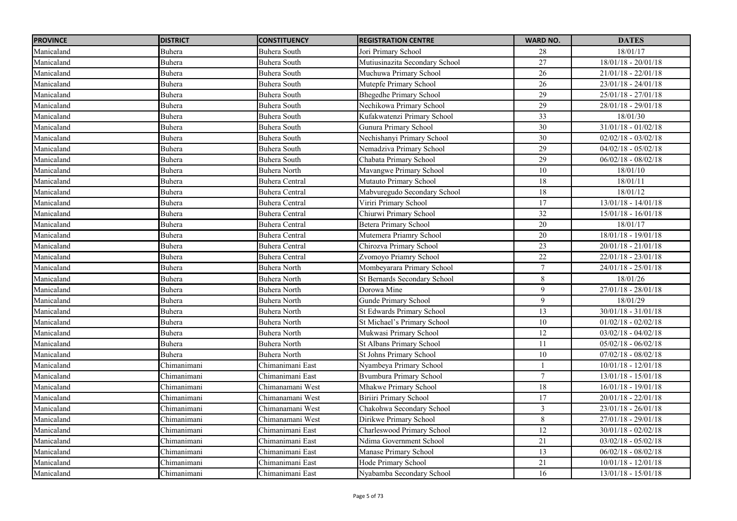| <b>PROVINCE</b> | <b>DISTRICT</b> | <b>CONSTITUENCY</b>   | <b>REGISTRATION CENTRE</b>       | <b>WARD NO.</b> | <b>DATES</b>          |
|-----------------|-----------------|-----------------------|----------------------------------|-----------------|-----------------------|
| Manicaland      | Buhera          | Buhera South          | Jori Primary School              | 28              | 18/01/17              |
| Manicaland      | Buhera          | Buhera South          | Mutiusinazita Secondary School   | 27              | $18/01/18 - 20/01/18$ |
| Manicaland      | Buhera          | Buhera South          | Muchuwa Primary School           | $\overline{26}$ | $21/01/18 - 22/01/18$ |
| Manicaland      | Buhera          | Buhera South          | Mutepfe Primary School           | 26              | $23/01/18 - 24/01/18$ |
| Manicaland      | Buhera          | <b>Buhera South</b>   | <b>Bhegedhe Primary School</b>   | 29              | $25/01/18 - 27/01/18$ |
| Manicaland      | Buhera          | Buhera South          | Nechikowa Primary School         | 29              | $28/01/18 - 29/01/18$ |
| Manicaland      | Buhera          | <b>Buhera South</b>   | Kufakwatenzi Primary School      | 33              | 18/01/30              |
| Manicaland      | Buhera          | Buhera South          | Gunura Primary School            | $\overline{30}$ | $31/01/18 - 01/02/18$ |
| Manicaland      | Buhera          | Buhera South          | Nechishanyi Primary School       | $\overline{30}$ | $02/02/18 - 03/02/18$ |
| Manicaland      | Buhera          | Buhera South          | Nemadziva Primary School         | $\overline{29}$ | $04/02/18 - 05/02/18$ |
| Manicaland      | Buhera          | Buhera South          | Chabata Primary School           | 29              | $06/02/18 - 08/02/18$ |
| Manicaland      | Buhera          | Buhera North          | Mavangwe Primary School          | $10\,$          | 18/01/10              |
| Manicaland      | Buhera          | <b>Buhera Central</b> | Mutauto Primary School           | 18              | 18/01/11              |
| Manicaland      | Buhera          | <b>Buhera Central</b> | Mabvuregudo Secondary School     | 18              | 18/01/12              |
| Manicaland      | Buhera          | <b>Buhera Central</b> | Viriri Primary School            | 17              | $13/01/18 - 14/01/18$ |
| Manicaland      | Buhera          | <b>Buhera Central</b> | Chiurwi Primary School           | 32              | $15/01/18 - 16/01/18$ |
| Manicaland      | Buhera          | <b>Buhera Central</b> | <b>Betera Primary School</b>     | $20\,$          | 18/01/17              |
| Manicaland      | Buhera          | <b>Buhera Central</b> | Mutemera Priamry School          | $\overline{20}$ | $18/01/18 - 19/01/18$ |
| Manicaland      | Buhera          | <b>Buhera Central</b> | Chirozva Primary School          | 23              | $20/01/18 - 21/01/18$ |
| Manicaland      | Buhera          | <b>Buhera Central</b> | Zvomoyo Priamry School           | 22              | 22/01/18 - 23/01/18   |
| Manicaland      | Buhera          | Buhera North          | Mombeyarara Primary School       | $\tau$          | $24/01/18 - 25/01/18$ |
| Manicaland      | Buhera          | Buhera North          | St Bernards Secondary School     | $\,8\,$         | 18/01/26              |
| Manicaland      | Buhera          | <b>Buhera North</b>   | Dorowa Mine                      | 9               | $27/01/18 - 28/01/18$ |
| Manicaland      | Buhera          | <b>Buhera North</b>   | Gunde Primary School             | 9               | 18/01/29              |
| Manicaland      | Buhera          | <b>Buhera North</b>   | <b>St Edwards Primary School</b> | 13              | $30/01/18 - 31/01/18$ |
| Manicaland      | Buhera          | <b>Buhera North</b>   | St Michael's Primary School      | $10\,$          | $01/02/18 - 02/02/18$ |
| Manicaland      | Buhera          | Buhera North          | Mukwasi Primary School           | 12              | $03/02/18 - 04/02/18$ |
| Manicaland      | Buhera          | <b>Buhera North</b>   | <b>St Albans Primary School</b>  | 11              | $05/02/18 - 06/02/18$ |
| Manicaland      | Buhera          | <b>Buhera North</b>   | St Johns Primary School          | 10              | $07/02/18 - 08/02/18$ |
| Manicaland      | Chimanimani     | Chimanimani East      | Nyambeya Primary School          |                 | $10/01/18 - 12/01/18$ |
| Manicaland      | Chimanimani     | Chimanimani East      | <b>Byumbura Primary School</b>   | $\tau$          | $13/01/18 - 15/01/18$ |
| Manicaland      | Chimanimani     | Chimanamani West      | Mhakwe Primary School            | 18              | $16/01/18 - 19/01/18$ |
| Manicaland      | Chimanimani     | Chimanamani West      | Biriiri Primary School           | 17              | $20/01/18 - 22/01/18$ |
| Manicaland      | Chimanimani     | Chimanamani West      | Chakohwa Secondary School        | $\mathfrak{Z}$  | $23/01/18 - 26/01/18$ |
| Manicaland      | Chimanimani     | Chimanamani West      | Dirikwe Primary School           | $\,8\,$         | 27/01/18 - 29/01/18   |
| Manicaland      | Chimanimani     | Chimanimani East      | Charleswood Primary School       | 12              | $30/01/18 - 02/02/18$ |
| Manicaland      | Chimanimani     | Chimanimani East      | Ndima Government School          | 21              | $03/02/18 - 05/02/18$ |
| Manicaland      | Chimanimani     | Chimanimani East      | Manase Primary School            | 13              | $06/02/18 - 08/02/18$ |
| Manicaland      | Chimanimani     | Chimanimani East      | Hode Primary School              | 21              | $10/01/18 - 12/01/18$ |
| Manicaland      | Chimanimani     | Chimanimani East      | Nyabamba Secondary School        | 16              | $13/01/18 - 15/01/18$ |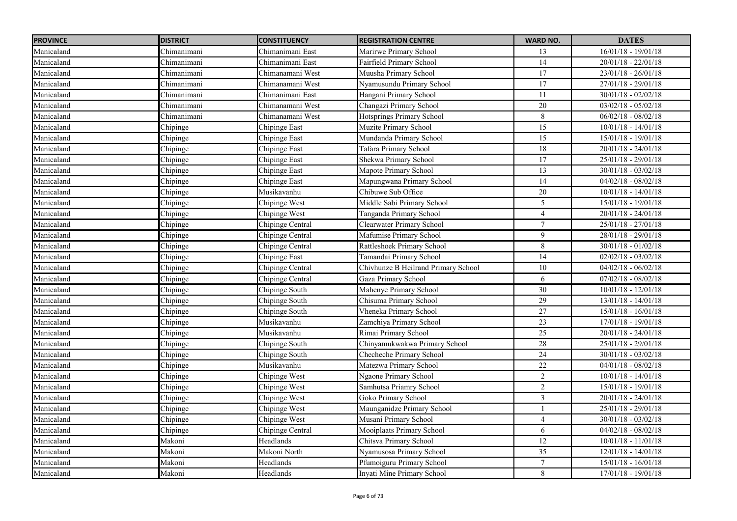| <b>PROVINCE</b> | <b>DISTRICT</b> | <b>CONSTITUENCY</b>  | <b>REGISTRATION CENTRE</b>          | <b>WARD NO.</b> | <b>DATES</b>          |
|-----------------|-----------------|----------------------|-------------------------------------|-----------------|-----------------------|
| Manicaland      | Chimanimani     | Chimanimani East     | Marirwe Primary School              | 13              | $16/01/18 - 19/01/18$ |
| Manicaland      | Chimanimani     | Chimanimani East     | Fairfield Primary School            | $\overline{14}$ | $20/01/18 - 22/01/18$ |
| Manicaland      | Chimanimani     | Chimanamani West     | Muusha Primary School               | $\overline{17}$ | $23/01/18 - 26/01/18$ |
| Manicaland      | Chimanimani     | Chimanamani West     | Nyamusundu Primary School           | 17              | $27/01/18 - 29/01/18$ |
| Manicaland      | Chimanimani     | Chimanimani East     | Hangani Primary School              | 11              | $30/01/18 - 02/02/18$ |
| Manicaland      | Chimanimani     | Chimanamani West     | Changazi Primary School             | $\overline{20}$ | $03/02/18 - 05/02/18$ |
| Manicaland      | Chimanimani     | Chimanamani West     | Hotsprings Primary School           | $8\,$           | $06/02/18 - 08/02/18$ |
| Manicaland      | Chipinge        | Chipinge East        | Muzite Primary School               | $\overline{15}$ | $10/01/18 - 14/01/18$ |
| Manicaland      | Chipinge        | Chipinge East        | Mundanda Primary School             | 15              | 15/01/18 - 19/01/18   |
| Manicaland      | Chipinge        | Chipinge East        | Tafara Primary School               | $18\,$          | $20/01/18 - 24/01/18$ |
| Manicaland      | Chipinge        | Chipinge East        | Shekwa Primary School               | $\overline{17}$ | 25/01/18 - 29/01/18   |
| Manicaland      | Chipinge        | <b>Chipinge East</b> | Mapote Primary School               | 13              | $30/01/18 - 03/02/18$ |
| Manicaland      | Chipinge        | <b>Chipinge East</b> | Mapungwana Primary School           | 14              | $04/02/18 - 08/02/18$ |
| Manicaland      | Chipinge        | Musikavanhu          | Chibuwe Sub Office                  | 20              | $10/01/18 - 14/01/18$ |
| Manicaland      | Chipinge        | Chipinge West        | Middle Sabi Primary School          | 5               | $15/01/18 - 19/01/18$ |
| Manicaland      | Chipinge        | Chipinge West        | Tanganda Primary School             | $\overline{4}$  | $20/01/18 - 24/01/18$ |
| Manicaland      | Chipinge        | Chipinge Central     | Clearwater Primary School           | $\overline{7}$  | $25/01/18 - 27/01/18$ |
| Manicaland      | Chipinge        | Chipinge Central     | Mafumise Primary School             | 9               | $28/01/18 - 29/01/18$ |
| Manicaland      | Chipinge        | Chipinge Central     | Rattleshoek Primary School          | 8               | $30/01/18 - 01/02/18$ |
| Manicaland      | Chipinge        | Chipinge East        | Tamandai Primary School             | 14              | $02/02/18 - 03/02/18$ |
| Manicaland      | Chipinge        | Chipinge Central     | Chivhunze B Heilrand Primary School | 10              | $04/02/18 - 06/02/18$ |
| Manicaland      | Chipinge        | Chipinge Central     | Gaza Primary School                 | 6               | $07/02/18 - 08/02/18$ |
| Manicaland      | Chipinge        | Chipinge South       | Mahenye Primary School              | 30              | $10/01/18 - 12/01/18$ |
| Manicaland      | Chipinge        | Chipinge South       | Chisuma Primary School              | 29              | $13/01/18 - 14/01/18$ |
| Manicaland      | Chipinge        | Chipinge South       | Vheneka Primary School              | 27              | $15/01/18 - 16/01/18$ |
| Manicaland      | Chipinge        | Musikavanhu          | Zamchiya Primary School             | 23              | $17/01/18 - 19/01/18$ |
| Manicaland      | Chipinge        | Musikavanhu          | Rimai Primary School                | 25              | $20/01/18 - 24/01/18$ |
| Manicaland      | Chipinge        | Chipinge South       | Chinyamukwakwa Primary School       | 28              | 25/01/18 - 29/01/18   |
| Manicaland      | Chipinge        | Chipinge South       | Checheche Primary School            | 24              | $30/01/18 - 03/02/18$ |
| Manicaland      | Chipinge        | Musikavanhu          | Matezwa Primary School              | 22              | $04/01/18 - 08/02/18$ |
| Manicaland      | Chipinge        | Chipinge West        | Ngaone Primary School               | $\overline{2}$  | $10/01/18 - 14/01/18$ |
| Manicaland      | Chipinge        | Chipinge West        | Samhutsa Priamry School             | $\overline{2}$  | $15/01/18 - 19/01/18$ |
| Manicaland      | Chipinge        | Chipinge West        | Goko Primary School                 | $\overline{3}$  | $20/01/18 - 24/01/18$ |
| Manicaland      | Chipinge        | Chipinge West        | Maunganidze Primary School          |                 | $25/01/18 - 29/01/18$ |
| Manicaland      | Chipinge        | Chipinge West        | Musani Primary School               | $\overline{4}$  | $30/01/18 - 03/02/18$ |
| Manicaland      | Chipinge        | Chipinge Central     | Mooiplaats Primary School           | 6               | $04/02/18 - 08/02/18$ |
| Manicaland      | Makoni          | Headlands            | Chitsva Primary School              | $\overline{12}$ | $10/01/18 - 11/01/18$ |
| Manicaland      | Makoni          | Makoni North         | Nyamusosa Primary School            | $\overline{35}$ | $12/01/18 - 14/01/18$ |
| Manicaland      | Makoni          | Headlands            | Pfumoiguru Primary School           | $\overline{7}$  | $15/01/18 - 16/01/18$ |
| Manicaland      | Makoni          | Headlands            | Inyati Mine Primary School          | 8               | $17/01/18 - 19/01/18$ |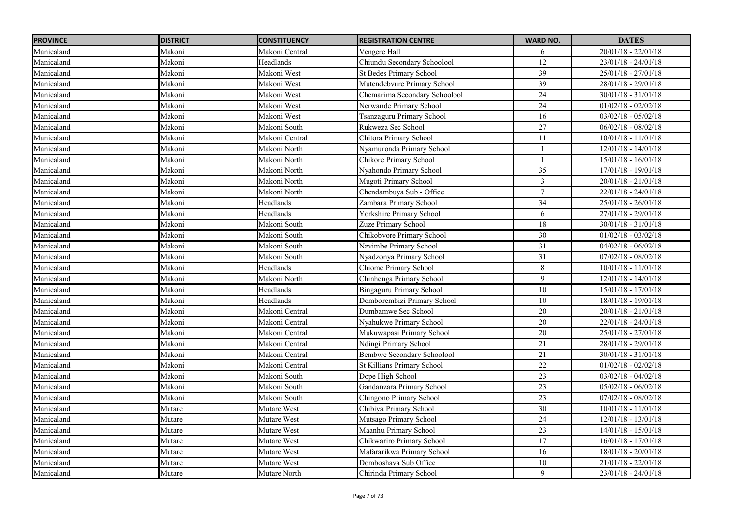| <b>PROVINCE</b> | <b>DISTRICT</b> | <b>CONSTITUENCY</b> | <b>REGISTRATION CENTRE</b>      | <b>WARD NO.</b> | <b>DATES</b>                     |
|-----------------|-----------------|---------------------|---------------------------------|-----------------|----------------------------------|
| Manicaland      | Makoni          | Makoni Central      | Vengere Hall                    | 6               | $20/01/18 - 22/01/18$            |
| Manicaland      | Makoni          | Headlands           | Chiundu Secondary Schoolool     | 12              | $23/01/18 - 24/01/18$            |
| Manicaland      | Makoni          | Makoni West         | <b>St Bedes Primary School</b>  | $\overline{39}$ | $25/01/18 - 27/01/18$            |
| Manicaland      | Makoni          | Makoni West         | Mutendebvure Primary School     | 39              | $28/01/18 - 29/01/18$            |
| Manicaland      | Makoni          | Makoni West         | Chemarima Secondary Schoolool   | 24              | $30/01/18 - 31/01/18$            |
| Manicaland      | Makoni          | Makoni West         | Nerwande Primary School         | $\overline{24}$ | $01/02/18 - 02/02/18$            |
| Manicaland      | Makoni          | Makoni West         | Tsanzaguru Primary School       | 16              | $03/02/18 - 05/02/18$            |
| Manicaland      | Makoni          | Makoni South        | Rukweza Sec School              | $\overline{27}$ | $06/02/18 - 08/02/18$            |
| Manicaland      | Makoni          | Makoni Central      | Chitora Primary School          | 11              | $10/01/18 - 11/01/18$            |
| Manicaland      | Makoni          | Makoni North        | Nyamuronda Primary School       |                 | $12/01/18 - 14/01/18$            |
| Manicaland      | Makoni          | Makoni North        | Chikore Primary School          |                 | $15/01/18 - 16/01/18$            |
| Manicaland      | Makoni          | Makoni North        | Nyahondo Primary School         | 35              | $17/01/18 - 19/01/18$            |
| Manicaland      | Makoni          | Makoni North        | Mugoti Primary School           | $\mathfrak{Z}$  | $20/01/18 - 21/01/18$            |
| Manicaland      | Makoni          | Makoni North        | Chendambuya Sub - Office        | $\overline{7}$  | $\overline{22}/01/18 - 24/01/18$ |
| Manicaland      | Makoni          | Headlands           | Zambara Primary School          | $\overline{34}$ | $25/01/18 - 26/01/18$            |
| Manicaland      | Makoni          | Headlands           | Yorkshire Primary School        | 6               | $27/01/18 - 29/01/18$            |
| Manicaland      | Makoni          | Makoni South        | Zuze Primary School             | 18              | $30/01/18 - 31/01/18$            |
| Manicaland      | Makoni          | Makoni South        | Chikobvore Primary School       | $\overline{30}$ | $01/02/18 - 03/02/18$            |
| Manicaland      | Makoni          | Makoni South        | Nzvimbe Primary School          | $\overline{31}$ | $04/02/18 - 06/02/18$            |
| Manicaland      | Makoni          | Makoni South        | Nyadzonya Primary School        | 31              | $07/02/18 - 08/02/18$            |
| Manicaland      | Makoni          | Headlands           | Chiome Primary School           | 8               | $10/01/18 - 11/01/18$            |
| Manicaland      | Makoni          | Makoni North        | Chinhenga Primary School        | $\overline{9}$  | $12/01/18 - 14/01/18$            |
| Manicaland      | Makoni          | Headlands           | <b>Bingaguru Primary School</b> | $10\,$          | $15/01/18 - 17/01/18$            |
| Manicaland      | Makoni          | Headlands           | Domborembizi Primary School     | $\overline{10}$ | $18/01/18 - 19/01/18$            |
| Manicaland      | Makoni          | Makoni Central      | Dumbamwe Sec School             | 20              | $20/01/18 - 21/01/18$            |
| Manicaland      | Makoni          | Makoni Central      | Nyahukwe Primary School         | 20              | $22/01/18 - 24/01/18$            |
| Manicaland      | Makoni          | Makoni Central      | Mukuwapasi Primary School       | $20\,$          | $25/01/18 - 27/01/18$            |
| Manicaland      | Makoni          | Makoni Central      | Ndingi Primary School           | 21              | 28/01/18 - 29/01/18              |
| Manicaland      | Makoni          | Makoni Central      | Bembwe Secondary Schoolool      | 21              | $30/01/18 - 31/01/18$            |
| Manicaland      | Makoni          | Makoni Central      | St Killians Primary School      | 22              | $01/02/18 - 02/02/18$            |
| Manicaland      | Makoni          | Makoni South        | Dope High School                | 23              | $03/02/18 - 04/02/18$            |
| Manicaland      | Makoni          | Makoni South        | Gandanzara Primary School       | 23              | $05/02/18 - 06/02/18$            |
| Manicaland      | Makoni          | Makoni South        | Chingono Primary School         | 23              | $07/02/18 - 08/02/18$            |
| Manicaland      | Mutare          | Mutare West         | Chibiya Primary School          | $\overline{30}$ | $10/01/18 - 11/01/18$            |
| Manicaland      | Mutare          | Mutare West         | Mutsago Primary School          | 24              | $12/01/18 - 13/01/18$            |
| Manicaland      | Mutare          | Mutare West         | Maanhu Primary School           | 23              | $14/01/18 - 15/01/18$            |
| Manicaland      | Mutare          | Mutare West         | Chikwariro Primary School       | 17              | $16/01/18 - 17/01/18$            |
| Manicaland      | Mutare          | Mutare West         | Mafararikwa Primary School      | 16              | $18/01/18 - 20/01/18$            |
| Manicaland      | Mutare          | Mutare West         | Domboshava Sub Office           | 10              | $21/01/18 - 22/01/18$            |
| Manicaland      | Mutare          | Mutare North        | Chirinda Primary School         | 9               | $23/01/18 - 24/01/18$            |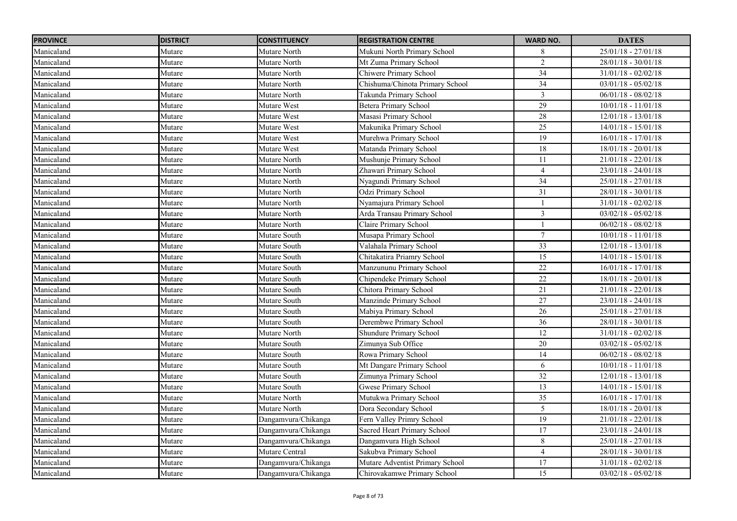| <b>PROVINCE</b> | <b>DISTRICT</b> | <b>CONSTITUENCY</b> | <b>REGISTRATION CENTRE</b>      | <b>WARD NO.</b> | <b>DATES</b>          |
|-----------------|-----------------|---------------------|---------------------------------|-----------------|-----------------------|
| Manicaland      | Mutare          | Mutare North        | Mukuni North Primary School     | 8               | $25/01/18 - 27/01/18$ |
| Manicaland      | Mutare          | Mutare North        | Mt Zuma Primary School          | $\overline{2}$  | $28/01/18 - 30/01/18$ |
| Manicaland      | Mutare          | Mutare North        | Chiwere Primary School          | $\overline{34}$ | $31/01/18 - 02/02/18$ |
| Manicaland      | Mutare          | Mutare North        | Chishuma/Chinota Primary School | 34              | $03/01/18 - 05/02/18$ |
| Manicaland      | Mutare          | Mutare North        | Takunda Primary School          | 3               | $06/01/18 - 08/02/18$ |
| Manicaland      | Mutare          | Mutare West         | <b>Betera Primary School</b>    | 29              | $10/01/18 - 11/01/18$ |
| Manicaland      | Mutare          | Mutare West         | Masasi Primary School           | 28              | 12/01/18 - 13/01/18   |
| Manicaland      | Mutare          | Mutare West         | Makunika Primary School         | $\overline{25}$ | $14/01/18 - 15/01/18$ |
| Manicaland      | Mutare          | Mutare West         | Murehwa Primary School          | 19              | $16/01/18 - 17/01/18$ |
| Manicaland      | Mutare          | Mutare West         | Matanda Primary School          | $18\,$          | $18/01/18 - 20/01/18$ |
| Manicaland      | Mutare          | Mutare North        | Mushunje Primary School         | 11              | $21/01/18 - 22/01/18$ |
| Manicaland      | Mutare          | Mutare North        | Zhawari Primary School          | $\overline{4}$  | 23/01/18 - 24/01/18   |
| Manicaland      | Mutare          | Mutare North        | Nyagundi Primary School         | $\overline{34}$ | $25/01/18 - 27/01/18$ |
| Manicaland      | Mutare          | Mutare North        | Odzi Primary School             | 31              | $28/01/18 - 30/01/18$ |
| Manicaland      | Mutare          | Mutare North        | Nyamajura Primary School        | $\overline{1}$  | $31/01/18 - 02/02/18$ |
| Manicaland      | Mutare          | Mutare North        | Arda Transau Primary School     | $\mathfrak{Z}$  | $03/02/18 - 05/02/18$ |
| Manicaland      | Mutare          | Mutare North        | Claire Primary School           |                 | $06/02/18 - 08/02/18$ |
| Manicaland      | Mutare          | Mutare South        | Musapa Primary School           | $\overline{7}$  | $10/01/18 - 11/01/18$ |
| Manicaland      | Mutare          | Mutare South        | Valahala Primary School         | 33              | 12/01/18 - 13/01/18   |
| Manicaland      | Mutare          | Mutare South        | Chitakatira Priamry School      | 15              | $14/01/18 - 15/01/18$ |
| Manicaland      | Mutare          | Mutare South        | Manzununu Primary School        | $22\,$          | $16/01/18 - 17/01/18$ |
| Manicaland      | Mutare          | Mutare South        | Chipendeke Primary School       | 22              | $18/01/18 - 20/01/18$ |
| Manicaland      | Mutare          | Mutare South        | Chitora Primary School          | 21              | $21/01/18 - 22/01/18$ |
| Manicaland      | Mutare          | Mutare South        | Manzinde Primary School         | $\overline{27}$ | $23/01/18 - 24/01/18$ |
| Manicaland      | Mutare          | Mutare South        | Mabiya Primary School           | $26\,$          | $25/01/18 - 27/01/18$ |
| Manicaland      | Mutare          | Mutare South        | Derembwe Primary School         | 36              | $28/01/18 - 30/01/18$ |
| Manicaland      | Mutare          | Mutare North        | <b>Shundure Primary School</b>  | 12              | $31/01/18 - 02/02/18$ |
| Manicaland      | Mutare          | Mutare South        | Zimunya Sub Office              | 20              | $03/02/18 - 05/02/18$ |
| Manicaland      | Mutare          | Mutare South        | Rowa Primary School             | 14              | $06/02/18 - 08/02/18$ |
| Manicaland      | Mutare          | Mutare South        | Mt Dangare Primary School       | 6               | $10/01/18 - 11/01/18$ |
| Manicaland      | Mutare          | Mutare South        | Zimunya Primary School          | 32              | $12/01/18 - 13/01/18$ |
| Manicaland      | Mutare          | Mutare South        | Gwese Primary School            | 13              | $14/01/18 - 15/01/18$ |
| Manicaland      | Mutare          | Mutare North        | Mutukwa Primary School          | 35              | $16/01/18 - 17/01/18$ |
| Manicaland      | Mutare          | Mutare North        | Dora Secondary School           | $\overline{5}$  | $18/01/18 - 20/01/18$ |
| Manicaland      | Mutare          | Dangamvura/Chikanga | Fern Valley Primry School       | 19              | $21/01/18 - 22/01/18$ |
| Manicaland      | Mutare          | Dangamvura/Chikanga | Sacred Heart Primary School     | 17              | $23/01/18 - 24/01/18$ |
| Manicaland      | Mutare          | Dangamvura/Chikanga | Dangamvura High School          | $\,8\,$         | $25/01/18 - 27/01/18$ |
| Manicaland      | Mutare          | Mutare Central      | Sakubva Primary School          | $\overline{4}$  | $28/01/18 - 30/01/18$ |
| Manicaland      | Mutare          | Dangamvura/Chikanga | Mutare Adventist Primary School | 17              | $31/01/18 - 02/02/18$ |
| Manicaland      | Mutare          | Dangamvura/Chikanga | Chirovakamwe Primary School     | 15              | $03/02/18 - 05/02/18$ |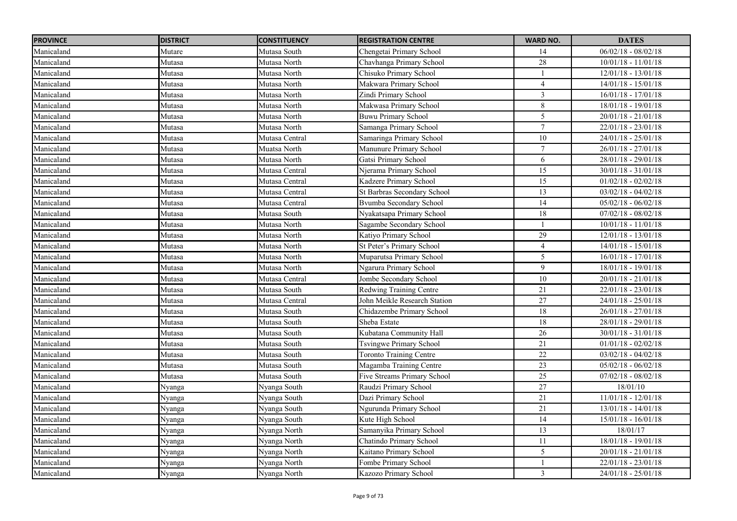| <b>PROVINCE</b> | <b>DISTRICT</b> | <b>CONSTITUENCY</b> | <b>REGISTRATION CENTRE</b>     | <b>WARD NO.</b> | <b>DATES</b>          |
|-----------------|-----------------|---------------------|--------------------------------|-----------------|-----------------------|
| Manicaland      | Mutare          | Mutasa South        | Chengetai Primary School       | 14              | $06/02/18 - 08/02/18$ |
| Manicaland      | Mutasa          | Mutasa North        | Chavhanga Primary School       | 28              | $10/01/18 - 11/01/18$ |
| Manicaland      | Mutasa          | Mutasa North        | Chisuko Primary School         |                 | $12/01/18 - 13/01/18$ |
| Manicaland      | Mutasa          | Mutasa North        | Makwara Primary School         | $\overline{4}$  | $14/01/18 - 15/01/18$ |
| Manicaland      | Mutasa          | Mutasa North        | Zindi Primary School           | $\mathfrak{Z}$  | $16/01/18 - 17/01/18$ |
| Manicaland      | Mutasa          | Mutasa North        | Makwasa Primary School         | $\sqrt{8}$      | $18/01/18 - 19/01/18$ |
| Manicaland      | Mutasa          | Mutasa North        | <b>Buwu Primary School</b>     | 5               | $20/01/18 - 21/01/18$ |
| Manicaland      | Mutasa          | Mutasa North        | Samanga Primary School         | $\tau$          | $22/01/18 - 23/01/18$ |
| Manicaland      | Mutasa          | Mutasa Central      | Samaringa Primary School       | 10              | $24/01/18 - 25/01/18$ |
| Manicaland      | Mutasa          | Muatsa North        | Manunure Primary School        | $7\phantom{.0}$ | $26/01/18 - 27/01/18$ |
| Manicaland      | Mutasa          | Mutasa North        | Gatsi Primary School           | 6               | $28/01/18 - 29/01/18$ |
| Manicaland      | Mutasa          | Mutasa Central      | Njerama Primary School         | 15              | $30/01/18 - 31/01/18$ |
| Manicaland      | Mutasa          | Mutasa Central      | Kadzere Primary School         | 15              | $01/02/18 - 02/02/18$ |
| Manicaland      | Mutasa          | Mutasa Central      | St Barbras Secondary School    | 13              | $03/02/18 - 04/02/18$ |
| Manicaland      | Mutasa          | Mutasa Central      | Bvumba Secondary School        | 14              | $05/02/18 - 06/02/18$ |
| Manicaland      | Mutasa          | Mutasa South        | Nyakatsapa Primary School      | 18              | $07/02/18 - 08/02/18$ |
| Manicaland      | Mutasa          | Mutasa North        | Sagambe Secondary School       |                 | $10/01/18 - 11/01/18$ |
| Manicaland      | Mutasa          | Mutasa North        | Katiyo Primary School          | 29              | $12/01/18 - 13/01/18$ |
| Manicaland      | Mutasa          | Mutasa North        | St Peter's Primary School      | $\overline{4}$  | $14/01/18 - 15/01/18$ |
| Manicaland      | Mutasa          | Mutasa North        | Muparutsa Primary School       | 5               | $16/01/18 - 17/01/18$ |
| Manicaland      | Mutasa          | Mutasa North        | Ngarura Primary School         | 9               | $18/01/18 - 19/01/18$ |
| Manicaland      | Mutasa          | Mutasa Central      | Jombe Secondary School         | $10\,$          | $20/01/18 - 21/01/18$ |
| Manicaland      | Mutasa          | Mutasa South        | <b>Redwing Training Centre</b> | 21              | $22/01/18 - 23/01/18$ |
| Manicaland      | Mutasa          | Mutasa Central      | John Meikle Research Station   | 27              | $24/01/18 - 25/01/18$ |
| Manicaland      | Mutasa          | Mutasa South        | Chidazembe Primary School      | 18              | $26/01/18 - 27/01/18$ |
| Manicaland      | Mutasa          | Mutasa South        | Sheba Estate                   | $18\,$          | $28/01/18 - 29/01/18$ |
| Manicaland      | Mutasa          | Mutasa South        | Kubatana Community Hall        | 26              | $30/01/18 - 31/01/18$ |
| Manicaland      | Mutasa          | Mutasa South        | <b>Tsvingwe Primary School</b> | 21              | $01/01/18 - 02/02/18$ |
| Manicaland      | Mutasa          | Mutasa South        | <b>Toronto Training Centre</b> | 22              | $03/02/18 - 04/02/18$ |
| Manicaland      | Mutasa          | Mutasa South        | Magamba Training Centre        | 23              | $05/02/18 - 06/02/18$ |
| Manicaland      | Mutasa          | Mutasa South        | Five Streams Primary School    | $\overline{25}$ | $07/02/18 - 08/02/18$ |
| Manicaland      | Nyanga          | Nyanga South        | Raudzi Primary School          | $\overline{27}$ | 18/01/10              |
| Manicaland      | Nyanga          | Nyanga South        | Dazi Primary School            | 21              | $11/01/18 - 12/01/18$ |
| Manicaland      | Nyanga          | Nyanga South        | Ngurunda Primary School        | 21              | $13/01/18 - 14/01/18$ |
| Manicaland      | Nyanga          | Nyanga South        | Kute High School               | 14              | $15/01/18 - 16/01/18$ |
| Manicaland      | Nyanga          | Nyanga North        | Samanyika Primary School       | 13              | 18/01/17              |
| Manicaland      | Vyanga          | Nyanga North        | Chatindo Primary School        | 11              | $18/01/18 - 19/01/18$ |
| Manicaland      | Nyanga          | Nyanga North        | Kaitano Primary School         | 5               | $20/01/18 - 21/01/18$ |
| Manicaland      | Nyanga          | Nyanga North        | Fombe Primary School           |                 | $22/01/18 - 23/01/18$ |
| Manicaland      | Nyanga          | Nyanga North        | Kazozo Primary School          | $\mathfrak{Z}$  | $24/01/18 - 25/01/18$ |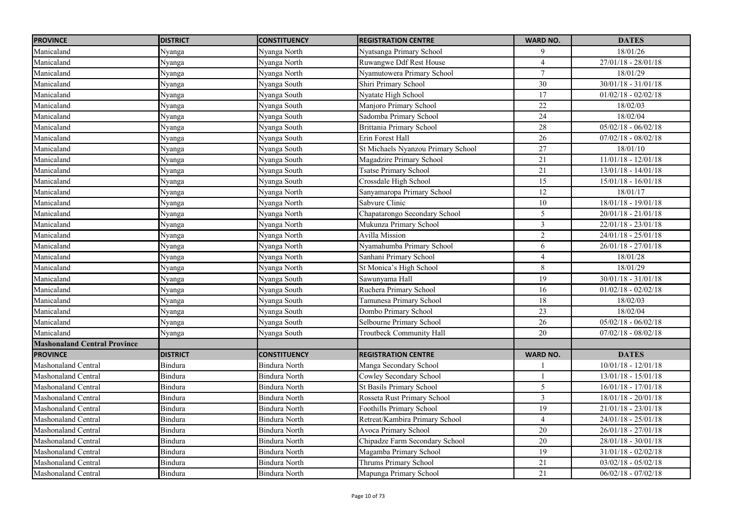| <b>PROVINCE</b>                     | <b>DISTRICT</b> | <b>CONSTITUENCY</b>  | <b>REGISTRATION CENTRE</b>         | <b>WARD NO.</b> | <b>DATES</b>          |
|-------------------------------------|-----------------|----------------------|------------------------------------|-----------------|-----------------------|
| Manicaland                          | Nyanga          | Nyanga North         | Nyatsanga Primary School           | 9               | 18/01/26              |
| Manicaland                          | Nyanga          | Nyanga North         | Ruwangwe Ddf Rest House            | $\overline{4}$  | $27/01/18 - 28/01/18$ |
| Manicaland                          | Nyanga          | Nyanga North         | Nyamutowera Primary School         | $\overline{7}$  | 18/01/29              |
| Manicaland                          | Nyanga          | Nyanga South         | Shiri Primary School               | 30              | $30/01/18 - 31/01/18$ |
| Manicaland                          | Nyanga          | Nyanga South         | Nyatate High School                | 17              | $01/02/18 - 02/02/18$ |
| Manicaland                          | Nyanga          | Nyanga South         | Manjoro Primary School             | $\overline{22}$ | 18/02/03              |
| Manicaland                          | Nyanga          | Nyanga South         | Sadomba Primary School             | 24              | 18/02/04              |
| Manicaland                          | Nyanga          | Nyanga South         | Brittania Primary School           | 28              | $05/02/18 - 06/02/18$ |
| Manicaland                          | Nyanga          | Nyanga South         | Erin Forest Hall                   | 26              | $07/02/18 - 08/02/18$ |
| Manicaland                          | Nyanga          | Nyanga South         | St Michaels Nyanzou Primary School | $\overline{27}$ | 18/01/10              |
| Manicaland                          | Nyanga          | Nyanga South         | Magadzire Primary School           | 21              | $11/01/18 - 12/01/18$ |
| Manicaland                          | Nyanga          | Nyanga South         | <b>Tsatse Primary School</b>       | 21              | $13/01/18 - 14/01/18$ |
| Manicaland                          | Nyanga          | Nyanga South         | Crossdale High School              | 15              | $15/01/18 - 16/01/18$ |
| Manicaland                          | Nyanga          | Nyanga North         | Sanyamaropa Primary School         | 12              | $18/01/\overline{17}$ |
| Manicaland                          | Nyanga          | Nyanga North         | Sabvure Clinic                     | $10\,$          | $18/01/18 - 19/01/18$ |
| Manicaland                          | Nyanga          | Nyanga North         | Chapatarongo Secondary School      | 5               | $20/01/18 - 21/01/18$ |
| Manicaland                          | Nyanga          | Nyanga North         | Mukunza Primary School             | $\overline{3}$  | $22/01/18 - 23/01/18$ |
| Manicaland                          | Nyanga          | Nyanga North         | <b>Avilla Mission</b>              | $\overline{2}$  | $24/01/18 - 25/01/18$ |
| Manicaland                          | Nyanga          | Nyanga North         | Nyamahumba Primary School          | 6               | $26/01/18 - 27/01/18$ |
| Manicaland                          | Nyanga          | Nyanga North         | Sanhani Primary School             | 4               | 18/01/28              |
| Manicaland                          | Nyanga          | Nyanga North         | St Monica's High School            | 8               | 18/01/29              |
| Manicaland                          | Nyanga          | Nyanga South         | Sawunyama Hall                     | 19              | $30/01/18 - 31/01/18$ |
| Manicaland                          | Nyanga          | Nyanga South         | Ruchera Primary School             | 16              | $01/02/18 - 02/02/18$ |
| Manicaland                          | Nyanga          | Nyanga South         | Tamunesa Primary School            | 18              | 18/02/03              |
| Manicaland                          | Nyanga          | Nyanga South         | Dombo Primary School               | 23              | 18/02/04              |
| Manicaland                          | Nyanga          | Nyanga South         | Selbourne Primary School           | 26              | $05/02/18 - 06/02/18$ |
| Manicaland                          | Nyanga          | Nyanga South         | Troutbeck Community Hall           | $20\,$          | $07/02/18 - 08/02/18$ |
| <b>Mashonaland Central Province</b> |                 |                      |                                    |                 |                       |
| <b>PROVINCE</b>                     | <b>DISTRICT</b> | <b>CONSTITUENCY</b>  | <b>REGISTRATION CENTRE</b>         | <b>WARD NO.</b> | <b>DATES</b>          |
| Mashonaland Central                 | Bindura         | <b>Bindura North</b> | Manga Secondary School             |                 | $10/01/18 - 12/01/18$ |
| <b>Mashonaland Central</b>          | Bindura         | <b>Bindura North</b> | Cowley Secondary School            | $\mathbf{1}$    | $13/01/18 - 15/01/18$ |
| <b>Mashonaland Central</b>          | Bindura         | Bindura North        | St Basils Primary School           | 5               | $16/01/18 - 17/01/18$ |
| <b>Mashonaland Central</b>          | Bindura         | Bindura North        | Rosseta Rust Primary School        | $\mathfrak{Z}$  | $18/01/18 - 20/01/18$ |
| Mashonaland Central                 | <b>Bindura</b>  | <b>Bindura North</b> | Foothills Primary School           | $\overline{19}$ | $21/01/18 - 23/01/18$ |
| Mashonaland Central                 | Bindura         | <b>Bindura North</b> | Retreat/Kambira Primary School     | 4               | $24/01/18 - 25/01/18$ |
| <b>Mashonaland Central</b>          | <b>Bindura</b>  | <b>Bindura North</b> | Avoca Primary School               | 20              | $26/01/18 - 27/01/18$ |
| Mashonaland Central                 | Bindura         | <b>Bindura North</b> | Chipadze Farm Secondary School     | 20              | $28/01/18 - 30/01/18$ |
| <b>Mashonaland Central</b>          | <b>Bindura</b>  | <b>Bindura North</b> | Magamba Primary School             | 19              | $31/01/18 - 02/02/18$ |
| Mashonaland Central                 | Bindura         | <b>Bindura North</b> | Thrums Primary School              | 21              | $03/02/18 - 05/02/18$ |
| <b>Mashonaland Central</b>          | <b>Bindura</b>  | <b>Bindura North</b> | Mapunga Primary School             | 21              | $06/02/18 - 07/02/18$ |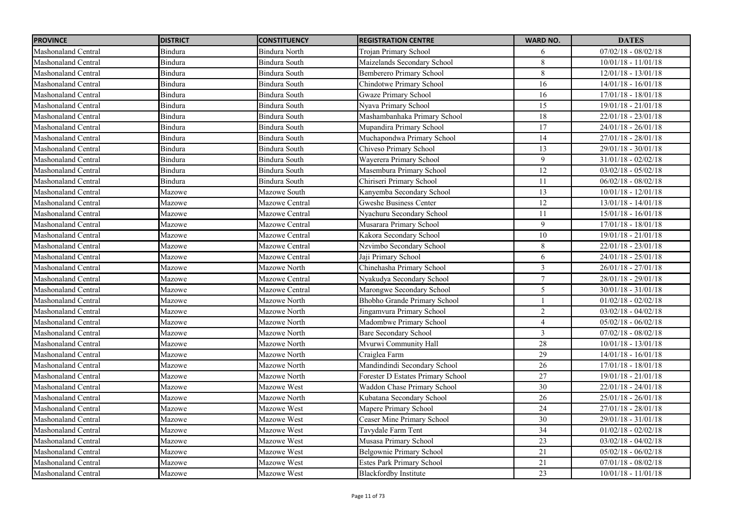| <b>PROVINCE</b>            | <b>DISTRICT</b> | <b>CONSTITUENCY</b>  | <b>REGISTRATION CENTRE</b>        | <b>WARD NO.</b>         | <b>DATES</b>          |
|----------------------------|-----------------|----------------------|-----------------------------------|-------------------------|-----------------------|
| Mashonaland Central        | Bindura         | <b>Bindura North</b> | Trojan Primary School             | 6                       | $07/02/18 - 08/02/18$ |
| <b>Mashonaland Central</b> | Bindura         | <b>Bindura South</b> | Maizelands Secondary School       | $\overline{8}$          | $10/01/18 - 11/01/18$ |
| Mashonaland Central        | Bindura         | Bindura South        | Bemberero Primary School          | $\,8\,$                 | $12/01/18 - 13/01/18$ |
| <b>Mashonaland Central</b> | <b>Bindura</b>  | Bindura South        | Chindotwe Primary School          | 16                      | $14/01/18 - 16/01/18$ |
| <b>Mashonaland Central</b> | Bindura         | <b>Bindura South</b> | <b>Gwaze Primary School</b>       | 16                      | 17/01/18 - 18/01/18   |
| Mashonaland Central        | Bindura         | Bindura South        | Nyava Primary School              | 15                      | $19/01/18 - 21/01/18$ |
| Mashonaland Central        | Bindura         | Bindura South        | Mashambanhaka Primary School      | $\overline{18}$         | $22/01/18 - 23/01/18$ |
| Mashonaland Central        | Bindura         | Bindura South        | Mupandira Primary School          | $\overline{17}$         | 24/01/18 - 26/01/18   |
| Mashonaland Central        | Bindura         | Bindura South        | Muchapondwa Primary School        | 14                      | $27/01/18 - 28/01/18$ |
| Mashonaland Central        | Bindura         | <b>Bindura South</b> | Chiveso Primary School            | $\overline{13}$         | 29/01/18 - 30/01/18   |
| Mashonaland Central        | Bindura         | Bindura South        | Wayerera Primary School           | 9                       | $31/01/18 - 02/02/18$ |
| Mashonaland Central        | Bindura         | Bindura South        | Masembura Primary School          | 12                      | $03/02/18 - 05/02/18$ |
| Mashonaland Central        | Bindura         | Bindura South        | Chiriseri Primary School          | 11                      | $06/02/18 - 08/02/18$ |
| Mashonaland Central        | Mazowe          | Mazowe South         | Kanyemba Secondary School         | 13                      | $10/01/18 - 12/01/18$ |
| Mashonaland Central        | Mazowe          | Mazowe Central       | <b>Gweshe Business Center</b>     | $\overline{12}$         | $13/01/18 - 14/01/18$ |
| Mashonaland Central        | Mazowe          | Mazowe Central       | Nyachuru Secondary School         | 11                      | $15/01/18 - 16/01/18$ |
| Mashonaland Central        | Mazowe          | Mazowe Central       | Musarara Primary School           | 9                       | $17/01/18 - 18/01/18$ |
| Mashonaland Central        | Mazowe          | Mazowe Central       | Kakora Secondary School           | 10                      | $19/01/18 - 21/01/18$ |
| Mashonaland Central        | Mazowe          | Mazowe Central       | Nzvimbo Secondary School          | $\,8\,$                 | $22/01/18 - 23/01/18$ |
| Mashonaland Central        | Mazowe          | Mazowe Central       | Jaji Primary School               | 6                       | $24/01/18 - 25/01/18$ |
| Mashonaland Central        | Mazowe          | Mazowe North         | Chinehasha Primary School         | $\mathfrak{Z}$          | $26/01/18 - 27/01/18$ |
| Mashonaland Central        | Mazowe          | Mazowe Central       | Nyakudya Secondary School         | $\tau$                  | 28/01/18 - 29/01/18   |
| Mashonaland Central        | Mazowe          | Mazowe Central       | Marongwe Secondary School         | $\overline{5}$          | $30/01/18 - 31/01/18$ |
| Mashonaland Central        | Mazowe          | Mazowe North         | Bhobho Grande Primary School      |                         | $01/02/18 - 02/02/18$ |
| Mashonaland Central        | Mazowe          | Mazowe North         | Jingamvura Primary School         | $\overline{2}$          | $03/02/18 - 04/02/18$ |
| Mashonaland Central        | Mazowe          | Mazowe North         | Madombwe Primary School           | $\overline{\mathbf{4}}$ | $05/02/18 - 06/02/18$ |
| Mashonaland Central        | Mazowe          | Mazowe North         | Bare Secondary School             | $\mathfrak{Z}$          | $07/02/18 - 08/02/18$ |
| Mashonaland Central        | Mazowe          | Mazowe North         | Mvurwi Community Hall             | 28                      | $10/01/18 - 13/01/18$ |
| Mashonaland Central        | Mazowe          | Mazowe North         | Craiglea Farm                     | 29                      | $14/01/18 - 16/01/18$ |
| Mashonaland Central        | Mazowe          | Mazowe North         | Mandindindi Secondary School      | 26                      | $17/01/18 - 18/01/18$ |
| Mashonaland Central        | Mazowe          | Mazowe North         | Forester D Estates Primary School | $\overline{27}$         | $19/01/18 - 21/01/18$ |
| Mashonaland Central        | Mazowe          | Mazowe West          | Waddon Chase Primary School       | 30                      | $22/01/18 - 24/01/18$ |
| Mashonaland Central        | Mazowe          | Mazowe North         | Kubatana Secondary School         | 26                      | $25/01/18 - 26/01/18$ |
| <b>Mashonaland Central</b> | Mazowe          | Mazowe West          | Mapere Primary School             | 24                      | 27/01/18 - 28/01/18   |
| Mashonaland Central        | Mazowe          | Mazowe West          | Ceaser Mine Primary School        | $\overline{30}$         | $29/01/18 - 31/01/18$ |
| Mashonaland Central        | Mazowe          | Mazowe West          | Tavydale Farm Tent                | 34                      | $01/02/18 - 02/02/18$ |
| Mashonaland Central        | Mazowe          | Mazowe West          | Musasa Primary School             | 23                      | $03/02/18 - 04/02/18$ |
| Mashonaland Central        | Mazowe          | Mazowe West          | Belgownie Primary School          | 21                      | $05/02/18 - 06/02/18$ |
| Mashonaland Central        | Mazowe          | Mazowe West          | <b>Estes Park Primary School</b>  | 21                      | $07/01/18 - 08/02/18$ |
| Mashonaland Central        | Mazowe          | Mazowe West          | <b>Blackfordby Institute</b>      | $\overline{23}$         | $10/01/18 - 11/01/18$ |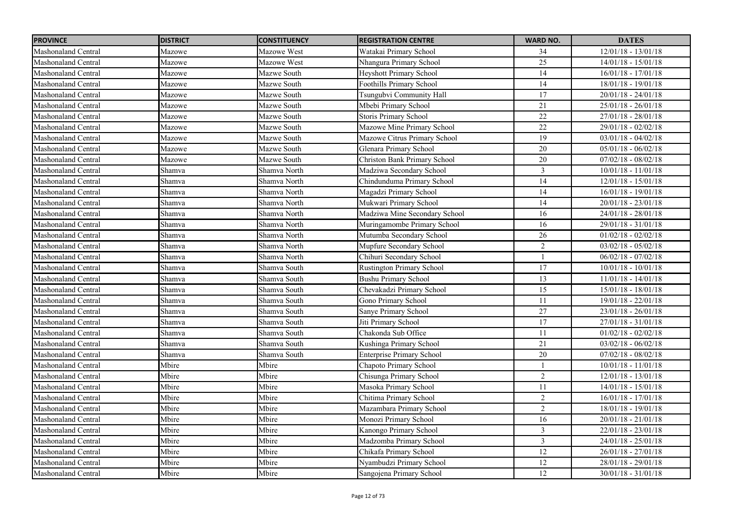| <b>PROVINCE</b>            | <b>DISTRICT</b> | <b>CONSTITUENCY</b> | <b>REGISTRATION CENTRE</b>          | <b>WARD NO.</b> | <b>DATES</b>          |
|----------------------------|-----------------|---------------------|-------------------------------------|-----------------|-----------------------|
| Mashonaland Central        | Mazowe          | Mazowe West         | Watakai Primary School              | 34              | $12/01/18 - 13/01/18$ |
| Mashonaland Central        | Mazowe          | Mazowe West         | Nhangura Primary School             | 25              | $14/01/18 - 15/01/18$ |
| Mashonaland Central        | Mazowe          | Mazwe South         | Heyshott Primary School             | 14              | $16/01/18 - 17/01/18$ |
| Mashonaland Central        | Mazowe          | Mazwe South         | Foothills Primary School            | 14              | 18/01/18 - 19/01/18   |
| Mashonaland Central        | Mazowe          | Mazwe South         | Tsungubvi Community Hall            | $\overline{17}$ | $20/01/18 - 24/01/18$ |
| Mashonaland Central        | Mazowe          | Mazwe South         | Mbebi Primary School                | 21              | $25/01/18 - 26/01/18$ |
| Mashonaland Central        | Mazowe          | Mazwe South         | <b>Storis Primary School</b>        | $\overline{22}$ | $27/01/18 - 28/01/18$ |
| Mashonaland Central        | Mazowe          | Mazwe South         | Mazowe Mine Primary School          | $\overline{22}$ | 29/01/18 - 02/02/18   |
| Mashonaland Central        | Mazowe          | Mazwe South         | Mazowe Citrus Primary School        | 19              | $03/01/18 - 04/02/18$ |
| <b>Mashonaland Central</b> | Mazowe          | Mazwe South         | Glenara Primary School              | $\overline{20}$ | $05/01/18 - 06/02/18$ |
| Mashonaland Central        | Mazowe          | Mazwe South         | <b>Christon Bank Primary School</b> | 20              | $07/02/18 - 08/02/18$ |
| Mashonaland Central        | Shamva          | Shamva North        | Madziwa Secondary School            | $\mathfrak{Z}$  | $10/01/18 - 11/01/18$ |
| <b>Mashonaland Central</b> | Shamva          | Shamva North        | Chindunduma Primary School          | 14              | $12/01/18 - 15/01/18$ |
| Mashonaland Central        | Shamva          | Shamva North        | Magadzi Primary School              | 14              | $16/01/18 - 19/01/18$ |
| <b>Mashonaland Central</b> | Shamva          | Shamva North        | Mukwari Primary School              | 14              | $20/01/18 - 23/01/18$ |
| Mashonaland Central        | Shamva          | Shamva North        | Madziwa Mine Secondary School       | 16              | $24/01/18 - 28/01/18$ |
| <b>Mashonaland Central</b> | Shamva          | Shamva North        | Muringamombe Primary School         | 16              | 29/01/18 - 31/01/18   |
| Mashonaland Central        | Shamva          | Shamva North        | Mutumba Secondary School            | 26              | $01/02/18 - 02/02/18$ |
| Mashonaland Central        | Shamva          | Shamva North        | Mupfure Secondary School            | $\overline{2}$  | $03/02/18 - 05/02/18$ |
| <b>Mashonaland Central</b> | Shamva          | Shamva North        | Chihuri Secondary School            | $\mathbf{1}$    | $06/02/18 - 07/02/18$ |
| Mashonaland Central        | Shamva          | Shamva South        | <b>Rustington Primary School</b>    | 17              | $10/01/18 - 10/01/18$ |
| Mashonaland Central        | Shamva          | Shamva South        | <b>Bushu Primary School</b>         | 13              | $11/01/18 - 14/01/18$ |
| Mashonaland Central        | Shamva          | Shamva South        | Chevakadzi Primary School           | 15              | $15/01/18 - 18/01/18$ |
| Mashonaland Central        | Shamva          | Shamva South        | Gono Primary School                 | 11              | 19/01/18 - 22/01/18   |
| <b>Mashonaland Central</b> | Shamva          | Shamva South        | Sanye Primary School                | 27              | $23/01/18 - 26/01/18$ |
| <b>Mashonaland Central</b> | Shamva          | Shamva South        | Jiti Primary School                 | 17              | $27/01/18 - 31/01/18$ |
| Mashonaland Central        | Shamva          | Shamva South        | Chakonda Sub Office                 | 11              | $01/02/18 - 02/02/18$ |
| Mashonaland Central        | Shamva          | Shamva South        | Kushinga Primary School             | 21              | $03/02/18 - 06/02/18$ |
| Mashonaland Central        | Shamva          | Shamva South        | <b>Enterprise Primary School</b>    | 20              | $07/02/18 - 08/02/18$ |
| Mashonaland Central        | Mbire           | Mbire               | Chapoto Primary School              |                 | $10/01/18 - 11/01/18$ |
| <b>Mashonaland Central</b> | Mbire           | Mbire               | Chisunga Primary School             | $\overline{2}$  | $12/01/18 - 13/01/18$ |
| Mashonaland Central        | Mbire           | Mbire               | Masoka Primary School               | 11              | $14/01/18 - 15/01/18$ |
| Mashonaland Central        | Mbire           | Mbire               | Chitima Primary School              | $\overline{2}$  | $16/01/18 - 17/01/18$ |
| Mashonaland Central        | Mbire           | Mbire               | Mazambara Primary School            | $\overline{2}$  | $18/01/18 - 19/01/18$ |
| Mashonaland Central        | Mbire           | Mbire               | Monozi Primary School               | $\overline{16}$ | $20/01/18 - 21/01/18$ |
| Mashonaland Central        | Mbire           | Mbire               | Kanongo Primary School              | $\mathfrak{Z}$  | $22/01/18 - 23/01/18$ |
| Mashonaland Central        | Mbire           | Mbire               | Madzomba Primary School             | $\mathfrak{Z}$  | $24/01/18 - 25/01/18$ |
| Mashonaland Central        | Mbire           | Mbire               | Chikafa Primary School              | 12              | $26/01/18 - 27/01/18$ |
| Mashonaland Central        | Mbire           | Mbire               | Nyambudzi Primary School            | $\overline{12}$ | $28/01/18 - 29/01/18$ |
| Mashonaland Central        | Mbire           | Mbire               | Sangojena Primary School            | $\overline{12}$ | $30/01/18 - 31/01/18$ |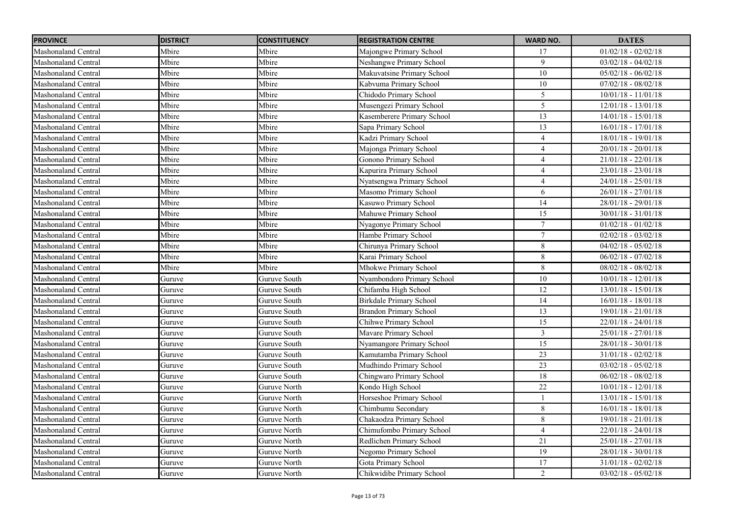| <b>PROVINCE</b>            | <b>DISTRICT</b> | <b>CONSTITUENCY</b> | <b>REGISTRATION CENTRE</b>    | <b>WARD NO.</b> | <b>DATES</b>          |
|----------------------------|-----------------|---------------------|-------------------------------|-----------------|-----------------------|
| Mashonaland Central        | Mbire           | Mbire               | Majongwe Primary School       | 17              | $01/02/18 - 02/02/18$ |
| Mashonaland Central        | Mbire           | Mbire               | Neshangwe Primary School      | 9               | $03/02/18 - 04/02/18$ |
| <b>Mashonaland Central</b> | Mbire           | Mbire               | Makuvatsine Primary School    | 10              | $05/02/18 - 06/02/18$ |
| <b>Mashonaland Central</b> | Mbire           | Mbire               | Kabvuma Primary School        | 10              | $07/02/18 - 08/02/18$ |
| <b>Mashonaland Central</b> | Mbire           | Mbire               | Chidodo Primary School        | 5               | $10/01/18 - 11/01/18$ |
| Mashonaland Central        | Mbire           | Mbire               | Musengezi Primary School      | 5               | $12/01/18 - 13/01/18$ |
| <b>Mashonaland Central</b> | Mbire           | Mbire               | Kasemberere Primary School    | 13              | $14/01/18 - 15/01/18$ |
| Mashonaland Central        | Mbire           | Mbire               | Sapa Primary School           | 13              | $16/01/18 - 17/01/18$ |
| <b>Mashonaland Central</b> | Mbire           | Mbire               | Kadzi Primary School          | $\overline{4}$  | $18/01/18 - 19/01/18$ |
| Mashonaland Central        | Mbire           | Mbire               | Majonga Primary School        | $\overline{4}$  | $20/01/18 - 20/01/18$ |
| Mashonaland Central        | Mbire           | Mbire               | Gonono Primary School         | $\overline{4}$  | $21/01/18 - 22/01/18$ |
| Mashonaland Central        | Mbire           | Mbire               | Kapurira Primary School       | $\overline{4}$  | $23/01/18 - 23/01/18$ |
| Mashonaland Central        | Mbire           | Mbire               | Nyatsengwa Primary School     | $\overline{4}$  | $24/01/18 - 25/01/18$ |
| Mashonaland Central        | Mbire           | Mbire               | Masomo Primary School         | 6               | $26/01/18 - 27/01/18$ |
| Mashonaland Central        | Mbire           | Mbire               | Kasuwo Primary School         | 14              | $28/01/18 - 29/01/18$ |
| Mashonaland Central        | Mbire           | Mbire               | Mahuwe Primary School         | 15              | $30/01/18 - 31/01/18$ |
| Mashonaland Central        | Mbire           | Mbire               | Nyagonye Primary School       | $\overline{7}$  | $01/02/18 - 01/02/18$ |
| Mashonaland Central        | Mbire           | Mbire               | Hambe Primary School          | $\overline{7}$  | $02/02/18 - 03/02/18$ |
| Mashonaland Central        | Mbire           | Mbire               | Chirunya Primary School       | $8\,$           | $04/02/18 - 05/02/18$ |
| Mashonaland Central        | Mbire           | Mbire               | Karai Primary School          | $8\,$           | $06/02/18 - 07/02/18$ |
| Mashonaland Central        | Mbire           | Mbire               | Mhokwe Primary School         | $\,8\,$         | $08/02/18 - 08/02/18$ |
| Mashonaland Central        | Guruve          | Guruve South        | Nyambondoro Primary School    | $10\,$          | $10/01/18 - 12/01/18$ |
| Mashonaland Central        | Guruve          | Guruve South        | Chifamba High School          | 12              | 13/01/18 - 15/01/18   |
| Mashonaland Central        | Guruve          | Guruve South        | Birkdale Primary School       | 14              | $16/01/18 - 18/01/18$ |
| Mashonaland Central        | Guruve          | Guruve South        | <b>Brandon Primary School</b> | 13              | 19/01/18 - 21/01/18   |
| Mashonaland Central        | Guruve          | Guruve South        | Chihwe Primary School         | 15              | 22/01/18 - 24/01/18   |
| <b>Mashonaland Central</b> | Guruve          | Guruve South        | Mavare Primary School         | $\mathfrak{Z}$  | 25/01/18 - 27/01/18   |
| <b>Mashonaland Central</b> | Guruve          | Guruve South        | Nyamangore Primary School     | $\overline{15}$ | 28/01/18 - 30/01/18   |
| Mashonaland Central        | Guruve          | Guruve South        | Kamutamba Primary School      | 23              | $31/01/18 - 02/02/18$ |
| Mashonaland Central        | Guruve          | Guruve South        | Mudhindo Primary School       | 23              | $03/02/18 - 05/02/18$ |
| <b>Mashonaland Central</b> | Guruve          | Guruve South        | Chingwaro Primary School      | 18              | $06/02/18 - 08/02/18$ |
| Mashonaland Central        | Guruve          | Guruve North        | Kondo High School             | $22\,$          | $10/01/18 - 12/01/18$ |
| Mashonaland Central        | Guruve          | Guruve North        | Horseshoe Primary School      |                 | $13/01/18 - 15/01/18$ |
| <b>Mashonaland Central</b> | Guruve          | Guruve North        | Chimbumu Secondary            | 8               | $16/01/18 - 18/01/18$ |
| Mashonaland Central        | Guruve          | Guruve North        | Chakaodza Primary School      | 8               | $19/01/18 - 21/01/18$ |
| Mashonaland Central        | Guruve          | Guruve North        | Chimufombo Primary School     | $\overline{4}$  | $22/01/18 - 24/01/18$ |
| Mashonaland Central        | Guruve          | Guruve North        | Redlichen Primary School      | 21              | $25/01/18 - 27/01/18$ |
| Mashonaland Central        | Guruve          | Guruve North        | Negomo Primary School         | 19              | $28/01/18 - 30/01/18$ |
| Mashonaland Central        | Guruve          | Guruve North        | Gota Primary School           | 17              | $31/01/18 - 02/02/18$ |
| Mashonaland Central        | Guruve          | Guruve North        | Chikwidibe Primary School     | $\overline{2}$  | $03/02/18 - 05/02/18$ |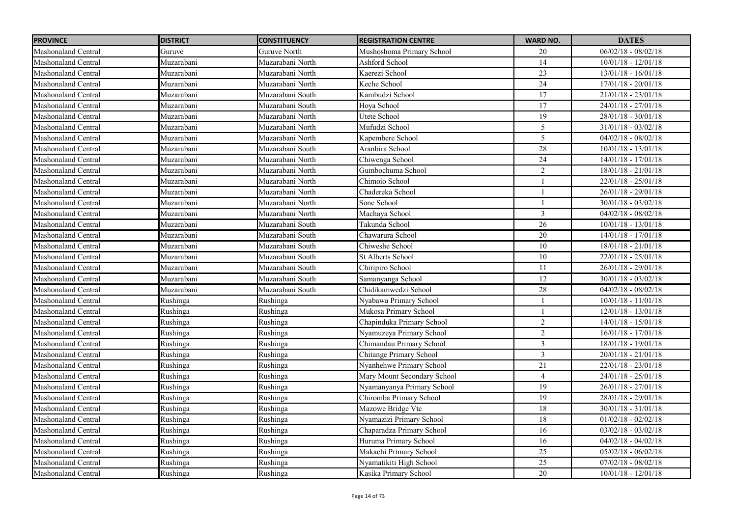| <b>PROVINCE</b>            | <b>DISTRICT</b> | <b>CONSTITUENCY</b> | <b>REGISTRATION CENTRE</b>  | <b>WARD NO.</b> | <b>DATES</b>          |
|----------------------------|-----------------|---------------------|-----------------------------|-----------------|-----------------------|
| Mashonaland Central        | Guruve          | Guruve North        | Mushoshoma Primary School   | 20              | $06/02/18 - 08/02/18$ |
| Mashonaland Central        | Muzarabani      | Muzarabani North    | Ashford School              | 14              | $10/01/18 - 12/01/18$ |
| Mashonaland Central        | Muzarabani      | Muzarabani North    | Kaerezi School              | $\overline{23}$ | $13/01/18 - 16/01/18$ |
| Mashonaland Central        | Muzarabani      | Muzarabani North    | Keche School                | 24              | $17/01/18 - 20/01/18$ |
| Mashonaland Central        | Muzarabani      | Muzarabani South    | Kambudzi School             | 17              | $21/01/18 - 23/01/18$ |
| Mashonaland Central        | Muzarabani      | Muzarabani South    | Hoya School                 | $\overline{17}$ | $24/01/18 - 27/01/18$ |
| Mashonaland Central        | Muzarabani      | Muzarabani North    | Utete School                | 19              | $28/01/18 - 30/01/18$ |
| Mashonaland Central        | Muzarabani      | Muzarabani North    | Mufudzi School              | 5               | $31/01/18 - 03/02/18$ |
| Mashonaland Central        | Muzarabani      | Muzarabani North    | Kapembere School            | 5               | $04/02/18 - 08/02/18$ |
| Mashonaland Central        | Muzarabani      | Muzarabani South    | Aranbira School             | 28              | $10/01/18 - 13/01/18$ |
| Mashonaland Central        | Muzarabani      | Muzarabani North    | Chiwenga School             | 24              | $14/01/18 - 17/01/18$ |
| Mashonaland Central        | Muzarabani      | Muzarabani North    | Gumbochuma School           | $\overline{2}$  | $18/01/18 - 21/01/18$ |
| Mashonaland Central        | Muzarabani      | Muzarabani North    | Chimoio School              |                 | $22/01/18 - 25/01/18$ |
| Mashonaland Central        | Muzarabani      | Muzarabani North    | Chadereka School            |                 | $26/01/18 - 29/01/18$ |
| Mashonaland Central        | Muzarabani      | Muzarabani North    | Sone School                 | $\mathbf{1}$    | $30/01/18 - 03/02/18$ |
| Mashonaland Central        | Muzarabani      | Muzarabani North    | Machaya School              | $\overline{3}$  | $04/02/18 - 08/02/18$ |
| Mashonaland Central        | Muzarabani      | Muzarabani South    | Takunda School              | 26              | $10/01/18 - 13/01/18$ |
| Mashonaland Central        | Muzarabani      | Muzarabani South    | Chawarura School            | 20              | $14/01/18 - 17/01/18$ |
| Mashonaland Central        | Muzarabani      | Muzarabani South    | Chiweshe School             | 10              | $18/01/18 - 21/01/18$ |
| Mashonaland Central        | Muzarabani      | Muzarabani South    | <b>St Alberts School</b>    | 10              | $22/01/18 - 25/01/18$ |
| Mashonaland Central        | Muzarabani      | Muzarabani South    | Chiripiro School            | 11              | $26/01/18 - 29/01/18$ |
| Mashonaland Central        | Muzarabani      | Muzarabani South    | Samanyanga School           | 12              | $30/01/18 - 03/02/18$ |
| Mashonaland Central        | Muzarabani      | Muzarabani South    | Chidikamwedzi School        | 28              | $04/02/18 - 08/02/18$ |
| Mashonaland Central        | Rushinga        | Rushinga            | Nyabawa Primary School      |                 | $10/01/18 - 11/01/18$ |
| Mashonaland Central        | Rushinga        | Rushinga            | Mukosa Primary School       |                 | 12/01/18 - 13/01/18   |
| <b>Mashonaland Central</b> | Rushinga        | Rushinga            | Chapinduka Primary School   | $\sqrt{2}$      | $14/01/18 - 15/01/18$ |
| Mashonaland Central        | Rushinga        | Rushinga            | Nyamuzeya Primary School    | $\sqrt{2}$      | $16/01/18 - 17/01/18$ |
| <b>Mashonaland Central</b> | Rushinga        | Rushinga            | Chimandau Primary School    | $\overline{3}$  | 18/01/18 - 19/01/18   |
| <b>Mashonaland Central</b> | Rushinga        | Rushinga            | Chitange Primary School     | $\mathfrak{Z}$  | $20/01/18 - 21/01/18$ |
| Mashonaland Central        | Rushinga        | Rushinga            | Nyanhehwe Primary School    | 21              | $22/01/18 - 23/01/18$ |
| Mashonaland Central        | Rushinga        | Rushinga            | Mary Mount Secondary School | $\overline{4}$  | $24/01/18 - 25/01/18$ |
| Mashonaland Central        | Rushinga        | Rushinga            | Nyamanyanya Primary School  | 19              | 26/01/18 - 27/01/18   |
| Mashonaland Central        | Rushinga        | Rushinga            | Chiromba Primary School     | 19              | $28/01/18 - 29/01/18$ |
| Mashonaland Central        | Rushinga        | Rushinga            | Mazowe Bridge Vtc           | 18              | $30/01/18 - 31/01/18$ |
| Mashonaland Central        | Rushinga        | Rushinga            | Nyamazizi Primary School    | 18              | $01/02/18 - 02/02/18$ |
| Mashonaland Central        | Rushinga        | Rushinga            | Chaparadza Primary School   | 16              | $03/02/18 - 03/02/18$ |
| Mashonaland Central        | Rushinga        | Rushinga            | Huruma Primary School       | 16              | $04/02/18 - 04/02/18$ |
| Mashonaland Central        | Rushinga        | Rushinga            | Makachi Primary School      | 25              | $05/02/18 - 06/02/18$ |
| Mashonaland Central        | Rushinga        | Rushinga            | Nyamatikiti High School     | 25              | $07/02/18 - 08/02/18$ |
| <b>Mashonaland Central</b> | Rushinga        | Rushinga            | Kasika Primary School       | 20              | $10/01/18 - 12/01/18$ |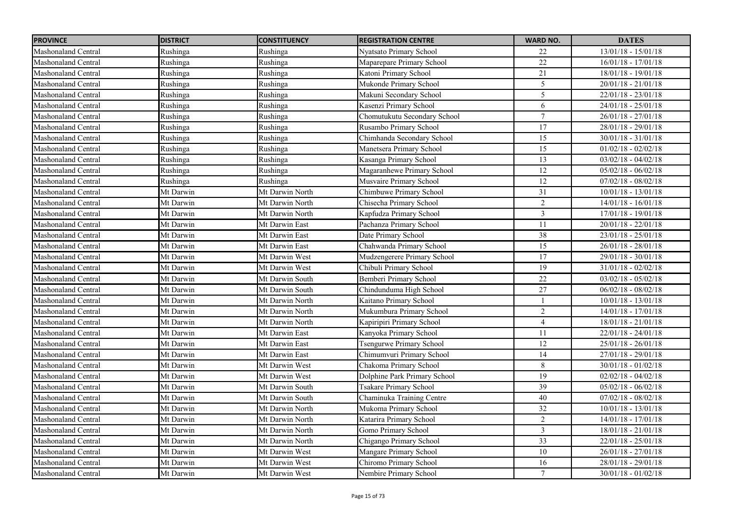| <b>PROVINCE</b>            | <b>DISTRICT</b> | <b>CONSTITUENCY</b> | <b>REGISTRATION CENTRE</b>    | <b>WARD NO.</b> | <b>DATES</b>          |
|----------------------------|-----------------|---------------------|-------------------------------|-----------------|-----------------------|
| Mashonaland Central        | Rushinga        | Rushinga            | Nyatsato Primary School       | 22              | $13/01/18 - 15/01/18$ |
| Mashonaland Central        | Rushinga        | Rushinga            | Maparepare Primary School     | 22              | $16/01/18 - 17/01/18$ |
| Mashonaland Central        | Rushinga        | Rushinga            | Katoni Primary School         | 21              | $18/01/18 - 19/01/18$ |
| Mashonaland Central        | Rushinga        | Rushinga            | Mukonde Primary School        | 5               | $20/01/18 - 21/01/18$ |
| Mashonaland Central        | Rushinga        | Rushinga            | Makuni Secondary School       | 5               | $22/01/18 - 23/01/18$ |
| Mashonaland Central        | Rushinga        | Rushinga            | Kasenzi Primary School        | $\sqrt{6}$      | $24/01/18 - 25/01/18$ |
| Mashonaland Central        | Rushinga        | Rushinga            | Chomutukutu Secondary School  | $7\phantom{.0}$ | $26/01/18 - 27/01/18$ |
| Mashonaland Central        | Rushinga        | Rushinga            | Rusambo Primary School        | $\overline{17}$ | 28/01/18 - 29/01/18   |
| Mashonaland Central        | Rushinga        | Rushinga            | Chimhanda Secondary School    | 15              | $30/01/18 - 31/01/18$ |
| Mashonaland Central        | Rushinga        | Rushinga            | Manetsera Primary School      | $\overline{15}$ | $01/02/18 - 02/02/18$ |
| Mashonaland Central        | Rushinga        | Rushinga            | Kasanga Primary School        | 13              | $03/02/18 - 04/02/18$ |
| Mashonaland Central        | Rushinga        | Rushinga            | Magaranhewe Primary School    | 12              | $05/02/18 - 06/02/18$ |
| Mashonaland Central        | Rushinga        | Rushinga            | Musvaire Primary School       | 12              | $07/02/18 - 08/02/18$ |
| Mashonaland Central        | Mt Darwin       | Mt Darwin North     | Chimbuwe Primary School       | 31              | $10/01/18 - 13/01/18$ |
| Mashonaland Central        | Mt Darwin       | Mt Darwin North     | Chisecha Primary School       | $\overline{2}$  | $14/01/18 - 16/01/18$ |
| Mashonaland Central        | Mt Darwin       | Mt Darwin North     | Kapfudza Primary School       | $\overline{3}$  | $17/01/18 - 19/01/18$ |
| Mashonaland Central        | Mt Darwin       | Mt Darwin East      | Pachanza Primary School       | 11              | $20/01/18 - 22/01/18$ |
| <b>Mashonaland Central</b> | Mt Darwin       | Mt Darwin East      | Date Primary School           | $\overline{38}$ | $23/01/18 - 25/01/18$ |
| Mashonaland Central        | Mt Darwin       | Mt Darwin East      | Chahwanda Primary School      | 15              | $26/01/18 - 28/01/18$ |
| Mashonaland Central        | Mt Darwin       | Mt Darwin West      | Mudzengerere Primary School   | 17              | 29/01/18 - 30/01/18   |
| Mashonaland Central        | Mt Darwin       | Mt Darwin West      | Chibuli Primary School        | 19              | $31/01/18 - 02/02/18$ |
| Mashonaland Central        | Mt Darwin       | Mt Darwin South     | Bemberi Primary School        | $22\,$          | $03/02/18 - 05/02/18$ |
| Mashonaland Central        | Mt Darwin       | Mt Darwin South     | Chindunduma High School       | 27              | $06/02/18 - 08/02/18$ |
| Mashonaland Central        | Mt Darwin       | Mt Darwin North     | Kaitano Primary School        |                 | $10/01/18 - 13/01/18$ |
| Mashonaland Central        | Mt Darwin       | Mt Darwin North     | Mukumbura Primary School      | $\overline{c}$  | 14/01/18 - 17/01/18   |
| Mashonaland Central        | Mt Darwin       | Mt Darwin North     | Kapiripiri Primary School     | $\overline{4}$  | $18/01/18 - 21/01/18$ |
| Mashonaland Central        | Mt Darwin       | Mt Darwin East      | Kanyoka Primary School        | 11              | 22/01/18 - 24/01/18   |
| Mashonaland Central        | Mt Darwin       | Mt Darwin East      | Tsengurwe Primary School      | 12              | 25/01/18 - 26/01/18   |
| Mashonaland Central        | Mt Darwin       | Mt Darwin East      | Chimumvuri Primary School     | 14              | 27/01/18 - 29/01/18   |
| Mashonaland Central        | Mt Darwin       | Mt Darwin West      | Chakoma Primary School        | $\,8\,$         | $30/01/18 - 01/02/18$ |
| <b>Mashonaland Central</b> | Mt Darwin       | Mt Darwin West      | Dolphine Park Primary School  | 19              | $02/02/18 - 04/02/18$ |
| Mashonaland Central        | Mt Darwin       | Mt Darwin South     | <b>Tsakare Primary School</b> | 39              | $05/02/18 - 06/02/18$ |
| Mashonaland Central        | Mt Darwin       | Mt Darwin South     | Chaminuka Training Centre     | $40\,$          | $07/02/18 - 08/02/18$ |
| <b>Mashonaland Central</b> | Mt Darwin       | Mt Darwin North     | Mukoma Primary School         | 32              | $10/01/18 - 13/01/18$ |
| Mashonaland Central        | Mt Darwin       | Mt Darwin North     | Katarira Primary School       | $\overline{2}$  | $14/01/18 - 17/01/18$ |
| <b>Mashonaland Central</b> | Mt Darwin       | Mt Darwin North     | Gomo Primary School           | $\overline{3}$  | $18/01/18 - 21/01/18$ |
| <b>Mashonaland Central</b> | Mt Darwin       | Mt Darwin North     | Chigango Primary School       | 33              | $22/01/18 - 25/01/18$ |
| Mashonaland Central        | Mt Darwin       | Mt Darwin West      | Mangare Primary School        | 10              | $26/01/18 - 27/01/18$ |
| Mashonaland Central        | Mt Darwin       | Mt Darwin West      | Chiromo Primary School        | 16              | 28/01/18 - 29/01/18   |
| <b>Mashonaland Central</b> | Mt Darwin       | Mt Darwin West      | Nembire Primary School        | $\tau$          | $30/01/18 - 01/02/18$ |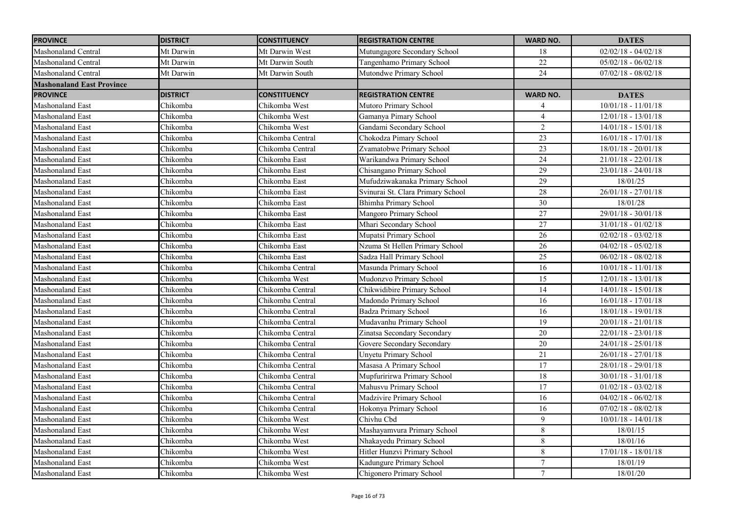| <b>PROVINCE</b>                  | <b>DISTRICT</b> | <b>CONSTITUENCY</b> | <b>REGISTRATION CENTRE</b>        | <b>WARD NO.</b> | <b>DATES</b>          |
|----------------------------------|-----------------|---------------------|-----------------------------------|-----------------|-----------------------|
| Mashonaland Central              | Mt Darwin       | Mt Darwin West      | Mutungagore Secondary School      | 18              | $02/02/18 - 04/02/18$ |
| <b>Mashonaland Central</b>       | Mt Darwin       | Mt Darwin South     | Tangenhamo Primary School         | 22              | $05/02/18 - 06/02/18$ |
| Mashonaland Central              | Mt Darwin       | Mt Darwin South     | Mutondwe Primary School           | $\overline{24}$ | $07/02/18 - 08/02/18$ |
| <b>Mashonaland East Province</b> |                 |                     |                                   |                 |                       |
| <b>PROVINCE</b>                  | <b>DISTRICT</b> | <b>CONSTITUENCY</b> | <b>REGISTRATION CENTRE</b>        | <b>WARD NO.</b> | <b>DATES</b>          |
| <b>Mashonaland East</b>          | Chikomba        | Chikomba West       | Mutoro Primary School             | 4               | $10/01/18 - 11/01/18$ |
| Mashonaland East                 | Chikomba        | Chikomba West       | Gamanya Pimary School             | $\overline{4}$  | $12/01/18 - 13/01/18$ |
| <b>Mashonaland East</b>          | Chikomba        | Chikomba West       | Gandami Secondary School          | $\overline{2}$  | $14/01/18 - 15/01/18$ |
| Mashonaland East                 | Chikomba        | Chikomba Central    | Chokodza Pimary School            | 23              | $16/01/18 - 17/01/18$ |
| Mashonaland East                 | Chikomba        | Chikomba Central    | Zvamatobwe Primary School         | 23              | $18/01/18 - 20/01/18$ |
| <b>Mashonaland East</b>          | Chikomba        | Chikomba East       | Warikandwa Primary School         | 24              | $21/01/18 - 22/01/18$ |
| Mashonaland East                 | Chikomba        | Chikomba East       | Chisangano Primary School         | 29              | $23/01/18 - 24/01/18$ |
| Mashonaland East                 | Chikomba        | Chikomba East       | Mufudziwakanaka Primary School    | 29              | 18/01/25              |
| Mashonaland East                 | Chikomba        | Chikomba East       | Svinurai St. Clara Primary School | 28              | $26/01/18 - 27/01/18$ |
| Mashonaland East                 | Chikomba        | Chikomba East       | Bhimha Primary School             | 30              | 18/01/28              |
| Mashonaland East                 | Chikomba        | Chikomba East       | Mangoro Primary School            | 27              | $29/01/18 - 30/01/18$ |
| <b>Mashonaland East</b>          | Chikomba        | Chikomba East       | Mhari Secondary School            | 27              | $31/01/18 - 01/02/18$ |
| Mashonaland East                 | Chikomba        | Chikomba East       | Mupatsi Primary School            | $\overline{26}$ | $02/02/18 - 03/02/18$ |
| Mashonaland East                 | Chikomba        | Chikomba East       | Nzuma St Hellen Primary School    | 26              | $04/02/18 - 05/02/18$ |
| <b>Mashonaland East</b>          | Chikomba        | Chikomba East       | Sadza Hall Primary School         | 25              | $06/02/18 - 08/02/18$ |
| Mashonaland East                 | Chikomba        | Chikomba Central    | Masunda Primary School            | 16              | $10/01/18 - 11/01/18$ |
| Mashonaland East                 | Chikomba        | Chikomba West       | Mudonzvo Primary School           | 15              | $12/01/18 - 13/01/18$ |
| Mashonaland East                 | Chikomba        | Chikomba Central    | Chikwidibire Primary School       | 14              | $14/01/18 - 15/01/18$ |
| Mashonaland East                 | Chikomba        | Chikomba Central    | Madondo Primary School            | 16              | $16/01/18 - 17/01/18$ |
| Mashonaland East                 | Chikomba        | Chikomba Central    | Badza Primary School              | 16              | $18/01/18 - 19/01/18$ |
| Mashonaland East                 | Chikomba        | Chikomba Central    | Mudavanhu Primary School          | $\overline{19}$ | $20/01/18 - 21/01/18$ |
| Mashonaland East                 | Chikomba        | Chikomba Central    | Zinatsa Secondary Secondary       | $20\,$          | $22/01/18 - 23/01/18$ |
| <b>Mashonaland East</b>          | Chikomba        | Chikomba Central    | Govere Secondary Secondary        | 20              | $24/01/18 - 25/01/18$ |
| Mashonaland East                 | Chikomba        | Chikomba Central    | <b>Unyetu Primary School</b>      | 21              | $26/01/18 - 27/01/18$ |
| Mashonaland East                 | Chikomba        | Chikomba Central    | Masasa A Primary School           | 17              | $28/01/18 - 29/01/18$ |
| <b>Mashonaland East</b>          | Chikomba        | Chikomba Central    | Mupfuririrwa Primary School       | $18\,$          | $30/01/18 - 31/01/18$ |
| <b>Mashonaland East</b>          | Chikomba        | Chikomba Central    | Mahusvu Primary School            | 17              | $01/02/18 - 03/02/18$ |
| <b>Mashonaland East</b>          | Chikomba        | Chikomba Central    | Madzivire Primary School          | 16              | $04/02/18 - 06/02/18$ |
| <b>Mashonaland East</b>          | Chikomba        | Chikomba Central    | Hokonya Primary School            | $\overline{16}$ | $07/02/18 - 08/02/18$ |
| Mashonaland East                 | Chikomba        | Chikomba West       | Chivhu Cbd                        | 9               | $10/01/18 - 14/01/18$ |
| <b>Mashonaland East</b>          | Chikomba        | Chikomba West       | Mashayamvura Primary School       | 8               | 18/01/15              |
| Mashonaland East                 | Chikomba        | Chikomba West       | Nhakayedu Primary School          | 8               | 18/01/16              |
| Mashonaland East                 | Chikomba        | Chikomba West       | Hitler Hunzvi Primary School      | $\,8\,$         | $17/01/18 - 18/01/18$ |
| Mashonaland East                 | Chikomba        | Chikomba West       | Kadungure Primary School          | $\overline{7}$  | 18/01/19              |
| Mashonaland East                 | Chikomba        | Chikomba West       | Chigonero Primary School          | $\tau$          | 18/01/20              |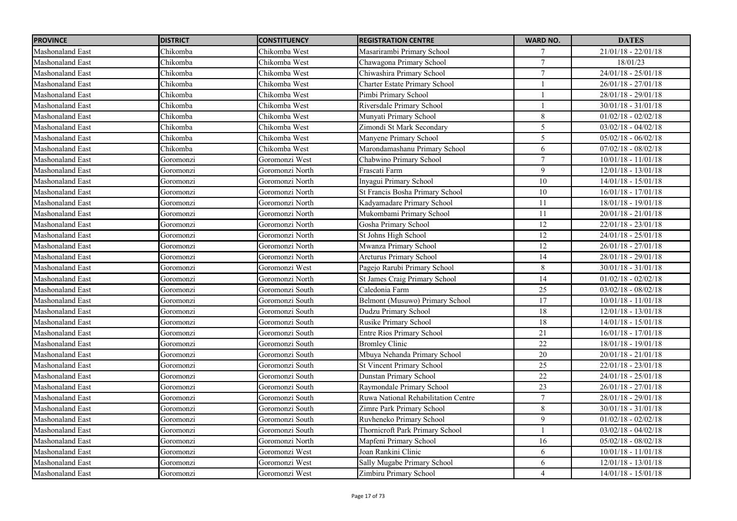| <b>PROVINCE</b>         | <b>DISTRICT</b> | <b>CONSTITUENCY</b> | <b>REGISTRATION CENTRE</b>           | <b>WARD NO.</b>  | <b>DATES</b>          |
|-------------------------|-----------------|---------------------|--------------------------------------|------------------|-----------------------|
| Mashonaland East        | Chikomba        | Chikomba West       | Masarirambi Primary School           | 7                | $21/01/18 - 22/01/18$ |
| <b>Mashonaland East</b> | Chikomba        | Chikomba West       | Chawagona Primary School             | $\overline{7}$   | 18/01/23              |
| <b>Mashonaland East</b> | Chikomba        | Chikomba West       | Chiwashira Primary School            | $\tau$           | $24/01/18 - 25/01/18$ |
| <b>Mashonaland East</b> | Chikomba        | Chikomba West       | <b>Charter Estate Primary School</b> |                  | $26/01/18 - 27/01/18$ |
| Mashonaland East        | Chikomba        | Chikomba West       | Pimbi Primary School                 |                  | $28/01/18 - 29/01/18$ |
| <b>Mashonaland East</b> | Chikomba        | Chikomba West       | Riversdale Primary School            |                  | $30/01/18 - 31/01/18$ |
| Mashonaland East        | Chikomba        | Chikomba West       | Munyati Primary School               | 8                | $01/02/18 - 02/02/18$ |
| Mashonaland East        | Chikomba        | Chikomba West       | Zimondi St Mark Secondary            | 5                | $03/02/18 - 04/02/18$ |
| Mashonaland East        | Chikomba        | Chikomba West       | Manyene Primary School               | 5                | $05/02/18 - 06/02/18$ |
| Mashonaland East        | Chikomba        | Chikomba West       | Marondamashanu Primary School        | 6                | $07/02/18 - 08/02/18$ |
| Mashonaland East        | Goromonzi       | Goromonzi West      | Chabwino Primary School              | $\tau$           | $10/01/18 - 11/01/18$ |
| Mashonaland East        | Goromonzi       | Goromonzi North     | Frascati Farm                        | 9                | $12/01/18 - 13/01/18$ |
| Mashonaland East        | Goromonzi       | Goromonzi North     | Inyagui Primary School               | 10               | $14/01/18 - 15/01/18$ |
| Mashonaland East        | Goromonzi       | Goromonzi North     | St Francis Bosha Primary School      | $10\,$           | $16/01/18 - 17/01/18$ |
| Mashonaland East        | Goromonzi       | Goromonzi North     | Kadyamadare Primary School           | 11               | 18/01/18 - 19/01/18   |
| Mashonaland East        | Goromonzi       | Goromonzi North     | Mukombami Primary School             | 11               | $20/01/18 - 21/01/18$ |
| Mashonaland East        | Goromonzi       | Goromonzi North     | Gosha Primary School                 | $12\,$           | 22/01/18 - 23/01/18   |
| Mashonaland East        | Goromonzi       | Goromonzi North     | St Johns High School                 | $\overline{12}$  | $24/01/18 - 25/01/18$ |
| Mashonaland East        | Goromonzi       | Goromonzi North     | Mwanza Primary School                | 12               | $26/01/18 - 27/01/18$ |
| Mashonaland East        | Goromonzi       | Goromonzi North     | <b>Arcturus Primary School</b>       | 14               | 28/01/18 - 29/01/18   |
| <b>Mashonaland East</b> | Goromonzi       | Goromonzi West      | Pagejo Rarubi Primary School         | 8                | $30/01/18 - 31/01/18$ |
| Mashonaland East        | Goromonzi       | Goromonzi North     | St James Craig Primary School        | $\overline{14}$  | $01/02/18 - 02/02/18$ |
| Mashonaland East        | Goromonzi       | Goromonzi South     | Caledonia Farm                       | 25               | $03/02/18 - 08/02/18$ |
| Mashonaland East        | Goromonzi       | Goromonzi South     | Belmont (Musuwo) Primary School      | 17               | $10/01/18 - 11/01/18$ |
| Mashonaland East        | Goromonzi       | Goromonzi South     | Dudzu Primary School                 | 18               | $12/01/18 - 13/01/18$ |
| Mashonaland East        | Goromonzi       | Goromonzi South     | Rusike Primary School                | $\overline{18}$  | $14/01/18 - 15/01/18$ |
| Mashonaland East        | Goromonzi       | Goromonzi South     | <b>Entre Rios Primary School</b>     | 21               | $16/01/18 - 17/01/18$ |
| Mashonaland East        | Goromonzi       | Goromonzi South     | <b>Bromley Clinic</b>                | 22               | 18/01/18 - 19/01/18   |
| Mashonaland East        | Goromonzi       | Goromonzi South     | Mbuya Nehanda Primary School         | 20               | $20/01/18 - 21/01/18$ |
| Mashonaland East        | Goromonzi       | Goromonzi South     | <b>St Vincent Primary School</b>     | $\overline{25}$  | $22/01/18 - 23/01/18$ |
| Mashonaland East        | Goromonzi       | Goromonzi South     | Dunstan Primary School               | 22               | $24/01/18 - 25/01/18$ |
| Mashonaland East        | Goromonzi       | Goromonzi South     | Raymondale Primary School            | $23\,$           | $26/01/18 - 27/01/18$ |
| Mashonaland East        | Goromonzi       | Goromonzi South     | Ruwa National Rehabilitation Centre  | $\boldsymbol{7}$ | $28/01/18 - 29/01/18$ |
| Mashonaland East        | Goromonzi       | Goromonzi South     | Zimre Park Primary School            | 8                | $30/01/18 - 31/01/18$ |
| Mashonaland East        | Goromonzi       | Goromonzi South     | Ruvheneko Primary School             | 9                | $01/02/18 - 02/02/18$ |
| Mashonaland East        | Goromonzi       | Goromonzi South     | Thornicroft Park Primary School      |                  | $03/02/18 - 04/02/18$ |
| Mashonaland East        | Goromonzi       | Goromonzi North     | Mapfeni Primary School               | 16               | $05/02/18 - 08/02/18$ |
| Mashonaland East        | Goromonzi       | Goromonzi West      | Joan Rankini Clinic                  | 6                | $10/01/18 - 11/01/18$ |
| Mashonaland East        | Goromonzi       | Goromonzi West      | Sally Mugabe Primary School          | 6                | 12/01/18 - 13/01/18   |
| <b>Mashonaland East</b> | Goromonzi       | Goromonzi West      | Zimbiru Primary School               | $\overline{4}$   | $14/01/18 - 15/01/18$ |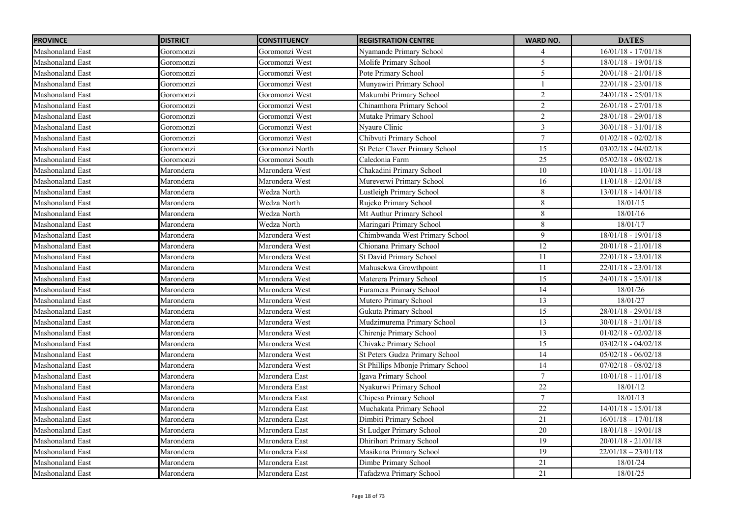| <b>PROVINCE</b>         | <b>DISTRICT</b> | <b>CONSTITUENCY</b> | <b>REGISTRATION CENTRE</b>            | <b>WARD NO.</b>  | <b>DATES</b>          |
|-------------------------|-----------------|---------------------|---------------------------------------|------------------|-----------------------|
| Mashonaland East        | Goromonzi       | Goromonzi West      | Nyamande Primary School               | 4                | $16/01/18 - 17/01/18$ |
| <b>Mashonaland East</b> | Goromonzi       | Goromonzi West      | Molife Primary School                 | $\overline{5}$   | $18/01/18 - 19/01/18$ |
| <b>Mashonaland East</b> | Goromonzi       | Goromonzi West      | Pote Primary School                   | 5                | $20/01/18 - 21/01/18$ |
| <b>Mashonaland East</b> | Goromonzi       | Goromonzi West      | Munyawiri Primary School              |                  | $22/01/18 - 23/01/18$ |
| Mashonaland East        | Goromonzi       | Goromonzi West      | Makumbi Primary School                | $\overline{c}$   | $24/01/18 - 25/01/18$ |
| <b>Mashonaland East</b> | Goromonzi       | Goromonzi West      | Chinamhora Primary School             | $\overline{2}$   | $26/01/18 - 27/01/18$ |
| Mashonaland East        | Goromonzi       | Goromonzi West      | Mutake Primary School                 | $\overline{2}$   | 28/01/18 - 29/01/18   |
| Mashonaland East        | Goromonzi       | Goromonzi West      | Nyaure Clinic                         | $\overline{3}$   | $30/01/18 - 31/01/18$ |
| Mashonaland East        | Goromonzi       | Goromonzi West      | Chibvuti Primary School               | $\tau$           | $01/02/18 - 02/02/18$ |
| Mashonaland East        | Goromonzi       | Goromonzi North     | St Peter Claver Primary School        | 15               | $03/02/18 - 04/02/18$ |
| Mashonaland East        | Goromonzi       | Goromonzi South     | Caledonia Farm                        | $\overline{25}$  | $05/02/18 - 08/02/18$ |
| <b>Mashonaland East</b> | Marondera       | Marondera West      | Chakadini Primary School              | $10\,$           | $10/01/18 - 11/01/18$ |
| <b>Mashonaland East</b> | Marondera       | Marondera West      | Mureverwi Primary School              | $\overline{16}$  | $11/01/18 - 12/01/18$ |
| Mashonaland East        | Marondera       | Wedza North         | Lustleigh Primary School              | 8                | $13/01/18 - 14/01/18$ |
| Mashonaland East        | Marondera       | Wedza North         | Rujeko Primary School                 | 8                | 18/01/15              |
| <b>Mashonaland East</b> | Marondera       | Wedza North         | Mt Authur Primary School              | 8                | 18/01/16              |
| Mashonaland East        | Marondera       | Wedza North         | Maringari Primary School              | $\,8\,$          | 18/01/17              |
| Mashonaland East        | Marondera       | Marondera West      | Chimbwanda West Primary School        | 9                | 18/01/18 - 19/01/18   |
| Mashonaland East        | Marondera       | Marondera West      | Chionana Primary School               | $\overline{12}$  | $20/01/18 - 21/01/18$ |
| Mashonaland East        | Marondera       | Marondera West      | St David Primary School               | 11               | $22/01/18 - 23/01/18$ |
| Mashonaland East        | Marondera       | Marondera West      | Mahusekwa Growthpoint                 | 11               | $22/01/18 - 23/01/18$ |
| Mashonaland East        | Marondera       | Marondera West      | Materera Primary School               | 15               | $24/01/18 - 25/01/18$ |
| Mashonaland East        | Marondera       | Marondera West      | Furamera Primary School               | 14               | 18/01/26              |
| <b>Mashonaland East</b> | Marondera       | Marondera West      | Mutero Primary School                 | 13               | 18/01/27              |
| Mashonaland East        | Marondera       | Marondera West      | Gukuta Primary School                 | 15               | $28/01/18 - 29/01/18$ |
| <b>Mashonaland East</b> | Marondera       | Marondera West      | Mudzimurema Primary School            | 13               | $30/01/18 - 31/01/18$ |
| Mashonaland East        | Marondera       | Marondera West      | Chirenje Primary School               | 13               | $01/02/18 - 02/02/18$ |
| Mashonaland East        | Marondera       | Marondera West      | Chivake Primary School                | 15               | $03/02/18 - 04/02/18$ |
| <b>Mashonaland East</b> | Marondera       | Marondera West      | <b>St Peters Gudza Primary School</b> | $\overline{14}$  | $05/02/18 - 06/02/18$ |
| Mashonaland East        | Marondera       | Marondera West      | St Phillips Mbonje Primary School     | 14               | $07/02/18 - 08/02/18$ |
| <b>Mashonaland East</b> | Marondera       | Marondera East      | Igava Primary School                  | $\tau$           | $10/01/18 - 11/01/18$ |
| Mashonaland East        | Marondera       | Marondera East      | Nyakurwi Primary School               | 22               | 18/01/12              |
| Mashonaland East        | Marondera       | Marondera East      | Chipesa Primary School                | $\boldsymbol{7}$ | 18/01/13              |
| Mashonaland East        | Marondera       | Marondera East      | Muchakata Primary School              | 22               | $14/01/18 - 15/01/18$ |
| Mashonaland East        | Marondera       | Marondera East      | Dimbiti Primary School                | 21               | $16/01/18 - 17/01/18$ |
| Mashonaland East        | Marondera       | Marondera East      | St Ludger Primary School              | $20\,$           | $18/01/18 - 19/01/18$ |
| Mashonaland East        | Marondera       | Marondera East      | <b>Dhirihori Primary School</b>       | 19               | $20/01/18 - 21/01/18$ |
| Mashonaland East        | Marondera       | Marondera East      | Masikana Primary School               | $\overline{19}$  | $22/01/18 - 23/01/18$ |
| Mashonaland East        | Marondera       | Marondera East      | Dimbe Primary School                  | 21               | 18/01/24              |
| <b>Mashonaland East</b> | Marondera       | Marondera East      | Tafadzwa Primary School               | $\overline{21}$  | 18/01/25              |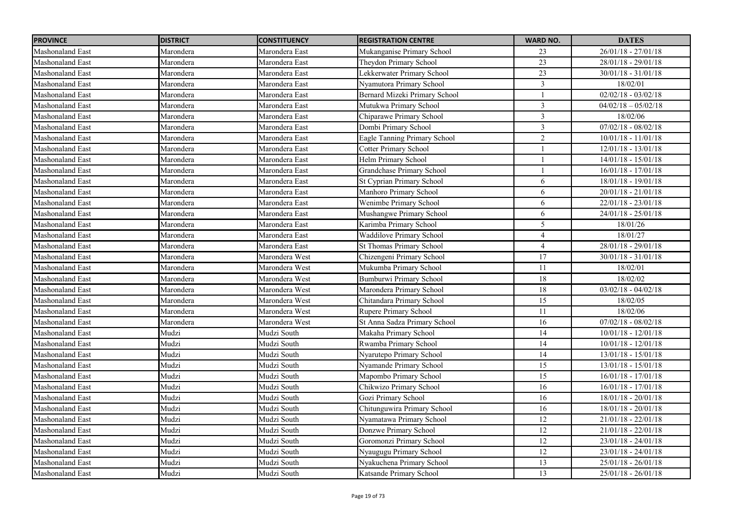| <b>PROVINCE</b>         | <b>DISTRICT</b> | <b>CONSTITUENCY</b> | <b>REGISTRATION CENTRE</b>      | <b>WARD NO.</b> | <b>DATES</b>          |
|-------------------------|-----------------|---------------------|---------------------------------|-----------------|-----------------------|
| Mashonaland East        | Marondera       | Marondera East      | Mukanganise Primary School      | 23              | $26/01/18 - 27/01/18$ |
| <b>Mashonaland East</b> | Marondera       | Marondera East      | Theydon Primary School          | $\overline{23}$ | $28/01/18 - 29/01/18$ |
| <b>Mashonaland East</b> | Marondera       | Marondera East      | Lekkerwater Primary School      | $\overline{23}$ | $30/01/18 - 31/01/18$ |
| <b>Mashonaland East</b> | Marondera       | Marondera East      | Nyamutora Primary School        | 3               | 18/02/01              |
| <b>Mashonaland East</b> | Marondera       | Marondera East      | Bernard Mizeki Primary School   | $\mathbf{1}$    | $02/02/18 - 03/02/18$ |
| <b>Mashonaland East</b> | Marondera       | Marondera East      | Mutukwa Primary School          | $\overline{3}$  | $04/02/18 - 05/02/18$ |
| Mashonaland East        | Marondera       | Marondera East      | Chiparawe Primary School        | $\overline{3}$  | 18/02/06              |
| <b>Mashonaland East</b> | Marondera       | Marondera East      | Dombi Primary School            | $\overline{3}$  | $07/02/18 - 08/02/18$ |
| <b>Mashonaland East</b> | Marondera       | Marondera East      | Eagle Tanning Primary School    | $\overline{2}$  | $10/01/18 - 11/01/18$ |
| <b>Mashonaland East</b> | Marondera       | Marondera East      | <b>Cotter Primary School</b>    | $\mathbf{1}$    | $12/01/18 - 13/01/18$ |
| <b>Mashonaland East</b> | Marondera       | Marondera East      | <b>Helm Primary School</b>      | $\mathbf{1}$    | $14/01/18 - 15/01/18$ |
| Mashonaland East        | Marondera       | Marondera East      | Grandchase Primary School       |                 | $16/01/18 - 17/01/18$ |
| <b>Mashonaland East</b> | Marondera       | Marondera East      | St Cyprian Primary School       | 6               | 18/01/18 - 19/01/18   |
| <b>Mashonaland East</b> | Marondera       | Marondera East      | Manhoro Primary School          | 6               | $20/01/18 - 21/01/18$ |
| <b>Mashonaland East</b> | Marondera       | Marondera East      | Wenimbe Primary School          | 6               | $22/01/18 - 23/01/18$ |
| <b>Mashonaland East</b> | Marondera       | Marondera East      | Mushangwe Primary School        | 6               | $24/01/18 - 25/01/18$ |
| <b>Mashonaland East</b> | Marondera       | Marondera East      | Karimba Primary School          | 5               | 18/01/26              |
| Mashonaland East        | Marondera       | Marondera East      | <b>Waddilove Primary School</b> | $\overline{4}$  | 18/01/27              |
| Mashonaland East        | Marondera       | Marondera East      | St Thomas Primary School        | 4               | $28/01/18 - 29/01/18$ |
| Mashonaland East        | Marondera       | Marondera West      | Chizengeni Primary School       | 17              | $30/01/18 - 31/01/18$ |
| <b>Mashonaland East</b> | Marondera       | Marondera West      | Mukumba Primary School          | 11              | 18/02/01              |
| <b>Mashonaland East</b> | Marondera       | Marondera West      | Bumburwi Primary School         | $18\,$          | 18/02/02              |
| Mashonaland East        | Marondera       | Marondera West      | Marondera Primary School        | $18\,$          | $03/02/18 - 04/02/18$ |
| <b>Mashonaland East</b> | Marondera       | Marondera West      | Chitandara Primary School       | $\overline{15}$ | 18/02/05              |
| <b>Mashonaland East</b> | Marondera       | Marondera West      | Rupere Primary School           | 11              | 18/02/06              |
| Mashonaland East        | Marondera       | Marondera West      | St Anna Sadza Primary School    | 16              | $07/02/18 - 08/02/18$ |
| <b>Mashonaland East</b> | Mudzi           | Mudzi South         | Makaha Primary School           | 14              | $10/01/18 - 12/01/18$ |
| Mashonaland East        | Mudzi           | Mudzi South         | Rwamba Primary School           | 14              | $10/01/18 - 12/01/18$ |
| Mashonaland East        | Mudzi           | Mudzi South         | Nyarutepo Primary School        | 14              | 13/01/18 - 15/01/18   |
| <b>Mashonaland East</b> | Mudzi           | Mudzi South         | Nyamande Primary School         | 15              | $13/01/18 - 15/01/18$ |
| <b>Mashonaland East</b> | Mudzi           | Mudzi South         | Mapombo Primary School          | 15              | $16/01/18 - 17/01/18$ |
| <b>Mashonaland East</b> | Mudzi           | Mudzi South         | Chikwizo Primary School         | 16              | $16/01/18 - 17/01/18$ |
| <b>Mashonaland East</b> | Mudzi           | Mudzi South         | Gozi Primary School             | 16              | 18/01/18 - 20/01/18   |
| <b>Mashonaland East</b> | Mudzi           | Mudzi South         | Chitunguwira Primary School     | $\overline{16}$ | $18/01/18 - 20/01/18$ |
| <b>Mashonaland East</b> | Mudzi           | Mudzi South         | Nyamatawa Primary School        | 12              | $21/01/18 - 22/01/18$ |
| <b>Mashonaland East</b> | Mudzi           | Mudzi South         | Donzwe Primary School           | 12              | $21/01/18 - 22/01/18$ |
| <b>Mashonaland East</b> | Mudzi           | Mudzi South         | Goromonzi Primary School        | 12              | $23/01/18 - 24/01/18$ |
| <b>Mashonaland East</b> | Mudzi           | Mudzi South         | Nyaugugu Primary School         | 12              | $23/01/18 - 24/01/18$ |
| Mashonaland East        | Mudzi           | Mudzi South         | Nyakuchena Primary School       | 13              | 25/01/18 - 26/01/18   |
| Mashonaland East        | Mudzi           | Mudzi South         | Katsande Primary School         | 13              | 25/01/18 - 26/01/18   |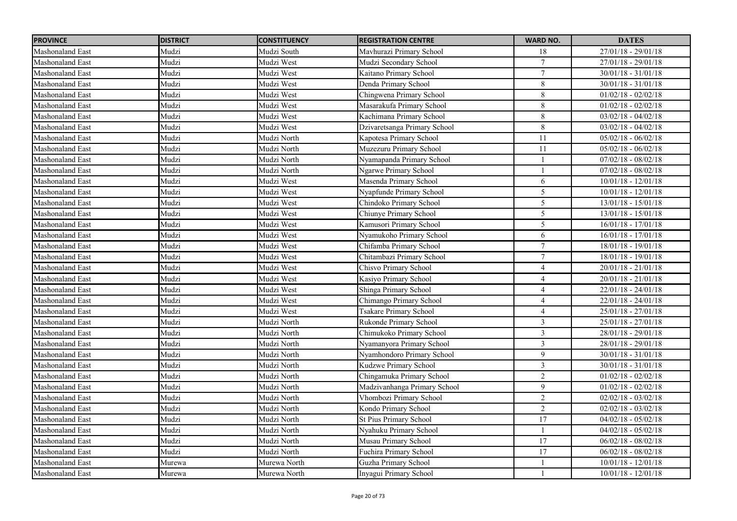| <b>PROVINCE</b>         | <b>DISTRICT</b> | <b>CONSTITUENCY</b> | <b>REGISTRATION CENTRE</b>    | <b>WARD NO.</b> | <b>DATES</b>          |
|-------------------------|-----------------|---------------------|-------------------------------|-----------------|-----------------------|
| Mashonaland East        | Mudzi           | Mudzi South         | Mavhurazi Primary School      | $18\,$          | $27/01/18 - 29/01/18$ |
| <b>Mashonaland East</b> | Mudzi           | Mudzi West          | Mudzi Secondary School        | $\tau$          | $27/01/18 - 29/01/18$ |
| <b>Mashonaland East</b> | Mudzi           | Mudzi West          | Kaitano Primary School        | $\overline{7}$  | $30/01/18 - 31/01/18$ |
| <b>Mashonaland East</b> | Mudzi           | Mudzi West          | Denda Primary School          | 8               | $30/01/18 - 31/01/18$ |
| <b>Mashonaland East</b> | Mudzi           | Mudzi West          | Chingwena Primary School      | 8               | $01/02/18 - 02/02/18$ |
| <b>Mashonaland East</b> | Mudzi           | Mudzi West          | Masarakufa Primary School     | $8\,$           | $01/02/18 - 02/02/18$ |
| Mashonaland East        | Mudzi           | Mudzi West          | Kachimana Primary School      | 8               | $03/02/18 - 04/02/18$ |
| <b>Mashonaland East</b> | Mudzi           | Mudzi West          | Dzivaretsanga Primary School  | 8               | $03/02/18 - 04/02/18$ |
| <b>Mashonaland East</b> | Mudzi           | Mudzi North         | Kapotesa Primary School       | 11              | $05/02/18 - 06/02/18$ |
| <b>Mashonaland East</b> | Mudzi           | Mudzi North         | Muzezuru Primary School       | 11              | $05/02/18 - 06/02/18$ |
| <b>Mashonaland East</b> | Mudzi           | Mudzi North         | Nyamapanda Primary School     |                 | $07/02/18 - 08/02/18$ |
| Mashonaland East        | Mudzi           | Mudzi North         | <b>Ngarwe Primary School</b>  |                 | $07/02/18 - 08/02/18$ |
| <b>Mashonaland East</b> | Mudzi           | Mudzi West          | Masenda Primary School        | 6               | $10/01/18 - 12/01/18$ |
| <b>Mashonaland East</b> | Mudzi           | Mudzi West          | Nyapfunde Primary School      | 5               | $10/01/18 - 12/01/18$ |
| Mashonaland East        | Mudzi           | Mudzi West          | Chindoko Primary School       | 5               | $13/01/18 - 15/01/18$ |
| <b>Mashonaland East</b> | Mudzi           | Mudzi West          | Chiunye Primary School        | 5               | $13/01/18 - 15/01/18$ |
| <b>Mashonaland East</b> | Mudzi           | Mudzi West          | Kamusori Primary School       | 5               | $16/01/18 - 17/01/18$ |
| Mashonaland East        | Mudzi           | Mudzi West          | Nyamukoho Primary School      | 6               | $16/01/18 - 17/01/18$ |
| <b>Mashonaland East</b> | Mudzi           | Mudzi West          | Chifamba Primary School       | $\overline{7}$  | 18/01/18 - 19/01/18   |
| Mashonaland East        | Mudzi           | Mudzi West          | Chitambazi Primary School     | 7               | 18/01/18 - 19/01/18   |
| <b>Mashonaland East</b> | Mudzi           | Mudzi West          | Chisvo Primary School         | $\overline{4}$  | $20/01/18 - 21/01/18$ |
| <b>Mashonaland East</b> | Mudzi           | Mudzi West          | Kasiyo Primary School         | $\overline{4}$  | $20/01/18 - 21/01/18$ |
| Mashonaland East        | Mudzi           | Mudzi West          | Shinga Primary School         | $\overline{4}$  | 22/01/18 - 24/01/18   |
| <b>Mashonaland East</b> | Mudzi           | Mudzi West          | Chimango Primary School       | $\overline{4}$  | $22/01/18 - 24/01/18$ |
| <b>Mashonaland East</b> | Mudzi           | Mudzi West          | Tsakare Primary School        | $\overline{4}$  | $25/01/18 - 27/01/18$ |
| <b>Mashonaland East</b> | Mudzi           | Mudzi North         | Rukonde Primary School        | $\mathfrak{Z}$  | $25/01/18 - 27/01/18$ |
| <b>Mashonaland East</b> | Mudzi           | Mudzi North         | Chimukoko Primary School      | $\mathfrak{Z}$  | 28/01/18 - 29/01/18   |
| Mashonaland East        | Mudzi           | Mudzi North         | Nyamanyora Primary School     | $\overline{3}$  | 28/01/18 - 29/01/18   |
| Mashonaland East        | Mudzi           | Mudzi North         | Nyamhondoro Primary School    | 9               | $30/01/18 - 31/01/18$ |
| <b>Mashonaland East</b> | Mudzi           | Mudzi North         | Kudzwe Primary School         | $\overline{3}$  | $30/01/18 - 31/01/18$ |
| Mashonaland East        | Mudzi           | Mudzi North         | Chingamuka Primary School     | $\overline{c}$  | $01/02/18 - 02/02/18$ |
| <b>Mashonaland East</b> | Mudzi           | Mudzi North         | Madzivanhanga Primary School  | 9               | $01/02/18 - 02/02/18$ |
| <b>Mashonaland East</b> | Mudzi           | Mudzi North         | Vhombozi Primary School       | $\sqrt{2}$      | $02/02/18 - 03/02/18$ |
| <b>Mashonaland East</b> | Mudzi           | Mudzi North         | Kondo Primary School          | $\overline{2}$  | $02/02/18 - 03/02/18$ |
| <b>Mashonaland East</b> | Mudzi           | Mudzi North         | <b>St Pius Primary School</b> | 17              | $04/02/18 - 05/02/18$ |
| <b>Mashonaland East</b> | Mudzi           | Mudzi North         | Nyahuku Primary School        |                 | $04/02/18 - 05/02/18$ |
| <b>Mashonaland East</b> | Mudzi           | Mudzi North         | Musau Primary School          | 17              | $06/02/18 - 08/02/18$ |
| <b>Mashonaland East</b> | Mudzi           | Mudzi North         | Fuchira Primary School        | 17              | $06/02/18 - 08/02/18$ |
| Mashonaland East        | Murewa          | Murewa North        | Guzha Primary School          |                 | $10/01/18 - 12/01/18$ |
| <b>Mashonaland East</b> | Murewa          | Murewa North        | Inyagui Primary School        | $\mathbf{1}$    | $10/01/18 - 12/01/18$ |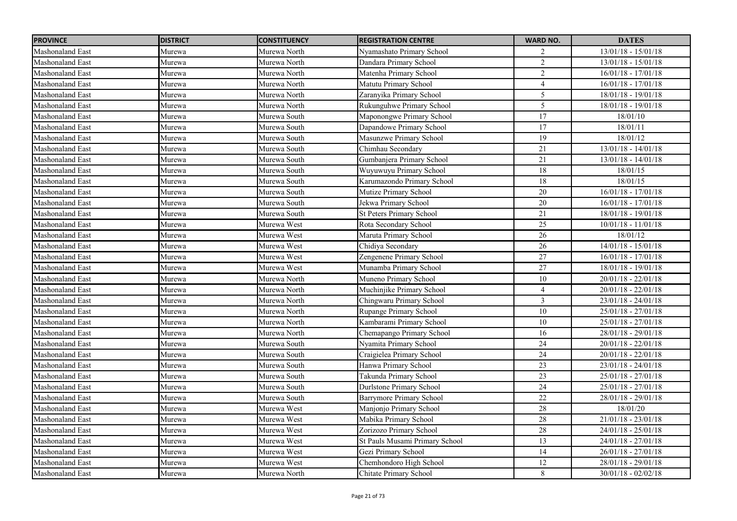| <b>PROVINCE</b>         | <b>DISTRICT</b> | <b>CONSTITUENCY</b> | <b>REGISTRATION CENTRE</b>      | <b>WARD NO.</b>         | <b>DATES</b>          |
|-------------------------|-----------------|---------------------|---------------------------------|-------------------------|-----------------------|
| Mashonaland East        | Murewa          | Murewa North        | Nyamashato Primary School       | $\overline{c}$          | $13/01/18 - 15/01/18$ |
| <b>Mashonaland East</b> | Murewa          | Murewa North        | Dandara Primary School          | $\overline{2}$          | $13/01/18 - 15/01/18$ |
| <b>Mashonaland East</b> | Murewa          | Murewa North        | Matenha Primary School          | $\overline{c}$          | $16/01/18 - 17/01/18$ |
| <b>Mashonaland East</b> | Murewa          | Murewa North        | Matutu Primary School           | $\overline{4}$          | 16/01/18 - 17/01/18   |
| <b>Mashonaland East</b> | Murewa          | Murewa North        | Zaranyika Primary School        | 5                       | 18/01/18 - 19/01/18   |
| <b>Mashonaland East</b> | Murewa          | Murewa North        | Rukunguhwe Primary School       | $\overline{5}$          | 18/01/18 - 19/01/18   |
| Mashonaland East        | Murewa          | Murewa South        | Maponongwe Primary School       | $\overline{17}$         | 18/01/10              |
| Mashonaland East        | Murewa          | Murewa South        | Dapandowe Primary School        | $\overline{17}$         | 18/01/11              |
| Mashonaland East        | Murewa          | Murewa South        | Masunzwe Primary School         | 19                      | 18/01/12              |
| Mashonaland East        | Murewa          | Murewa South        | Chimhau Secondary               | 21                      | $13/01/18 - 14/01/18$ |
| Mashonaland East        | Murewa          | Murewa South        | Gumbanjera Primary School       | 21                      | $13/01/18 - 14/01/18$ |
| Mashonaland East        | Murewa          | Murewa South        | Wuyuwuyu Primary School         | 18                      | 18/01/15              |
| <b>Mashonaland East</b> | Murewa          | Murewa South        | Karumazondo Primary School      | 18                      | 18/01/15              |
| Mashonaland East        | Murewa          | Murewa South        | Mutize Primary School           | 20                      | $16/01/18 - 17/01/18$ |
| Mashonaland East        | Murewa          | Murewa South        | Jekwa Primary School            | 20                      | 16/01/18 - 17/01/18   |
| Mashonaland East        | Murewa          | Murewa South        | <b>St Peters Primary School</b> | 21                      | 18/01/18 - 19/01/18   |
| Mashonaland East        | Murewa          | Murewa West         | Rota Secondary School           | 25                      | $10/01/18 - 11/01/18$ |
| Mashonaland East        | Murewa          | Murewa West         | Maruta Primary School           | $\overline{26}$         | 18/01/12              |
| Mashonaland East        | Murewa          | Murewa West         | Chidiya Secondary               | 26                      | $14/01/18 - 15/01/18$ |
| Mashonaland East        | Murewa          | Murewa West         | Zengenene Primary School        | 27                      | 16/01/18 - 17/01/18   |
| Mashonaland East        | Murewa          | Murewa West         | Munamba Primary School          | 27                      | 18/01/18 - 19/01/18   |
| Mashonaland East        | Murewa          | Murewa North        | Muneno Primary School           | $10\,$                  | $20/01/18 - 22/01/18$ |
| Mashonaland East        | Murewa          | Murewa North        | Muchinjike Primary School       | 4                       | $20/01/18 - 22/01/18$ |
| Mashonaland East        | Murewa          | Murewa North        | Chingwaru Primary School        | $\overline{\mathbf{3}}$ | $23/01/18 - 24/01/18$ |
| Mashonaland East        | Murewa          | Murewa North        | Rupange Primary School          | $10\,$                  | $25/01/18 - 27/01/18$ |
| Mashonaland East        | Murewa          | Murewa North        | Kambarami Primary School        | $10\,$                  | $25/01/18 - 27/01/18$ |
| Mashonaland East        | Murewa          | Murewa North        | Chemapango Primary School       | 16                      | 28/01/18 - 29/01/18   |
| Mashonaland East        | Murewa          | Murewa South        | Nyamita Primary School          | 24                      | 20/01/18 - 22/01/18   |
| Mashonaland East        | Murewa          | Murewa South        | Craigielea Primary School       | 24                      | $20/01/18 - 22/01/18$ |
| Mashonaland East        | Murewa          | Murewa South        | Hanwa Primary School            | 23                      | $23/01/18 - 24/01/18$ |
| Mashonaland East        | Murewa          | Murewa South        | Takunda Primary School          | 23                      | 25/01/18 - 27/01/18   |
| Mashonaland East        | Murewa          | Murewa South        | Durlstone Primary School        | 24                      | 25/01/18 - 27/01/18   |
| Mashonaland East        | Murewa          | Murewa South        | Barrymore Primary School        | 22                      | $28/01/18 - 29/01/18$ |
| <b>Mashonaland East</b> | Murewa          | Murewa West         | Manjonjo Primary School         | 28                      | 18/01/20              |
| Mashonaland East        | Murewa          | Murewa West         | Mabika Primary School           | 28                      | $21/01/18 - 23/01/18$ |
| <b>Mashonaland East</b> | Murewa          | Murewa West         | Zorizozo Primary School         | 28                      | $24/01/18 - 25/01/18$ |
| <b>Mashonaland East</b> | Murewa          | Murewa West         | St Pauls Musami Primary School  | 13                      | $24/01/18 - 27/01/18$ |
| Mashonaland East        | Murewa          | Murewa West         | Gezi Primary School             | 14                      | $26/01/18 - 27/01/18$ |
| Mashonaland East        | Murewa          | Murewa West         | Chemhondoro High School         | 12                      | $28/01/18 - 29/01/18$ |
| Mashonaland East        | Murewa          | Murewa North        | Chitate Primary School          | 8                       | $30/01/18 - 02/02/18$ |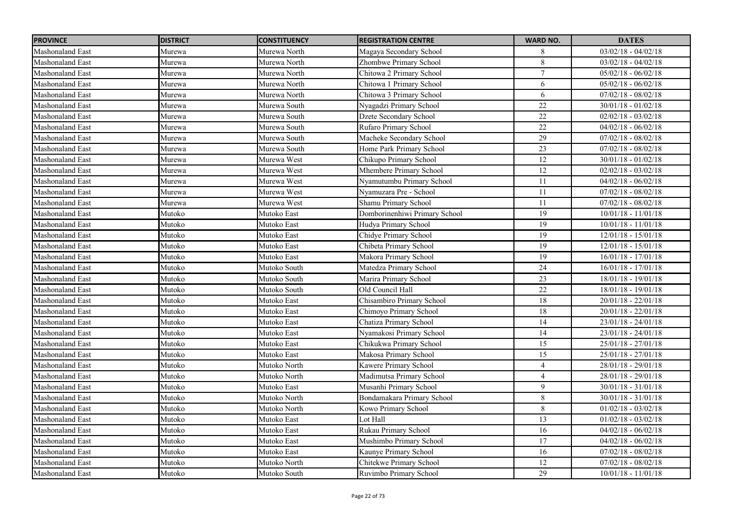| <b>PROVINCE</b>         | <b>DISTRICT</b> | <b>CONSTITUENCY</b> | <b>REGISTRATION CENTRE</b>    | <b>WARD NO.</b> | <b>DATES</b>          |
|-------------------------|-----------------|---------------------|-------------------------------|-----------------|-----------------------|
| Mashonaland East        | Murewa          | Murewa North        | Magaya Secondary School       | 8               | $03/02/18 - 04/02/18$ |
| <b>Mashonaland East</b> | Murewa          | Murewa North        | Zhombwe Primary School        | $\overline{8}$  | $03/02/18 - 04/02/18$ |
| <b>Mashonaland East</b> | Murewa          | Murewa North        | Chitowa 2 Primary School      | $\overline{7}$  | $05/02/18 - 06/02/18$ |
| <b>Mashonaland East</b> | Murewa          | Murewa North        | Chitowa 1 Primary School      | 6               | $05/02/18 - 06/02/18$ |
| <b>Mashonaland East</b> | Murewa          | Murewa North        | Chitowa 3 Primary School      | 6               | $07/02/18 - 08/02/18$ |
| <b>Mashonaland East</b> | Murewa          | Murewa South        | Nyagadzi Primary School       | 22              | $30/01/18 - 01/02/18$ |
| <b>Mashonaland East</b> | Murewa          | Murewa South        | Dzete Secondary School        | 22              | $02/02/18 - 03/02/18$ |
| <b>Mashonaland East</b> | Murewa          | Murewa South        | Rufaro Primary School         | $\overline{22}$ | $04/02/18 - 06/02/18$ |
| Mashonaland East        | Murewa          | Murewa South        | Macheke Secondary School      | 29              | $07/02/18 - 08/02/18$ |
| <b>Mashonaland East</b> | Murewa          | Murewa South        | Home Park Primary School      | $\overline{23}$ | $07/02/18 - 08/02/18$ |
| <b>Mashonaland East</b> | Murewa          | Murewa West         | Chikupo Primary School        | 12              | $30/01/18 - 01/02/18$ |
| <b>Mashonaland East</b> | Murewa          | Murewa West         | Mhembere Primary School       | 12              | $02/02/18 - 03/02/18$ |
| <b>Mashonaland East</b> | Murewa          | Murewa West         | Nyamutumbu Primary School     | 11              | $04/02/18 - 06/02/18$ |
| <b>Mashonaland East</b> | Murewa          | Murewa West         | Nyamuzara Pre - School        | 11              | $07/02/18 - 08/02/18$ |
| <b>Mashonaland East</b> | Murewa          | Murewa West         | Shamu Primary School          | 11              | $07/02/18 - 08/02/18$ |
| <b>Mashonaland East</b> | Mutoko          | Mutoko East         | Domborinenhiwi Primary School | 19              | $10/01/18 - 11/01/18$ |
| <b>Mashonaland East</b> | Mutoko          | Mutoko East         | Hudya Primary School          | 19              | $10/01/18 - 11/01/18$ |
| Mashonaland East        | Mutoko          | Mutoko East         | Chidye Primary School         | 19              | $12/01/18 - 15/01/18$ |
| <b>Mashonaland East</b> | Mutoko          | Mutoko East         | Chibeta Primary School        | 19              | $12/01/18 - 15/01/18$ |
| Mashonaland East        | Mutoko          | Mutoko East         | Makora Primary School         | 19              | $16/01/18 - 17/01/18$ |
| <b>Mashonaland East</b> | Mutoko          | Mutoko South        | Matedza Primary School        | 24              | $16/01/18 - 17/01/18$ |
| <b>Mashonaland East</b> | Mutoko          | Mutoko South        | Marira Primary School         | $23\,$          | $18/01/18 - 19/01/18$ |
| <b>Mashonaland East</b> | Mutoko          | Mutoko South        | Old Council Hall              | $\overline{22}$ | $18/01/18 - 19/01/18$ |
| <b>Mashonaland East</b> | Mutoko          | Mutoko East         | Chisambiro Primary School     | 18              | $20/01/18 - 22/01/18$ |
| <b>Mashonaland East</b> | Mutoko          | Mutoko East         | Chimoyo Primary School        | 18              | $20/01/18 - 22/01/18$ |
| Mashonaland East        | Mutoko          | Mutoko East         | Chatiza Primary School        | 14              | $23/01/18 - 24/01/18$ |
| <b>Mashonaland East</b> | Mutoko          | Mutoko East         | Nyamakosi Primary School      | 14              | $23/01/18 - 24/01/18$ |
| Mashonaland East        | Mutoko          | Mutoko East         | Chikukwa Primary School       | 15              | $25/01/18 - 27/01/18$ |
| Mashonaland East        | Mutoko          | Mutoko East         | Makosa Primary School         | 15              | $25/01/18 - 27/01/18$ |
| <b>Mashonaland East</b> | Mutoko          | Mutoko North        | Kawere Primary School         | $\overline{4}$  | $28/01/18 - 29/01/18$ |
| <b>Mashonaland East</b> | Mutoko          | Mutoko North        | Madimutsa Primary School      | $\overline{4}$  | 28/01/18 - 29/01/18   |
| <b>Mashonaland East</b> | Mutoko          | Mutoko East         | Musanhi Primary School        | 9               | $30/01/18 - 31/01/18$ |
| <b>Mashonaland East</b> | Mutoko          | Mutoko North        | Bondamakara Primary School    | 8               | $30/01/18 - 31/01/18$ |
| Mashonaland East        | Mutoko          | Mutoko North        | Kowo Primary School           | 8               | $01/02/18 - 03/02/18$ |
| <b>Mashonaland East</b> | Mutoko          | Mutoko East         | Lot Hall                      | 13              | $01/02/18 - 03/02/18$ |
| Mashonaland East        | Mutoko          | Mutoko East         | Rukau Primary School          | 16              | $04/02/18 - 06/02/18$ |
| <b>Mashonaland East</b> | Mutoko          | Mutoko East         | Mushimbo Primary School       | 17              | $04/02/18 - 06/02/18$ |
| <b>Mashonaland East</b> | Mutoko          | Mutoko East         | Kaunye Primary School         | 16              | $07/02/18 - 08/02/18$ |
| Mashonaland East        | Mutoko          | Mutoko North        | Chitekwe Primary School       | $\overline{12}$ | $07/02/18 - 08/02/18$ |
| Mashonaland East        | Mutoko          | Mutoko South        | Ruvimbo Primary School        | 29              | $10/01/18 - 11/01/18$ |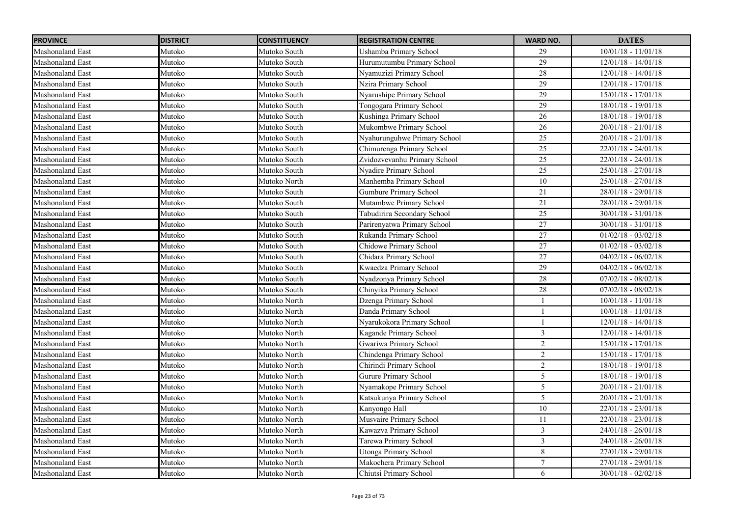| <b>PROVINCE</b>         | <b>DISTRICT</b> | <b>CONSTITUENCY</b> | <b>REGISTRATION CENTRE</b>   | <b>WARD NO.</b> | <b>DATES</b>          |
|-------------------------|-----------------|---------------------|------------------------------|-----------------|-----------------------|
| Mashonaland East        | Mutoko          | Mutoko South        | Ushamba Primary School       | 29              | $10/01/18 - 11/01/18$ |
| <b>Mashonaland East</b> | Mutoko          | Mutoko South        | Hurumutumbu Primary School   | 29              | $12/01/18 - 14/01/18$ |
| <b>Mashonaland East</b> | Mutoko          | Mutoko South        | Nyamuzizi Primary School     | 28              | $12/01/18 - 14/01/18$ |
| <b>Mashonaland East</b> | Mutoko          | Mutoko South        | Nzira Primary School         | 29              | $12/01/18 - 17/01/18$ |
| <b>Mashonaland East</b> | Mutoko          | Mutoko South        | Nyarushipe Primary School    | 29              | $15/01/18 - 17/01/18$ |
| <b>Mashonaland East</b> | Mutoko          | Mutoko South        | Tongogara Primary School     | $\overline{29}$ | $18/01/18 - 19/01/18$ |
| Mashonaland East        | Mutoko          | Mutoko South        | Kushinga Primary School      | 26              | $18/01/18 - 19/01/18$ |
| <b>Mashonaland East</b> | Mutoko          | Mutoko South        | Mukombwe Primary School      | 26              | $20/01/18 - 21/01/18$ |
| <b>Mashonaland East</b> | Mutoko          | Mutoko South        | Nyahurunguhwe Primary School | 25              | $20/01/18 - 21/01/18$ |
| <b>Mashonaland East</b> | Mutoko          | Mutoko South        | Chimurenga Primary School    | $\overline{25}$ | $22/01/18 - 24/01/18$ |
| <b>Mashonaland East</b> | Mutoko          | Mutoko South        | Zvidozvevanhu Primary School | 25              | $22/01/18 - 24/01/18$ |
| Mashonaland East        | Mutoko          | Mutoko South        | Nyadire Primary School       | 25              | $25/01/18 - 27/01/18$ |
| <b>Mashonaland East</b> | Mutoko          | Mutoko North        | Manhemba Primary School      | 10              | $25/01/18 - 27/01/18$ |
| <b>Mashonaland East</b> | Mutoko          | Mutoko South        | Gumbure Primary School       | 21              | $28/01/18 - 29/01/18$ |
| Mashonaland East        | Mutoko          | Mutoko South        | Mutambwe Primary School      | 21              | 28/01/18 - 29/01/18   |
| Mashonaland East        | Mutoko          | Mutoko South        | Tabudirira Secondary School  | 25              | $30/01/18 - 31/01/18$ |
| <b>Mashonaland East</b> | Mutoko          | Mutoko South        | Parirenyatwa Primary School  | 27              | $30/01/18 - 31/01/18$ |
| Mashonaland East        | Mutoko          | Mutoko South        | Rukanda Primary School       | 27              | $01/02/18 - 03/02/18$ |
| <b>Mashonaland East</b> | Mutoko          | Mutoko South        | Chidowe Primary School       | 27              | $01/02/18 - 03/02/18$ |
| Mashonaland East        | Mutoko          | Mutoko South        | Chidara Primary School       | 27              | $04/02/18 - 06/02/18$ |
| <b>Mashonaland East</b> | Mutoko          | Mutoko South        | Kwaedza Primary School       | 29              | $04/02/18 - 06/02/18$ |
| <b>Mashonaland East</b> | Mutoko          | Mutoko South        | Nyadzonya Primary School     | 28              | $07/02/18 - 08/02/18$ |
| Mashonaland East        | Mutoko          | Mutoko South        | Chinyika Primary School      | 28              | $07/02/18 - 08/02/18$ |
| Mashonaland East        | Mutoko          | Mutoko North        | Dzenga Primary School        |                 | $10/01/18 - 11/01/18$ |
| <b>Mashonaland East</b> | Mutoko          | Mutoko North        | Danda Primary School         |                 | $10/01/18 - 11/01/18$ |
| Mashonaland East        | Mutoko          | Mutoko North        | Nyarukokora Primary School   |                 | $12/01/18 - 14/01/18$ |
| <b>Mashonaland East</b> | Mutoko          | Mutoko North        | Kagande Primary School       | $\mathfrak{Z}$  | $12/01/18 - 14/01/18$ |
| Mashonaland East        | Mutoko          | Mutoko North        | Gwariwa Primary School       | $\overline{2}$  | 15/01/18 - 17/01/18   |
| Mashonaland East        | Mutoko          | Mutoko North        | Chindenga Primary School     | $\overline{2}$  | 15/01/18 - 17/01/18   |
| Mashonaland East        | Mutoko          | Mutoko North        | Chirindi Primary School      | $\overline{2}$  | $18/01/18 - 19/01/18$ |
| Mashonaland East        | Mutoko          | Mutoko North        | Gurure Primary School        | 5               | 18/01/18 - 19/01/18   |
| <b>Mashonaland East</b> | Mutoko          | Mutoko North        | Nyamakope Primary School     | 5               | $20/01/18 - 21/01/18$ |
| <b>Mashonaland East</b> | Mutoko          | Mutoko North        | Katsukunya Primary School    | 5               | $20/01/18 - 21/01/18$ |
| <b>Mashonaland East</b> | Mutoko          | Mutoko North        | Kanyongo Hall                | 10              | $22/01/18 - 23/01/18$ |
| <b>Mashonaland East</b> | Mutoko          | Mutoko North        | Musvaire Primary School      | 11              | $22/01/18 - 23/01/18$ |
| <b>Mashonaland East</b> | Mutoko          | Mutoko North        | Kawazva Primary School       | $\overline{3}$  | $24/01/18 - 26/01/18$ |
| <b>Mashonaland East</b> | Mutoko          | Mutoko North        | Tarewa Primary School        | $\mathfrak{Z}$  | $24/01/18 - 26/01/18$ |
| <b>Mashonaland East</b> | Mutoko          | Mutoko North        | Utonga Primary School        | $8\,$           | $27/01/18 - 29/01/18$ |
| Mashonaland East        | Mutoko          | Mutoko North        | Makochera Primary School     | 7               | 27/01/18 - 29/01/18   |
| <b>Mashonaland East</b> | Mutoko          | Mutoko North        | Chiutsi Primary School       | 6               | $30/01/18 - 02/02/18$ |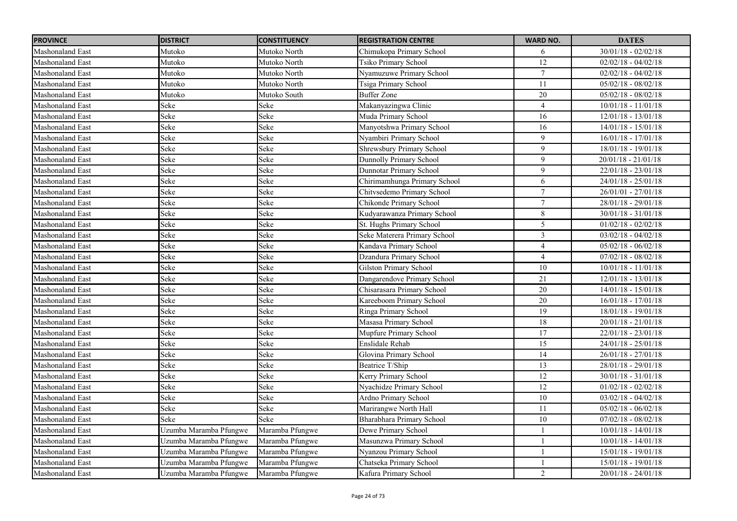| <b>PROVINCE</b>         | <b>DISTRICT</b>        | <b>CONSTITUENCY</b> | <b>REGISTRATION CENTRE</b>       | <b>WARD NO.</b>  | <b>DATES</b>          |
|-------------------------|------------------------|---------------------|----------------------------------|------------------|-----------------------|
| Mashonaland East        | Mutoko                 | Mutoko North        | Chimukopa Primary School         | 6                | $30/01/18 - 02/02/18$ |
| <b>Mashonaland East</b> | Mutoko                 | Mutoko North        | Tsiko Primary School             | 12               | $02/02/18 - 04/02/18$ |
| <b>Mashonaland East</b> | Mutoko                 | Mutoko North        | Nyamuzuwe Primary School         | $\tau$           | $02/02/18 - 04/02/18$ |
| <b>Mashonaland East</b> | Mutoko                 | Mutoko North        | Tsiga Primary School             | 11               | $05/02/18 - 08/02/18$ |
| <b>Mashonaland East</b> | Mutoko                 | Mutoko South        | <b>Buffer Zone</b>               | 20               | $05/02/18 - 08/02/18$ |
| <b>Mashonaland East</b> | Seke                   | Seke                | Makanyazingwa Clinic             | $\overline{4}$   | $10/01/18 - 11/01/18$ |
| Mashonaland East        | Seke                   | Seke                | Muda Primary School              | 16               | $12/01/18 - 13/01/18$ |
| <b>Mashonaland East</b> | Seke                   | Seke                | Manyotshwa Primary School        | 16               | $14/01/18 - 15/01/18$ |
| <b>Mashonaland East</b> | Seke                   | Seke                | Nyambiri Primary School          | 9                | $16/01/18 - 17/01/18$ |
| <b>Mashonaland East</b> | Seke                   | Seke                | <b>Shrewsbury Primary School</b> | 9                | $18/01/18 - 19/01/18$ |
| <b>Mashonaland East</b> | Seke                   | Seke                | <b>Dunnolly Primary School</b>   | $\mathfrak{g}$   | $20/01/18 - 21/01/18$ |
| Mashonaland East        | Seke                   | Seke                | Dunnotar Primary School          | 9                | $22/01/18 - 23/01/18$ |
| Mashonaland East        | Seke                   | Seke                | Chirimamhunga Primary School     | 6                | $24/01/18 - 25/01/18$ |
| <b>Mashonaland East</b> | Seke                   | Seke                | Chitvsedemo Primary School       | $\tau$           | $26/01/01 - 27/01/18$ |
| Mashonaland East        | Seke                   | Seke                | Chikonde Primary School          | $\boldsymbol{7}$ | $28/01/18 - 29/01/18$ |
| Mashonaland East        | Seke                   | Seke                | Kudyarawanza Primary School      | 8                | $30/01/18 - 31/01/18$ |
| <b>Mashonaland East</b> | Seke                   | Seke                | St. Hughs Primary School         | 5                | $01/02/18 - 02/02/18$ |
| Mashonaland East        | Seke                   | Seke                | Seke Materera Primary School     | $\overline{3}$   | $03/02/18 - 04/02/18$ |
| Mashonaland East        | Seke                   | Seke                | Kandava Primary School           | $\overline{4}$   | $05/02/18 - 06/02/18$ |
| <b>Mashonaland East</b> | Seke                   | Seke                | Dzandura Primary School          | $\overline{4}$   | $07/02/18 - 08/02/18$ |
| Mashonaland East        | Seke                   | Seke                | Gilston Primary School           | 10               | $10/01/18 - 11/01/18$ |
| <b>Mashonaland East</b> | Seke                   | Seke                | Dangarendove Primary School      | 21               | $12/01/18 - 13/01/18$ |
| Mashonaland East        | Seke                   | Seke                | Chisarasara Primary School       | 20               | $14/01/18 - 15/01/18$ |
| <b>Mashonaland East</b> | Seke                   | Seke                | Kareeboom Primary School         | 20               | $16/01/18 - 17/01/18$ |
| <b>Mashonaland East</b> | Seke                   | Seke                | Ringa Primary School             | 19               | $18/01/18 - 19/01/18$ |
| Mashonaland East        | Seke                   | Seke                | Masasa Primary School            | 18               | $20/01/18 - 21/01/18$ |
| Mashonaland East        | Seke                   | Seke                | Mupfure Primary School           | 17               | $22/01/18 - 23/01/18$ |
| <b>Mashonaland East</b> | Seke                   | Seke                | Enslidale Rehab                  | 15               | $24/01/18 - 25/01/18$ |
| Mashonaland East        | Seke                   | Seke                | Glovina Primary School           | 14               | $26/01/18 - 27/01/18$ |
| <b>Mashonaland East</b> | Seke                   | Seke                | Beatrice T/Ship                  | 13               | $28/01/18 - 29/01/18$ |
| Mashonaland East        | Seke                   | Seke                | Kerry Primary School             | 12               | $30/01/18 - 31/01/18$ |
| <b>Mashonaland East</b> | Seke                   | Seke                | Nyachidze Primary School         | 12               | $01/02/18 - 02/02/18$ |
| <b>Mashonaland East</b> | Seke                   | Seke                | Ardno Primary School             | $10\,$           | $03/02/18 - 04/02/18$ |
| Mashonaland East        | Seke                   | Seke                | Marirangwe North Hall            | 11               | $05/02/18 - 06/02/18$ |
| Mashonaland East        | Seke                   | Seke                | Bharabhara Primary School        | 10               | $07/02/18 - 08/02/18$ |
| <b>Mashonaland East</b> | Uzumba Maramba Pfungwe | Maramba Pfungwe     | Dewe Primary School              |                  | $10/01/18 - 14/01/18$ |
| Mashonaland East        | Uzumba Maramba Pfungwe | Maramba Pfungwe     | Masunzwa Primary School          |                  | $10/01/18 - 14/01/18$ |
| <b>Mashonaland East</b> | Uzumba Maramba Pfungwe | Maramba Pfungwe     | Nyanzou Primary School           |                  | $15/01/18 - 19/01/18$ |
| <b>Mashonaland East</b> | Uzumba Maramba Pfungwe | Maramba Pfungwe     | Chatseka Primary School          |                  | $15/01/18 - 19/01/18$ |
| <b>Mashonaland East</b> | Uzumba Maramba Pfungwe | Maramba Pfungwe     | Kafura Primary School            | 2                | $20/01/18 - 24/01/18$ |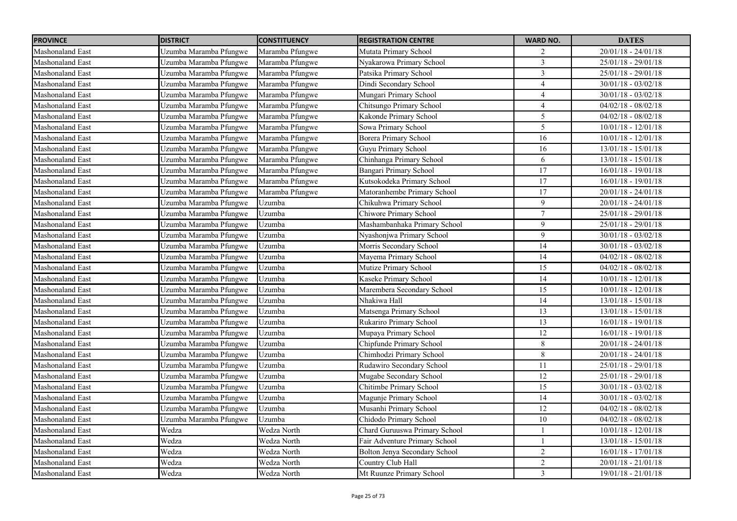| <b>PROVINCE</b>         | <b>DISTRICT</b>        | <b>CONSTITUENCY</b> | <b>REGISTRATION CENTRE</b>    | <b>WARD NO.</b> | <b>DATES</b>          |
|-------------------------|------------------------|---------------------|-------------------------------|-----------------|-----------------------|
| <b>Mashonaland East</b> | Uzumba Maramba Pfungwe | Maramba Pfungwe     | Mutata Primary School         | 2               | $20/01/18 - 24/01/18$ |
| Mashonaland East        | Uzumba Maramba Pfungwe | Maramba Pfungwe     | Nyakarowa Primary School      | $\overline{3}$  | 25/01/18 - 29/01/18   |
| <b>Mashonaland East</b> | Uzumba Maramba Pfungwe | Maramba Pfungwe     | Patsika Primary School        | $\overline{3}$  | $25/01/18 - 29/01/18$ |
| <b>Mashonaland East</b> | Uzumba Maramba Pfungwe | Maramba Pfungwe     | Dindi Secondary School        | $\overline{4}$  | $30/01/18 - 03/02/18$ |
| Mashonaland East        | Uzumba Maramba Pfungwe | Maramba Pfungwe     | Mungari Primary School        | $\overline{4}$  | $30/01/18 - 03/02/18$ |
| <b>Mashonaland East</b> | Uzumba Maramba Pfungwe | Maramba Pfungwe     | Chitsungo Primary School      | $\overline{4}$  | $04/02/18 - 08/02/18$ |
| Mashonaland East        | Uzumba Maramba Pfungwe | Maramba Pfungwe     | Kakonde Primary School        | 5               | $04/02/18 - 08/02/18$ |
| <b>Mashonaland East</b> | Uzumba Maramba Pfungwe | Maramba Pfungwe     | Sowa Primary School           | 5               | $10/01/18 - 12/01/18$ |
| <b>Mashonaland East</b> | Uzumba Maramba Pfungwe | Maramba Pfungwe     | <b>Borera Primary School</b>  | 16              | $10/01/18 - 12/01/18$ |
| <b>Mashonaland East</b> | Uzumba Maramba Pfungwe | Maramba Pfungwe     | Guyu Primary School           | 16              | $13/01/18 - 15/01/18$ |
| <b>Mashonaland East</b> | Uzumba Maramba Pfungwe | Maramba Pfungwe     | Chinhanga Primary School      | 6               | 13/01/18 - 15/01/18   |
| <b>Mashonaland East</b> | Uzumba Maramba Pfungwe | Maramba Pfungwe     | Bangari Primary School        | 17              | 16/01/18 - 19/01/18   |
| <b>Mashonaland East</b> | Uzumba Maramba Pfungwe | Maramba Pfungwe     | Kutsokodeka Primary School    | 17              | $16/01/18 - 19/01/18$ |
| <b>Mashonaland East</b> | Uzumba Maramba Pfungwe | Maramba Pfungwe     | Matoranhembe Primary School   | 17              | $20/01/18 - 24/01/18$ |
| <b>Mashonaland East</b> | Uzumba Maramba Pfungwe | Uzumba              | Chikuhwa Primary School       | 9               | $20/01/18 - 24/01/18$ |
| <b>Mashonaland East</b> | Uzumba Maramba Pfungwe | Uzumba              | Chiwore Primary School        | $\tau$          | 25/01/18 - 29/01/18   |
| <b>Mashonaland East</b> | Uzumba Maramba Pfungwe | Uzumba              | Mashambanhaka Primary School  | 9               | 25/01/18 - 29/01/18   |
| <b>Mashonaland East</b> | Uzumba Maramba Pfungwe | Uzumba              | Nyashonjwa Primary School     | 9               | $30/01/18 - 03/02/18$ |
| Mashonaland East        | Uzumba Maramba Pfungwe | Uzumba              | Morris Secondary School       | 14              | $30/01/18 - 03/02/18$ |
| <b>Mashonaland East</b> | Uzumba Maramba Pfungwe | Uzumba              | Mayema Primary School         | 14              | $04/02/18 - 08/02/18$ |
| <b>Mashonaland East</b> | Uzumba Maramba Pfungwe | Uzumba              | Mutize Primary School         | 15              | $04/02/18 - 08/02/18$ |
| <b>Mashonaland East</b> | Uzumba Maramba Pfungwe | Uzumba              | Kaseke Primary School         | 14              | $10/01/18 - 12/01/18$ |
| Mashonaland East        | Uzumba Maramba Pfungwe | Uzumba              | Marembera Secondary School    | 15              | $10/01/18 - 12/01/18$ |
| <b>Mashonaland East</b> | Uzumba Maramba Pfungwe | Uzumba              | Nhakiwa Hall                  | 14              | $13/01/18 - 15/01/18$ |
| <b>Mashonaland East</b> | Uzumba Maramba Pfungwe | Uzumba              | Matsenga Primary School       | 13              | $13/01/18 - 15/01/18$ |
| <b>Mashonaland East</b> | Uzumba Maramba Pfungwe | Uzumba              | Rukariro Primary School       | 13              | $16/01/18 - 19/01/18$ |
| <b>Mashonaland East</b> | Uzumba Maramba Pfungwe | Uzumba              | Mupaya Primary School         | 12              | $16/01/18 - 19/01/18$ |
| <b>Mashonaland East</b> | Uzumba Maramba Pfungwe | Uzumba              | Chipfunde Primary School      | 8               | $20/01/18 - 24/01/18$ |
| <b>Mashonaland East</b> | Uzumba Maramba Pfungwe | Uzumba              | Chimhodzi Primary School      | 8               | $20/01/18 - 24/01/18$ |
| <b>Mashonaland East</b> | Uzumba Maramba Pfungwe | Uzumba              | Rudawiro Secondary School     | 11              | $25/01/18 - 29/01/18$ |
| Mashonaland East        | Uzumba Maramba Pfungwe | Uzumba              | Mugabe Secondary School       | 12              | 25/01/18 - 29/01/18   |
| <b>Mashonaland East</b> | Uzumba Maramba Pfungwe | Uzumba              | Chitimbe Primary School       | 15              | $30/01/18 - 03/02/18$ |
| <b>Mashonaland East</b> | Uzumba Maramba Pfungwe | Uzumba              | Magunje Primary School        | 14              | $30/01/18 - 03/02/18$ |
| <b>Mashonaland East</b> | Uzumba Maramba Pfungwe | Uzumba              | Musanhi Primary School        | 12              | $04/02/18 - 08/02/18$ |
| <b>Mashonaland East</b> | Uzumba Maramba Pfungwe | Uzumba              | Chidodo Primary School        | 10              | $04/02/18 - 08/02/18$ |
| <b>Mashonaland East</b> | Wedza                  | Wedza North         | Chard Guruuswa Primary School |                 | $10/01/18 - 12/01/18$ |
| <b>Mashonaland East</b> | Wedza                  | Wedza North         | Fair Adventure Primary School | $\mathbf{1}$    | $13/01/18 - 15/01/18$ |
| <b>Mashonaland East</b> | Wedza                  | Wedza North         | Bolton Jenya Secondary School | $\mathbf{2}$    | $16/01/18 - 17/01/18$ |
| Mashonaland East        | Wedza                  | Wedza North         | Country Club Hall             | $\overline{2}$  | 20/01/18 - 21/01/18   |
| <b>Mashonaland East</b> | Wedza                  | Wedza North         | Mt Ruunze Primary School      | $\mathfrak{Z}$  | $19/01/18 - 21/01/18$ |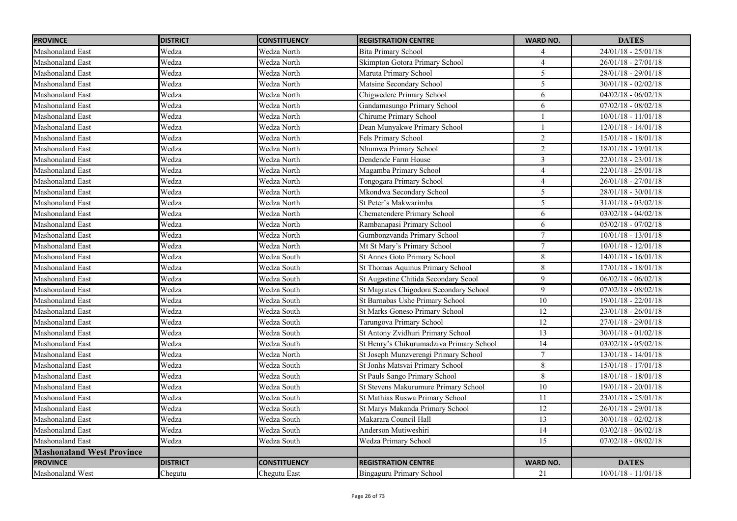| <b>PROVINCE</b>                  | <b>DISTRICT</b> | <b>CONSTITUENCY</b> | <b>REGISTRATION CENTRE</b>               | <b>WARD NO.</b> | <b>DATES</b>          |
|----------------------------------|-----------------|---------------------|------------------------------------------|-----------------|-----------------------|
| Mashonaland East                 | Wedza           | Wedza North         | <b>Bita Primary School</b>               | 4               | $24/01/18 - 25/01/18$ |
| <b>Mashonaland East</b>          | Wedza           | Wedza North         | Skimpton Gotora Primary School           | $\Delta$        | $26/01/18 - 27/01/18$ |
| <b>Mashonaland East</b>          | Wedza           | Wedza North         | Maruta Primary School                    | 5               | $28/01/18 - 29/01/18$ |
| <b>Mashonaland East</b>          | Wedza           | Wedza North         | Matsine Secondary School                 | 5               | $30/01/18 - 02/02/18$ |
| <b>Mashonaland East</b>          | Wedza           | Wedza North         | Chigwedere Primary School                | 6               | $04/02/18 - 06/02/18$ |
| <b>Mashonaland East</b>          | Wedza           | Wedza North         | Gandamasungo Primary School              | 6               | $07/02/18 - 08/02/18$ |
| Mashonaland East                 | Wedza           | Wedza North         | Chirume Primary School                   |                 | $10/01/18 - 11/01/18$ |
| <b>Mashonaland East</b>          | Wedza           | Wedza North         | Dean Munyakwe Primary School             | $\overline{1}$  | $12/01/18 - 14/01/18$ |
| <b>Mashonaland East</b>          | Wedza           | Wedza North         | Fels Primary School                      | $\overline{2}$  | $15/01/18 - 18/01/18$ |
| <b>Mashonaland East</b>          | Wedza           | Wedza North         | Nhumwa Primary School                    | $\overline{2}$  | $18/01/18 - 19/01/18$ |
| <b>Mashonaland East</b>          | Wedza           | Wedza North         | Dendende Farm House                      | $\mathfrak{Z}$  | $22/01/18 - 23/01/18$ |
| Mashonaland East                 | Wedza           | Wedza North         | Magamba Primary School                   | $\overline{4}$  | $22/01/18 - 25/01/18$ |
| <b>Mashonaland East</b>          | Wedza           | Wedza North         | Tongogara Primary School                 | $\overline{4}$  | $26/01/18 - 27/01/18$ |
| Mashonaland East                 | Wedza           | Wedza North         | Mkondwa Secondary School                 | 5               | $28/01/18 - 30/01/18$ |
| Mashonaland East                 | Wedza           | Wedza North         | St Peter's Makwarimba                    | 5               | $31/01/18 - 03/02/18$ |
| Mashonaland East                 | Wedza           | Wedza North         | <b>Chematendere Primary School</b>       | 6               | $03/02/18 - 04/02/18$ |
| Mashonaland East                 | Wedza           | Wedza North         | Rambanapasi Primary School               | 6               | $05/02/18 - 07/02/18$ |
| Mashonaland East                 | Wedza           | Wedza North         | Gumbonzvanda Primary School              | $\overline{7}$  | $10/01/18 - 13/01/18$ |
| Mashonaland East                 | Wedza           | Wedza North         | Mt St Mary's Primary School              | $\overline{7}$  | $10/01/18 - 12/01/18$ |
| Mashonaland East                 | Wedza           | Wedza South         | <b>St Annes Goto Primary School</b>      | 8               | $14/01/18 - 16/01/18$ |
| Mashonaland East                 | Wedza           | Wedza South         | St Thomas Aquinus Primary School         | $\,8\,$         | $17/01/18 - 18/01/18$ |
| Mashonaland East                 | Wedza           | Wedza South         | St Augastine Chitida Secondary Scool     | $\mathfrak{g}$  | $06/02/18 - 06/02/18$ |
| Mashonaland East                 | Wedza           | Wedza South         | St Magrates Chigodora Secondary School   | 9               | $07/02/18 - 08/02/18$ |
| Mashonaland East                 | Wedza           | Wedza South         | St Barnabas Ushe Primary School          | 10              | 19/01/18 - 22/01/18   |
| Mashonaland East                 | Wedza           | Wedza South         | St Marks Goneso Primary School           | 12              | $23/01/18 - 26/01/18$ |
| Mashonaland East                 | Wedza           | Wedza South         | Tarungova Primary School                 | 12              | $27/01/18 - 29/01/18$ |
| Mashonaland East                 | Wedza           | Wedza South         | St Antony Zvidhuri Primary School        | 13              | $30/01/18 - 01/02/18$ |
| Mashonaland East                 | Wedza           | Wedza South         | St Henry's Chikurumadziva Primary School | 14              | $03/02/18 - 05/02/18$ |
| Mashonaland East                 | Wedza           | Wedza North         | St Joseph Munzverengi Primary School     | $\tau$          | $13/01/18 - 14/01/18$ |
| Mashonaland East                 | Wedza           | Wedza South         | St Jonhs Matsvai Primary School          | $8\,$           | $15/01/18 - 17/01/18$ |
| <b>Mashonaland East</b>          | Wedza           | Wedza South         | St Pauls Sango Primary School            | 8               | 18/01/18 - 18/01/18   |
| Mashonaland East                 | Wedza           | Wedza South         | St Stevens Makurumure Primary School     | 10              | 19/01/18 - 20/01/18   |
| Mashonaland East                 | Wedza           | Wedza South         | St Mathias Ruswa Primary School          | 11              | $23/01/18 - 25/01/18$ |
| <b>Mashonaland East</b>          | Wedza           | Wedza South         | St Marys Makanda Primary School          | 12              | $26/01/18 - 29/01/18$ |
| Mashonaland East                 | Wedza           | Wedza South         | Makarara Council Hall                    | 13              | $30/01/18 - 02/02/18$ |
| <b>Mashonaland East</b>          | Wedza           | Wedza South         | Anderson Mutiweshiri                     | 14              | $03/02/18 - 06/02/18$ |
| <b>Mashonaland East</b>          | Wedza           | Wedza South         | Wedza Primary School                     | 15              | $07/02/18 - 08/02/18$ |
| <b>Mashonaland West Province</b> |                 |                     |                                          |                 |                       |
| <b>PROVINCE</b>                  | <b>DISTRICT</b> | <b>CONSTITUENCY</b> | <b>REGISTRATION CENTRE</b>               | <b>WARD NO.</b> | <b>DATES</b>          |
| <b>Mashonaland West</b>          | Chegutu         | Chegutu East        | Bingaguru Primary School                 | 21              | $10/01/18 - 11/01/18$ |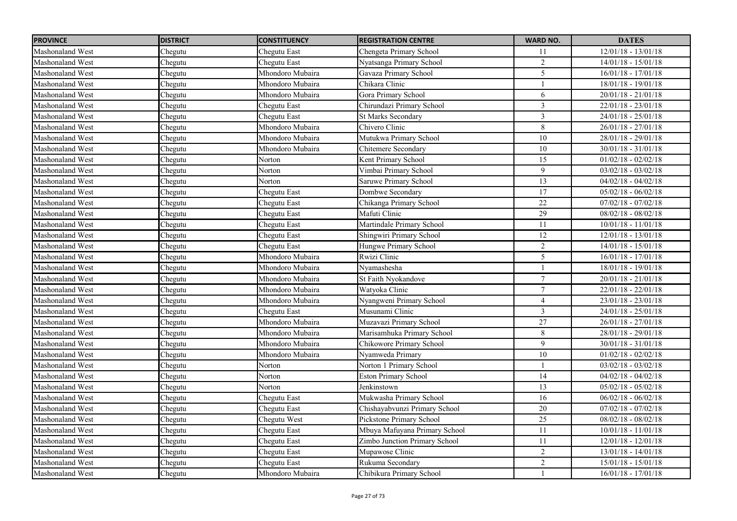| <b>PROVINCE</b>         | <b>DISTRICT</b> | <b>CONSTITUENCY</b> | <b>REGISTRATION CENTRE</b>    | <b>WARD NO.</b>         | <b>DATES</b>          |
|-------------------------|-----------------|---------------------|-------------------------------|-------------------------|-----------------------|
| Mashonaland West        | Chegutu         | Chegutu East        | Chengeta Primary School       | 11                      | $12/01/18 - 13/01/18$ |
| Mashonaland West        | Chegutu         | Chegutu East        | Nyatsanga Primary School      | $\overline{2}$          | $14/01/18 - 15/01/18$ |
| <b>Mashonaland West</b> | Chegutu         | Mhondoro Mubaira    | Gavaza Primary School         | 5                       | $16/01/18 - 17/01/18$ |
| <b>Mashonaland West</b> | Chegutu         | Mhondoro Mubaira    | Chikara Clinic                |                         | $18/01/18 - 19/01/18$ |
| <b>Mashonaland West</b> | Chegutu         | Mhondoro Mubaira    | Gora Primary School           | 6                       | $20/01/18 - 21/01/18$ |
| <b>Mashonaland West</b> | Chegutu         | Chegutu East        | Chirundazi Primary School     | $\overline{\mathbf{3}}$ | $22/01/18 - 23/01/18$ |
| Mashonaland West        | Chegutu         | Chegutu East        | <b>St Marks Secondary</b>     | $\mathfrak{Z}$          | $24/01/18 - 25/01/18$ |
| <b>Mashonaland West</b> | Chegutu         | Mhondoro Mubaira    | Chivero Clinic                | 8                       | $26/01/18 - 27/01/18$ |
| <b>Mashonaland West</b> | Chegutu         | Mhondoro Mubaira    | Mutukwa Primary School        | 10                      | $28/01/18 - 29/01/18$ |
| <b>Mashonaland West</b> | Chegutu         | Mhondoro Mubaira    | Chitemere Secondary           | $\overline{10}$         | $30/01/18 - 31/01/18$ |
| <b>Mashonaland West</b> | Chegutu         | Norton              | Kent Primary School           | 15                      | $01/02/18 - 02/02/18$ |
| <b>Mashonaland West</b> | Chegutu         | Norton              | Vimbai Primary School         | 9                       | $03/02/18 - 03/02/18$ |
| <b>Mashonaland West</b> | Chegutu         | Norton              | Saruwe Primary School         | 13                      | $04/02/18 - 04/02/18$ |
| <b>Mashonaland West</b> | Chegutu         | Chegutu East        | Dombwe Secondary              | 17                      | $05/02/18 - 06/02/18$ |
| Mashonaland West        | Chegutu         | Chegutu East        | Chikanga Primary School       | $\overline{22}$         | $07/02/18 - 07/02/18$ |
| Mashonaland West        | Chegutu         | Chegutu East        | Mafuti Clinic                 | 29                      | $08/02/18 - 08/02/18$ |
| <b>Mashonaland West</b> | Chegutu         | Chegutu East        | Martindale Primary School     | 11                      | $10/01/18 - 11/01/18$ |
| Mashonaland West        | Chegutu         | Chegutu East        | Shingwiri Primary School      | 12                      | $12/01/18 - 13/01/18$ |
| <b>Mashonaland West</b> | Chegutu         | Chegutu East        | Hungwe Primary School         | $\overline{2}$          | $14/01/18 - 15/01/18$ |
| Mashonaland West        | Chegutu         | Mhondoro Mubaira    | Rwizi Clinic                  | 5                       | $16/01/18 - 17/01/18$ |
| <b>Mashonaland West</b> | Chegutu         | Mhondoro Mubaira    | Nvamashesha                   |                         | $18/01/18 - 19/01/18$ |
| Mashonaland West        | Chegutu         | Mhondoro Mubaira    | St Faith Nyokandove           | $\boldsymbol{7}$        | $20/01/18 - 21/01/18$ |
| Mashonaland West        | Chegutu         | Mhondoro Mubaira    | Watyoka Clinic                | $\overline{7}$          | 22/01/18 - 22/01/18   |
| Mashonaland West        | Chegutu         | Mhondoro Mubaira    | Nyangweni Primary School      | $\overline{4}$          | $23/01/18 - 23/01/18$ |
| <b>Mashonaland West</b> | Chegutu         | Chegutu East        | Musunami Clinic               | $\overline{3}$          | $24/01/18 - 25/01/18$ |
| Mashonaland West        | Chegutu         | Mhondoro Mubaira    | Muzavazi Primary School       | $27\,$                  | $26/01/18 - 27/01/18$ |
| <b>Mashonaland West</b> | Chegutu         | Mhondoro Mubaira    | Marisamhuka Primary School    | $8\,$                   | 28/01/18 - 29/01/18   |
| Mashonaland West        | Chegutu         | Mhondoro Mubaira    | Chikowore Primary School      | 9                       | $30/01/18 - 31/01/18$ |
| Mashonaland West        | Chegutu         | Mhondoro Mubaira    | Nyamweda Primary              | 10                      | $01/02/18 - 02/02/18$ |
| Mashonaland West        | Chegutu         | Norton              | Norton 1 Primary School       |                         | $03/02/18 - 03/02/18$ |
| <b>Mashonaland West</b> | Chegutu         | Norton              | <b>Eston Primary School</b>   | 14                      | $04/02/18 - 04/02/18$ |
| <b>Mashonaland West</b> | Chegutu         | Norton              | Jenkinstown                   | 13                      | $05/02/18 - 05/02/18$ |
| <b>Mashonaland West</b> | Chegutu         | Chegutu East        | Mukwasha Primary School       | 16                      | $06/02/18 - 06/02/18$ |
| Mashonaland West        | Chegutu         | Chegutu East        | Chishayabvunzi Primary School | 20                      | $07/02/18 - 07/02/18$ |
| <b>Mashonaland West</b> | Chegutu         | Chegutu West        | Pickstone Primary School      | 25                      | $08/02/18 - 08/02/18$ |
| <b>Mashonaland West</b> | Chegutu         | Chegutu East        | Mbuya Mafuyana Primary School | 11                      | $10/01/18 - 11/01/18$ |
| <b>Mashonaland West</b> | Chegutu         | Chegutu East        | Zimbo Junction Primary School | 11                      | $12/01/18 - 12/01/18$ |
| <b>Mashonaland West</b> | Chegutu         | Chegutu East        | Mupawose Clinic               | $\overline{2}$          | $13/01/18 - 14/01/18$ |
| Mashonaland West        | Chegutu         | Chegutu East        | Rukuma Secondary              | $\overline{2}$          | $15/01/18 - 15/01/18$ |
| Mashonaland West        | Chegutu         | Mhondoro Mubaira    | Chibikura Primary School      | $\mathbf{1}$            | $16/01/18 - 17/01/18$ |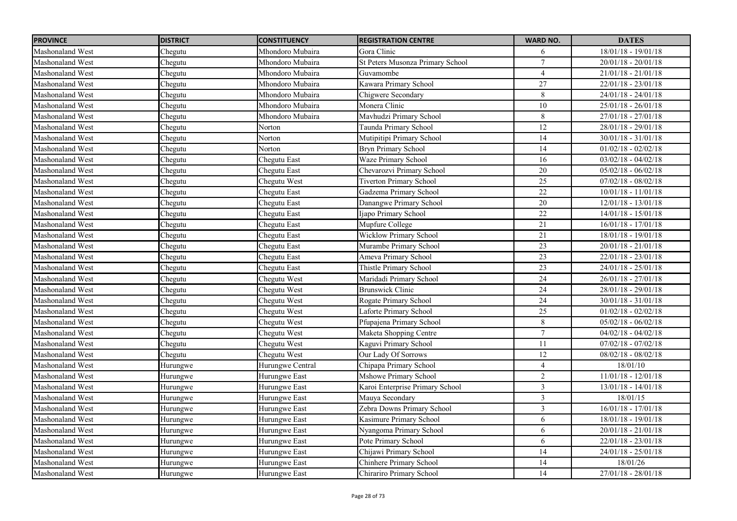| <b>PROVINCE</b>         | <b>DISTRICT</b> | <b>CONSTITUENCY</b> | <b>REGISTRATION CENTRE</b>       | <b>WARD NO.</b> | <b>DATES</b>                     |
|-------------------------|-----------------|---------------------|----------------------------------|-----------------|----------------------------------|
| Mashonaland West        | Chegutu         | Mhondoro Mubaira    | Gora Clinic                      | 6               | 18/01/18 - 19/01/18              |
| <b>Mashonaland West</b> | Chegutu         | Mhondoro Mubaira    | St Peters Musonza Primary School | $\tau$          | $20/01/18 - 20/01/18$            |
| <b>Mashonaland West</b> | Chegutu         | Mhondoro Mubaira    | Guvamombe                        | $\overline{4}$  | $21/01/18 - 21/01/18$            |
| Mashonaland West        | Chegutu         | Mhondoro Mubaira    | Kawara Primary School            | 27              | 22/01/18 - 23/01/18              |
| Mashonaland West        | Chegutu         | Mhondoro Mubaira    | Chigwere Secondary               | 8               | $24/01/18 - 24/01/18$            |
| Mashonaland West        | Chegutu         | Mhondoro Mubaira    | Monera Clinic                    | $\overline{10}$ | $25/01/18 - 26/01/18$            |
| Mashonaland West        | Chegutu         | Mhondoro Mubaira    | Mavhudzi Primary School          | 8               | $27/01/18 - 27/01/18$            |
| <b>Mashonaland West</b> | Chegutu         | Norton              | Taunda Primary School            | $\overline{12}$ | $28/01/18 - 29/01/18$            |
| <b>Mashonaland West</b> | Chegutu         | Norton              | Mutipitipi Primary School        | 14              | $30/01/18 - 31/01/18$            |
| <b>Mashonaland West</b> | Chegutu         | Norton              | <b>Bryn Primary School</b>       | $\overline{14}$ | $01/02/18 - 02/02/18$            |
| <b>Mashonaland West</b> | Chegutu         | Chegutu East        | Waze Primary School              | 16              | $03/02/18 - 04/02/18$            |
| Mashonaland West        | Chegutu         | Chegutu East        | Chevarozvi Primary School        | 20              | $05/02/18 - 06/02/18$            |
| <b>Mashonaland West</b> | Chegutu         | Chegutu West        | <b>Tiverton Primary School</b>   | 25              | $07/02/18 - 08/02/18$            |
| <b>Mashonaland West</b> | Chegutu         | Chegutu East        | Gadzema Primary School           | 22              | $10/01/18 - 11/01/18$            |
| Mashonaland West        | Chegutu         | Chegutu East        | Danangwe Primary School          | 20              | 12/01/18 - 13/01/18              |
| Mashonaland West        | Chegutu         | Chegutu East        | Ijapo Primary School             | $22\,$          | $14/01/18 - 15/01/18$            |
| Mashonaland West        | Chegutu         | Chegutu East        | Mupfure College                  | 21              | $16/01/18 - 17/01/18$            |
| Mashonaland West        | Chegutu         | Chegutu East        | Wicklow Primary School           | 21              | $18/01/18 - 19/01/18$            |
| <b>Mashonaland West</b> | Chegutu         | Chegutu East        | Murambe Primary School           | 23              | $20/01/18 - 21/01/18$            |
| <b>Mashonaland West</b> | Chegutu         | Chegutu East        | Ameva Primary School             | 23              | $22/01/18 - 23/01/18$            |
| Mashonaland West        | Chegutu         | Chegutu East        | Thistle Primary School           | 23              | $24/01/18 - 25/01/18$            |
| <b>Mashonaland West</b> | Chegutu         | Chegutu West        | Maridadi Primary School          | 24              | $26/01/18 - 27/01/\overline{18}$ |
| Mashonaland West        | Chegutu         | Chegutu West        | <b>Brunswick Clinic</b>          | 24              | 28/01/18 - 29/01/18              |
| <b>Mashonaland West</b> | Chegutu         | Chegutu West        | Rogate Primary School            | $\overline{24}$ | $30/01/18 - 31/01/18$            |
| Mashonaland West        | Chegutu         | Chegutu West        | Laforte Primary School           | 25              | $01/02/18 - 02/02/18$            |
| Mashonaland West        | Chegutu         | Chegutu West        | Pfupajena Primary School         | 8               | $05/02/18 - 06/02/18$            |
| Mashonaland West        | Chegutu         | Chegutu West        | Maketa Shopping Centre           | $\overline{7}$  | $04/02/18 - 04/02/18$            |
| <b>Mashonaland West</b> | Chegutu         | Chegutu West        | Kaguvi Primary School            | 11              | $07/02/18 - 07/02/18$            |
| Mashonaland West        | Chegutu         | Chegutu West        | Our Lady Of Sorrows              | 12              | $08/02/18 - 08/02/18$            |
| <b>Mashonaland West</b> | Hurungwe        | Hurungwe Central    | Chipapa Primary School           | $\overline{4}$  | 18/01/10                         |
| <b>Mashonaland West</b> | Hurungwe        | Hurungwe East       | <b>Mshowe Primary School</b>     | $\overline{2}$  | $11/01/18 - 12/01/18$            |
| Mashonaland West        | Hurungwe        | Hurungwe East       | Karoi Enterprise Primary School  | $\mathfrak{Z}$  | $13/01/18 - 14/01/18$            |
| <b>Mashonaland West</b> | Hurungwe        | Hurungwe East       | Mauya Secondary                  | $\mathfrak{Z}$  | 18/01/15                         |
| Mashonaland West        | Hurungwe        | Hurungwe East       | Zebra Downs Primary School       | $\mathfrak{Z}$  | $16/01/18 - 17/01/18$            |
| <b>Mashonaland West</b> | Hurungwe        | Hurungwe East       | Kasimure Primary School          | 6               | 18/01/18 - 19/01/18              |
| <b>Mashonaland West</b> | Hurungwe        | Hurungwe East       | Nyangoma Primary School          | 6               | $20/01/18 - 21/01/18$            |
| Mashonaland West        | Hurungwe        | Hurungwe East       | Pote Primary School              | 6               | $22/01/18 - 23/01/18$            |
| Mashonaland West        | Hurungwe        | Hurungwe East       | Chijawi Primary School           | $\overline{14}$ | $24/01/18 - 25/01/18$            |
| Mashonaland West        | Hurungwe        | Hurungwe East       | Chinhere Primary School          | 14              | 18/01/26                         |
| Mashonaland West        | Hurungwe        | Hurungwe East       | Chirariro Primary School         | $\overline{14}$ | $27/01/18 - 28/01/18$            |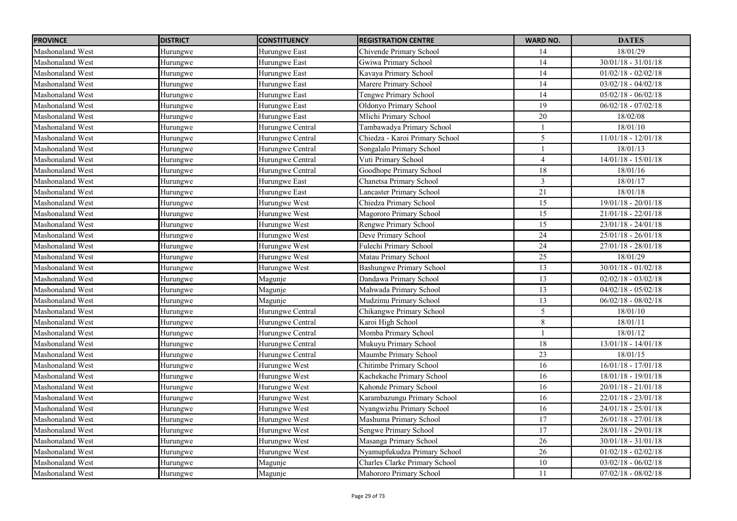| <b>PROVINCE</b>         | <b>DISTRICT</b> | <b>CONSTITUENCY</b> | <b>REGISTRATION CENTRE</b>      | <b>WARD NO.</b> | <b>DATES</b>          |
|-------------------------|-----------------|---------------------|---------------------------------|-----------------|-----------------------|
| Mashonaland West        | Hurungwe        | Hurungwe East       | Chivende Primary School         | 14              | 18/01/29              |
| Mashonaland West        | Hurungwe        | Hurungwe East       | Gwiwa Primary School            | $\overline{14}$ | $30/01/18 - 31/01/18$ |
| <b>Mashonaland West</b> | Hurungwe        | Hurungwe East       | Kavaya Primary School           | 14              | $01/02/18 - 02/02/18$ |
| Mashonaland West        | Hurungwe        | Hurungwe East       | Marere Primary School           | 14              | $03/02/18 - 04/02/18$ |
| <b>Mashonaland West</b> | Hurungwe        | Hurungwe East       | Tengwe Primary School           | 14              | $05/02/18 - 06/02/18$ |
| <b>Mashonaland West</b> | Hurungwe        | Hurungwe East       | Oldonyo Primary School          | $\overline{19}$ | $06/02/18 - 07/02/18$ |
| Mashonaland West        | Hurungwe        | Hurungwe East       | Mlichi Primary School           | 20              | 18/02/08              |
| <b>Mashonaland West</b> | Hurungwe        | Hurungwe Central    | Tambawadya Primary School       | $\mathbf{1}$    | 18/01/10              |
| <b>Mashonaland West</b> | Hurungwe        | Hurungwe Central    | Chiedza - Karoi Primary School  | 5               | $11/01/18 - 12/01/18$ |
| <b>Mashonaland West</b> | Hurungwe        | Hurungwe Central    | Songalalo Primary School        | $\mathbf{1}$    | 18/01/13              |
| <b>Mashonaland West</b> | Hurungwe        | Hurungwe Central    | Vuti Primary School             | $\overline{4}$  | $14/01/18 - 15/01/18$ |
| Mashonaland West        | Hurungwe        | Hurungwe Central    | Goodhope Primary School         | 18              | 18/01/16              |
| <b>Mashonaland West</b> | Hurungwe        | Hurungwe East       | Chanetsa Primary School         | $\overline{3}$  | 18/01/17              |
| <b>Mashonaland West</b> | Hurungwe        | Hurungwe East       | Lancaster Primary School        | 21              | 18/01/18              |
| Mashonaland West        | Hurungwe        | Hurungwe West       | Chiedza Primary School          | $\overline{15}$ | $19/01/18 - 20/01/18$ |
| <b>Mashonaland West</b> | Hurungwe        | Hurungwe West       | Magororo Primary School         | 15              | $21/01/18 - 22/01/18$ |
| <b>Mashonaland West</b> | Hurungwe        | Hurungwe West       | Rengwe Primary School           | 15              | $23/01/18 - 24/01/18$ |
| Mashonaland West        | Hurungwe        | Hurungwe West       | Deve Primary School             | $\overline{24}$ | $25/01/18 - 26/01/18$ |
| <b>Mashonaland West</b> | Hurungwe        | Hurungwe West       | Fulechi Primary School          | 24              | $27/01/18 - 28/01/18$ |
| Mashonaland West        | Hurungwe        | Hurungwe West       | Matau Primary School            | 25              | 18/01/29              |
| Mashonaland West        | Hurungwe        | Hurungwe West       | <b>Bashungwe Primary School</b> | 13              | $30/01/18 - 01/02/18$ |
| Mashonaland West        | Hurungwe        | Magunje             | Dandawa Primary School          | 13              | $02/02/18 - 03/02/18$ |
| Mashonaland West        | Hurungwe        | Magunje             | Mahwada Primary School          | 13              | $04/02/18 - 05/02/18$ |
| Mashonaland West        | Hurungwe        | Magunje             | Mudzimu Primary School          | $\overline{13}$ | $06/02/18 - 08/02/18$ |
| <b>Mashonaland West</b> | Hurungwe        | Hurungwe Central    | Chikangwe Primary School        | 5               | 18/01/10              |
| Mashonaland West        | Hurungwe        | Hurungwe Central    | Karoi High School               | $8\,$           | 18/01/11              |
| <b>Mashonaland West</b> | Hurungwe        | Hurungwe Central    | Momba Primary School            | $\mathbf{1}$    | 18/01/12              |
| Mashonaland West        | Hurungwe        | Hurungwe Central    | Mukuyu Primary School           | 18              | $13/01/18 - 14/01/18$ |
| Mashonaland West        | Hurungwe        | Hurungwe Central    | Maumbe Primary School           | 23              | 18/01/15              |
| <b>Mashonaland West</b> | Hurungwe        | Hurungwe West       | Chitimbe Primary School         | 16              | $16/01/18 - 17/01/18$ |
| Mashonaland West        | Hurungwe        | Hurungwe West       | Kachekache Primary School       | 16              | 18/01/18 - 19/01/18   |
| Mashonaland West        | Hurungwe        | Hurungwe West       | Kahonde Primary School          | 16              | 20/01/18 - 21/01/18   |
| <b>Mashonaland West</b> | Hurungwe        | Hurungwe West       | Karambazungu Primary School     | 16              | $22/01/18 - 23/01/18$ |
| Mashonaland West        | Hurungwe        | Hurungwe West       | Nyangwizhu Primary School       | $\overline{16}$ | $24/01/18 - 25/01/18$ |
| <b>Mashonaland West</b> | Hurungwe        | Hurungwe West       | Mashuma Primary School          | 17              | $26/01/18 - 27/01/18$ |
| Mashonaland West        | Hurungwe        | Hurungwe West       | <b>Sengwe Primary School</b>    | 17              | 28/01/18 - 29/01/18   |
| <b>Mashonaland West</b> | Hurungwe        | Hurungwe West       | Masanga Primary School          | 26              | $30/01/18 - 31/01/18$ |
| <b>Mashonaland West</b> | Hurungwe        | Hurungwe West       | Nyamupfukudza Primary School    | 26              | $01/02/18 - 02/02/18$ |
| Mashonaland West        | Hurungwe        | Magunje             | Charles Clarke Primary School   | 10              | $03/02/18 - 06/02/18$ |
| <b>Mashonaland West</b> | Hurungwe        | Magunje             | Mahororo Primary School         | 11              | $07/02/18 - 08/02/18$ |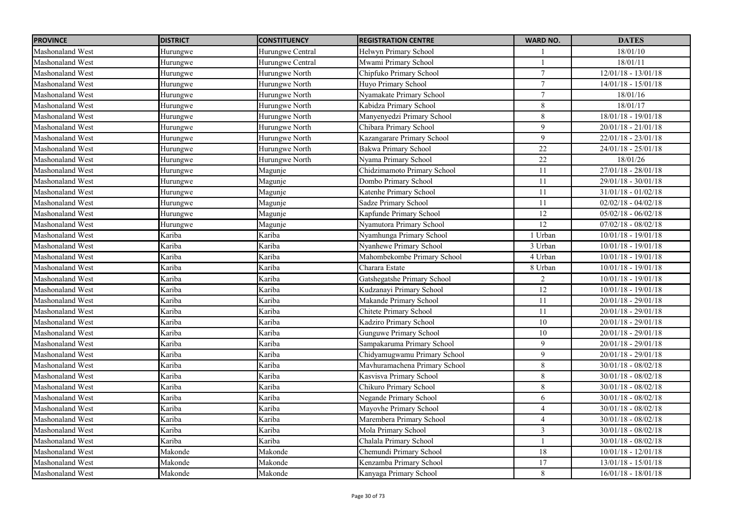| <b>PROVINCE</b>         | <b>DISTRICT</b> | <b>CONSTITUENCY</b> | <b>REGISTRATION CENTRE</b>    | <b>WARD NO.</b> | <b>DATES</b>            |
|-------------------------|-----------------|---------------------|-------------------------------|-----------------|-------------------------|
| Mashonaland West        | Hurungwe        | Hurungwe Central    | Helwyn Primary School         |                 | 18/01/10                |
| Mashonaland West        | Hurungwe        | Hurungwe Central    | Mwami Primary School          |                 | 18/01/11                |
| Mashonaland West        | Hurungwe        | Hurungwe North      | Chipfuko Primary School       | $\tau$          | $12/01/18 - 13/01/18$   |
| Mashonaland West        | Hurungwe        | Hurungwe North      | Huyo Primary School           | $\tau$          | $14/01/18 - 15/01/18$   |
| Mashonaland West        | Hurungwe        | Hurungwe North      | Nyamakate Primary School      | $7\phantom{.0}$ | 18/01/16                |
| Mashonaland West        | Hurungwe        | Hurungwe North      | Kabidza Primary School        | $\,8\,$         | 18/01/17                |
| Mashonaland West        | Hurungwe        | Hurungwe North      | Manyenyedzi Primary School    | $\,8\,$         | $18/01/18 - 19/01/18$   |
| Mashonaland West        | Hurungwe        | Hurungwe North      | Chibara Primary School        | 9               | $20/01/18 - 21/01/18$   |
| Mashonaland West        | Hurungwe        | Hurungwe North      | Kazangarare Primary School    | 9               | $22/01/18 - 23/01/18$   |
| Mashonaland West        | Hurungwe        | Hurungwe North      | <b>Bakwa Primary School</b>   | $\overline{22}$ | $24/01/18 - 25/01/18$   |
| Mashonaland West        | Hurungwe        | Hurungwe North      | Nyama Primary School          | $\overline{22}$ | 18/01/26                |
| Mashonaland West        | Hurungwe        | Magunje             | Chidzimamoto Primary School   | 11              | $27/01/18 - 28/01/18$   |
| Mashonaland West        | Hurungwe        | Magunje             | Dombo Primary School          | 11              | $29/01/18 - 30/01/18$   |
| Mashonaland West        | Hurungwe        | Magunje             | Katenhe Primary School        | 11              | $31/01/18 - 01/02/18$   |
| Mashonaland West        | Hurungwe        | Magunje             | Sadze Primary School          | 11              | $02/02/18 - 04/02/18$   |
| Mashonaland West        | Hurungwe        | Magunje             | Kapfunde Primary School       | 12              | $05/02/18 - 06/02/18$   |
| Mashonaland West        | Hurungwe        | Magunje             | Nyamutora Primary School      | 12              | $07/02/18 - 08/02/18$   |
| Mashonaland West        | Kariba          | Kariba              | Nyamhunga Primary School      | 1 Urban         | $10/01/18 - 19/01/18$   |
| Mashonaland West        | Kariba          | Kariba              | Nyanhewe Primary School       | 3 Urban         | $10/01/18 - 19/01/18$   |
| Mashonaland West        | Kariba          | Kariba              | Mahombekombe Primary School   | 4 Urban         | $10/01/18 - 19/01/18$   |
| Mashonaland West        | Kariba          | Kariba              | Charara Estate                | 8 Urban         | $10/01/18 - 19/01/18$   |
| Mashonaland West        | Kariba          | Kariba              | Gatshegatshe Primary School   | 2               | $10/01/18$ - $19/01/18$ |
| Mashonaland West        | Kariba          | Kariba              | Kudzanayi Primary School      | 12              | $10/01/18 - 19/01/18$   |
| Mashonaland West        | Kariba          | Kariba              | Makande Primary School        | 11              | $20/01/18 - 29/01/18$   |
| Mashonaland West        | Kariba          | Kariba              | Chitete Primary School        | 11              | $20/01/18 - 29/01/18$   |
| Mashonaland West        | Kariba          | Kariba              | Kadziro Primary School        | 10              | $20/01/18 - 29/01/18$   |
| Mashonaland West        | Kariba          | Kariba              | <b>Gunguwe Primary School</b> | $10\,$          | $20/01/18 - 29/01/18$   |
| Mashonaland West        | Kariba          | Kariba              | Sampakaruma Primary School    | 9               | $20/01/18 - 29/01/18$   |
| Mashonaland West        | Kariba          | Kariba              | Chidyamugwamu Primary School  | 9               | $20/01/18 - 29/01/18$   |
| Mashonaland West        | Kariba          | Kariba              | Mavhuramachena Primary School | 8               | $30/01/18 - 08/02/18$   |
| Mashonaland West        | Kariba          | Kariba              | Kasvisva Primary School       | 8               | $30/01/18 - 08/02/18$   |
| Mashonaland West        | Kariba          | Kariba              | Chikuro Primary School        | 8               | $30/01/18 - 08/02/18$   |
| Mashonaland West        | Kariba          | Kariba              | Negande Primary School        | 6               | $30/01/18 - 08/02/18$   |
| <b>Mashonaland West</b> | Kariba          | Kariba              | Mayovhe Primary School        | $\overline{4}$  | $30/01/18 - 08/02/18$   |
| Mashonaland West        | Kariba          | Kariba              | Marembera Primary School      | $\overline{4}$  | $30/01/18 - 08/02/18$   |
| <b>Mashonaland West</b> | Kariba          | Kariba              | Mola Primary School           | $\mathfrak{Z}$  | $30/01/18 - 08/02/18$   |
| Mashonaland West        | Kariba          | Kariba              | Chalala Primary School        |                 | $30/01/18 - 08/02/18$   |
| <b>Mashonaland West</b> | Makonde         | Makonde             | Chemundi Primary School       | 18              | $10/01/18 - 12/01/18$   |
| Mashonaland West        | Makonde         | Makonde             | Kenzamba Primary School       | 17              | $13/01/18 - 15/01/18$   |
| Mashonaland West        | Makonde         | Makonde             | Kanyaga Primary School        | 8               | $16/01/18 - 18/01/18$   |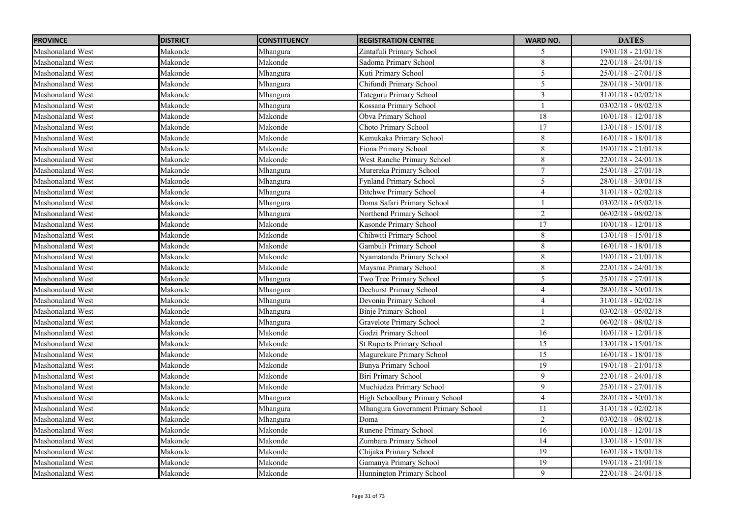| <b>PROVINCE</b>         | <b>DISTRICT</b> | <b>CONSTITUENCY</b> | <b>REGISTRATION CENTRE</b>         | <b>WARD NO.</b> | <b>DATES</b>          |
|-------------------------|-----------------|---------------------|------------------------------------|-----------------|-----------------------|
| Mashonaland West        | Makonde         | Mhangura            | Zintafuli Primary School           | 5               | $19/01/18 - 21/01/18$ |
| Mashonaland West        | Makonde         | Makonde             | Sadoma Primary School              | $\overline{8}$  | $22/01/18 - 24/01/18$ |
| <b>Mashonaland West</b> | Makonde         | Mhangura            | Kuti Primary School                | 5               | $25/01/18 - 27/01/18$ |
| <b>Mashonaland West</b> | Makonde         | Mhangura            | Chifundi Primary School            | 5               | $28/01/18 - 30/01/18$ |
| <b>Mashonaland West</b> | Makonde         | Mhangura            | Tateguru Primary School            | $\mathfrak{Z}$  | $31/01/18 - 02/02/18$ |
| <b>Mashonaland West</b> | Makonde         | Mhangura            | Kossana Primary School             |                 | $03/02/18 - 08/02/18$ |
| Mashonaland West        | Makonde         | Makonde             | Obva Primary School                | $\overline{18}$ | $10/01/18 - 12/01/18$ |
| <b>Mashonaland West</b> | Makonde         | Makonde             | Choto Primary School               | $\overline{17}$ | $13/01/18 - 15/01/18$ |
| <b>Mashonaland West</b> | Makonde         | Makonde             | Kemukaka Primary School            | $8\,$           | $16/01/18 - 18/01/18$ |
| <b>Mashonaland West</b> | Makonde         | Makonde             | Fiona Primary School               | $8\,$           | $19/01/18 - 21/01/18$ |
| <b>Mashonaland West</b> | Makonde         | Makonde             | West Ranche Primary School         | $\,8\,$         | $22/01/18 - 24/01/18$ |
| <b>Mashonaland West</b> | Makonde         | Mhangura            | Murereka Primary School            | $\tau$          | $25/01/18 - 27/01/18$ |
| <b>Mashonaland West</b> | Makonde         | Mhangura            | Fynland Primary School             | 5               | $28/01/18 - 30/01/18$ |
| <b>Mashonaland West</b> | Makonde         | Mhangura            | Ditchwe Primary School             | $\overline{4}$  | $31/01/18 - 02/02/18$ |
| <b>Mashonaland West</b> | Makonde         | Mhangura            | Doma Safari Primary School         |                 | $03/02/18 - 05/02/18$ |
| <b>Mashonaland West</b> | Makonde         | Mhangura            | Northend Primary School            | $\overline{2}$  | $06/02/18 - 08/02/18$ |
| <b>Mashonaland West</b> | Makonde         | Makonde             | Kasonde Primary School             | 17              | $10/01/18 - 12/01/18$ |
| <b>Mashonaland West</b> | Makonde         | Makonde             | Chihwiti Primary School            | 8               | $13/01/18 - 15/01/18$ |
| <b>Mashonaland West</b> | Makonde         | Makonde             | Gambuli Primary School             | 8               | $16/01/18 - 18/01/18$ |
| <b>Mashonaland West</b> | Makonde         | Makonde             | Nyamatanda Primary School          | 8               | $19/01/18 - 21/01/18$ |
| <b>Mashonaland West</b> | Makonde         | Makonde             | Maysma Primary School              | $\,8\,$         | $22/01/18 - 24/01/18$ |
| <b>Mashonaland West</b> | Makonde         | Mhangura            | Two Tree Primary School            | 5               | $25/01/18 - 27/01/18$ |
| Mashonaland West        | Makonde         | Mhangura            | Deehurst Primary School            | $\overline{4}$  | $28/01/18 - 30/01/18$ |
| <b>Mashonaland West</b> | Makonde         | Mhangura            | Devonia Primary School             | $\overline{4}$  | $31/01/18 - 02/02/18$ |
| <b>Mashonaland West</b> | Makonde         | Mhangura            | <b>Binje Primary School</b>        |                 | $03/02/18 - 05/02/18$ |
| <b>Mashonaland West</b> | Makonde         | Mhangura            | Gravelote Primary School           | $\overline{2}$  | $06/02/18 - 08/02/18$ |
| <b>Mashonaland West</b> | Makonde         | Makonde             | Godzi Primary School               | 16              | $10/01/18 - 12/01/18$ |
| <b>Mashonaland West</b> | Makonde         | Makonde             | <b>St Ruperts Primary School</b>   | 15              | $13/01/18 - 15/01/18$ |
| <b>Mashonaland West</b> | Makonde         | Makonde             | Magurekure Primary School          | 15              | $16/01/18 - 18/01/18$ |
| Mashonaland West        | Makonde         | Makonde             | Bunya Primary School               | 19              | $19/01/18 - 21/01/18$ |
| <b>Mashonaland West</b> | Makonde         | Makonde             | <b>Biri Primary School</b>         | 9               | $22/01/18 - 24/01/18$ |
| <b>Mashonaland West</b> | Makonde         | Makonde             | Muchiedza Primary School           | 9               | $25/01/18 - 27/01/18$ |
| <b>Mashonaland West</b> | Makonde         | Mhangura            | High Schoolbury Primary School     | $\overline{4}$  | $28/01/18 - 30/01/18$ |
| <b>Mashonaland West</b> | Makonde         | Mhangura            | Mhangura Government Primary School | 11              | $31/01/18 - 02/02/18$ |
| <b>Mashonaland West</b> | Makonde         | Mhangura            | Doma                               | $\overline{2}$  | $03/02/18 - 08/02/18$ |
| <b>Mashonaland West</b> | Makonde         | Makonde             | Runene Primary School              | 16              | $10/01/18 - 12/01/18$ |
| <b>Mashonaland West</b> | Makonde         | Makonde             | Zumbara Primary School             | 14              | $13/01/18 - 15/01/18$ |
| <b>Mashonaland West</b> | Makonde         | Makonde             | Chijaka Primary School             | 19              | $16/01/18 - 18/01/18$ |
| <b>Mashonaland West</b> | Makonde         | Makonde             | Gamanya Primary School             | 19              | $19/01/18 - 21/01/18$ |
| <b>Mashonaland West</b> | Makonde         | Makonde             | Hunnington Primary School          | 9               | $22/01/18 - 24/01/18$ |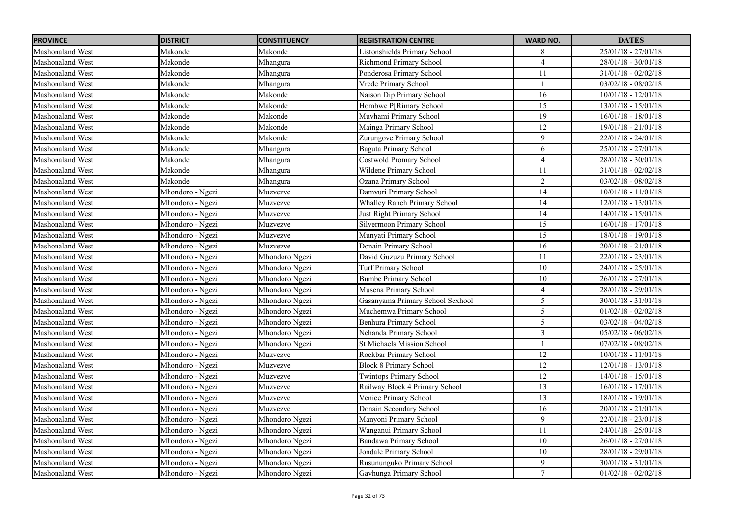| <b>PROVINCE</b>         | <b>DISTRICT</b>  | <b>CONSTITUENCY</b> | <b>REGISTRATION CENTRE</b>        | <b>WARD NO.</b> | <b>DATES</b>          |
|-------------------------|------------------|---------------------|-----------------------------------|-----------------|-----------------------|
| Mashonaland West        | Makonde          | Makonde             | Listonshields Primary School      | 8               | $25/01/18 - 27/01/18$ |
| Mashonaland West        | Makonde          | Mhangura            | Richmond Primary School           | $\Delta$        | $28/01/18 - 30/01/18$ |
| <b>Mashonaland West</b> | Makonde          | Mhangura            | Ponderosa Primary School          | 11              | $31/01/18 - 02/02/18$ |
| Mashonaland West        | Makonde          | Mhangura            | Vrede Primary School              |                 | $03/02/18 - 08/02/18$ |
| <b>Mashonaland West</b> | Makonde          | Makonde             | Naison Dip Primary School         | 16              | $10/01/18 - 12/01/18$ |
| <b>Mashonaland West</b> | Makonde          | Makonde             | Hombwe P[Rimary School            | $\overline{15}$ | $13/01/18 - 15/01/18$ |
| Mashonaland West        | Makonde          | Makonde             | Muvhami Primary School            | 19              | $16/01/18 - 18/01/18$ |
| <b>Mashonaland West</b> | Makonde          | Makonde             | Mainga Primary School             | 12              | $19/01/18 - 21/01/18$ |
| Mashonaland West        | Makonde          | Makonde             | Zurungove Primary School          | 9               | $22/01/18 - 24/01/18$ |
| <b>Mashonaland West</b> | Makonde          | Mhangura            | <b>Baguta Primary School</b>      | 6               | $25/01/18 - 27/01/18$ |
| <b>Mashonaland West</b> | Makonde          | Mhangura            | Costwold Promary School           | $\overline{4}$  | $28/01/18 - 30/01/18$ |
| <b>Mashonaland West</b> | Makonde          | Mhangura            | Wildene Primary School            | 11              | $31/01/18 - 02/02/18$ |
| <b>Mashonaland West</b> | Makonde          | Mhangura            | Ozana Primary School              | $\overline{2}$  | $03/02/18 - 08/02/18$ |
| <b>Mashonaland West</b> | Mhondoro - Ngezi | Muzvezve            | Damvuri Primary School            | 14              | $10/01/18 - 11/01/18$ |
| <b>Mashonaland West</b> | Mhondoro - Ngezi | Muzvezve            | Whalley Ranch Primary School      | 14              | $12/01/18 - 13/01/18$ |
| <b>Mashonaland West</b> | Mhondoro - Ngezi | Muzvezve            | Just Right Primary School         | 14              | $14/01/18 - 15/01/18$ |
| <b>Mashonaland West</b> | Mhondoro - Ngezi | Muzvezve            | Silvermoon Primary School         | 15              | 16/01/18 - 17/01/18   |
| Mashonaland West        | Mhondoro - Ngezi | Muzvezve            | Munyati Primary School            | $\overline{15}$ | 18/01/18 - 19/01/18   |
| <b>Mashonaland West</b> | Mhondoro - Ngezi | Muzvezve            | Donain Primary School             | 16              | $20/01/18 - 21/01/18$ |
| <b>Mashonaland West</b> | Mhondoro - Ngezi | Mhondoro Ngezi      | David Guzuzu Primary School       | 11              | $22/01/18 - 23/01/18$ |
| Mashonaland West        | Mhondoro - Ngezi | Mhondoro Ngezi      | Turf Primary School               | $10\,$          | $24/01/18 - 25/01/18$ |
| Mashonaland West        | Mhondoro - Ngezi | Mhondoro Ngezi      | <b>Bumbe Primary School</b>       | $10\,$          | $26/01/18 - 27/01/18$ |
| Mashonaland West        | Mhondoro - Ngezi | Mhondoro Ngezi      | Musena Primary School             | $\overline{4}$  | 28/01/18 - 29/01/18   |
| Mashonaland West        | Mhondoro - Ngezi | Mhondoro Ngezi      | Gasanyama Primary School Scxhool  | 5               | $30/01/18 - 31/01/18$ |
| <b>Mashonaland West</b> | Mhondoro - Ngezi | Mhondoro Ngezi      | Muchemwa Primary School           | 5               | $01/02/18 - 02/02/18$ |
| Mashonaland West        | Mhondoro - Ngezi | Mhondoro Ngezi      | <b>Benhura Primary School</b>     | 5               | $03/02/18 - 04/02/18$ |
| <b>Mashonaland West</b> | Mhondoro - Ngezi | Mhondoro Ngezi      | Nehanda Primary School            | $\mathfrak{Z}$  | $05/02/18 - 06/02/18$ |
| Mashonaland West        | Mhondoro - Ngezi | Mhondoro Ngezi      | <b>St Michaels Mission School</b> |                 | $07/02/18 - 08/02/18$ |
| Mashonaland West        | Mhondoro - Ngezi | Muzvezve            | Rockbar Primary School            | 12              | $10/01/18 - 11/01/18$ |
| <b>Mashonaland West</b> | Mhondoro - Ngezi | Muzvezve            | <b>Block 8 Primary School</b>     | 12              | $12/01/18 - 13/01/18$ |
| <b>Mashonaland West</b> | Mhondoro - Ngezi | Muzvezve            | <b>Twintops Primary School</b>    | $12\,$          | $14/01/18 - 15/01/18$ |
| <b>Mashonaland West</b> | Mhondoro - Ngezi | Muzvezve            | Railway Block 4 Primary School    | 13              | $16/01/18 - 17/01/18$ |
| <b>Mashonaland West</b> | Mhondoro - Ngezi | Muzvezve            | Venice Primary School             | 13              | $18/01/18 - 19/01/18$ |
| Mashonaland West        | Mhondoro - Ngezi | Muzvezve            | Donain Secondary School           | $\overline{16}$ | $20/01/18 - 21/01/18$ |
| <b>Mashonaland West</b> | Mhondoro - Ngezi | Mhondoro Ngezi      | Manyoni Primary School            | 9               | $22/01/18 - 23/01/18$ |
| <b>Mashonaland West</b> | Mhondoro - Ngezi | Mhondoro Ngezi      | Wanganui Primary School           | 11              | $24/01/18 - 25/01/18$ |
| <b>Mashonaland West</b> | Mhondoro - Ngezi | Mhondoro Ngezi      | <b>Bandawa Primary School</b>     | $10\,$          | $26/01/18 - 27/01/18$ |
| <b>Mashonaland West</b> | Mhondoro - Ngezi | Mhondoro Ngezi      | Jondale Primary School            | $10\,$          | $28/01/18 - 29/01/18$ |
| <b>Mashonaland West</b> | Mhondoro - Ngezi | Mhondoro Ngezi      | Rusununguko Primary School        | 9               | $30/01/18 - 31/01/18$ |
| Mashonaland West        | Mhondoro - Ngezi | Mhondoro Ngezi      | Gavhunga Primary School           | $\tau$          | $01/02/18 - 02/02/18$ |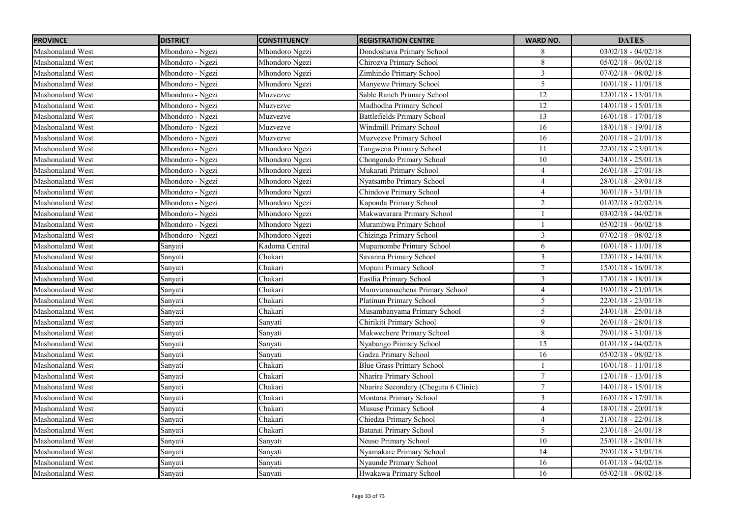| <b>PROVINCE</b>         | <b>DISTRICT</b>  | <b>CONSTITUENCY</b> | <b>REGISTRATION CENTRE</b>           | <b>WARD NO.</b> | <b>DATES</b>            |
|-------------------------|------------------|---------------------|--------------------------------------|-----------------|-------------------------|
| Mashonaland West        | Mhondoro - Ngezi | Mhondoro Ngezi      | Dondoshava Primary School            | 8               | $03/02/18 - 04/02/18$   |
| Mashonaland West        | Mhondoro - Ngezi | Mhondoro Ngezi      | Chirozva Primary School              | $8\,$           | $05/02/18 - 06/02/18$   |
| <b>Mashonaland West</b> | Mhondoro - Ngezi | Mhondoro Ngezi      | Zimhindo Primary School              | $\overline{3}$  | $07/02/18 - 08/02/18$   |
| <b>Mashonaland West</b> | Mhondoro - Ngezi | Mhondoro Ngezi      | Manyewe Primary School               | 5               | $10/01/18 - 11/01/18$   |
| <b>Mashonaland West</b> | Mhondoro - Ngezi | Muzvezve            | Sable Ranch Primary School           | $\overline{12}$ | $12/01/18 - 13/01/18$   |
| <b>Mashonaland West</b> | Mhondoro - Ngezi | Muzvezve            | Madhodha Primary School              | $\overline{12}$ | $14/01/18 - 15/01/18$   |
| <b>Mashonaland West</b> | Mhondoro - Ngezi | Muzvezve            | Battlefields Primary School          | 13              | 16/01/18 - 17/01/18     |
| <b>Mashonaland West</b> | Mhondoro - Ngezi | Muzvezve            | Windmill Primary School              | 16              | 18/01/18 - 19/01/18     |
| <b>Mashonaland West</b> | Mhondoro - Ngezi | Muzvezve            | Muzvezve Primary School              | 16              | $20/01/18 - 21/01/18$   |
| Mashonaland West        | Mhondoro - Ngezi | Mhondoro Ngezi      | Tangwena Primary School              | 11              | 22/01/18 - 23/01/18     |
| <b>Mashonaland West</b> | Mhondoro - Ngezi | Mhondoro Ngezi      | Chongondo Primary School             | $10\,$          | 24/01/18 - 25/01/18     |
| <b>Mashonaland West</b> | Mhondoro - Ngezi | Mhondoro Ngezi      | Mukarati Primary School              | $\overline{4}$  | 26/01/18 - 27/01/18     |
| Mashonaland West        | Mhondoro - Ngezi | Mhondoro Ngezi      | Nyatsambo Primary School             | $\overline{4}$  | $28/01/18 - 29/01/18$   |
| <b>Mashonaland West</b> | Mhondoro - Ngezi | Mhondoro Ngezi      | Chindove Primary School              | $\overline{4}$  | $30/01/18 - 31/01/18$   |
| <b>Mashonaland West</b> | Mhondoro - Ngezi | Mhondoro Ngezi      | Kaponda Primary School               | $\overline{2}$  | $01/02/18 - 02/02/18$   |
| <b>Mashonaland West</b> | Mhondoro - Ngezi | Mhondoro Ngezi      | Makwavarara Primary School           |                 | $03/02/18 - 04/02/18$   |
| <b>Mashonaland West</b> | Mhondoro - Ngezi | Mhondoro Ngezi      | Murambwa Primary School              | 1               | $05/02/18 - 06/02/18$   |
| <b>Mashonaland West</b> | Mhondoro - Ngezi | Mhondoro Ngezi      | Chizinga Primary School              | $\overline{3}$  | $07/02/18 - 08/02/18$   |
| <b>Mashonaland West</b> | Sanyati          | Kadoma Central      | Mupamombe Primary School             | 6               | $10/01/18 - 11/01/18$   |
| <b>Mashonaland West</b> | Sanyati          | Chakari             | Savanna Primary School               | $\overline{3}$  | 12/01/18 - 14/01/18     |
| <b>Mashonaland West</b> | Sanyati          | Chakari             | Mopani Primary School                | $\overline{7}$  | $15/01/18 - 16/01/18$   |
| <b>Mashonaland West</b> | Sanyati          | Chakari             | Eastlia Primary School               | $\overline{3}$  | $17/01/18 - 18/01/18$   |
| Mashonaland West        | Sanyati          | Chakari             | Mamvuramachena Primary School        | $\overline{4}$  | 19/01/18 - 21/01/18     |
| <b>Mashonaland West</b> | Sanyati          | Chakari             | Platinun Primary School              | 5               | $22/01/18 - 23/01/18$   |
| <b>Mashonaland West</b> | Sanyati          | Chakari             | Musambanyama Primary School          | 5               | $24/01/18 - 25/01/18$   |
| <b>Mashonaland West</b> | Sanyati          | Sanyati             | Chirikiti Primary School             | 9               | $26/01/18 - 28/01/18$   |
| <b>Mashonaland West</b> | Sanyati          | Sanyati             | Makwechere Primary School            | 8               | 29/01/18 - 31/01/18     |
| <b>Mashonaland West</b> | Sanyati          | Sanyati             | Nyabango Primsry School              | 15              | $01/01/18 - 04/02/18$   |
| Mashonaland West        | Sanyati          | Sanyati             | Gadza Primary School                 | 16              | $05/02/18 - 08/02/18$   |
| <b>Mashonaland West</b> | Sanyati          | Chakari             | <b>Blue Grass Primary School</b>     |                 | $10/01/18 - 11/01/18$   |
| Mashonaland West        | Sanyati          | Chakari             | <b>Nharire Primary School</b>        | $\overline{7}$  | $12/01/18 - 13/01/18$   |
| <b>Mashonaland West</b> | Sanyati          | Chakari             | Nharire Secondary (Chegutu 6 Clinic) | $\tau$          | $14/01/18 - 15/01/18$   |
| <b>Mashonaland West</b> | Sanyati          | Chakari             | Montana Primary School               | 3               | $16/01/18$ - $17/01/18$ |
| <b>Mashonaland West</b> | Sanyati          | Chakari             | Mususe Primary School                | $\overline{4}$  | $18/01/18 - 20/01/18$   |
| <b>Mashonaland West</b> | Sanyati          | Chakari             | Chiedza Primary School               | $\overline{4}$  | $21/01/18 - 22/01/18$   |
| <b>Mashonaland West</b> | Sanyati          | Chakari             | Batanai Primary School               | 5               | $23/01/18 - 24/01/18$   |
| <b>Mashonaland West</b> | Sanyati          | Sanyati             | Neuso Primary School                 | 10              | $25/01/18 - 28/01/18$   |
| <b>Mashonaland West</b> | Sanyati          | Sanyati             | Nyamakare Primary School             | 14              | 29/01/18 - 31/01/18     |
| Mashonaland West        | Sanyati          | Sanyati             | Nyaunde Primary School               | 16              | $01/01/18 - 04/02/18$   |
| Mashonaland West        | Sanyati          | Sanyati             | Hwakawa Primary School               | 16              | $05/02/18 - 08/02/18$   |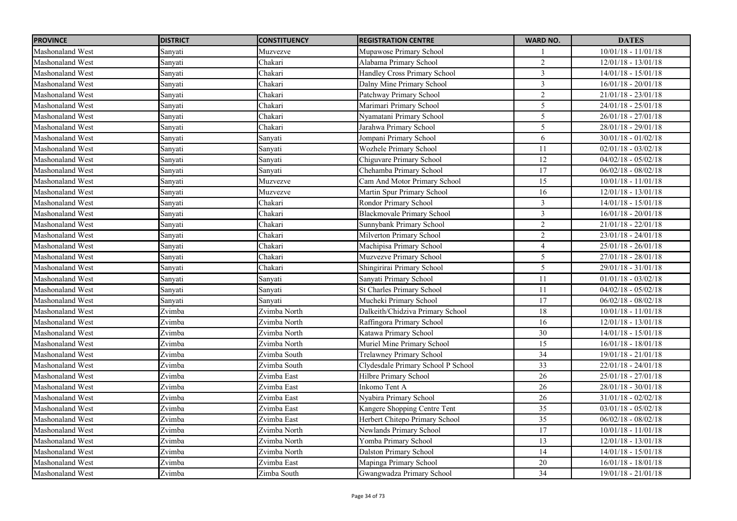| <b>PROVINCE</b>         | <b>DISTRICT</b> | <b>CONSTITUENCY</b> | <b>REGISTRATION CENTRE</b>         | <b>WARD NO.</b> | <b>DATES</b>          |
|-------------------------|-----------------|---------------------|------------------------------------|-----------------|-----------------------|
| Mashonaland West        | Sanyati         | Muzvezve            | Mupawose Primary School            |                 | $10/01/18 - 11/01/18$ |
| <b>Mashonaland West</b> | Sanyati         | Chakari             | Alabama Primary School             | $\overline{2}$  | $12/01/18 - 13/01/18$ |
| <b>Mashonaland West</b> | Sanyati         | Chakari             | Handley Cross Primary School       | $\overline{3}$  | $14/01/18 - 15/01/18$ |
| Mashonaland West        | Sanyati         | Chakari             | Dalny Mine Primary School          | $\overline{3}$  | $16/01/18 - 20/01/18$ |
| <b>Mashonaland West</b> | Sanyati         | Chakari             | Patchway Primary School            | $\overline{2}$  | $21/01/18 - 23/01/18$ |
| <b>Mashonaland West</b> | Sanyati         | Chakari             | Marimari Primary School            | $\overline{5}$  | $24/01/18 - 25/01/18$ |
| Mashonaland West        | Sanyati         | Chakari             | Nyamatani Primary School           | 5               | $26/01/18 - 27/01/18$ |
| <b>Mashonaland West</b> | Sanyati         | Chakari             | Jarahwa Primary School             | 5               | $28/01/18 - 29/01/18$ |
| <b>Mashonaland West</b> | Sanyati         | Sanyati             | Jompani Primary School             | 6               | $30/01/18 - 01/02/18$ |
| <b>Mashonaland West</b> | Sanyati         | Sanyati             | Wozhele Primary School             | 11              | $02/01/18 - 03/02/18$ |
| <b>Mashonaland West</b> | Sanyati         | Sanyati             | Chiguvare Primary School           | 12              | $04/02/18 - 05/02/18$ |
| Mashonaland West        | Sanyati         | Sanyati             | Chehamba Primary School            | 17              | $06/02/18 - 08/02/18$ |
| <b>Mashonaland West</b> | Sanyati         | Muzvezve            | Cam And Motor Primary School       | 15              | $10/01/18 - 11/01/18$ |
| Mashonaland West        | Sanyati         | Muzvezve            | Martin Spur Primary School         | 16              | $12/01/18 - 13/01/18$ |
| <b>Mashonaland West</b> | Sanyati         | Chakari             | Rondor Primary School              | $\overline{3}$  | $14/01/18 - 15/01/18$ |
| <b>Mashonaland West</b> | Sanyati         | Chakari             | <b>Blackmovale Primary School</b>  | $\mathfrak{Z}$  | $16/01/18 - 20/01/18$ |
| <b>Mashonaland West</b> | Sanyati         | Chakari             | Sunnybank Primary School           | $\overline{2}$  | $21/01/18 - 22/01/18$ |
| Mashonaland West        | Sanyati         | Chakari             | Milverton Primary School           | $\overline{2}$  | $23/01/18 - 24/01/18$ |
| Mashonaland West        | Sanyati         | Chakari             | Machipisa Primary School           | $\overline{4}$  | $25/01/18 - 26/01/18$ |
| Mashonaland West        | Sanyati         | Chakari             | Muzvezve Primary School            | 5               | $27/01/18 - 28/01/18$ |
| Mashonaland West        | Sanyati         | Chakari             | Shingirirai Primary School         | 5               | $29/01/18 - 31/01/18$ |
| <b>Mashonaland West</b> | Sanyati         | Sanyati             | Sanyati Primary School             | 11              | $01/01/18 - 03/02/18$ |
| Mashonaland West        | Sanyati         | Sanyati             | <b>St Charles Primary School</b>   | $11\,$          | $04/02/18 - 05/02/18$ |
| Mashonaland West        | Sanyati         | Sanyati             | Mucheki Primary School             | $\overline{17}$ | $06/02/18 - 08/02/18$ |
| <b>Mashonaland West</b> | Zvimba          | Zvimba North        | Dalkeith/Chidziva Primary School   | $18\,$          | $10/01/18 - 11/01/18$ |
| Mashonaland West        | Zvimba          | Zvimba North        | Raffingora Primary School          | 16              | $12/01/18 - 13/01/18$ |
| Mashonaland West        | Zvimba          | Zvimba North        | Katawa Primary School              | 30              | $14/01/18 - 15/01/18$ |
| Mashonaland West        | Zvimba          | Zvimba North        | Muriel Mine Primary School         | 15              | 16/01/18 - 18/01/18   |
| Mashonaland West        | Zvimba          | Zvimba South        | Trelawney Primary School           | 34              | $19/01/18 - 21/01/18$ |
| <b>Mashonaland West</b> | Zvimba          | Zvimba South        | Clydesdale Primary School P School | 33              | $22/01/18 - 24/01/18$ |
| <b>Mashonaland West</b> | Zvimba          | Zvimba East         | Hilbre Primary School              | 26              | 25/01/18 - 27/01/18   |
| <b>Mashonaland West</b> | Zvimba          | Zvimba East         | Inkomo Tent A                      | 26              | 28/01/18 - 30/01/18   |
| <b>Mashonaland West</b> | Zvimba          | Zvimba East         | Nyabira Primary School             | 26              | $31/01/18 - 02/02/18$ |
| <b>Mashonaland West</b> | Zvimba          | Zvimba East         | Kangere Shopping Centre Tent       | $\overline{35}$ | $03/01/18 - 05/02/18$ |
| <b>Mashonaland West</b> | Zvimba          | Zvimba East         | Herbert Chitepo Primary School     | 35              | $06/02/18 - 08/02/18$ |
| <b>Mashonaland West</b> | Zvimba          | Zvimba North        | Newlands Primary School            | 17              | $10/01/18 - 11/01/18$ |
| <b>Mashonaland West</b> | Zvimba          | Zvimba North        | Yomba Primary School               | 13              | $12/01/18 - 13/01/18$ |
| <b>Mashonaland West</b> | Zvimba          | Zvimba North        | <b>Dalston Primary School</b>      | 14              | $14/01/18 - 15/01/18$ |
| Mashonaland West        | Zvimba          | Zvimba East         | Mapinga Primary School             | $20\,$          | 16/01/18 - 18/01/18   |
| <b>Mashonaland West</b> | Zvimba          | Zimba South         | Gwangwadza Primary School          | 34              | 19/01/18 - 21/01/18   |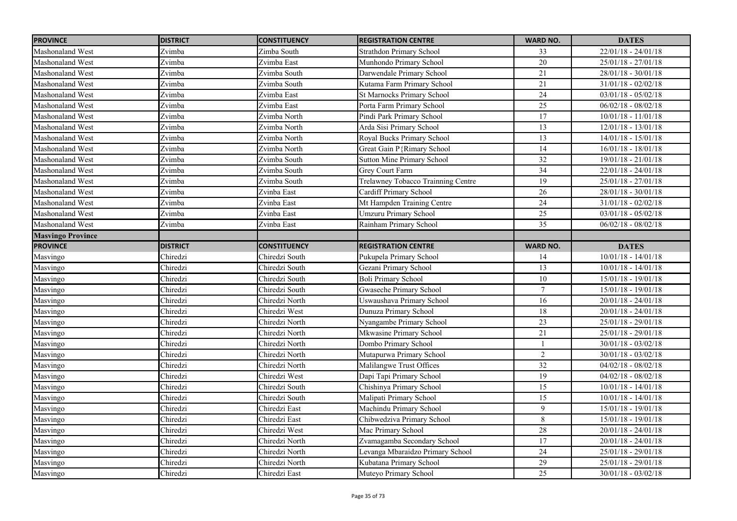| <b>PROVINCE</b>          | <b>DISTRICT</b> | <b>CONSTITUENCY</b> | <b>REGISTRATION CENTRE</b>         | <b>WARD NO.</b> | <b>DATES</b>            |
|--------------------------|-----------------|---------------------|------------------------------------|-----------------|-------------------------|
| Mashonaland West         | Zvimba          | Zimba South         | <b>Strathdon Primary School</b>    | 33              | $22/01/18 - 24/01/18$   |
| <b>Mashonaland West</b>  | Zvimba          | Zvimba East         | Munhondo Primary School            | $\overline{20}$ | $25/01/18 - 27/01/18$   |
| <b>Mashonaland West</b>  | Zvimba          | Zvimba South        | Darwendale Primary School          | 21              | $28/01/18 - 30/01/18$   |
| <b>Mashonaland West</b>  | Zvimba          | Zvimba South        | Kutama Farm Primary School         | 21              | $31/01/18 - 02/02/18$   |
| <b>Mashonaland West</b>  | Zvimba          | Zvimba East         | St Marnocks Primary School         | $\overline{24}$ | $03/01/18 - 05/02/18$   |
| <b>Mashonaland West</b>  | Zvimba          | Zvimba East         | Porta Farm Primary School          | $\overline{25}$ | $06/02/18 - 08/02/18$   |
| Mashonaland West         | Zvimba          | Zvimba North        | Pindi Park Primary School          | $17\,$          | $10/01/18 - 11/01/18$   |
| Mashonaland West         | Zvimba          | Zvimba North        | Arda Sisi Primary School           | $\overline{13}$ | $12/01/18 - 13/01/18$   |
| <b>Mashonaland West</b>  | Zvimba          | Zvimba North        | Royal Bucks Primary School         | 13              | $14/01/18 - 15/01/18$   |
| <b>Mashonaland West</b>  | Zvimba          | Zvimba North        | Great Gain P{Rimary School         | $\overline{14}$ | $16/01/18 - 18/01/18$   |
| <b>Mashonaland West</b>  | Zvimba          | Zvimba South        | Sutton Mine Primary School         | $\overline{32}$ | 19/01/18 - 21/01/18     |
| Mashonaland West         | Zvimba          | Zvimba South        | Grey Court Farm                    | 34              | $22/01/18 - 24/01/18$   |
| <b>Mashonaland West</b>  | Zvimba          | Zvimba South        | Trelawney Tobacco Trainning Centre | 19              | $25/01/18 - 27/01/18$   |
| <b>Mashonaland West</b>  | Zvimba          | Zvinba East         | Cardiff Primary School             | 26              | $28/01/18 - 30/01/18$   |
| <b>Mashonaland West</b>  | Zvimba          | Zvinba East         | Mt Hampden Training Centre         | 24              | $31/01/18 - 02/02/18$   |
| <b>Mashonaland West</b>  | Zvimba          | Zvinba East         | <b>Umzuru Primary School</b>       | $25\,$          | $03/01/18 - 05/02/18$   |
| Mashonaland West         | Zvimba          | Zvinba East         | Rainham Primary School             | 35              | $06/02/18 - 08/02/18$   |
| <b>Masvingo Province</b> |                 |                     |                                    |                 |                         |
| <b>PROVINCE</b>          | <b>DISTRICT</b> | <b>CONSTITUENCY</b> | <b>REGISTRATION CENTRE</b>         | <b>WARD NO.</b> | <b>DATES</b>            |
| Masvingo                 | Chiredzi        | Chiredzi South      | Pukupela Primary School            | 14              | $10/01/18$ - $14/01/18$ |
| Masvingo                 | Chiredzi        | Chiredzi South      | Gezani Primary School              | 13              | $10/01/18 - 14/01/18$   |
| Masvingo                 | Chiredzi        | Chiredzi South      | <b>Boli Primary School</b>         | $10\,$          | $15/01/18 - 19/01/18$   |
| Masvingo                 | Chiredzi        | Chiredzi South      | Gwaseche Primary School            | $\overline{7}$  | 15/01/18 - 19/01/18     |
| Masvingo                 | Chiredzi        | Chiredzi North      | Uswaushava Primary School          | 16              | $20/01/18 - 24/01/18$   |
| Masvingo                 | Chiredzi        | Chiredzi West       | Dunuza Primary School              | 18              | $20/01/18 - 24/01/18$   |
| Masvingo                 | Chiredzi        | Chiredzi North      | Nyangambe Primary School           | 23              | $25/01/18 - 29/01/18$   |
| Masvingo                 | Chiredzi        | Chiredzi North      | Mkwasine Primary School            | 21              | $25/01/18 - 29/01/18$   |
| Masvingo                 | Chiredzi        | Chiredzi North      | Dombo Primary School               |                 | $30/01/18 - 03/02/18$   |
| Masvingo                 | Chiredzi        | Chiredzi North      | Mutapurwa Primary School           | $\overline{2}$  | $30/01/18 - 03/02/18$   |
| Masvingo                 | Chiredzi        | Chiredzi North      | Malilangwe Trust Offices           | 32              | $04/02/18 - 08/02/18$   |
| Masvingo                 | Chiredzi        | Chiredzi West       | Dapi Tapi Primary School           | $\overline{19}$ | $04/02/18 - 08/02/18$   |
| Masvingo                 | Chiredzi        | Chiredzi South      | Chishinya Primary School           | 15              | $10/01/18 - 14/01/18$   |
| Masvingo                 | Chiredzi        | Chiredzi South      | Malipati Primary School            | 15              | $10/01/18 - 14/01/18$   |
| Masvingo                 | Chiredzi        | Chiredzi East       | Machindu Primary School            | 9               | 15/01/18 - 19/01/18     |
| Masvingo                 | Chiredzi        | Chiredzi East       | Chibwedziva Primary School         | 8               | 15/01/18 - 19/01/18     |
| Masvingo                 | Chiredzi        | Chiredzi West       | Mac Primary School                 | 28              | $20/01/18 - 24/01/18$   |
| Masvingo                 | Chiredzi        | Chiredzi North      | Zvamagamba Secondary School        | 17              | $20/01/18 - 24/01/18$   |
| Masvingo                 | Chiredzi        | Chiredzi North      | Levanga Mbaraidzo Primary School   | $\overline{24}$ | $25/01/18 - 29/01/18$   |
| Masvingo                 | Chiredzi        | Chiredzi North      | Kubatana Primary School            | $\overline{29}$ | $25/01/18 - 29/01/18$   |
| Masvingo                 | Chiredzi        | Chiredzi East       | Muteyo Primary School              | $\overline{25}$ | $30/01/18 - 03/02/18$   |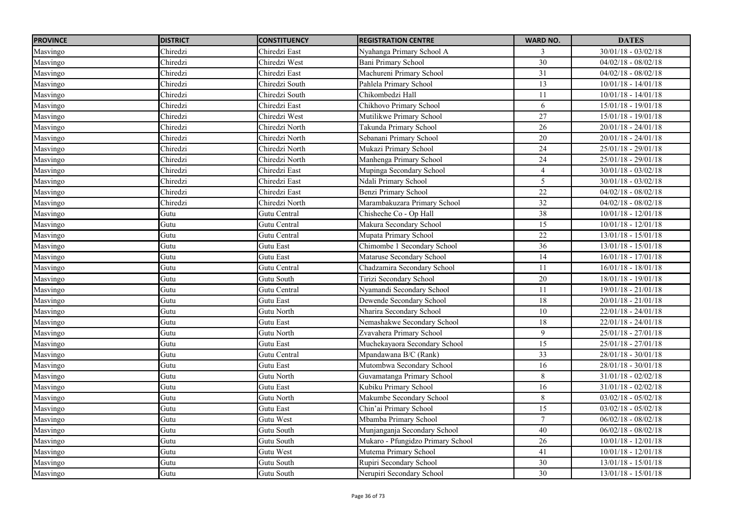| <b>PROVINCE</b> | <b>DISTRICT</b> | <b>CONSTITUENCY</b> | <b>REGISTRATION CENTRE</b>        | <b>WARD NO.</b> | <b>DATES</b>          |
|-----------------|-----------------|---------------------|-----------------------------------|-----------------|-----------------------|
| Masvingo        | Chiredzi        | Chiredzi East       | Nyahanga Primary School A         | 3               | $30/01/18 - 03/02/18$ |
| Masvingo        | Chiredzi        | Chiredzi West       | <b>Bani Primary School</b>        | 30              | $04/02/18 - 08/02/18$ |
| Masvingo        | Chiredzi        | Chiredzi East       | Machureni Primary School          | 31              | $04/02/18 - 08/02/18$ |
| Masvingo        | Chiredzi        | Chiredzi South      | Pahlela Primary School            | 13              | $10/01/18 - 14/01/18$ |
| Masvingo        | Chiredzi        | Chiredzi South      | Chikombedzi Hall                  | 11              | $10/01/18 - 14/01/18$ |
| Masvingo        | Chiredzi        | Chiredzi East       | Chikhovo Primary School           | 6               | $15/01/18 - 19/01/18$ |
| Masvingo        | Chiredzi        | Chiredzi West       | Mutilikwe Primary School          | $\overline{27}$ | 15/01/18 - 19/01/18   |
| Masvingo        | Chiredzi        | Chiredzi North      | Takunda Primary School            | $26\,$          | $20/01/18 - 24/01/18$ |
| Masvingo        | Chiredzi        | Chiredzi North      | Sebanani Primary School           | 20              | $20/01/18 - 24/01/18$ |
| Masvingo        | Chiredzi        | Chiredzi North      | Mukazi Primary School             | $\overline{24}$ | $25/01/18 - 29/01/18$ |
| Masvingo        | Chiredzi        | Chiredzi North      | Manhenga Primary School           | 24              | $25/01/18 - 29/01/18$ |
| Masvingo        | Chiredzi        | Chiredzi East       | Mupinga Secondary School          | $\overline{4}$  | $30/01/18 - 03/02/18$ |
| Masvingo        | Chiredzi        | Chiredzi East       | Ndali Primary School              | 5               | $30/01/18 - 03/02/18$ |
| Masvingo        | Chiredzi        | Chiredzi East       | Benzi Primary School              | 22              | $04/02/18 - 08/02/18$ |
| Masvingo        | Chiredzi        | Chiredzi North      | Marambakuzara Primary School      | $\overline{32}$ | $04/02/18 - 08/02/18$ |
| Masvingo        | Gutu            | Gutu Central        | Chisheche Co - Op Hall            | 38              | $10/01/18 - 12/01/18$ |
| Masvingo        | Gutu            | Gutu Central        | Makura Secondary School           | 15              | $10/01/18 - 12/01/18$ |
| Masvingo        | Gutu            | Gutu Central        | Mupata Primary School             | 22              | $13/01/18 - 15/01/18$ |
| Masvingo        | Gutu            | Gutu East           | Chimombe 1 Secondary School       | 36              | $13/01/18 - 15/01/18$ |
| Masvingo        | Gutu            | Gutu East           | Mataruse Secondary School         | 14              | $16/01/18 - 17/01/18$ |
| Masvingo        | Gutu            | Gutu Central        | Chadzamira Secondary School       | 11              | $16/01/18 - 18/01/18$ |
| Masvingo        | Gutu            | Gutu South          | Tirizi Secondary School           | $20\,$          | $18/01/18 - 19/01/18$ |
| Masvingo        | Gutu            | Gutu Central        | Nyamandi Secondary School         | 11              | $19/01/18 - 21/01/18$ |
| Masvingo        | Gutu            | Gutu East           | Dewende Secondary School          | 18              | $20/01/18 - 21/01/18$ |
| Masvingo        | Gutu            | Gutu North          | Nharira Secondary School          | 10              | $22/01/18 - 24/01/18$ |
| Masvingo        | Gutu            | Gutu East           | Nemashakwe Secondary School       | $18\,$          | $22/01/18 - 24/01/18$ |
| Masvingo        | Gutu            | Gutu North          | Zvavahera Primary School          | $\mathfrak{g}$  | $25/01/18 - 27/01/18$ |
| Masvingo        | Gutu            | <b>Gutu East</b>    | Muchekayaora Secondary School     | 15              | $25/01/18 - 27/01/18$ |
| Masvingo        | Gutu            | Gutu Central        | Mpandawana B/C (Rank)             | 33              | $28/01/18 - 30/01/18$ |
| Masvingo        | Gutu            | Gutu East           | Mutombwa Secondary School         | 16              | $28/01/18 - 30/01/18$ |
| Masvingo        | Gutu            | Gutu North          | Guvamatanga Primary School        | 8               | $31/01/18 - 02/02/18$ |
| Masvingo        | Gutu            | Gutu East           | Kubiku Primary School             | 16              | $31/01/18 - 02/02/18$ |
| Masvingo        | Gutu            | Gutu North          | Makumbe Secondary School          | 8               | $03/02/18 - 05/02/18$ |
| Masvingo        | Gutu            | Gutu East           | Chin'ai Primary School            | 15              | $03/02/18 - 05/02/18$ |
| Masvingo        | Gutu            | Gutu West           | Mbamba Primary School             | $\overline{7}$  | $06/02/18 - 08/02/18$ |
| Masvingo        | Gutu            | Gutu South          | Munjanganja Secondary School      | 40              | $06/02/18 - 08/02/18$ |
| Masvingo        | Gutu            | Gutu South          | Mukaro - Pfungidzo Primary School | 26              | $10/01/18 - 12/01/18$ |
| Masvingo        | Gutu            | Gutu West           | Mutema Primary School             | 41              | $10/01/18 - 12/01/18$ |
| Masvingo        | Gutu            | Gutu South          | Rupiri Secondary School           | 30              | $13/01/18 - 15/01/18$ |
| Masvingo        | Gutu            | Gutu South          | Nerupiri Secondary School         | $\overline{30}$ | 13/01/18 - 15/01/18   |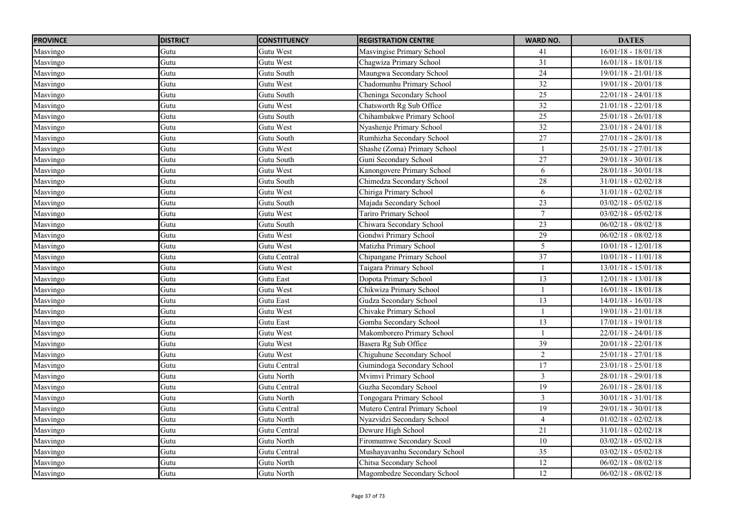| <b>PROVINCE</b> | <b>DISTRICT</b> | <b>CONSTITUENCY</b> | <b>REGISTRATION CENTRE</b>    | <b>WARD NO.</b> | <b>DATES</b>          |
|-----------------|-----------------|---------------------|-------------------------------|-----------------|-----------------------|
| Masvingo        | Gutu            | Gutu West           | Masvingise Primary School     | 41              | $16/01/18 - 18/01/18$ |
| Masvingo        | Gutu            | Gutu West           | Chagwiza Primary School       | 31              | $16/01/18 - 18/01/18$ |
| Masvingo        | Gutu            | Gutu South          | Maungwa Secondary School      | $\overline{24}$ | $19/01/18 - 21/01/18$ |
| Masvingo        | Gutu            | Gutu West           | Chadomunhu Primary School     | $\overline{32}$ | $19/01/18 - 20/01/18$ |
| Masvingo        | Gutu            | Gutu South          | Cheninga Secondary School     | 25              | $22/01/18 - 24/01/18$ |
| Masvingo        | Gutu            | Gutu West           | Chatsworth Rg Sub Office      | 32              | $21/01/18 - 22/01/18$ |
| Masvingo        | Gutu            | Gutu South          | Chihambakwe Primary School    | 25              | $25/01/18 - 26/01/18$ |
| Masvingo        | Gutu            | Gutu West           | Nyashenje Primary School      | 32              | $23/01/18 - 24/01/18$ |
| Masvingo        | Gutu            | Gutu South          | Rumhizha Secondary School     | 27              | $27/01/18 - 28/01/18$ |
| Masvingo        | Gutu            | Gutu West           | Shashe (Zoma) Primary School  |                 | $25/01/18 - 27/01/18$ |
| Masvingo        | Gutu            | Gutu South          | Guni Secondary School         | 27              | 29/01/18 - 30/01/18   |
| Masvingo        | Gutu            | Gutu West           | Kanongovere Primary School    | 6               | $28/01/18 - 30/01/18$ |
| Masvingo        | Gutu            | Gutu South          | Chimedza Secondary School     | 28              | $31/01/18 - 02/02/18$ |
| Masvingo        | Gutu            | Gutu West           | Chiriga Primary School        | 6               | $31/01/18 - 02/02/18$ |
| Masvingo        | Gutu            | Gutu South          | Majada Secondary School       | $\overline{23}$ | $03/02/18 - 05/02/18$ |
| Masvingo        | Gutu            | Gutu West           | Tariro Primary School         | $\tau$          | $03/02/18 - 05/02/18$ |
| Masvingo        | Gutu            | Gutu South          | Chiwara Secondary School      | $\overline{23}$ | $06/02/18 - 08/02/18$ |
| Masvingo        | Gutu            | Gutu West           | Gondwi Primary School         | $\overline{29}$ | $06/02/18 - 08/02/18$ |
| Masvingo        | Gutu            | Gutu West           | Matizha Primary School        | 5               | $10/01/18 - 12/01/18$ |
| Masvingo        | Gutu            | Gutu Central        | Chipangane Primary School     | 37              | $10/01/18 - 11/01/18$ |
| Masvingo        | Gutu            | Gutu West           | Taigara Primary School        |                 | $13/01/18 - 15/01/18$ |
| Masvingo        | Gutu            | Gutu East           | Dopota Primary School         | 13              | $12/01/18 - 13/01/18$ |
| Masvingo        | Gutu            | Gutu West           | Chikwiza Primary School       |                 | $16/01/18 - 18/01/18$ |
| Masvingo        | Gutu            | Gutu East           | Gudza Secondary School        | 13              | $14/01/18 - 16/01/18$ |
| Masvingo        | Gutu            | Gutu West           | Chivake Primary School        |                 | $19/01/18 - 21/01/18$ |
| Masvingo        | Gutu            | Gutu East           | Gomba Secondary School        | 13              | $17/01/18 - 19/01/18$ |
| Masvingo        | Gutu            | Gutu West           | Makomborero Primary School    |                 | $22/01/18 - 24/01/18$ |
| Masvingo        | Gutu            | Gutu West           | Basera Rg Sub Office          | 39              | $20/01/18 - 22/01/18$ |
| Masvingo        | Gutu            | Gutu West           | Chiguhune Secondary School    | $\overline{2}$  | $25/01/18 - 27/01/18$ |
| Masvingo        | Gutu            | Gutu Central        | Gumindoga Secondary School    | 17              | $23/01/18 - 25/01/18$ |
| Masvingo        | Gutu            | Gutu North          | Mvimvi Primary School         | $\mathfrak{Z}$  | 28/01/18 - 29/01/18   |
| Masvingo        | Gutu            | Gutu Central        | Guzha Secondary School        | 19              | 26/01/18 - 28/01/18   |
| Masvingo        | Gutu            | Gutu North          | Tongogara Primary School      | $\mathfrak{Z}$  | $30/01/18 - 31/01/18$ |
| Masvingo        | Gutu            | Gutu Central        | Mutero Central Primary School | $\overline{19}$ | $29/01/18 - 30/01/18$ |
| Masvingo        | Gutu            | Gutu North          | Nyazvidzi Secondary School    | $\overline{4}$  | $01/02/18 - 02/02/18$ |
| Masvingo        | Gutu            | Gutu Central        | Dewure High School            | 21              | $31/01/18 - 02/02/18$ |
| Masvingo        | Gutu            | Gutu North          | Firomumwe Secondary Scool     | $10\,$          | $03/02/18 - 05/02/18$ |
| Masvingo        | Gutu            | Gutu Central        | Mushayavanhu Secondary School | 35              | $03/02/18 - 05/02/18$ |
| Masvingo        | Gutu            | Gutu North          | Chitsa Secondary School       | 12              | $06/02/18 - 08/02/18$ |
| Masvingo        | Gutu            | Gutu North          | Magombedze Secondary School   | 12              | $06/02/18 - 08/02/18$ |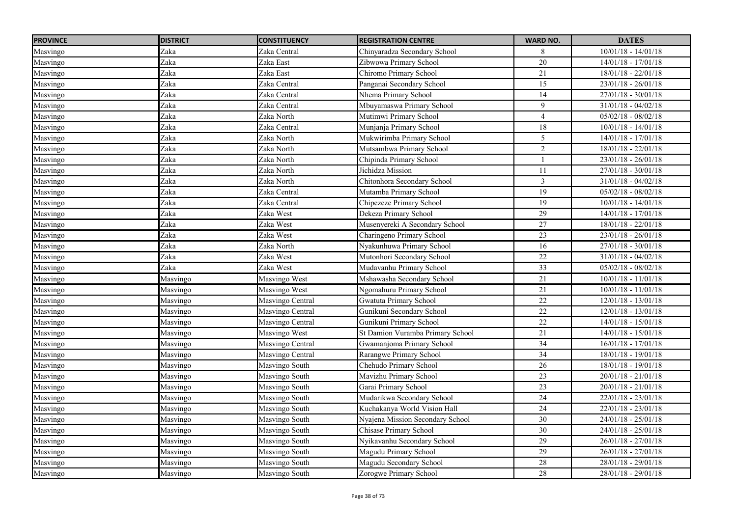| <b>PROVINCE</b> | <b>DISTRICT</b> | <b>CONSTITUENCY</b> | <b>REGISTRATION CENTRE</b>       | <b>WARD NO.</b>         | <b>DATES</b>            |
|-----------------|-----------------|---------------------|----------------------------------|-------------------------|-------------------------|
| Masvingo        | Zaka            | Zaka Central        | Chinyaradza Secondary School     | 8                       | $10/01/18 - 14/01/18$   |
| Masvingo        | Zaka            | Zaka East           | Zibwowa Primary School           | 20                      | $14/01/18 - 17/01/18$   |
| Masvingo        | Zaka            | Zaka East           | Chiromo Primary School           | 21                      | $18/01/18 - 22/01/18$   |
| Masvingo        | Zaka            | Zaka Central        | Panganai Secondary School        | 15                      | $23/01/18 - 26/01/18$   |
| Masvingo        | Zaka            | Zaka Central        | Nhema Primary School             | $\overline{14}$         | $27/01/18 - 30/01/18$   |
| Masvingo        | Zaka            | Zaka Central        | Mbuyamaswa Primary School        | 9                       | $31/01/18 - 04/02/18$   |
| Masvingo        | Zaka            | Zaka North          | Mutimwi Primary School           | $\overline{4}$          | $05/02/18 - 08/02/18$   |
| Masvingo        | Zaka            | Zaka Central        | Munjanja Primary School          | 18                      | $10/01/18 - 14/01/18$   |
| Masvingo        | Zaka            | Zaka North          | Mukwirimba Primary School        | 5                       | $14/01/18 - 17/01/18$   |
| Masvingo        | Zaka            | Zaka North          | Mutsambwa Primary School         | $\overline{2}$          | $18/01/18 - 22/01/18$   |
| Masvingo        | Zaka            | Zaka North          | Chipinda Primary School          |                         | $23/01/18 - 26/01/18$   |
| Masvingo        | Zaka            | Zaka North          | Jichidza Mission                 | 11                      | $27/01/18 - 30/01/18$   |
| Masvingo        | Zaka            | Zaka North          | Chitonhora Secondary School      | $\overline{\mathbf{3}}$ | $31/01/18 - 04/02/18$   |
| Masvingo        | Zaka            | Zaka Central        | Mutamba Primary School           | $\overline{19}$         | $05/02/18 - 08/02/18$   |
| Masvingo        | Zaka            | Zaka Central        | Chipezeze Primary School         | 19                      | $10/01/18 - 14/01/18$   |
| Masvingo        | Zaka            | Zaka West           | Dekeza Primary School            | $\overline{29}$         | $14/01/18 - 17/01/18$   |
| Masvingo        | Zaka            | Zaka West           | Musenyereki A Secondary School   | 27                      | $18/01/18 - 22/01/18$   |
| Masvingo        | Zaka            | Zaka West           | Charingeno Primary School        | $\overline{23}$         | $23/01/18 - 26/01/18$   |
| Masvingo        | Zaka            | Zaka North          | Nyakunhuwa Primary School        | $\overline{16}$         | $27/01/18 - 30/01/18$   |
| Masvingo        | Zaka            | Zaka West           | Mutonhori Secondary School       | 22                      | $31/01/18 - 04/02/18$   |
| Masvingo        | Zaka            | Zaka West           | Mudavanhu Primary School         | 33                      | $05/02/18 - 08/02/18$   |
| Masvingo        | Masvingo        | Masvingo West       | Mshawasha Secondary School       | 21                      | $10/01/18 - 11/01/18$   |
| Masvingo        | Masvingo        | Masvingo West       | Ngomahuru Primary School         | 21                      | $10/01/18 - 11/01/18$   |
| Masvingo        | Masvingo        | Masvingo Central    | Gwatuta Primary School           | $\overline{22}$         | $12/01/18 - 13/01/18$   |
| Masvingo        | Masvingo        | Masvingo Central    | Gunikuni Secondary School        | 22                      | $12/01/18 - 13/01/18$   |
| Masvingo        | Masvingo        | Masvingo Central    | Gunikuni Primary School          | 22                      | $14/01/18 - 15/01/18$   |
| Masvingo        | Masvingo        | Masvingo West       | St Damion Vuramba Primary School | 21                      | $14/01/18 - 15/01/18$   |
| Masvingo        | Masvingo        | Masvingo Central    | Gwamanjoma Primary School        | 34                      | $16/01/18 - 17/01/18$   |
| Masvingo        | Masvingo        | Masvingo Central    | Rarangwe Primary School          | 34                      | $18/01/18 - 19/01/18$   |
| Masvingo        | Masvingo        | Masvingo South      | Chehudo Primary School           | 26                      | $18/01/18 - 19/01/18$   |
| Masvingo        | Masvingo        | Masvingo South      | Mavizhu Primary School           | 23                      | $20/01/18 - 21/01/18$   |
| Masvingo        | Masvingo        | Masvingo South      | Garai Primary School             | $23\,$                  | $20/01/18 - 21/01/18$   |
| Masvingo        | Masvingo        | Masvingo South      | Mudarikwa Secondary School       | 24                      | $22/01/18$ - $23/01/18$ |
| Masvingo        | Masvingo        | Masvingo South      | Kuchakanya World Vision Hall     | 24                      | 22/01/18 - 23/01/18     |
| Masvingo        | Masvingo        | Masvingo South      | Nyajena Mission Secondary School | $\overline{30}$         | $24/01/18 - 25/01/18$   |
| Masvingo        | Masvingo        | Masvingo South      | Chisase Primary School           | 30                      | $24/01/18 - 25/01/18$   |
| Masvingo        | Masvingo        | Masvingo South      | Nyikavanhu Secondary School      | 29                      | $26/01/18 - 27/01/18$   |
| Masvingo        | Masvingo        | Masvingo South      | Magudu Primary School            | 29                      | $26/01/18 - 27/01/18$   |
| Masvingo        | Masvingo        | Masvingo South      | Magudu Secondary School          | 28                      | 28/01/18 - 29/01/18     |
| Masvingo        | Masvingo        | Masvingo South      | Zorogwe Primary School           | 28                      | 28/01/18 - 29/01/18     |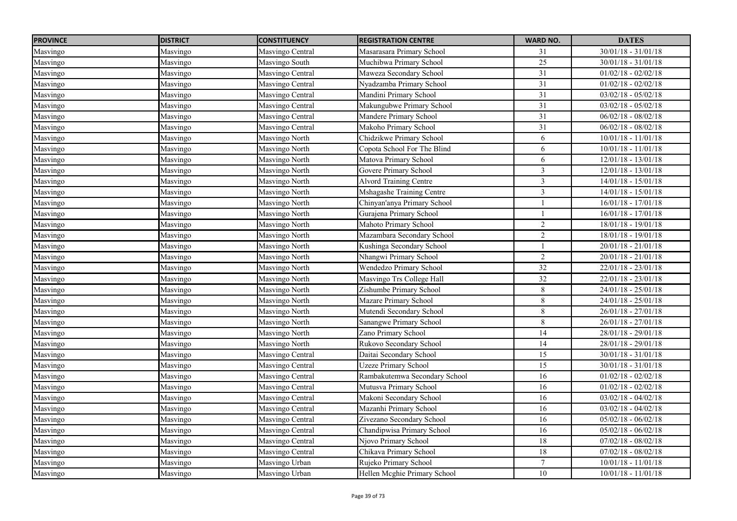| <b>PROVINCE</b> | <b>DISTRICT</b> | <b>CONSTITUENCY</b> | <b>REGISTRATION CENTRE</b>    | <b>WARD NO.</b>         | <b>DATES</b>          |
|-----------------|-----------------|---------------------|-------------------------------|-------------------------|-----------------------|
| Masvingo        | Masvingo        | Masvingo Central    | Masarasara Primary School     | 31                      | $30/01/18 - 31/01/18$ |
| Masvingo        | Masvingo        | Masvingo South      | Muchibwa Primary School       | 25                      | $30/01/18 - 31/01/18$ |
| Masvingo        | Masvingo        | Masvingo Central    | Maweza Secondary School       | 31                      | $01/02/18 - 02/02/18$ |
| Masvingo        | Masvingo        | Masvingo Central    | Nyadzamba Primary School      | 31                      | $01/02/18 - 02/02/18$ |
| Masvingo        | Masvingo        | Masvingo Central    | Mandini Primary School        | 31                      | $03/02/18 - 05/02/18$ |
| Masvingo        | Masvingo        | Masvingo Central    | Makungubwe Primary School     | 31                      | $03/02/18 - 05/02/18$ |
| Masvingo        | Masvingo        | Masvingo Central    | Mandere Primary School        | 31                      | $06/02/18 - 08/02/18$ |
| Masvingo        | Masvingo        | Masvingo Central    | Makoho Primary School         | 31                      | $06/02/18 - 08/02/18$ |
| Masvingo        | Masvingo        | Masvingo North      | Chidzikwe Primary School      | 6                       | $10/01/18 - 11/01/18$ |
| Masvingo        | Masvingo        | Masvingo North      | Copota School For The Blind   | 6                       | $10/01/18 - 11/01/18$ |
| Masvingo        | Masvingo        | Masvingo North      | Matova Primary School         | 6                       | 12/01/18 - 13/01/18   |
| Masvingo        | Masvingo        | Masvingo North      | Govere Primary School         | $\overline{3}$          | $12/01/18 - 13/01/18$ |
| Masvingo        | Masvingo        | Masvingo North      | Alvord Training Centre        | $\overline{\mathbf{3}}$ | $14/01/18 - 15/01/18$ |
| Masvingo        | Masvingo        | Masvingo North      | Mshagashe Training Centre     | $\mathfrak{Z}$          | $14/01/18 - 15/01/18$ |
| Masvingo        | Masvingo        | Masvingo North      | Chinyan'anya Primary School   | $\mathbf{1}$            | $16/01/18 - 17/01/18$ |
| Masvingo        | Masvingo        | Masvingo North      | Gurajena Primary School       |                         | $16/01/18 - 17/01/18$ |
| Masvingo        | Masvingo        | Masvingo North      | Mahoto Primary School         | $\overline{c}$          | 18/01/18 - 19/01/18   |
| Masvingo        | Masvingo        | Masvingo North      | Mazambara Secondary School    | $\overline{2}$          | $18/01/18 - 19/01/18$ |
| Masvingo        | Masvingo        | Masvingo North      | Kushinga Secondary School     |                         | $20/01/18 - 21/01/18$ |
| Masvingo        | Masvingo        | Masvingo North      | Nhangwi Primary School        | $\overline{2}$          | $20/01/18 - 21/01/18$ |
| Masvingo        | Masvingo        | Masvingo North      | Wendedzo Primary School       | 32                      | $22/01/18 - 23/01/18$ |
| Masvingo        | Masvingo        | Masvingo North      | Masvingo Trs College Hall     | 32                      | $22/01/18 - 23/01/18$ |
| Masvingo        | Masvingo        | Masvingo North      | Zishumbe Primary School       | 8                       | $24/01/18 - 25/01/18$ |
| Masvingo        | Masvingo        | Masvingo North      | Mazare Primary School         | $\,8\,$                 | $24/01/18 - 25/01/18$ |
| Masvingo        | Masvingo        | Masvingo North      | Mutendi Secondary School      | $8\,$                   | $26/01/18 - 27/01/18$ |
| Masvingo        | Masvingo        | Masvingo North      | Sanangwe Primary School       | 8                       | $26/01/18 - 27/01/18$ |
| Masvingo        | Masvingo        | Masvingo North      | Zano Primary School           | $\overline{14}$         | $28/01/18 - 29/01/18$ |
| Masvingo        | Masvingo        | Masvingo North      | Rukovo Secondary School       | 14                      | $28/01/18 - 29/01/18$ |
| Masvingo        | Masvingo        | Masvingo Central    | Daitai Secondary School       | $\overline{15}$         | $30/01/18 - 31/01/18$ |
| Masvingo        | Masvingo        | Masvingo Central    | <b>Uzeze Primary School</b>   | $\overline{15}$         | $30/01/18 - 31/01/18$ |
| Masvingo        | Masvingo        | Masvingo Central    | Rambakutemwa Secondary School | 16                      | $01/02/18 - 02/02/18$ |
| Masvingo        | Masvingo        | Masvingo Central    | Mutusva Primary School        | 16                      | $01/02/18 - 02/02/18$ |
| Masvingo        | Masvingo        | Masvingo Central    | Makoni Secondary School       | 16                      | $03/02/18 - 04/02/18$ |
| Masvingo        | Masvingo        | Masvingo Central    | Mazanhi Primary School        | 16                      | $03/02/18 - 04/02/18$ |
| Masvingo        | Masvingo        | Masvingo Central    | Zivezano Secondary School     | 16                      | $05/02/18 - 06/02/18$ |
| Masvingo        | Masvingo        | Masvingo Central    | Chandipwisa Primary School    | 16                      | $05/02/18 - 06/02/18$ |
| Masvingo        | Masvingo        | Masvingo Central    | Njovo Primary School          | $18\,$                  | $07/02/18 - 08/02/18$ |
| Masvingo        | Masvingo        | Masvingo Central    | Chikava Primary School        | $18\,$                  | $07/02/18 - 08/02/18$ |
| Masvingo        | Masvingo        | Masvingo Urban      | Rujeko Primary School         | $\tau$                  | $10/01/18 - 11/01/18$ |
| Masvingo        | Masvingo        | Masvingo Urban      | Hellen Mcghie Primary School  | 10                      | $10/01/18 - 11/01/18$ |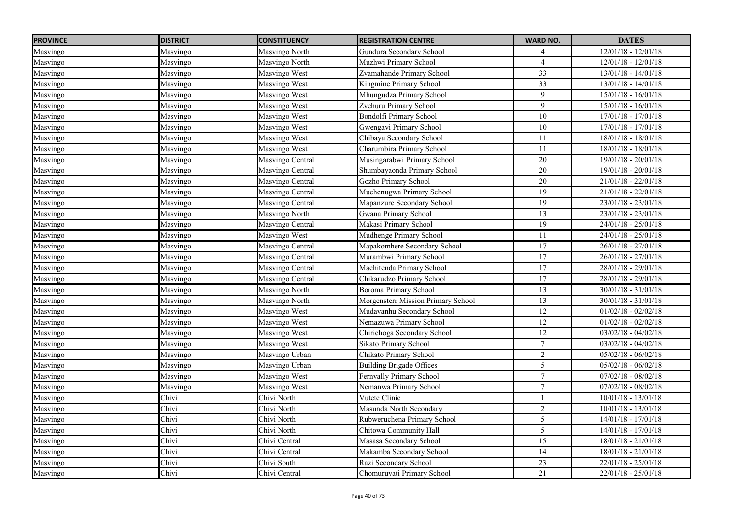| <b>PROVINCE</b> | <b>DISTRICT</b> | <b>CONSTITUENCY</b> | <b>REGISTRATION CENTRE</b>         | <b>WARD NO.</b> | <b>DATES</b>          |
|-----------------|-----------------|---------------------|------------------------------------|-----------------|-----------------------|
| Masvingo        | Masvingo        | Masvingo North      | Gundura Secondary School           | 4               | $12/01/18 - 12/01/18$ |
| Masvingo        | Masvingo        | Masvingo North      | Muzhwi Primary School              | $\overline{4}$  | $12/01/18 - 12/01/18$ |
| Masvingo        | Masvingo        | Masvingo West       | Zvamahande Primary School          | 33              | $13/01/18 - 14/01/18$ |
| Masvingo        | Masvingo        | Masvingo West       | Kingmine Primary School            | 33              | $13/01/18 - 14/01/18$ |
| Masvingo        | Masvingo        | Masvingo West       | Mhungudza Primary School           | 9               | $15/01/18 - 16/01/18$ |
| Masvingo        | Masvingo        | Masvingo West       | Zvehuru Primary School             | 9               | $15/01/18 - 16/01/18$ |
| Masvingo        | Masvingo        | Masvingo West       | Bondolfi Primary School            | $10\,$          | 17/01/18 - 17/01/18   |
| Masvingo        | Masvingo        | Masvingo West       | Gwengavi Primary School            | $\overline{10}$ | $17/01/18 - 17/01/18$ |
| Masvingo        | Masvingo        | Masvingo West       | Chibaya Secondary School           | 11              | 18/01/18 - 18/01/18   |
| Masvingo        | Masvingo        | Masvingo West       | Charumbira Primary School          | 11              | $18/01/18 - 18/01/18$ |
| Masvingo        | Masvingo        | Masvingo Central    | Musingarabwi Primary School        | $\overline{20}$ | $19/01/18 - 20/01/18$ |
| Masvingo        | Masvingo        | Masvingo Central    | Shumbayaonda Primary School        | 20              | $19/01/18 - 20/01/18$ |
| Masvingo        | Masvingo        | Masvingo Central    | Gozho Primary School               | 20              | $21/01/18 - 22/01/18$ |
| Masvingo        | Masvingo        | Masvingo Central    | Muchenugwa Primary School          | 19              | $21/01/18 - 22/01/18$ |
| Masvingo        | Masvingo        | Masvingo Central    | Mapanzure Secondary School         | 19              | $23/01/18 - 23/01/18$ |
| Masvingo        | Masvingo        | Masvingo North      | Gwana Primary School               | 13              | $23/01/18 - 23/01/18$ |
| Masvingo        | Masvingo        | Masvingo Central    | Makasi Primary School              | 19              | $24/01/18 - 25/01/18$ |
| Masvingo        | Masvingo        | Masvingo West       | Mudhenge Primary School            | 11              | $24/01/18 - 25/01/18$ |
| Masvingo        | Masvingo        | Masvingo Central    | Mapakomhere Secondary School       | 17              | $26/01/18 - 27/01/18$ |
| Masvingo        | Masvingo        | Masvingo Central    | Murambwi Primary School            | 17              | $26/01/18 - 27/01/18$ |
| Masvingo        | Masvingo        | Masvingo Central    | Machitenda Primary School          | 17              | $28/01/18 - 29/01/18$ |
| Masvingo        | Masvingo        | Masvingo Central    | Chikarudzo Primary School          | 17              | $28/01/18 - 29/01/18$ |
| Masvingo        | Masvingo        | Masvingo North      | Boroma Primary School              | 13              | $30/01/18 - 31/01/18$ |
| Masvingo        | Masvingo        | Masvingo North      | Morgensterr Mission Primary School | 13              | $30/01/18 - 31/01/18$ |
| Masvingo        | Masvingo        | Masvingo West       | Mudavanhu Secondary School         | 12              | $01/02/18 - 02/02/18$ |
| Masvingo        | Masvingo        | Masvingo West       | Nemazuwa Primary School            | 12              | $01/02/18 - 02/02/18$ |
| Masvingo        | Masvingo        | Masvingo West       | Chirichoga Secondary School        | 12              | $03/02/18 - 04/02/18$ |
| Masvingo        | Masvingo        | Masvingo West       | Sikato Primary School              | $\tau$          | $03/02/18 - 04/02/18$ |
| Masvingo        | Masvingo        | Masvingo Urban      | Chikato Primary School             | $\overline{2}$  | $05/02/18 - 06/02/18$ |
| Masvingo        | Masvingo        | Masvingo Urban      | <b>Building Brigade Offices</b>    | 5               | $05/02/18 - 06/02/18$ |
| Masvingo        | Masvingo        | Masvingo West       | Fernvally Primary School           | $\tau$          | $07/02/18 - 08/02/18$ |
| Masvingo        | Masvingo        | Masvingo West       | Nemanwa Primary School             | $\tau$          | $07/02/18 - 08/02/18$ |
| Masvingo        | Chivi           | Chivi North         | Vutete Clinic                      |                 | $10/01/18 - 13/01/18$ |
| Masvingo        | Chivi           | Chivi North         | Masunda North Secondary            | $\overline{2}$  | $10/01/18 - 13/01/18$ |
| Masvingo        | Chivi           | Chivi North         | Rubweruchena Primary School        | $\overline{5}$  | $14/01/18 - 17/01/18$ |
| Masvingo        | Chivi           | Chivi North         | Chitowa Community Hall             | $5\overline{)}$ | $14/01/18 - 17/01/18$ |
| Masvingo        | Chivi           | Chivi Central       | Masasa Secondary School            | $\overline{15}$ | $18/01/18 - 21/01/18$ |
| Masvingo        | Chivi           | Chivi Central       | Makamba Secondary School           | 14              | $18/01/18 - 21/01/18$ |
| Masvingo        | Chivi           | Chivi South         | Razi Secondary School              | 23              | $22/01/18 - 25/01/18$ |
| Masvingo        | Chivi           | Chivi Central       | Chomuruvati Primary School         | $\overline{21}$ | $22/01/18 - 25/01/18$ |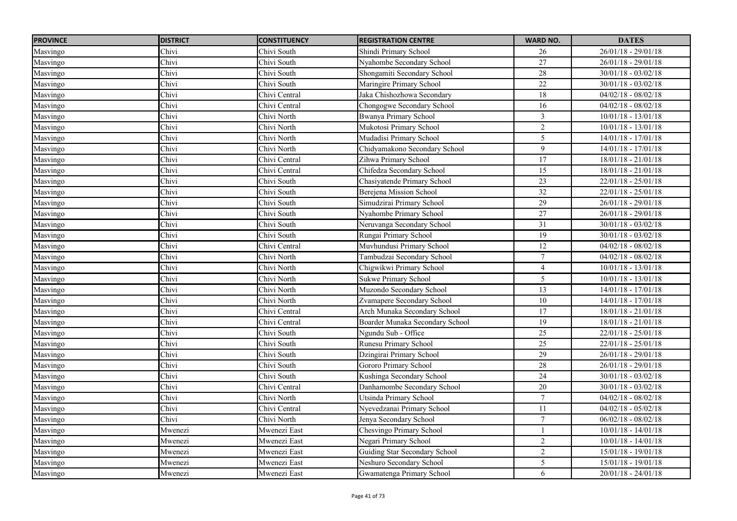| <b>PROVINCE</b> | <b>DISTRICT</b> | <b>CONSTITUENCY</b> | <b>REGISTRATION CENTRE</b>      | <b>WARD NO.</b> | <b>DATES</b>          |
|-----------------|-----------------|---------------------|---------------------------------|-----------------|-----------------------|
| Masvingo        | Chivi           | Chivi South         | Shindi Primary School           | 26              | $26/01/18 - 29/01/18$ |
| Masvingo        | Chivi           | Chivi South         | Nyahombe Secondary School       | $\overline{27}$ | $26/01/18 - 29/01/18$ |
| Masvingo        | Chivi           | Chivi South         | Shongamiti Secondary School     | 28              | $30/01/18 - 03/02/18$ |
| Masvingo        | Chivi           | Chivi South         | Maringire Primary School        | 22              | $30/01/18 - 03/02/18$ |
| Masvingo        | Chivi           | Chivi Central       | Jaka Chishozhowa Secondarv      | 18              | $04/02/18 - 08/02/18$ |
| Masvingo        | Chivi           | Chivi Central       | Chongogwe Secondary School      | $\overline{16}$ | $04/02/18 - 08/02/18$ |
| Masvingo        | Chivi           | Chivi North         | <b>Bwanya Primary School</b>    | $\mathfrak{Z}$  | $10/01/18 - 13/01/18$ |
| Masvingo        | Chivi           | Chivi North         | Mukotosi Primary School         | 2               | $10/01/18 - 13/01/18$ |
| Masvingo        | Chivi           | Chivi North         | Mudadisi Primary School         | 5               | $14/01/18 - 17/01/18$ |
| Masvingo        | Chivi           | Chivi North         | Chidyamakono Secondary School   | 9               | $14/01/18 - 17/01/18$ |
| Masvingo        | Chivi           | Chivi Central       | Zihwa Primary School            | 17              | $18/01/18 - 21/01/18$ |
| Masvingo        | Chivi           | Chivi Central       | Chifedza Secondary School       | 15              | $18/01/18 - 21/01/18$ |
| Masvingo        | Chivi           | Chivi South         | Chasiyatende Primary School     | 23              | $22/01/18 - 25/01/18$ |
| Masvingo        | Chivi           | Chivi South         | Berejena Mission School         | $\overline{32}$ | $22/01/18 - 25/01/18$ |
| Masvingo        | Chivi           | Chivi South         | Simudzirai Primary School       | $\overline{29}$ | $26/01/18 - 29/01/18$ |
| Masvingo        | Chivi           | Chivi South         | Nyahombe Primary School         | 27              | $26/01/18 - 29/01/18$ |
| Masvingo        | Chivi           | Chivi South         | Neruvanga Secondary School      | 31              | $30/01/18 - 03/02/18$ |
| Masvingo        | Chivi           | Chivi South         | Rungai Primary School           | 19              | $30/01/18 - 03/02/18$ |
| Masvingo        | Chivi           | Chivi Central       | Muvhundusi Primary School       | 12              | $04/02/18 - 08/02/18$ |
| Masvingo        | Chivi           | Chivi North         | Tambudzai Secondary School      | $\tau$          | $04/02/18 - 08/02/18$ |
| Masvingo        | Chivi           | Chivi North         | Chigwikwi Primary School        | $\overline{4}$  | $10/01/18 - 13/01/18$ |
| Masvingo        | Chivi           | Chivi North         | <b>Sukwe Primary School</b>     | $\mathfrak{H}$  | $10/01/18 - 13/01/18$ |
| Masvingo        | Chivi           | Chivi North         | Muzondo Secondary School        | $\overline{13}$ | $14/01/18 - 17/01/18$ |
| Masvingo        | $Chiv\bar{i}$   | Chivi North         | Zvamapere Secondary School      | 10              | $14/01/18 - 17/01/18$ |
| Masvingo        | Chivi           | Chivi Central       | Arch Munaka Secondary School    | 17              | $18/01/18 - 21/01/18$ |
| Masvingo        | Chivi           | Chivi Central       | Boarder Munaka Secondary School | 19              | $18/01/18 - 21/01/18$ |
| Masvingo        | Chivi           | Chivi South         | Ngundu Sub - Office             | 25              | $22/01/18 - 25/01/18$ |
| Masvingo        | Chivi           | Chivi South         | Runesu Primary School           | 25              | $22/01/18 - 25/01/18$ |
| Masvingo        | Chivi           | Chivi South         | Dzingirai Primary School        | 29              | $26/01/18 - 29/01/18$ |
| Masvingo        | Chivi           | Chivi South         | Gororo Primary School           | 28              | $26/01/18 - 29/01/18$ |
| Masvingo        | Chivi           | Chivi South         | Kushinga Secondary School       | 24              | $30/01/18 - 03/02/18$ |
| Masvingo        | Chivi           | Chivi Central       | Danhamombe Secondary School     | 20              | $30/01/18 - 03/02/18$ |
| Masvingo        | Chivi           | Chivi North         | Utsinda Primary School          | $\tau$          | $04/02/18 - 08/02/18$ |
| Masvingo        | Chivi           | Chivi Central       | Nyevedzanai Primary School      | 11              | $04/02/18 - 05/02/18$ |
| Masvingo        | Chivi           | Chivi North         | Jenya Secondary School          | $\overline{7}$  | $06/02/18 - 08/02/18$ |
| Masvingo        | Mwenezi         | Mwenezi East        | Chesvingo Primary School        |                 | $10/01/18 - 14/01/18$ |
| Masvingo        | Mwenezi         | Mwenezi East        | Negari Primary School           | $\overline{2}$  | $10/01/18 - 14/01/18$ |
| Masvingo        | Mwenezi         | Mwenezi East        | Guiding Star Secondary School   | $\overline{2}$  | $15/01/18 - 19/01/18$ |
| Masvingo        | Mwenezi         | Mwenezi East        | Neshuro Secondary School        | 5               | $15/01/18 - 19/01/18$ |
| Masvingo        | Mwenezi         | Mwenezi East        | Gwamatenga Primary School       | 6               | $20/01/18 - 24/01/18$ |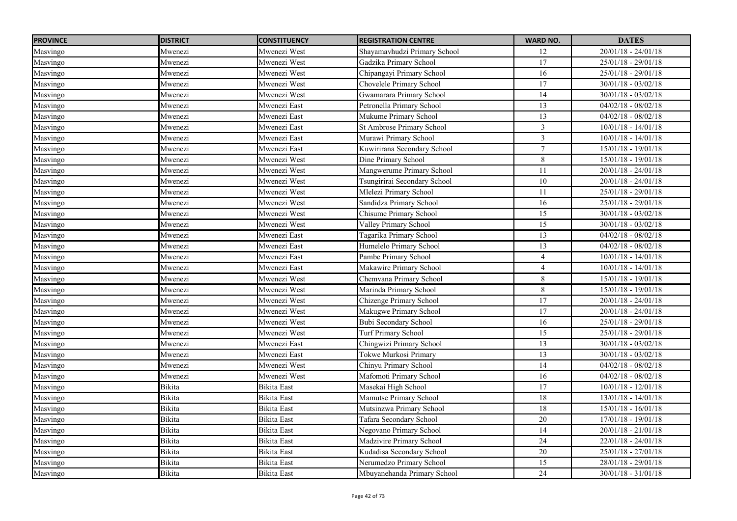| <b>PROVINCE</b> | <b>DISTRICT</b> | <b>CONSTITUENCY</b> | <b>REGISTRATION CENTRE</b>   | <b>WARD NO.</b> | <b>DATES</b>          |
|-----------------|-----------------|---------------------|------------------------------|-----------------|-----------------------|
| Masvingo        | Mwenezi         | Mwenezi West        | Shayamavhudzi Primary School | 12              | $20/01/18 - 24/01/18$ |
| Masvingo        | Mwenezi         | Mwenezi West        | Gadzika Primary School       | 17              | $25/01/18 - 29/01/18$ |
| Masvingo        | Mwenezi         | Mwenezi West        | Chipangayi Primary School    | $\overline{16}$ | $25/01/18 - 29/01/18$ |
| Masvingo        | Mwenezi         | Mwenezi West        | Chovelele Primary School     | 17              | $30/01/18 - 03/02/18$ |
| Masvingo        | Mwenezi         | Mwenezi West        | Gwamarara Primary School     | 14              | $30/01/18 - 03/02/18$ |
| Masvingo        | Mwenezi         | Mwenezi East        | Petronella Primary School    | $\overline{13}$ | $04/02/18 - 08/02/18$ |
| Masvingo        | Mwenezi         | Mwenezi East        | Mukume Primary School        | 13              | $04/02/18 - 08/02/18$ |
| Masvingo        | Mwenezi         | Mwenezi East        | St Ambrose Primary School    | $\mathfrak{Z}$  | $10/01/18 - 14/01/18$ |
| Masvingo        | Mwenezi         | Mwenezi East        | Murawi Primary School        | $\mathfrak{Z}$  | $10/01/18 - 14/01/18$ |
| Masvingo        | Mwenezi         | Mwenezi East        | Kuwirirana Secondary School  | $\overline{7}$  | $15/01/18 - 19/01/18$ |
| Masvingo        | Mwenezi         | Mwenezi West        | Dine Primary School          | $8\,$           | $15/01/18 - 19/01/18$ |
| Masvingo        | Mwenezi         | Mwenezi West        | Mangwerume Primary School    | 11              | $20/01/18 - 24/01/18$ |
| Masvingo        | Mwenezi         | Mwenezi West        | Tsungirirai Secondary School | 10              | $20/01/18 - 24/01/18$ |
| Masvingo        | Mwenezi         | Mwenezi West        | Mlelezi Primary School       | 11              | $25/01/18 - 29/01/18$ |
| Masvingo        | Mwenezi         | Mwenezi West        | Sandidza Primary School      | $\overline{16}$ | $25/01/18 - 29/01/18$ |
| Masvingo        | Mwenezi         | Mwenezi West        | Chisume Primary School       | 15              | $30/01/18 - 03/02/18$ |
| Masvingo        | Mwenezi         | Mwenezi West        | Valley Primary School        | 15              | $30/01/18 - 03/02/18$ |
| Masvingo        | Mwenezi         | Mwenezi East        | Tagarika Primary School      | 13              | $04/02/18 - 08/02/18$ |
| Masvingo        | Mwenezi         | Mwenezi East        | Humelelo Primary School      | $\overline{13}$ | $04/02/18 - 08/02/18$ |
| Masvingo        | Mwenezi         | Mwenezi East        | Pambe Primary School         | $\overline{4}$  | $10/01/18 - 14/01/18$ |
| Masvingo        | Mwenezi         | Mwenezi East        | Makawire Primary School      | $\overline{4}$  | $10/01/18 - 14/01/18$ |
| Masvingo        | Mwenezi         | Mwenezi West        | Chemvana Primary School      | $\,8\,$         | $15/01/18 - 19/01/18$ |
| Masvingo        | Mwenezi         | Mwenezi West        | Marinda Primary School       | 8               | $15/01/18 - 19/01/18$ |
| Masvingo        | Mwenezi         | Mwenezi West        | Chizenge Primary School      | $\overline{17}$ | $20/01/18 - 24/01/18$ |
| Masvingo        | Mwenezi         | Mwenezi West        | Makugwe Primary School       | 17              | $20/01/18 - 24/01/18$ |
| Masvingo        | Mwenezi         | Mwenezi West        | <b>Bubi Secondary School</b> | $\overline{16}$ | $25/01/18 - 29/01/18$ |
| Masvingo        | Mwenezi         | Mwenezi West        | <b>Turf Primary School</b>   | 15              | $25/01/18 - 29/01/18$ |
| Masvingo        | Mwenezi         | Mwenezi East        | Chingwizi Primary School     | 13              | $30/01/18 - 03/02/18$ |
| Masvingo        | Mwenezi         | Mwenezi East        | Tokwe Murkosi Primary        | 13              | $30/01/18 - 03/02/18$ |
| Masvingo        | Mwenezi         | Mwenezi West        | Chinyu Primary School        | 14              | $04/02/18 - 08/02/18$ |
| Masvingo        | Mwenezi         | Mwenezi West        | Mafomoti Primary School      | 16              | $04/02/18 - 08/02/18$ |
| Masvingo        | Bikita          | <b>Bikita</b> East  | Masekai High School          | 17              | $10/01/18 - 12/01/18$ |
| Masvingo        | Bikita          | <b>Bikita</b> East  | Mamutse Primary School       | $18\,$          | $13/01/18 - 14/01/18$ |
| Masvingo        | Bikita          | <b>Bikita</b> East  | Mutsinzwa Primary School     | $\overline{18}$ | $15/01/18 - 16/01/18$ |
| Masvingo        | <b>Bikita</b>   | <b>Bikita</b> East  | Tafara Secondary School      | 20              | $17/01/18 - 19/01/18$ |
| Masvingo        | <b>Bikita</b>   | <b>Bikita</b> East  | Negovano Primary School      | 14              | $20/01/18 - 21/01/18$ |
| Masvingo        | Bikita          | <b>Bikita</b> East  | Madzivire Primary School     | 24              | $22/01/18 - 24/01/18$ |
| Masvingo        | Bikita          | <b>Bikita</b> East  | Kudadisa Secondary School    | 20              | $25/01/18 - 27/01/18$ |
| Masvingo        | Bikita          | <b>Bikita</b> East  | Nerumedzo Primary School     | 15              | $28/01/18 - 29/01/18$ |
| Masvingo        | Bikita          | <b>Bikita</b> East  | Mbuyanehanda Primary School  | 24              | $30/01/18 - 31/01/18$ |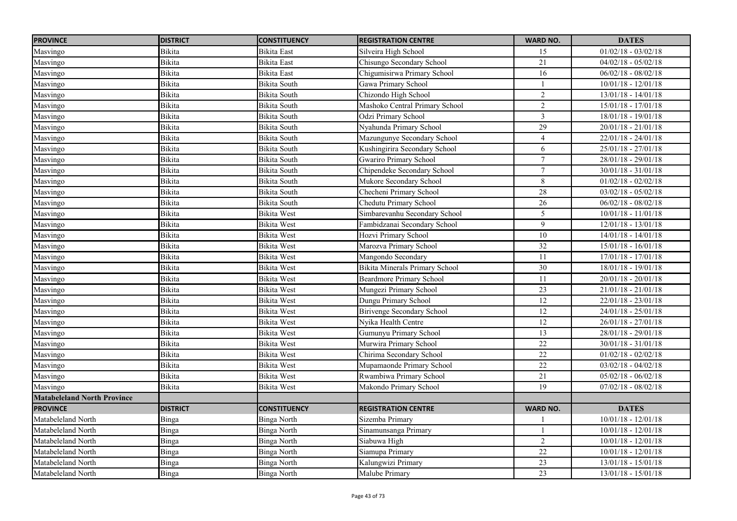| <b>PROVINCE</b>                    | <b>DISTRICT</b> | <b>CONSTITUENCY</b> | <b>REGISTRATION CENTRE</b>            | <b>WARD NO.</b>  | <b>DATES</b>          |
|------------------------------------|-----------------|---------------------|---------------------------------------|------------------|-----------------------|
| Masvingo                           | Bikita          | Bikita East         | Silveira High School                  | 15               | $01/02/18 - 03/02/18$ |
| Masvingo                           | <b>Bikita</b>   | <b>Bikita</b> East  | Chisungo Secondary School             | 21               | $04/02/18 - 05/02/18$ |
| Masvingo                           | <b>Bikita</b>   | <b>Bikita</b> East  | Chigumisirwa Primary School           | $\overline{16}$  | $06/02/18 - 08/02/18$ |
| Masvingo                           | <b>Bikita</b>   | <b>Bikita South</b> | Gawa Primary School                   |                  | $10/01/18 - 12/01/18$ |
| Masvingo                           | Bikita          | Bikita South        | Chizondo High School                  | $\overline{c}$   | 13/01/18 - 14/01/18   |
| Masvingo                           | Bikita          | Bikita South        | Mashoko Central Primary School        | $\overline{2}$   | $15/01/18 - 17/01/18$ |
| Masvingo                           | Bikita          | Bikita South        | Odzi Primary School                   | $\mathfrak{Z}$   | $18/01/18 - 19/01/18$ |
| Masvingo                           | <b>Bikita</b>   | Bikita South        | Nyahunda Primary School               | 29               | $20/01/18 - 21/01/18$ |
| Masvingo                           | Bikita          | Bikita South        | Mazungunye Secondary School           | $\overline{4}$   | 22/01/18 - 24/01/18   |
| Masvingo                           | <b>Bikita</b>   | <b>Bikita South</b> | Kushingirira Secondary School         | 6                | $25/01/18 - 27/01/18$ |
| Masvingo                           | Bikita          | Bikita South        | <b>Gwariro Primary School</b>         | $\boldsymbol{7}$ | $28/01/18 - 29/01/18$ |
| Masvingo                           | Bikita          | Bikita South        | Chipendeke Secondary School           | $\tau$           | $30/01/18 - 31/01/18$ |
| Masvingo                           | Bikita          | Bikita South        | Mukore Secondary School               | 8                | $01/02/18 - 02/02/18$ |
| Masvingo                           | <b>Bikita</b>   | <b>Bikita South</b> | Checheni Primary School               | 28               | $03/02/18 - 05/02/18$ |
| Masvingo                           | Bikita          | <b>Bikita South</b> | Chedutu Primary School                | 26               | $06/02/18 - 08/02/18$ |
| Masvingo                           | Bikita          | <b>Bikita</b> West  | Simbarevanhu Secondary School         | 5                | $10/01/18 - 11/01/18$ |
| Masvingo                           | Bikita          | <b>Bikita</b> West  | Fambidzanai Secondary School          | 9                | 12/01/18 - 13/01/18   |
| Masvingo                           | Bikita          | <b>Bikita</b> West  | Hozvi Primary School                  | 10               | $14/01/18 - 14/01/18$ |
| Masvingo                           | <b>Bikita</b>   | <b>Bikita</b> West  | Marozva Primary School                | $\overline{32}$  | $15/01/18 - 16/01/18$ |
| Masvingo                           | <b>Bikita</b>   | <b>Bikita</b> West  | Mangondo Secondary                    | 11               | $17/01/18 - 17/01/18$ |
| Masvingo                           | Bikita          | <b>Bikita</b> West  | <b>Bikita Minerals Primary School</b> | 30               | $18/01/18 - 19/01/18$ |
| Masvingo                           | Bikita          | <b>Bikita</b> West  | <b>Beardmore Primary School</b>       | 11               | $20/01/18 - 20/01/18$ |
| Masvingo                           | Bikita          | <b>Bikita</b> West  | Mungezi Primary School                | 23               | $21/01/18 - 21/01/18$ |
| Masvingo                           | Bikita          | <b>Bikita</b> West  | Dungu Primary School                  | 12               | $22/01/18 - 23/01/18$ |
| Masvingo                           | Bikita          | <b>Bikita</b> West  | Birivenge Secondary School            | 12               | $24/01/18 - 25/01/18$ |
| Masvingo                           | Bikita          | <b>Bikita</b> West  | Nvika Health Centre                   | 12               | $26/01/18 - 27/01/18$ |
| Masvingo                           | Bikita          | <b>Bikita</b> West  | Gumunyu Primary School                | 13               | $28/01/18 - 29/01/18$ |
| Masvingo                           | Bikita          | <b>Bikita</b> West  | Murwira Primary School                | $22\,$           | $30/01/18 - 31/01/18$ |
| Masvingo                           | Bikita          | <b>Bikita</b> West  | Chirima Secondary School              | $\overline{22}$  | $01/02/18 - 02/02/18$ |
| Masvingo                           | <b>Bikita</b>   | <b>Bikita</b> West  | Mupamaonde Primary School             | 22               | $03/02/18 - 04/02/18$ |
| Masvingo                           | Bikita          | <b>Bikita</b> West  | Rwambiwa Primary School               | 21               | $05/02/18 - 06/02/18$ |
| Masvingo                           | Bikita          | Bikita West         | Makondo Primary School                | $\overline{19}$  | $07/02/18 - 08/02/18$ |
| <b>Matabeleland North Province</b> |                 |                     |                                       |                  |                       |
| <b>PROVINCE</b>                    | <b>DISTRICT</b> | <b>CONSTITUENCY</b> | <b>REGISTRATION CENTRE</b>            | <b>WARD NO.</b>  | <b>DATES</b>          |
| Matabeleland North                 | Binga           | Binga North         | Sizemba Primary                       |                  | $10/01/18 - 12/01/18$ |
| Matabeleland North                 | Binga           | <b>Binga North</b>  | Sinamunsanga Primary                  |                  | $10/01/18 - 12/01/18$ |
| Matabeleland North                 | Binga           | <b>Binga North</b>  | Siabuwa High                          | $\overline{2}$   | $10/01/18 - 12/01/18$ |
| Matabeleland North                 | Binga           | Binga North         | Siamupa Primary                       | $\overline{22}$  | $10/01/18 - 12/01/18$ |
| Matabeleland North                 | Binga           | <b>Binga North</b>  | Kalungwizi Primary                    | $\overline{23}$  | $13/01/18 - 15/01/18$ |
| Matabeleland North                 | Binga           | Binga North         | Malube Primary                        | $\overline{23}$  | 13/01/18 - 15/01/18   |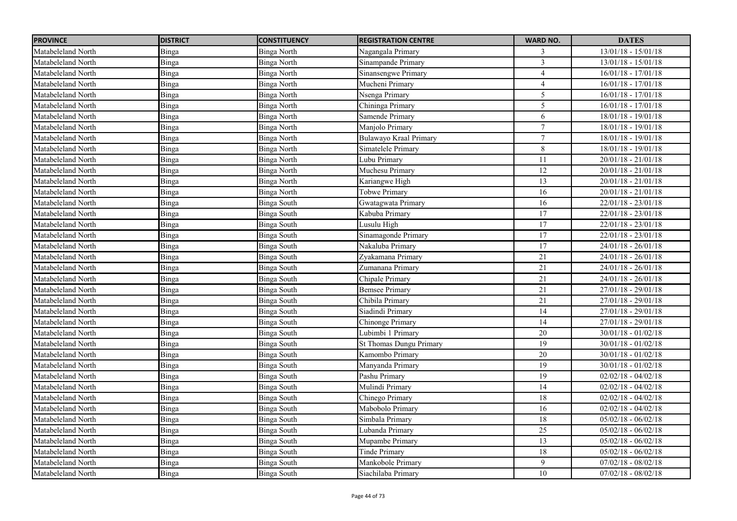| <b>PROVINCE</b>    | <b>DISTRICT</b> | <b>CONSTITUENCY</b> | <b>REGISTRATION CENTRE</b> | <b>WARD NO.</b> | <b>DATES</b>          |
|--------------------|-----------------|---------------------|----------------------------|-----------------|-----------------------|
| Matabeleland North | Binga           | <b>Binga North</b>  | Nagangala Primary          | 3               | $13/01/18 - 15/01/18$ |
| Matabeleland North | Binga           | <b>Binga North</b>  | Sinampande Primary         | $\overline{3}$  | $13/01/18 - 15/01/18$ |
| Matabeleland North | Binga           | <b>Binga North</b>  | Sinansengwe Primary        | $\overline{4}$  | $16/01/18 - 17/01/18$ |
| Matabeleland North | Binga           | <b>Binga North</b>  | Mucheni Primary            | $\overline{4}$  | $16/01/18 - 17/01/18$ |
| Matabeleland North | Binga           | <b>Binga North</b>  | Nsenga Primary             | $\sqrt{5}$      | $16/01/18 - 17/01/18$ |
| Matabeleland North | Binga           | <b>Binga North</b>  | Chininga Primary           | $\overline{5}$  | $16/01/18 - 17/01/18$ |
| Matabeleland North | Binga           | <b>Binga North</b>  | Samende Primary            | 6               | 18/01/18 - 19/01/18   |
| Matabeleland North | Binga           | Binga North         | Manjolo Primary            | $\overline{7}$  | 18/01/18 - 19/01/18   |
| Matabeleland North | Binga           | <b>Binga North</b>  | Bulawayo Kraal Primary     | 7               | 18/01/18 - 19/01/18   |
| Matabeleland North | Binga           | <b>Binga North</b>  | Simatelele Primary         | $\,8\,$         | $18/01/18 - 19/01/18$ |
| Matabeleland North | Binga           | Binga North         | Lubu Primary               | 11              | $20/01/18 - 21/01/18$ |
| Matabeleland North | Binga           | <b>Binga North</b>  | Muchesu Primary            | 12              | $20/01/18 - 21/01/18$ |
| Matabeleland North | Binga           | Binga North         | Kariangwe High             | 13              | $20/01/18 - 21/01/18$ |
| Matabeleland North | Binga           | <b>Binga North</b>  | <b>Tobwe Primary</b>       | 16              | $20/01/18 - 21/01/18$ |
| Matabeleland North | Binga           | <b>Binga South</b>  | Gwatagwata Primary         | 16              | $22/01/18 - 23/01/18$ |
| Matabeleland North | Binga           | Binga South         | Kabuba Primary             | 17              | $22/01/18 - 23/01/18$ |
| Matabeleland North | Binga           | <b>Binga South</b>  | Lusulu High                | 17              | $22/01/18 - 23/01/18$ |
| Matabeleland North | Binga           | <b>Binga South</b>  | Sinamagonde Primary        | 17              | $22/01/18 - 23/01/18$ |
| Matabeleland North | Binga           | Binga South         | Nakaluba Primary           | 17              | $24/01/18 - 26/01/18$ |
| Matabeleland North | Binga           | <b>Binga South</b>  | Zyakamana Primary          | 21              | $24/01/18 - 26/01/18$ |
| Matabeleland North | Binga           | <b>Binga South</b>  | Zumanana Primary           | 21              | $24/01/18 - 26/01/18$ |
| Matabeleland North | Binga           | <b>Binga South</b>  | Chipale Primary            | 21              | $24/01/18 - 26/01/18$ |
| Matabeleland North | Binga           | <b>Binga South</b>  | <b>Bemsee Primary</b>      | 21              | $27/01/18 - 29/01/18$ |
| Matabeleland North | Binga           | Binga South         | Chibila Primary            | 21              | $27/01/18 - 29/01/18$ |
| Matabeleland North | Binga           | Binga South         | Siadindi Primary           | 14              | 27/01/18 - 29/01/18   |
| Matabeleland North | Binga           | <b>Binga South</b>  | Chinonge Primary           | 14              | $27/01/18 - 29/01/18$ |
| Matabeleland North | Binga           | Binga South         | Lubimbi 1 Primary          | 20              | $30/01/18 - 01/02/18$ |
| Matabeleland North | Binga           | <b>Binga South</b>  | St Thomas Dungu Primary    | 19              | $30/01/18 - 01/02/18$ |
| Matabeleland North | Binga           | <b>Binga South</b>  | Kamombo Primary            | 20              | $30/01/18 - 01/02/18$ |
| Matabeleland North | Binga           | <b>Binga South</b>  | Manyanda Primary           | 19              | $30/01/18 - 01/02/18$ |
| Matabeleland North | Binga           | <b>Binga South</b>  | Pashu Primary              | 19              | $02/02/18 - 04/02/18$ |
| Matabeleland North | Binga           | Binga South         | Mulindi Primary            | 14              | $02/02/18 - 04/02/18$ |
| Matabeleland North | Binga           | <b>Binga South</b>  | Chinego Primary            | 18              | $02/02/18 - 04/02/18$ |
| Matabeleland North | Binga           | <b>Binga South</b>  | Mabobolo Primary           | 16              | $02/02/18 - 04/02/18$ |
| Matabeleland North | Binga           | <b>Binga South</b>  | Simbala Primary            | 18              | $05/02/18 - 06/02/18$ |
| Matabeleland North | Binga           | Binga South         | Lubanda Primary            | 25              | $05/02/18 - 06/02/18$ |
| Matabeleland North | Binga           | Binga South         | Mupambe Primary            | 13              | $05/02/18 - 06/02/18$ |
| Matabeleland North | Binga           | Binga South         | Tinde Primary              | 18              | $05/02/18 - 06/02/18$ |
| Matabeleland North | Binga           | <b>Binga South</b>  | Mankobole Primary          | $\overline{9}$  | $07/02/18 - 08/02/18$ |
| Matabeleland North | Binga           | Binga South         | Siachilaba Primary         | $\overline{10}$ | $07/02/18 - 08/02/18$ |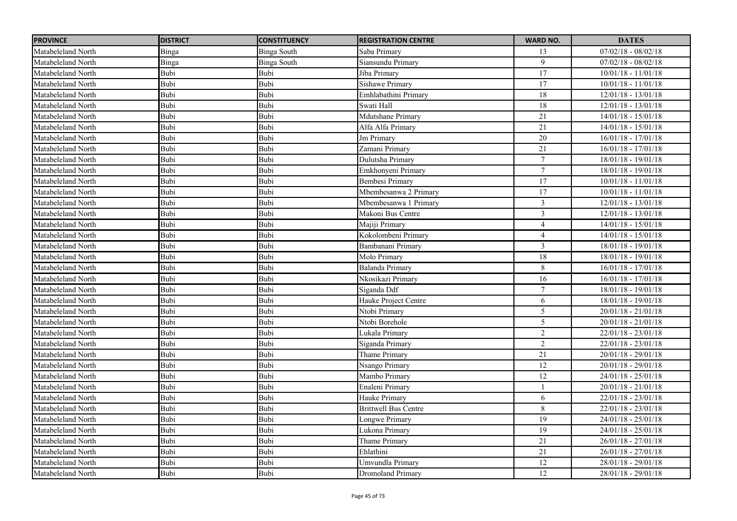| <b>PROVINCE</b>    | <b>DISTRICT</b> | <b>CONSTITUENCY</b> | <b>REGISTRATION CENTRE</b>  | <b>WARD NO.</b> | <b>DATES</b>          |
|--------------------|-----------------|---------------------|-----------------------------|-----------------|-----------------------|
| Matabeleland North | Binga           | Binga South         | Saba Primary                | 13              | $07/02/18 - 08/02/18$ |
| Matabeleland North | Binga           | Binga South         | Siansundu Primary           | 9               | $07/02/18 - 08/02/18$ |
| Matabeleland North | Bubi            | Bubi                | Jiba Primary                | 17              | $10/01/18 - 11/01/18$ |
| Matabeleland North | <b>Bubi</b>     | Bubi                | <b>Sishawe Primary</b>      | 17              | $10/01/18 - 11/01/18$ |
| Matabeleland North | Bubi            | Bubi                | Emhlabathini Primary        | $\overline{18}$ | $12/01/18 - 13/01/18$ |
| Matabeleland North | Bubi            | Bubi                | Swati Hall                  | 18              | $12/01/18 - 13/01/18$ |
| Matabeleland North | Bubi            | Bubi                | Mdutshane Primary           | $\overline{21}$ | $14/01/18 - 15/01/18$ |
| Matabeleland North | Bubi            | Bubi                | Alfa Alfa Primary           | $\overline{21}$ | $14/01/18 - 15/01/18$ |
| Matabeleland North | Bubi            | Bubi                | Jm Primary                  | 20              | $16/01/18 - 17/01/18$ |
| Matabeleland North | Bubi            | Bubi                | Zamani Primary              | 21              | $16/01/18 - 17/01/18$ |
| Matabeleland North | Bubi            | Bubi                | Dulutsha Primary            | 7               | $18/01/18 - 19/01/18$ |
| Matabeleland North | Bubi            | Bubi                | Emkhonyeni Primary          | $\overline{7}$  | $18/01/18 - 19/01/18$ |
| Matabeleland North | Bubi            | Bubi                | Bembesi Primary             | $\overline{17}$ | $10/01/18 - 11/01/18$ |
| Matabeleland North | Bubi            | Bubi                | Mbembesanwa 2 Primary       | 17              | $10/01/18 - 11/01/18$ |
| Matabeleland North | Bubi            | Bubi                | Mbembesanwa 1 Primarv       | $\mathfrak{Z}$  | 12/01/18 - 13/01/18   |
| Matabeleland North | Bubi            | Bubi                | Makoni Bus Centre           | $\overline{3}$  | $12/01/18 - 13/01/18$ |
| Matabeleland North | Bubi            | Bubi                | Majiji Primary              | $\overline{4}$  | $14/01/18 - 15/01/18$ |
| Matabeleland North | Bubi            | Bubi                | Kokolombeni Primary         | $\overline{4}$  | $14/01/18 - 15/01/18$ |
| Matabeleland North | Bubi            | Bubi                | Bambanani Primary           | $\overline{3}$  | 18/01/18 - 19/01/18   |
| Matabeleland North | Bubi            | Bubi                | Molo Primary                | 18              | 18/01/18 - 19/01/18   |
| Matabeleland North | Bubi            | Bubi                | Balanda Primary             | 8               | $16/01/18 - 17/01/18$ |
| Matabeleland North | Bubi            | Bubi                | Nkosikazi Primary           | 16              | $16/01/18 - 17/01/18$ |
| Matabeleland North | Bubi            | Bubi                | Siganda Ddf                 | $\overline{7}$  | $18/01/18 - 19/01/18$ |
| Matabeleland North | Bubi            | Bubi                | Hauke Project Centre        | 6               | $18/01/18 - 19/01/18$ |
| Matabeleland North | Bubi            | Bubi                | Ntobi Primary               | 5               | $20/01/18 - 21/01/18$ |
| Matabeleland North | Bubi            | Bubi                | Ntobi Borehole              | 5               | $20/01/18 - 21/01/18$ |
| Matabeleland North | Bubi            | Bubi                | Lukala Primary              | $\overline{2}$  | $22/01/18 - 23/01/18$ |
| Matabeleland North | Bubi            | Bubi                | Siganda Primary             | $\overline{c}$  | 22/01/18 - 23/01/18   |
| Matabeleland North | Bubi            | Bubi                | Thame Primary               | 21              | $20/01/18 - 29/01/18$ |
| Matabeleland North | Bubi            | Bubi                | Nsango Primary              | 12              | $20/01/18 - 29/01/18$ |
| Matabeleland North | Bubi            | Bubi                | Mambo Primary               | 12              | $24/01/18 - 25/01/18$ |
| Matabeleland North | Bubi            | Bubi                | Enaleni Primary             |                 | 20/01/18 - 21/01/18   |
| Matabeleland North | Bubi            | Bubi                | Hauke Primary               | 6               | 22/01/18 - 23/01/18   |
| Matabeleland North | Bubi            | Bubi                | <b>Brittwell Bus Centre</b> | $\,8\,$         | $22/01/18 - 23/01/18$ |
| Matabeleland North | Bubi            | Bubi                | Longwe Primary              | $\overline{19}$ | $24/01/18 - 25/01/18$ |
| Matabeleland North | Bubi            | Bubi                | Lukona Primary              | 19              | $24/01/18 - 25/01/18$ |
| Matabeleland North | Bubi            | Bubi                | Thame Primary               | 21              | $26/01/18 - 27/01/18$ |
| Matabeleland North | Bubi            | Bubi                | Ehlathini                   | 21              | $26/01/18 - 27/01/18$ |
| Matabeleland North | Bubi            | Bubi                | Umvundla Primary            | 12              | $28/01/18 - 29/01/18$ |
| Matabeleland North | Bubi            | Bubi                | Dromoland Primary           | $\overline{12}$ | 28/01/18 - 29/01/18   |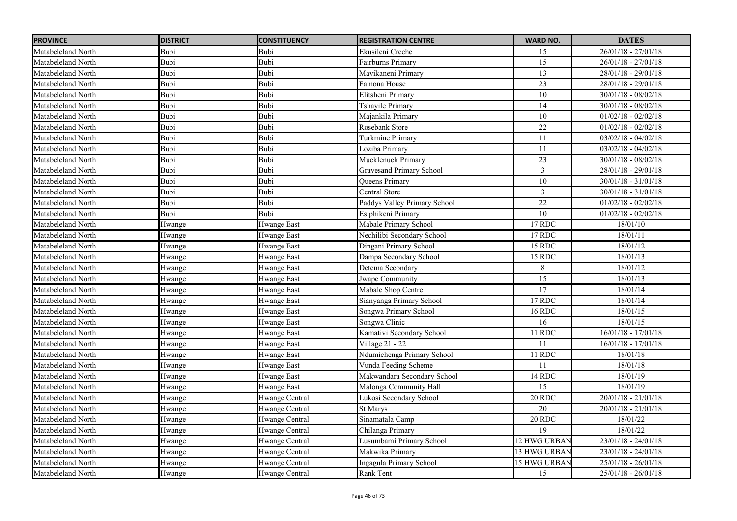| <b>PROVINCE</b>    | <b>DISTRICT</b> | <b>CONSTITUENCY</b> | <b>REGISTRATION CENTRE</b>      | <b>WARD NO.</b> | <b>DATES</b>          |
|--------------------|-----------------|---------------------|---------------------------------|-----------------|-----------------------|
| Matabeleland North | Bubi            | Bubi                | Ekusileni Creche                | 15              | $26/01/18 - 27/01/18$ |
| Matabeleland North | Bubi            | Bubi                | Fairburns Primary               | 15              | $26/01/18 - 27/01/18$ |
| Matabeleland North | Bubi            | Bubi                | Mavikaneni Primary              | $\overline{13}$ | $28/01/18 - 29/01/18$ |
| Matabeleland North | Bubi            | Bubi                | Famona House                    | $\overline{23}$ | 28/01/18 - 29/01/18   |
| Matabeleland North | Bubi            | Bubi                | Elitsheni Primary               | 10              | $30/01/18 - 08/02/18$ |
| Matabeleland North | Bubi            | Bubi                | Tshayile Primary                | 14              | $30/01/18 - 08/02/18$ |
| Matabeleland North | Bubi            | Bubi                | Majankila Primary               | 10              | $01/02/18 - 02/02/18$ |
| Matabeleland North | Bubi            | Bubi                | Rosebank Store                  | 22              | $01/02/18 - 02/02/18$ |
| Matabeleland North | <b>Bubi</b>     | Bubi                | <b>Turkmine Primary</b>         | 11              | $03/02/18 - 04/02/18$ |
| Matabeleland North | Bubi            | Bubi                | Loziba Primary                  | 11              | $03/02/18 - 04/02/18$ |
| Matabeleland North | Bubi            | Bubi                | Mucklenuck Primary              | 23              | $30/01/18 - 08/02/18$ |
| Matabeleland North | Bubi            | Bubi                | <b>Gravesand Primary School</b> | 3               | $28/01/18 - 29/01/18$ |
| Matabeleland North | Bubi            | Bubi                | Queens Primary                  | $\overline{10}$ | $30/01/18 - 31/01/18$ |
| Matabeleland North | Bubi            | Bubi                | <b>Central Store</b>            | $\overline{3}$  | $30/01/18 - 31/01/18$ |
| Matabeleland North | Bubi            | Bubi                | Paddys Valley Primary School    | $\overline{22}$ | $01/02/18 - 02/02/18$ |
| Matabeleland North | Bubi            | Bubi                | Esiphikeni Primary              | 10              | $01/02/18 - 02/02/18$ |
| Matabeleland North | Hwange          | <b>Hwange East</b>  | Mabale Primary School           | 17 RDC          | 18/01/10              |
| Matabeleland North | Hwange          | Hwange East         | Nechilibi Secondary School      | 17 RDC          | 18/01/11              |
| Matabeleland North | Hwange          | <b>Hwange East</b>  | Dingani Primary School          | 15 RDC          | 18/01/12              |
| Matabeleland North | Hwange          | <b>Hwange East</b>  | Dampa Secondary School          | 15 RDC          | 18/01/13              |
| Matabeleland North | Hwange          | <b>Hwange East</b>  | Detema Secondary                | 8               | 18/01/12              |
| Matabeleland North | Hwange          | Hwange East         | Jwape Community                 | 15              | 18/01/13              |
| Matabeleland North | Hwange          | <b>Hwange East</b>  | Mabale Shop Centre              | $\overline{17}$ | 18/01/14              |
| Matabeleland North | Hwange          | Hwange East         | Sianyanga Primary School        | 17 RDC          | 18/01/14              |
| Matabeleland North | Hwange          | <b>Hwange East</b>  | Songwa Primary School           | 16 RDC          | 18/01/15              |
| Matabeleland North | Hwange          | Hwange East         | Songwa Clinic                   | 16              | 18/01/15              |
| Matabeleland North | Hwange          | <b>Hwange East</b>  | Kamativi Secondary School       | 11 RDC          | $16/01/18 - 17/01/18$ |
| Matabeleland North | Hwange          | <b>Hwange East</b>  | Village 21 - 22                 | 11              | $16/01/18 - 17/01/18$ |
| Matabeleland North | Hwange          | <b>Hwange East</b>  | Ndumichenga Primary School      | 11 RDC          | 18/01/18              |
| Matabeleland North | Hwange          | Hwange East         | Vunda Feeding Scheme            | 11              | 18/01/18              |
| Matabeleland North | Hwange          | <b>Hwange East</b>  | Makwandara Secondary School     | 14 RDC          | 18/01/19              |
| Matabeleland North | Hwange          | <b>Hwange East</b>  | Malonga Community Hall          | 15              | 18/01/19              |
| Matabeleland North | Hwange          | Hwange Central      | Lukosi Secondary School         | 20 RDC          | $20/01/18 - 21/01/18$ |
| Matabeleland North | Hwange          | Hwange Central      | <b>St Marys</b>                 | 20              | $20/01/18 - 21/01/18$ |
| Matabeleland North | Hwange          | Hwange Central      | Sinamatala Camp                 | 20 RDC          | 18/01/22              |
| Matabeleland North | Hwange          | Hwange Central      | Chilanga Primary                | 19              | 18/01/22              |
| Matabeleland North | Hwange          | Hwange Central      | Lusumbami Primary School        | 12 HWG URBAN    | $23/01/18 - 24/01/18$ |
| Matabeleland North | Hwange          | Hwange Central      | Makwika Primary                 | 13 HWG URBAN    | $23/01/18 - 24/01/18$ |
| Matabeleland North | Hwange          | Hwange Central      | Ingagula Primary School         | 15 HWG URBAN    | $25/01/18 - 26/01/18$ |
| Matabeleland North | Hwange          | Hwange Central      | Rank Tent                       | 15              | $25/01/18 - 26/01/18$ |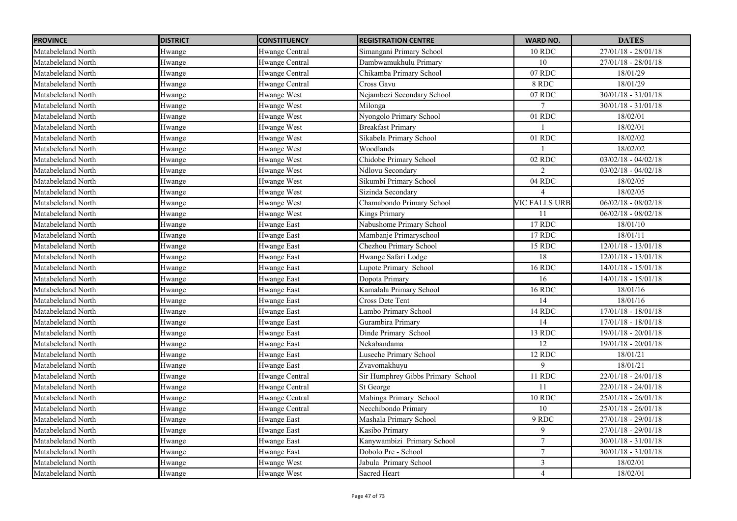| <b>PROVINCE</b>    | <b>DISTRICT</b> | <b>CONSTITUENCY</b> | <b>REGISTRATION CENTRE</b>        | <b>WARD NO.</b> | <b>DATES</b>          |
|--------------------|-----------------|---------------------|-----------------------------------|-----------------|-----------------------|
| Matabeleland North | Hwange          | Hwange Central      | Simangani Primary School          | 10 RDC          | $27/01/18 - 28/01/18$ |
| Matabeleland North | Hwange          | Hwange Central      | Dambwamukhulu Primary             | 10              | $27/01/18 - 28/01/18$ |
| Matabeleland North | Hwange          | Hwange Central      | Chikamba Primary School           | 07 RDC          | 18/01/29              |
| Matabeleland North | Hwange          | Hwange Central      | Cross Gavu                        | 8 RDC           | 18/01/29              |
| Matabeleland North | Hwange          | Hwange West         | Nejambezi Secondary School        | 07 RDC          | $30/01/18 - 31/01/18$ |
| Matabeleland North | Hwange          | Hwange West         | Milonga                           | $\tau$          | $30/01/18 - 31/01/18$ |
| Matabeleland North | Hwange          | Hwange West         | Nyongolo Primary School           | 01 RDC          | 18/02/01              |
| Matabeleland North | Hwange          | Hwange West         | <b>Breakfast Primary</b>          |                 | 18/02/01              |
| Matabeleland North | Hwange          | Hwange West         | Sikabela Primary School           | 01 RDC          | 18/02/02              |
| Matabeleland North | Hwange          | Hwange West         | Woodlands                         |                 | 18/02/02              |
| Matabeleland North | Hwange          | Hwange West         | Chidobe Primary School            | 02 RDC          | $03/02/18 - 04/02/18$ |
| Matabeleland North | Hwange          | Hwange West         | Ndlovu Secondary                  |                 | $03/02/18 - 04/02/18$ |
| Matabeleland North | Hwange          | Hwange West         | Sikumbi Primary School            | 04 RDC          | 18/02/05              |
| Matabeleland North | Hwange          | Hwange West         | Sizinda Secondary                 |                 | 18/02/05              |
| Matabeleland North | Hwange          | Hwange West         | Chamabondo Primary School         | VIC FALLS URB   | $06/02/18 - 08/02/18$ |
| Matabeleland North | Hwange          | Hwange West         | <b>Kings Primary</b>              | 11              | $06/02/18 - 08/02/18$ |
| Matabeleland North | Hwange          | <b>Hwange East</b>  | Nabushome Primary School          | 17 RDC          | 18/01/10              |
| Matabeleland North | Hwange          | <b>Hwange East</b>  | Mambanje Primaryschool            | 17 RDC          | 18/01/11              |
| Matabeleland North | Hwange          | Hwange East         | Chezhou Primary School            | 15 RDC          | $12/01/18 - 13/01/18$ |
| Matabeleland North | Hwange          | <b>Hwange East</b>  | Hwange Safari Lodge               | 18              | $12/01/18 - 13/01/18$ |
| Matabeleland North | Hwange          | Hwange East         | Lupote Primary School             | <b>16 RDC</b>   | $14/01/18 - 15/01/18$ |
| Matabeleland North | Hwange          | <b>Hwange East</b>  | Dopota Primary                    | 16              | $14/01/18 - 15/01/18$ |
| Matabeleland North | Hwange          | <b>Hwange East</b>  | Kamalala Primary School           | <b>16 RDC</b>   | 18/01/16              |
| Matabeleland North | Hwange          | <b>Hwange East</b>  | Cross Dete Tent                   | 14              | 18/01/16              |
| Matabeleland North | Hwange          | Hwange East         | Lambo Primary School              | 14 RDC          | $17/01/18 - 18/01/18$ |
| Matabeleland North | Hwange          | <b>Hwange East</b>  | Gurambira Primary                 | 14              | $17/01/18 - 18/01/18$ |
| Matabeleland North | Hwange          | Hwange East         | Dinde Primary School              | 13 RDC          | $19/01/18 - 20/01/18$ |
| Matabeleland North | Hwange          | <b>Hwange East</b>  | Nekabandama                       | 12              | 19/01/18 - 20/01/18   |
| Matabeleland North | Hwange          | <b>Hwange East</b>  | Luseche Primary School            | 12 RDC          | 18/01/21              |
| Matabeleland North | Hwange          | <b>Hwange East</b>  | Zvavomakhuyu                      | $\mathbf Q$     | 18/01/21              |
| Matabeleland North | Hwange          | Hwange Central      | Sir Humphrey Gibbs Primary School | 11 RDC          | $22/01/18 - 24/01/18$ |
| Matabeleland North | Hwange          | Hwange Central      | St George                         | 11              | $22/01/18 - 24/01/18$ |
| Matabeleland North | Hwange          | Hwange Central      | Mabinga Primary School            | <b>10 RDC</b>   | $25/01/18 - 26/01/18$ |
| Matabeleland North | Hwange          | Hwange Central      | Necchibondo Primary               | 10              | $25/01/18 - 26/01/18$ |
| Matabeleland North | Hwange          | <b>Hwange East</b>  | Mashala Primary School            | 9 RDC           | $27/01/18 - 29/01/18$ |
| Matabeleland North | Hwange          | Hwange East         | Kasibo Primary                    | 9               | $27/01/18 - 29/01/18$ |
| Matabeleland North | Hwange          | Hwange East         | Kanywambizi Primary School        | $\tau$          | $30/01/18 - 31/01/18$ |
| Matabeleland North | Hwange          | <b>Hwange East</b>  | Dobolo Pre - School               | $\overline{7}$  | $30/01/18 - 31/01/18$ |
| Matabeleland North | Hwange          | Hwange West         | Jabula Primary School             | $\mathfrak{Z}$  | 18/02/01              |
| Matabeleland North | Hwange          | Hwange West         | Sacred Heart                      | $\overline{4}$  | 18/02/01              |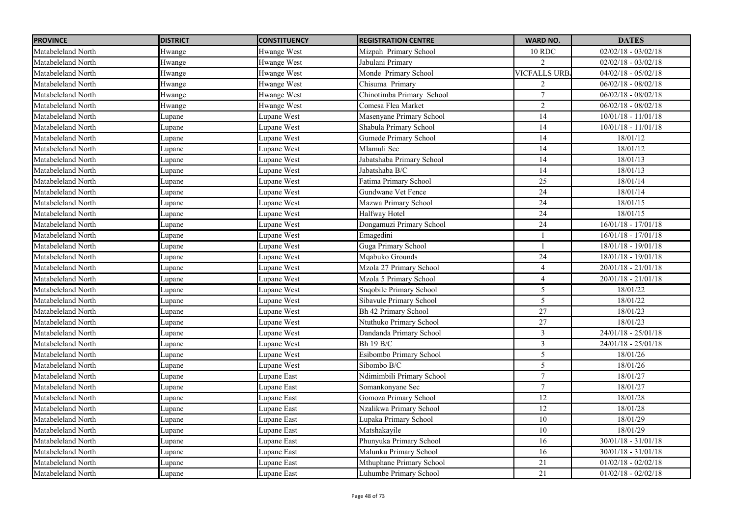| <b>PROVINCE</b>    | <b>DISTRICT</b> | <b>CONSTITUENCY</b> | <b>REGISTRATION CENTRE</b> | <b>WARD NO.</b>     | <b>DATES</b>          |
|--------------------|-----------------|---------------------|----------------------------|---------------------|-----------------------|
| Matabeleland North | Hwange          | Hwange West         | Mizpah Primary School      | <b>10 RDC</b>       | $02/02/18 - 03/02/18$ |
| Matabeleland North | Hwange          | Hwange West         | Jabulani Primary           | $\mathcal{D}$       | $02/02/18 - 03/02/18$ |
| Matabeleland North | Hwange          | Hwange West         | Monde Primary School       | <b>VICFALLS URB</b> | $04/02/18 - 05/02/18$ |
| Matabeleland North | Hwange          | Hwange West         | Chisuma Primary            | $\overline{2}$      | $06/02/18 - 08/02/18$ |
| Matabeleland North | Hwange          | Hwange West         | Chinotimba Primary School  | $\tau$              | $06/02/18 - 08/02/18$ |
| Matabeleland North | Hwange          | Hwange West         | Comesa Flea Market         | $\overline{2}$      | $06/02/18 - 08/02/18$ |
| Matabeleland North | Lupane          | Lupane West         | Masenyane Primary School   | 14                  | $10/01/18 - 11/01/18$ |
| Matabeleland North | Lupane          | Lupane West         | Shabula Primary School     | $\overline{14}$     | $10/01/18 - 11/01/18$ |
| Matabeleland North | Lupane          | Lupane West         | Gumede Primary School      | 14                  | 18/01/12              |
| Matabeleland North | Lupane          | Lupane West         | Mlamuli Sec                | $\overline{14}$     | 18/01/12              |
| Matabeleland North | Lupane          | Lupane West         | Jabatshaba Primary School  | 14                  | 18/01/13              |
| Matabeleland North | Lupane          | Lupane West         | Jabatshaba B/C             | 14                  | 18/01/13              |
| Matabeleland North | Lupane          | Lupane West         | Fatima Primary School      | 25                  | 18/01/14              |
| Matabeleland North | Lupane          | Lupane West         | Gundwane Vet Fence         | 24                  | 18/01/14              |
| Matabeleland North | Lupane          | Lupane West         | Mazwa Primary School       | 24                  | 18/01/15              |
| Matabeleland North | Lupane          | Lupane West         | Halfway Hotel              | 24                  | 18/01/15              |
| Matabeleland North | Lupane          | Lupane West         | Dongamuzi Primary School   | 24                  | $16/01/18 - 17/01/18$ |
| Matabeleland North | Lupane          | Lupane West         | Emagedini                  |                     | $16/01/18 - 17/01/18$ |
| Matabeleland North | Lupane          | Lupane West         | Guga Primary School        |                     | $18/01/18 - 19/01/18$ |
| Matabeleland North | Lupane          | Lupane West         | Mqabuko Grounds            | 24                  | $18/01/18 - 19/01/18$ |
| Matabeleland North | Lupane          | Lupane West         | Mzola 27 Primary School    | $\overline{4}$      | $20/01/18 - 21/01/18$ |
| Matabeleland North | Lupane          | Lupane West         | Mzola 5 Primary School     | $\overline{4}$      | $20/01/18 - 21/01/18$ |
| Matabeleland North | Lupane          | Lupane West         | Snqobile Primary School    | $\overline{5}$      | 18/01/22              |
| Matabeleland North | Lupane          | Lupane West         | Sibavule Primary School    | 5                   | 18/01/22              |
| Matabeleland North | Lupane          | Lupane West         | Bh 42 Primary School       | 27                  | 18/01/23              |
| Matabeleland North | Lupane          | Lupane West         | Ntuthuko Primary School    | $27\,$              | 18/01/23              |
| Matabeleland North | Lupane          | Lupane West         | Dandanda Primary School    | $\mathfrak{Z}$      | $24/01/18 - 25/01/18$ |
| Matabeleland North | Lupane          | Lupane West         | Bh 19 B/C                  | $\mathfrak{Z}$      | 24/01/18 - 25/01/18   |
| Matabeleland North | Lupane          | Lupane West         | Esibombo Primary School    | 5                   | 18/01/26              |
| Matabeleland North | Lupane          | Lupane West         | Sibombo B/C                | 5                   | 18/01/26              |
| Matabeleland North | Lupane          | Lupane East         | Ndimimbili Primary School  | $\overline{7}$      | 18/01/27              |
| Matabeleland North | Lupane          | Lupane East         | Somankonyane Sec           | $\tau$              | 18/01/27              |
| Matabeleland North | Lupane          | Lupane East         | Gomoza Primary School      | 12                  | 18/01/28              |
| Matabeleland North | Lupane          | Lupane East         | Nzalikwa Primary School    | 12                  | 18/01/28              |
| Matabeleland North | Lupane          | Lupane East         | Lupaka Primary School      | 10                  | 18/01/29              |
| Matabeleland North | Lupane          | Lupane East         | Matshakayile               | 10                  | 18/01/29              |
| Matabeleland North | Lupane          | Lupane East         | Phunyuka Primary School    | 16                  | $30/01/18 - 31/01/18$ |
| Matabeleland North | Lupane          | Lupane East         | Malunku Primary School     | 16                  | $30/01/18 - 31/01/18$ |
| Matabeleland North | Lupane          | Lupane East         | Mthuphane Primary School   | $\overline{21}$     | $01/02/18 - 02/02/18$ |
| Matabeleland North | Lupane          | Lupane East         | Luhumbe Primary School     | $\overline{21}$     | $01/02/18 - 02/02/18$ |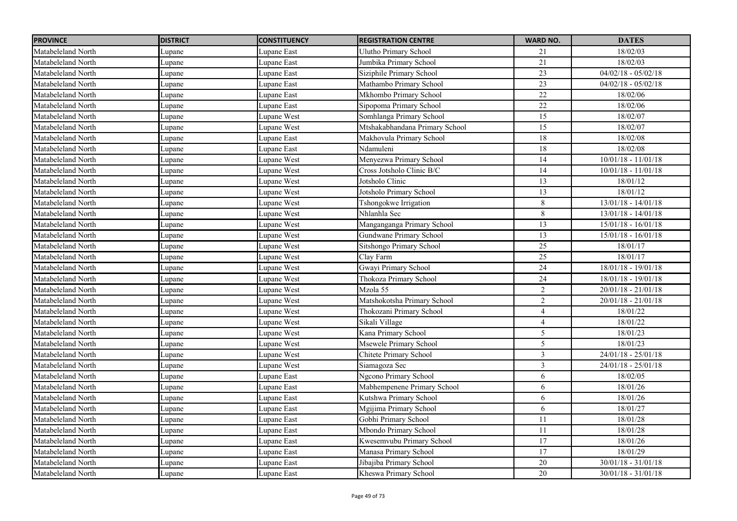| <b>PROVINCE</b>    | <b>DISTRICT</b> | <b>CONSTITUENCY</b> | <b>REGISTRATION CENTRE</b>     | <b>WARD NO.</b> | <b>DATES</b>          |
|--------------------|-----------------|---------------------|--------------------------------|-----------------|-----------------------|
| Matabeleland North | Lupane          | Lupane East         | Ulutho Primary School          | 21              | 18/02/03              |
| Matabeleland North | Lupane          | Lupane East         | Jumbika Primary School         | 21              | 18/02/03              |
| Matabeleland North | Lupane          | Lupane East         | Siziphile Primary School       | $\overline{23}$ | $04/02/18 - 05/02/18$ |
| Matabeleland North | Lupane          | Lupane East         | Mathambo Primary School        | $\overline{23}$ | $04/02/18 - 05/02/18$ |
| Matabeleland North | Lupane          | Lupane East         | Mkhombo Primary School         | $22\,$          | 18/02/06              |
| Matabeleland North | Lupane          | Lupane East         | Sipopoma Primary School        | $\overline{22}$ | 18/02/06              |
| Matabeleland North | Lupane          | Lupane West         | Somhlanga Primary School       | 15              | 18/02/07              |
| Matabeleland North | Lupane          | Lupane West         | Mtshakabhandana Primary School | $\overline{15}$ | 18/02/07              |
| Matabeleland North | Lupane          | Lupane East         | Makhovula Primary School       | 18              | 18/02/08              |
| Matabeleland North | Lupane          | Lupane East         | Ndamuleni                      | $\overline{18}$ | 18/02/08              |
| Matabeleland North | Lupane          | Lupane West         | Menyezwa Primary School        | 14              | $10/01/18 - 11/01/18$ |
| Matabeleland North | Lupane          | Lupane West         | Cross Jotsholo Clinic B/C      | 14              | $10/01/18 - 11/01/18$ |
| Matabeleland North | Lupane          | Lupane West         | Jotsholo Clinic                | 13              | 18/01/12              |
| Matabeleland North | Lupane          | Lupane West         | Jotsholo Primary School        | 13              | 18/01/12              |
| Matabeleland North | Lupane          | Lupane West         | Tshongokwe Irrigation          | 8               | $13/01/18 - 14/01/18$ |
| Matabeleland North | Lupane          | Lupane West         | Nhlanhla Sec                   | 8               | $13/01/18 - 14/01/18$ |
| Matabeleland North | Lupane          | Lupane West         | Manganganga Primary School     | 13              | $15/01/18 - 16/01/18$ |
| Matabeleland North | Lupane          | Lupane West         | Gundwane Primary School        | 13              | $15/01/18 - 16/01/18$ |
| Matabeleland North | Lupane          | Lupane West         | Sitshongo Primary School       | 25              | 18/01/17              |
| Matabeleland North | Lupane          | Lupane West         | Clay Farm                      | 25              | 18/01/17              |
| Matabeleland North | Lupane          | Lupane West         | Gwayi Primary School           | 24              | 18/01/18 - 19/01/18   |
| Matabeleland North | Lupane          | Lupane West         | Thokoza Primary School         | 24              | 18/01/18 - 19/01/18   |
| Matabeleland North | Lupane          | Lupane West         | Mzola 55                       | $\overline{2}$  | $20/01/18 - 21/01/18$ |
| Matabeleland North | Lupane          | Lupane West         | Matshokotsha Primary School    | $\overline{2}$  | $20/01/18 - 21/01/18$ |
| Matabeleland North | Lupane          | Lupane West         | Thokozani Primary School       | $\overline{4}$  | 18/01/22              |
| Matabeleland North | Lupane          | Lupane West         | Sikali Village                 | $\overline{4}$  | 18/01/22              |
| Matabeleland North | Lupane          | Lupane West         | Kana Primary School            | 5               | 18/01/23              |
| Matabeleland North | Lupane          | Lupane West         | Msewele Primary School         | 5               | 18/01/23              |
| Matabeleland North | Lupane          | Lupane West         | Chitete Primary School         | $\overline{3}$  | $24/01/18 - 25/01/18$ |
| Matabeleland North | Lupane          | Lupane West         | Siamagoza Sec                  | $\mathfrak{Z}$  | $24/01/18 - 25/01/18$ |
| Matabeleland North | Lupane          | Lupane East         | Ngcono Primary School          | 6               | 18/02/05              |
| Matabeleland North | Lupane          | Lupane East         | Mabhempenene Primary School    | 6               | 18/01/26              |
| Matabeleland North | Lupane          | Lupane East         | Kutshwa Primary School         | 6               | 18/01/26              |
| Matabeleland North | Lupane          | Lupane East         | Mgijima Primary School         | 6               | 18/01/27              |
| Matabeleland North | Lupane          | Lupane East         | Gobhi Primary School           | 11              | 18/01/28              |
| Matabeleland North | Lupane          | Lupane East         | Mbondo Primary School          | 11              | 18/01/28              |
| Matabeleland North | Lupane          | Lupane East         | Kwesemvubu Primary School      | 17              | 18/01/26              |
| Matabeleland North | Lupane          | Lupane East         | Manasa Primary School          | 17              | 18/01/29              |
| Matabeleland North | Lupane          | Lupane East         | Jibajiba Primary School        | 20              | $30/01/18 - 31/01/18$ |
| Matabeleland North | Lupane          | Lupane East         | Kheswa Primary School          | $\overline{20}$ | $30/01/18 - 31/01/18$ |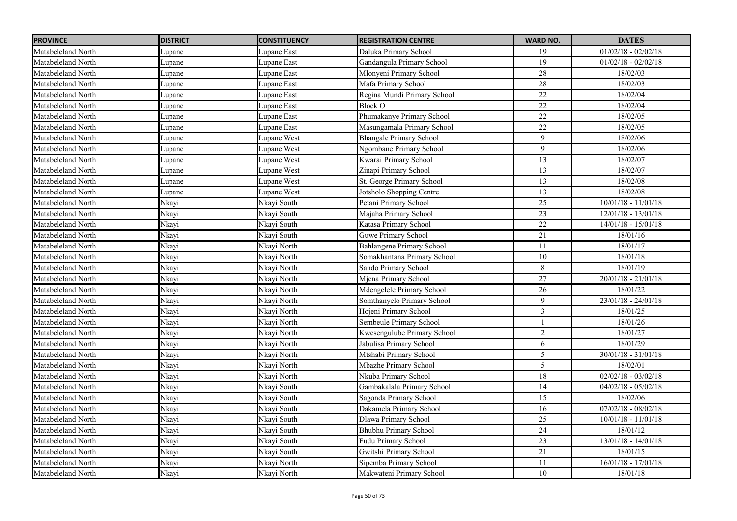| <b>PROVINCE</b>    | <b>DISTRICT</b> | <b>CONSTITUENCY</b> | <b>REGISTRATION CENTRE</b>     | <b>WARD NO.</b> | <b>DATES</b>          |
|--------------------|-----------------|---------------------|--------------------------------|-----------------|-----------------------|
| Matabeleland North | Lupane          | Lupane East         | Daluka Primary School          | 19              | $01/02/18 - 02/02/18$ |
| Matabeleland North | Lupane          | Lupane East         | Gandangula Primary School      | $\overline{19}$ | $01/02/18 - 02/02/18$ |
| Matabeleland North | Lupane          | Lupane East         | Mlonyeni Primary School        | $\overline{28}$ | 18/02/03              |
| Matabeleland North | Lupane          | Lupane East         | Mafa Primary School            | 28              | 18/02/03              |
| Matabeleland North | Lupane          | Lupane East         | Regina Mundi Primary School    | $22\,$          | 18/02/04              |
| Matabeleland North | Lupane          | Lupane East         | Block O                        | 22              | 18/02/04              |
| Matabeleland North | Lupane          | Lupane East         | Phumakanye Primary School      | 22              | 18/02/05              |
| Matabeleland North | Lupane          | Lupane East         | Masungamala Primary School     | $\overline{22}$ | 18/02/05              |
| Matabeleland North | Lupane          | Lupane West         | <b>Bhangale Primary School</b> | 9               | 18/02/06              |
| Matabeleland North | Lupane          | Lupane West         | Ngombane Primary School        | 9               | 18/02/06              |
| Matabeleland North | Lupane          | Lupane West         | Kwarai Primary School          | 13              | 18/02/07              |
| Matabeleland North | Lupane          | Lupane West         | Zinapi Primary School          | 13              | 18/02/07              |
| Matabeleland North | Lupane          | Lupane West         | St. George Primary School      | 13              | 18/02/08              |
| Matabeleland North | Lupane          | Lupane West         | Jotsholo Shopping Centre       | 13              | 18/02/08              |
| Matabeleland North | Nkayi           | Nkayi South         | Petani Primary School          | $\overline{25}$ | $10/01/18 - 11/01/18$ |
| Matabeleland North | Nkayi           | Nkayi South         | Majaha Primary School          | 23              | $12/01/18 - 13/01/18$ |
| Matabeleland North | Nkayi           | Nkayi South         | Katasa Primary School          | 22              | $14/01/18 - 15/01/18$ |
| Matabeleland North | Nkayi           | Nkayi South         | <b>Guwe Primary School</b>     | 21              | 18/01/16              |
| Matabeleland North | Nkayi           | Nkayi North         | Bahlangene Primary School      | 11              | 18/01/17              |
| Matabeleland North | Nkayi           | Nkayi North         | Somakhantana Primary School    | $10\,$          | 18/01/18              |
| Matabeleland North | Nkayi           | Nkayi North         | Sando Primary School           | 8               | 18/01/19              |
| Matabeleland North | Nkayi           | Nkayi North         | Mjena Primary School           | 27              | $20/01/18 - 21/01/18$ |
| Matabeleland North | Nkayi           | Nkayi North         | Mdengelele Primary School      | 26              | 18/01/22              |
| Matabeleland North | Nkayi           | Nkayi North         | Somthanyelo Primary School     | 9               | $23/01/18 - 24/01/18$ |
| Matabeleland North | Nkayi           | Nkayi North         | Hojeni Primary School          | 3               | 18/01/25              |
| Matabeleland North | Nkayi           | Nkayi North         | Sembeule Primary School        |                 | 18/01/26              |
| Matabeleland North | Nkayi           | Nkayi North         | Kwesengulube Primary School    | $\sqrt{2}$      | 18/01/27              |
| Matabeleland North | Nkayi           | Nkayi North         | Jabulisa Primary School        | 6               | 18/01/29              |
| Matabeleland North | Nkayi           | Nkayi North         | Mtshabi Primary School         | 5               | $30/01/18 - 31/01/18$ |
| Matabeleland North | Nkayi           | Nkayi North         | Mbazhe Primary School          | 5               | 18/02/01              |
| Matabeleland North | Nkayi           | Nkayi North         | Nkuba Primary School           | $18\,$          | $02/02/18 - 03/02/18$ |
| Matabeleland North | Nkayi           | Nkayi South         | Gambakalala Primary School     | 14              | $04/02/18 - 05/02/18$ |
| Matabeleland North | Nkayi           | Nkayi South         | Sagonda Primary School         | 15              | 18/02/06              |
| Matabeleland North | Nkayi           | Nkayi South         | Dakamela Primary School        | $\overline{16}$ | $07/02/18 - 08/02/18$ |
| Matabeleland North | Nkayi           | Nkayi South         | Dlawa Primary School           | 25              | $10/01/18 - 11/01/18$ |
| Matabeleland North | Nkayi           | Nkayi South         | <b>Bhubhu Primary School</b>   | 24              | 18/01/12              |
| Matabeleland North | Nkayi           | Nkayi South         | Fudu Primary School            | $23\,$          | $13/01/18 - 14/01/18$ |
| Matabeleland North | Nkayi           | Nkayi South         | Gwitshi Primary School         | 21              | 18/01/15              |
| Matabeleland North | Nkayi           | Nkayi North         | Sipemba Primary School         | 11              | $16/01/18 - 17/01/18$ |
| Matabeleland North | Nkayi           | Nkayi North         | Makwateni Primary School       | 10              | 18/01/18              |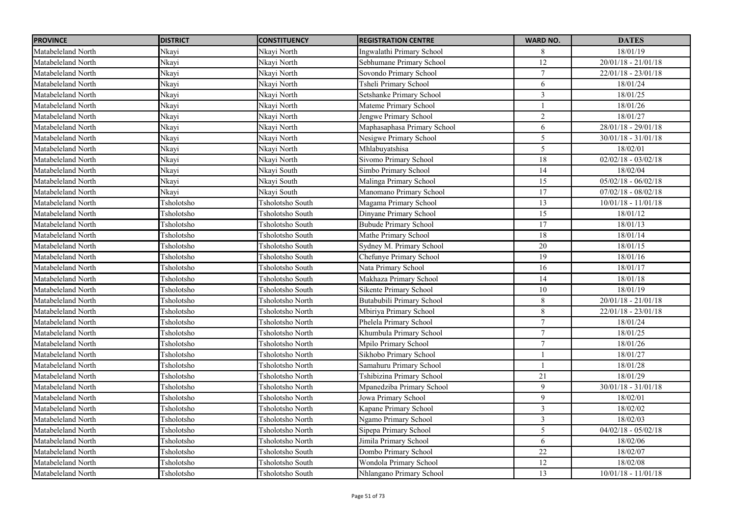| <b>PROVINCE</b>    | <b>DISTRICT</b> | <b>CONSTITUENCY</b>     | <b>REGISTRATION CENTRE</b>   | <b>WARD NO.</b>  | <b>DATES</b>          |
|--------------------|-----------------|-------------------------|------------------------------|------------------|-----------------------|
| Matabeleland North | Nkayi           | Nkayi North             | Ingwalathi Primary School    | 8                | 18/01/19              |
| Matabeleland North | Nkayi           | Nkayi North             | Sebhumane Primary School     | $\overline{12}$  | $20/01/18 - 21/01/18$ |
| Matabeleland North | Nkayi           | Nkayi North             | Sovondo Primary School       | $\overline{7}$   | $22/01/18 - 23/01/18$ |
| Matabeleland North | Nkayi           | Nkayi North             | Tsheli Primary School        | 6                | 18/01/24              |
| Matabeleland North | Nkayi           | Nkayi North             | Setshanke Primary School     | $\overline{3}$   | 18/01/25              |
| Matabeleland North | Nkayi           | Nkayi North             | Mateme Primary School        | $\mathbf{1}$     | 18/01/26              |
| Matabeleland North | Nkayi           | Nkayi North             | Jengwe Primary School        | $\overline{2}$   | 18/01/27              |
| Matabeleland North | Nkayi           | Nkayi North             | Maphasaphasa Primary School  | 6                | $28/01/18 - 29/01/18$ |
| Matabeleland North | Nkayi           | Nkayi North             | Nesigwe Primary School       | 5                | $30/01/18 - 31/01/18$ |
| Matabeleland North | Nkayi           | Nkayi North             | Mhlabuyatshisa               | 5                | 18/02/01              |
| Matabeleland North | Nkayi           | Nkayi North             | Sivomo Primary School        | 18               | $02/02/18 - 03/02/18$ |
| Matabeleland North | Nkayi           | Nkayi South             | Simbo Primary School         | 14               | 18/02/04              |
| Matabeleland North | Nkayi           | Nkayi South             | Malinga Primary School       | $\overline{15}$  | $05/02/18 - 06/02/18$ |
| Matabeleland North | Nkayi           | Nkayi South             | Manomano Primary School      | $\overline{17}$  | $07/02/18 - 08/02/18$ |
| Matabeleland North | Tsholotsho      | Tsholotsho South        | Magama Primary School        | 13               | $10/01/18 - 11/01/18$ |
| Matabeleland North | Tsholotsho      | Tsholotsho South        | Dinyane Primary School       | $\overline{15}$  | 18/01/12              |
| Matabeleland North | Tsholotsho      | Tsholotsho South        | <b>Bubude Primary School</b> | 17               | 18/01/13              |
| Matabeleland North | Tsholotsho      | Tsholotsho South        | Mathe Primary School         | $\overline{18}$  | 18/01/14              |
| Matabeleland North | Tsholotsho      | Tsholotsho South        | Sydney M. Primary School     | 20               | 18/01/15              |
| Matabeleland North | Tsholotsho      | Tsholotsho South        | Chefunye Primary School      | 19               | 18/01/16              |
| Matabeleland North | Tsholotsho      | Tsholotsho South        | Nata Primary School          | 16               | 18/01/17              |
| Matabeleland North | Tsholotsho      | Tsholotsho South        | Makhaza Primary School       | 14               | 18/01/18              |
| Matabeleland North | Tsholotsho      | Tsholotsho South        | Sikente Primary School       | 10               | 18/01/19              |
| Matabeleland North | Tsholotsho      | Tsholotsho North        | Butabubili Primary School    | 8                | $20/01/18 - 21/01/18$ |
| Matabeleland North | Tsholotsho      | Tsholotsho North        | Mbiriya Primary School       | $8\,$            | $22/01/18 - 23/01/18$ |
| Matabeleland North | Tsholotsho      | Tsholotsho North        | Phelela Primary School       | $\boldsymbol{7}$ | 18/01/24              |
| Matabeleland North | Tsholotsho      | Tsholotsho North        | Khumbula Primary School      | $\boldsymbol{7}$ | 18/01/25              |
| Matabeleland North | Tsholotsho      | Tsholotsho North        | Mpilo Primary School         | $\tau$           | 18/01/26              |
| Matabeleland North | Tsholotsho      | Tsholotsho North        | Sikhobo Primary School       |                  | 18/01/27              |
| Matabeleland North | Tsholotsho      | Tsholotsho North        | Samahuru Primary School      | $\mathbf{1}$     | 18/01/28              |
| Matabeleland North | Tsholotsho      | Tsholotsho North        | Tshibizina Primary School    | 21               | 18/01/29              |
| Matabeleland North | Tsholotsho      | Tsholotsho North        | Mpanedziba Primary School    | 9                | $30/01/18 - 31/01/18$ |
| Matabeleland North | Tsholotsho      | Tsholotsho North        | Jowa Primary School          | 9                | 18/02/01              |
| Matabeleland North | Tsholotsho      | Tsholotsho North        | Kapane Primary School        | $\overline{3}$   | 18/02/02              |
| Matabeleland North | Tsholotsho      | Tsholotsho North        | Ngamo Primary School         | $\overline{3}$   | 18/02/03              |
| Matabeleland North | Tsholotsho      | Tsholotsho North        | Sipepa Primary School        | 5                | $04/02/18 - 05/02/18$ |
| Matabeleland North | Tsholotsho      | Tsholotsho North        | Jimila Primary School        | 6                | 18/02/06              |
| Matabeleland North | Tsholotsho      | Tsholotsho South        | Dombo Primary School         | $\overline{22}$  | 18/02/07              |
| Matabeleland North | Tsholotsho      | Tsholotsho South        | Wondola Primary School       | 12               | 18/02/08              |
| Matabeleland North | Tsholotsho      | <b>Tsholotsho South</b> | Nhlangano Primary School     | 13               | $10/01/18 - 11/01/18$ |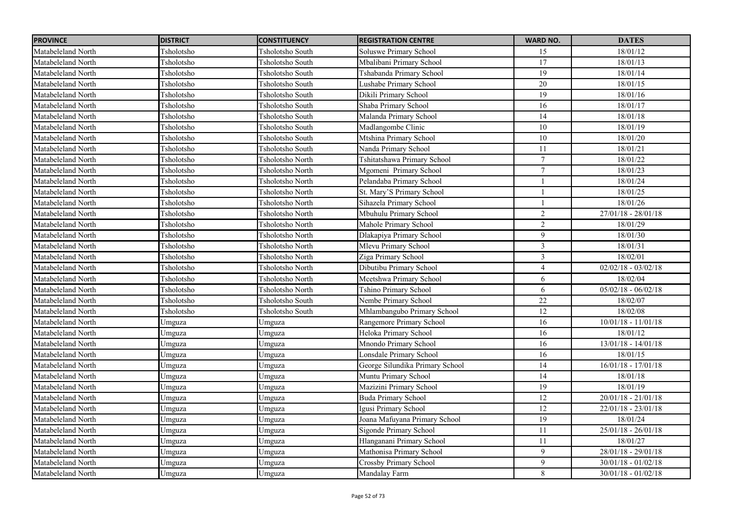| <b>PROVINCE</b>    | <b>DISTRICT</b> | <b>CONSTITUENCY</b> | <b>REGISTRATION CENTRE</b>      | <b>WARD NO.</b> | <b>DATES</b>          |
|--------------------|-----------------|---------------------|---------------------------------|-----------------|-----------------------|
| Matabeleland North | Tsholotsho      | Tsholotsho South    | <b>Soluswe Primary School</b>   | 15              | 18/01/12              |
| Matabeleland North | Tsholotsho      | Tsholotsho South    | Mbalibani Primary School        | 17              | 18/01/13              |
| Matabeleland North | Tsholotsho      | Tsholotsho South    | Tshabanda Primary School        | $\overline{19}$ | 18/01/14              |
| Matabeleland North | Tsholotsho      | Tsholotsho South    | Lushabe Primary School          | 20              | 18/01/15              |
| Matabeleland North | Tsholotsho      | Tsholotsho South    | Dikili Primary School           | 19              | 18/01/16              |
| Matabeleland North | Tsholotsho      | Tsholotsho South    | Shaba Primary School            | 16              | 18/01/17              |
| Matabeleland North | Tsholotsho      | Tsholotsho South    | Malanda Primary School          | 14              | 18/01/18              |
| Matabeleland North | Tsholotsho      | Tsholotsho South    | Madlangombe Clinic              | 10              | 18/01/19              |
| Matabeleland North | Tsholotsho      | Tsholotsho South    | Mtshina Primary School          | 10              | 18/01/20              |
| Matabeleland North | Tsholotsho      | Tsholotsho South    | Nanda Primary School            | $11\,$          | 18/01/21              |
| Matabeleland North | Tsholotsho      | Tsholotsho North    | Tshitatshawa Primary School     | $\tau$          | 18/01/22              |
| Matabeleland North | Tsholotsho      | Tsholotsho North    | Mgomeni Primary School          | 7               | 18/01/23              |
| Matabeleland North | Tsholotsho      | Tsholotsho North    | Pelandaba Primary School        | $\overline{1}$  | 18/01/24              |
| Matabeleland North | Tsholotsho      | Tsholotsho North    | St. Mary'S Primary School       | $\mathbf{1}$    | 18/01/25              |
| Matabeleland North | Tsholotsho      | Tsholotsho North    | Sihazela Primary School         | $\mathbf{1}$    | 18/01/26              |
| Matabeleland North | Tsholotsho      | Tsholotsho North    | Mbuhulu Primary School          | $\overline{c}$  | $27/01/18 - 28/01/18$ |
| Matabeleland North | Tsholotsho      | Tsholotsho North    | Mahole Primary School           | $\overline{2}$  | 18/01/29              |
| Matabeleland North | Tsholotsho      | Tsholotsho North    | Dlakapiya Primary School        | 9               | 18/01/30              |
| Matabeleland North | Tsholotsho      | Tsholotsho North    | Mlevu Primary School            | $\overline{3}$  | 18/01/31              |
| Matabeleland North | Tsholotsho      | Tsholotsho North    | Ziga Primary School             | $\mathfrak{Z}$  | 18/02/01              |
| Matabeleland North | Tsholotsho      | Tsholotsho North    | Dibutibu Primary School         | $\overline{4}$  | $02/02/18 - 03/02/18$ |
| Matabeleland North | Tsholotsho      | Tsholotsho North    | Mcetshwa Primary School         | 6               | 18/02/04              |
| Matabeleland North | Tsholotsho      | Tsholotsho North    | Tshino Primary School           | 6               | $05/02/18 - 06/02/18$ |
| Matabeleland North | Tsholotsho      | Tsholotsho South    | Nembe Primary School            | 22              | 18/02/07              |
| Matabeleland North | Tsholotsho      | Tsholotsho South    | Mhlambangubo Primary School     | 12              | 18/02/08              |
| Matabeleland North | Umguza          | Umguza              | Rangemore Primary School        | 16              | $10/01/18 - 11/01/18$ |
| Matabeleland North | Umguza          | Umguza              | Heloka Primary School           | 16              | 18/01/12              |
| Matabeleland North | Umguza          | Umguza              | Mnondo Primary School           | 16              | $13/01/18 - 14/01/18$ |
| Matabeleland North | Umguza          | Umguza              | Lonsdale Primary School         | 16              | 18/01/15              |
| Matabeleland North | Umguza          | Umguza              | George Silundika Primary School | 14              | $16/01/18 - 17/01/18$ |
| Matabeleland North | Umguza          | Umguza              | Muntu Primary School            | $\overline{14}$ | 18/01/18              |
| Matabeleland North | Umguza          | Umguza              | Mazizini Primary School         | 19              | 18/01/19              |
| Matabeleland North | Umguza          | Umguza              | <b>Buda Primary School</b>      | 12              | $20/01/18 - 21/01/18$ |
| Matabeleland North | Umguza          | Umguza              | Igusi Primary School            | 12              | $22/01/18 - 23/01/18$ |
| Matabeleland North | Umguza          | Umguza              | Joana Mafuyana Primary School   | $\overline{19}$ | 18/01/24              |
| Matabeleland North | Umguza          | Umguza              | Sigonde Primary School          | 11              | $25/01/18 - 26/01/18$ |
| Matabeleland North | Umguza          | Umguza              | Hlanganani Primary School       | 11              | 18/01/27              |
| Matabeleland North | Umguza          | Umguza              | Mathonisa Primary School        | 9               | $28/01/18 - 29/01/18$ |
| Matabeleland North | Umguza          | Umguza              | <b>Crossby Primary School</b>   | $\overline{9}$  | $30/01/18 - 01/02/18$ |
| Matabeleland North | Umguza          | Umguza              | Mandalay Farm                   | 8               | $30/01/18 - 01/02/18$ |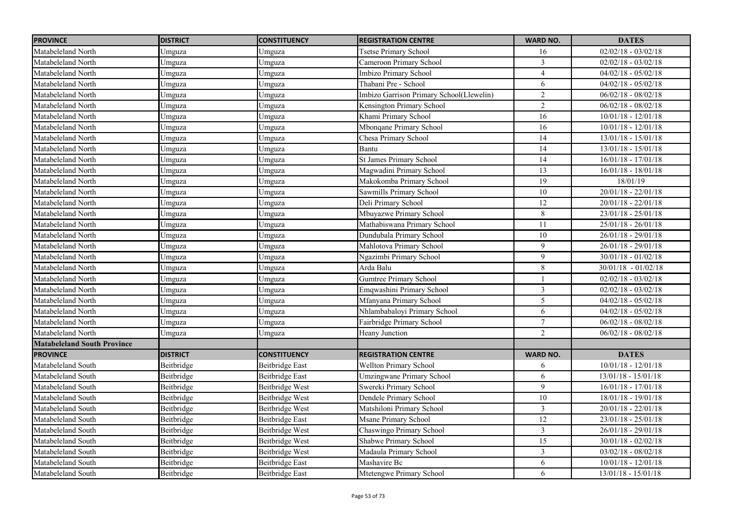| <b>PROVINCE</b>                    | <b>DISTRICT</b> | <b>CONSTITUENCY</b>    | <b>REGISTRATION CENTRE</b>               | <b>WARD NO.</b> | <b>DATES</b>          |
|------------------------------------|-----------------|------------------------|------------------------------------------|-----------------|-----------------------|
| Matabeleland North                 | Umguza          | Umguza                 | <b>Tsetse Primary School</b>             | 16              | $02/02/18 - 03/02/18$ |
| Matabeleland North                 | Umguza          | Umguza                 | Cameroon Primary School                  | $\overline{3}$  | $02/02/18 - 03/02/18$ |
| Matabeleland North                 | Umguza          | Umguza                 | Imbizo Primary School                    | $\overline{4}$  | $04/02/18 - 05/02/18$ |
| Matabeleland North                 | Umguza          | Umguza                 | Thabani Pre - School                     | 6               | $04/02/18 - 05/02/18$ |
| Matabeleland North                 | Umguza          | Umguza                 | Imbizo Garrison Primary School(Llewelin) | $\overline{c}$  | $06/02/18 - 08/02/18$ |
| Matabeleland North                 | Umguza          | Umguza                 | Kensington Primary School                | $\overline{2}$  | $06/02/18 - 08/02/18$ |
| Matabeleland North                 | Umguza          | Umguza                 | Khami Primary School                     | 16              | $10/01/18 - 12/01/18$ |
| Matabeleland North                 | Umguza          | Umguza                 | Mbonqane Primary School                  | $\overline{16}$ | $10/01/18 - 12/01/18$ |
| Matabeleland North                 | Umguza          | Umguza                 | Chesa Primary School                     | $\overline{14}$ | 13/01/18 - 15/01/18   |
| Matabeleland North                 | Umguza          | Umguza                 | Bantu                                    | $\overline{14}$ | 13/01/18 - 15/01/18   |
| Matabeleland North                 | Umguza          | Umguza                 | St James Primary School                  | 14              | $16/01/18 - 17/01/18$ |
| Matabeleland North                 | Umguza          | Umguza                 | Magwadini Primary School                 | 13              | $16/01/18 - 18/01/18$ |
| Matabeleland North                 | Umguza          | Umguza                 | Makokomba Primary School                 | 19              | 18/01/19              |
| Matabeleland North                 | Umguza          | Umguza                 | Sawmills Primary School                  | 10              | $20/01/18 - 22/01/18$ |
| Matabeleland North                 | Umguza          | Umguza                 | Deli Primary School                      | 12              | $20/01/18 - 22/01/18$ |
| Matabeleland North                 | Umguza          | Umguza                 | Mbuyazwe Primary School                  | 8               | $23/01/18 - 25/01/18$ |
| Matabeleland North                 | Umguza          | Umguza                 | Mathabiswana Primary School              | 11              | $25/01/18 - 26/01/18$ |
| Matabeleland North                 | Umguza          | Umguza                 | Dundubala Primary School                 | $\overline{10}$ | $26/01/18 - 29/01/18$ |
| Matabeleland North                 | Umguza          | Umguza                 | Mahlotova Primary School                 | 9               | $26/01/18 - 29/01/18$ |
| Matabeleland North                 | Umguza          | Umguza                 | Ngazimbi Primary School                  | 9               | $30/01/18 - 01/02/18$ |
| Matabeleland North                 | Umguza          | Umguza                 | Arda Balu                                | $8\,$           | $30/01/18 - 01/02/18$ |
| Matabeleland North                 | Umguza          | Umguza                 | Gumtree Primary School                   | $\mathbf{1}$    | $02/02/18 - 03/02/18$ |
| Matabeleland North                 | Umguza          | Umguza                 | Emqwashini Primary School                | $\overline{3}$  | $02/02/18 - 03/02/18$ |
| Matabeleland North                 | Umguza          | Umguza                 | Mfanyana Primary School                  | 5               | $04/02/18 - 05/02/18$ |
| Matabeleland North                 | Umguza          | Umguza                 | Nhlambabaloyi Primary School             | 6               | $04/02/18 - 05/02/18$ |
| Matabeleland North                 | Umguza          | Umguza                 | Fairbridge Primary School                | $\tau$          | $06/02/18 - 08/02/18$ |
| Matabeleland North                 | Umguza          | Umguza                 | Heany Junction                           | $\overline{c}$  | $06/02/18 - 08/02/18$ |
| <b>Matabeleland South Province</b> |                 |                        |                                          |                 |                       |
| <b>PROVINCE</b>                    | <b>DISTRICT</b> | <b>CONSTITUENCY</b>    | <b>REGISTRATION CENTRE</b>               | <b>WARD NO.</b> | <b>DATES</b>          |
| Matabeleland South                 | Beitbridge      | Beitbridge East        | Wellton Primary School                   | 6               | $10/01/18 - 12/01/18$ |
| Matabeleland South                 | Beitbridge      | <b>Beitbridge East</b> | Umzingwane Primary School                | 6               | 13/01/18 - 15/01/18   |
| Matabeleland South                 | Beitbridge      | Beitbridge West        | Swereki Primary School                   | 9               | $16/01/18 - 17/01/18$ |
| Matabeleland South                 | Beitbridge      | Beitbridge West        | Dendele Primary School                   | $10\,$          | $18/01/18 - 19/01/18$ |
| Matabeleland South                 | Beitbridge      | Beitbridge West        | Matshiloni Primary School                | $\mathfrak{Z}$  | $20/01/18 - 22/01/18$ |
| Matabeleland South                 | Beitbridge      | Beitbridge East        | Msane Primary School                     | $\overline{12}$ | $23/01/18 - 25/01/18$ |
| Matabeleland South                 | Beitbridge      | Beitbridge West        | Chaswingo Primary School                 | $\overline{3}$  | $26/01/18 - 29/01/18$ |
| Matabeleland South                 | Beitbridge      | Beitbridge West        | Shabwe Primary School                    | 15              | $30/01/18 - 02/02/18$ |
| Matabeleland South                 | Beitbridge      | Beitbridge West        | Madaula Primary School                   | $\mathfrak{Z}$  | $03/02/18 - 08/02/18$ |
| Matabeleland South                 | Beitbridge      | <b>Beitbridge East</b> | Mashavire Bc                             | 6               | $10/01/18 - 12/01/18$ |
| Matabeleland South                 | Beitbridge      | <b>Beitbridge East</b> | Mtetengwe Primary School                 | 6               | $13/01/18 - 15/01/18$ |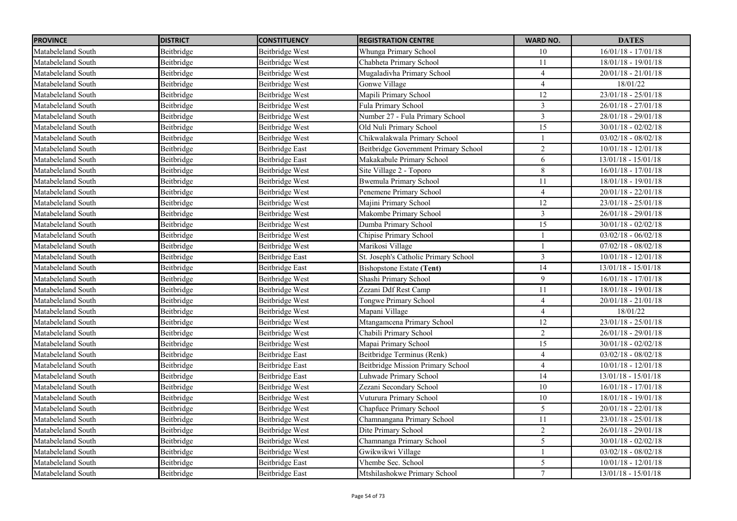| <b>PROVINCE</b>    | <b>DISTRICT</b> | <b>CONSTITUENCY</b>    | <b>REGISTRATION CENTRE</b>           | <b>WARD NO.</b> | <b>DATES</b>          |
|--------------------|-----------------|------------------------|--------------------------------------|-----------------|-----------------------|
| Matabeleland South | Beitbridge      | Beitbridge West        | Whunga Primary School                | 10              | $16/01/18 - 17/01/18$ |
| Matabeleland South | Beitbridge      | Beitbridge West        | Chabheta Primary School              | 11              | $18/01/18 - 19/01/18$ |
| Matabeleland South | Beitbridge      | Beitbridge West        | Mugaladivha Primary School           | $\overline{4}$  | $20/01/18 - 21/01/18$ |
| Matabeleland South | Beitbridge      | Beitbridge West        | Gonwe Village                        | $\overline{4}$  | 18/01/22              |
| Matabeleland South | Beitbridge      | Beitbridge West        | Mapili Primary School                | 12              | $23/01/18 - 25/01/18$ |
| Matabeleland South | Beitbridge      | Beitbridge West        | Fula Primary School                  | $\overline{3}$  | $26/01/18 - 27/01/18$ |
| Matabeleland South | Beitbridge      | Beitbridge West        | Number 27 - Fula Primary School      | $\overline{3}$  | 28/01/18 - 29/01/18   |
| Matabeleland South | Beitbridge      | Beitbridge West        | Old Nuli Primary School              | 15              | $30/01/18 - 02/02/18$ |
| Matabeleland South | Beitbridge      | Beitbridge West        | Chikwalakwala Primary School         |                 | $03/02/18 - 08/02/18$ |
| Matabeleland South | Beitbridge      | <b>Beitbridge East</b> | Beitbridge Government Primary School | $\overline{2}$  | $10/01/18 - 12/01/18$ |
| Matabeleland South | Beitbridge      | Beitbridge East        | Makakabule Primary School            | 6               | $13/01/18 - 15/01/18$ |
| Matabeleland South | Beitbridge      | Beitbridge West        | Site Village 2 - Toporo              | 8               | $16/01/18 - 17/01/18$ |
| Matabeleland South | Beitbridge      | Beitbridge West        | <b>Bwemula Primary School</b>        | 11              | 18/01/18 - 19/01/18   |
| Matabeleland South | Beitbridge      | Beitbridge West        | Penemene Primary School              | $\overline{4}$  | $20/01/18 - 22/01/18$ |
| Matabeleland South | Beitbridge      | Beitbridge West        | Majini Primary School                | 12              | $23/01/18 - 25/01/18$ |
| Matabeleland South | Beitbridge      | Beitbridge West        | Makombe Primary School               | $\overline{3}$  | 26/01/18 - 29/01/18   |
| Matabeleland South | Beitbridge      | Beitbridge West        | Dumba Primary School                 | 15              | 30/01/18 - 02/02/18   |
| Matabeleland South | Beitbridge      | Beitbridge West        | Chipise Primary School               |                 | $03/02/18 - 06/02/18$ |
| Matabeleland South | Beitbridge      | Beitbridge West        | Marikosi Village                     | $\overline{1}$  | $07/02/18 - 08/02/18$ |
| Matabeleland South | Beitbridge      | <b>Beitbridge East</b> | St. Joseph's Catholic Primary School | $\overline{3}$  | $10/01/18 - 12/01/18$ |
| Matabeleland South | Beitbridge      | <b>Beitbridge East</b> | <b>Bishopstone Estate (Tent)</b>     | 14              | $13/01/18 - 15/01/18$ |
| Matabeleland South | Beitbridge      | Beitbridge West        | Shashi Primary School                | 9               | $16/01/18 - 17/01/18$ |
| Matabeleland South | Beitbridge      | Beitbridge West        | Zezani Ddf Rest Camp                 | 11              | 18/01/18 - 19/01/18   |
| Matabeleland South | Beitbridge      | Beitbridge West        | Tongwe Primary School                | $\overline{4}$  | $20/01/18 - 21/01/18$ |
| Matabeleland South | Beitbridge      | Beitbridge West        | Mapani Village                       | $\overline{4}$  | 18/01/22              |
| Matabeleland South | Beitbridge      | Beitbridge West        | Mtangamcena Primary School           | 12              | $23/01/18 - 25/01/18$ |
| Matabeleland South | Beitbridge      | Beitbridge West        | Chabili Primary School               | $\overline{c}$  | $26/01/18 - 29/01/18$ |
| Matabeleland South | Beitbridge      | Beitbridge West        | Mapai Primary School                 | 15              | $30/01/18 - 02/02/18$ |
| Matabeleland South | Beitbridge      | <b>Beitbridge East</b> | Beitbridge Terminus (Renk)           | $\overline{4}$  | $03/02/18 - 08/02/18$ |
| Matabeleland South | Beitbridge      | Beitbridge East        | Beitbridge Mission Primary School    | $\overline{4}$  | $10/01/18 - 12/01/18$ |
| Matabeleland South | Beitbridge      | Beitbridge East        | Luhwade Primary School               | 14              | $13/01/18 - 15/01/18$ |
| Matabeleland South | Beitbridge      | Beitbridge West        | Zezani Secondary School              | 10              | $16/01/18 - 17/01/18$ |
| Matabeleland South | Beitbridge      | Beitbridge West        | Vuturura Primary School              | $10\,$          | 18/01/18 - 19/01/18   |
| Matabeleland South | Beitbridge      | Beitbridge West        | Chapfuce Primary School              | 5               | $20/01/18 - 22/01/18$ |
| Matabeleland South | Beitbridge      | Beitbridge West        | Chamnangana Primary School           | 11              | $23/01/18 - 25/01/18$ |
| Matabeleland South | Beitbridge      | Beitbridge West        | Dite Primary School                  | $\overline{2}$  | $26/01/18 - 29/01/18$ |
| Matabeleland South | Beitbridge      | Beitbridge West        | Chamnanga Primary School             | 5               | $30/01/18 - 02/02/18$ |
| Matabeleland South | Beitbridge      | Beitbridge West        | Gwikwikwi Village                    | $\mathbf{1}$    | $03/02/18 - 08/02/18$ |
| Matabeleland South | Beitbridge      | <b>Beitbridge East</b> | Vhembe Sec. School                   | 5               | $10/01/18 - 12/01/18$ |
| Matabeleland South | Beitbridge      | <b>Beitbridge East</b> | Mtshilashokwe Primary School         | $\tau$          | $13/01/18 - 15/01/18$ |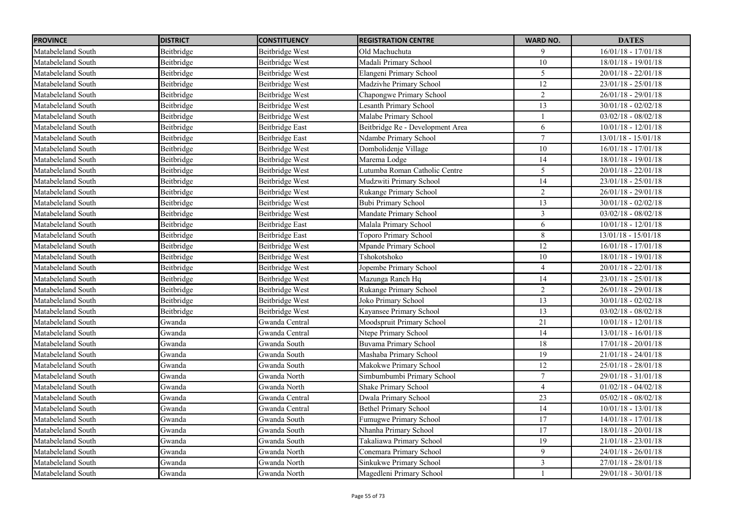| <b>PROVINCE</b>    | <b>DISTRICT</b> | <b>CONSTITUENCY</b>    | <b>REGISTRATION CENTRE</b>       | <b>WARD NO.</b> | <b>DATES</b>          |
|--------------------|-----------------|------------------------|----------------------------------|-----------------|-----------------------|
| Matabeleland South | Beitbridge      | Beitbridge West        | Old Machuchuta                   | 9               | $16/01/18 - 17/01/18$ |
| Matabeleland South | Beitbridge      | Beitbridge West        | Madali Primary School            | 10              | $18/01/18 - 19/01/18$ |
| Matabeleland South | Beitbridge      | Beitbridge West        | Elangeni Primary School          | 5               | $20/01/18 - 22/01/18$ |
| Matabeleland South | Beitbridge      | Beitbridge West        | Madzivhe Primary School          | 12              | $23/01/18 - 25/01/18$ |
| Matabeleland South | Beitbridge      | Beitbridge West        | Chapongwe Primary School         | 2               | $26/01/18 - 29/01/18$ |
| Matabeleland South | Beitbridge      | Beitbridge West        | Lesanth Primary School           | $\overline{13}$ | $30/01/18 - 02/02/18$ |
| Matabeleland South | Beitbridge      | Beitbridge West        | Malabe Primary School            |                 | $03/02/18 - 08/02/18$ |
| Matabeleland South | Beitbridge      | Beitbridge East        | Beitbridge Re - Development Area | 6               | $10/01/18 - 12/01/18$ |
| Matabeleland South | Beitbridge      | Beitbridge East        | Ndambe Primary School            | $\tau$          | $13/01/18 - 15/01/18$ |
| Matabeleland South | Beitbridge      | Beitbridge West        | Dombolidenje Village             | 10              | $16/01/18 - 17/01/18$ |
| Matabeleland South | Beitbridge      | Beitbridge West        | Marema Lodge                     | 14              | $18/01/18 - 19/01/18$ |
| Matabeleland South | Beitbridge      | Beitbridge West        | Lutumba Roman Catholic Centre    | 5               | $20/01/18 - 22/01/18$ |
| Matabeleland South | Beitbridge      | Beitbridge West        | Mudzwiti Primary School          | 14              | $23/01/18 - 25/01/18$ |
| Matabeleland South | Beitbridge      | Beitbridge West        | Rukange Primary School           | $\overline{2}$  | $26/01/18 - 29/01/18$ |
| Matabeleland South | Beitbridge      | Beitbridge West        | <b>Bubi Primary School</b>       | 13              | $30/01/18 - 02/02/18$ |
| Matabeleland South | Beitbridge      | Beitbridge West        | Mandate Primary School           | $\mathfrak{Z}$  | $03/02/18 - 08/02/18$ |
| Matabeleland South | Beitbridge      | Beitbridge East        | Malala Primary School            | 6               | $10/01/18 - 12/01/18$ |
| Matabeleland South | Beitbridge      | <b>Beitbridge East</b> | <b>Toporo Primary School</b>     | $\,8\,$         | $13/01/18 - 15/01/18$ |
| Matabeleland South | Beitbridge      | Beitbridge West        | Mpande Primary School            | 12              | $16/01/18 - 17/01/18$ |
| Matabeleland South | Beitbridge      | Beitbridge West        | Tshokotshoko                     | 10              | $18/01/18 - 19/01/18$ |
| Matabeleland South | Beitbridge      | Beitbridge West        | Jopembe Primary School           | $\overline{4}$  | $20/01/18 - 22/01/18$ |
| Matabeleland South | Beitbridge      | Beitbridge West        | Mazunga Ranch Hq                 | 14              | $23/01/18 - 25/01/18$ |
| Matabeleland South | Beitbridge      | Beitbridge West        | Rukange Primary School           | $\overline{2}$  | $26/01/18 - 29/01/18$ |
| Matabeleland South | Beitbridge      | Beitbridge West        | Joko Primary School              | 13              | $30/01/18 - 02/02/18$ |
| Matabeleland South | Beitbridge      | Beitbridge West        | Kayansee Primary School          | 13              | $03/02/18 - 08/02/18$ |
| Matabeleland South | Gwanda          | Gwanda Central         | Moodspruit Primary School        | 21              | $10/01/18 - 12/01/18$ |
| Matabeleland South | Gwanda          | Gwanda Central         | Ntepe Primary School             | 14              | $13/01/18 - 16/01/18$ |
| Matabeleland South | Gwanda          | Gwanda South           | <b>Buvama Primary School</b>     | 18              | 17/01/18 - 20/01/18   |
| Matabeleland South | Gwanda          | Gwanda South           | Mashaba Primary School           | 19              | $21/01/18 - 24/01/18$ |
| Matabeleland South | Gwanda          | Gwanda South           | Makokwe Primary School           | 12              | $25/01/18 - 28/01/18$ |
| Matabeleland South | Gwanda          | Gwanda North           | Simbumbumbi Primary School       | $\tau$          | 29/01/18 - 31/01/18   |
| Matabeleland South | Gwanda          | Gwanda North           | Shake Primary School             | $\overline{4}$  | $01/02/18 - 04/02/18$ |
| Matabeleland South | Gwanda          | Gwanda Central         | Dwala Primary School             | 23              | $05/02/18 - 08/02/18$ |
| Matabeleland South | Gwanda          | Gwanda Central         | <b>Bethel Primary School</b>     | 14              | $10/01/18 - 13/01/18$ |
| Matabeleland South | Gwanda          | Gwanda South           | Fumugwe Primary School           | 17              | $14/01/18 - 17/01/18$ |
| Matabeleland South | Gwanda          | Gwanda South           | Nhanha Primary School            | 17              | $18/01/18 - 20/01/18$ |
| Matabeleland South | Gwanda          | Gwanda South           | Takaliawa Primary School         | 19              | $21/01/18 - 23/01/18$ |
| Matabeleland South | Gwanda          | Gwanda North           | Conemara Primary School          | 9               | $24/01/18 - 26/01/18$ |
| Matabeleland South | Gwanda          | Gwanda North           | Sinkukwe Primary School          | 3               | 27/01/18 - 28/01/18   |
| Matabeleland South | Gwanda          | Gwanda North           | Magedleni Primary School         | $\overline{1}$  | 29/01/18 - 30/01/18   |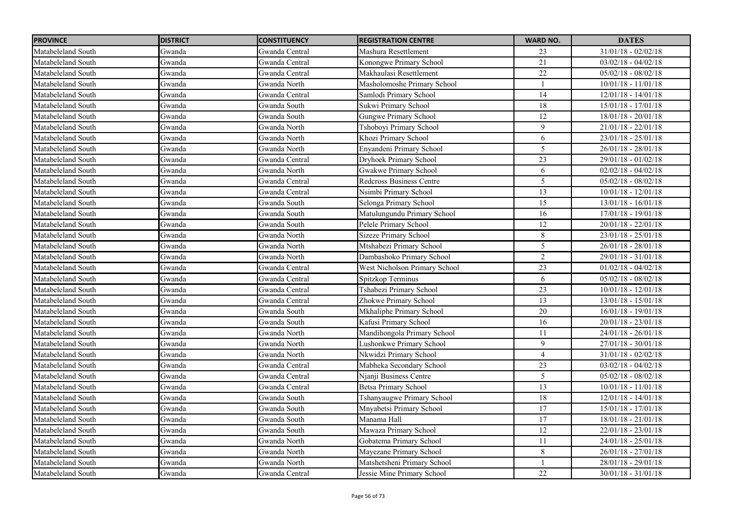| <b>PROVINCE</b>    | <b>DISTRICT</b> | <b>CONSTITUENCY</b> | <b>REGISTRATION CENTRE</b>    | <b>WARD NO.</b> | <b>DATES</b>              |
|--------------------|-----------------|---------------------|-------------------------------|-----------------|---------------------------|
| Matabeleland South | Gwanda          | Gwanda Central      | Mashura Resettlement          | 23              | $31/01/18 - 02/02/18$     |
| Matabeleland South | Gwanda          | Gwanda Central      | Konongwe Primary School       | 21              | $03/02/18 - 04/02/18$     |
| Matabeleland South | Gwanda          | Gwanda Central      | Makhaulasi Resettlement       | $\overline{22}$ | $05/02/18 - 08/02/18$     |
| Matabeleland South | Gwanda          | Gwanda North        | Masholomoshe Primary School   |                 | $10/01/18 - 11/01/18$     |
| Matabeleland South | Gwanda          | Gwanda Central      | Samlodi Primary School        | 14              | $12/01/18 - 14/01/18$     |
| Matabeleland South | Gwanda          | Gwanda South        | Sukwi Primary School          | 18              | $15/01/18 - 17/01/18$     |
| Matabeleland South | Gwanda          | Gwanda South        | Gungwe Primary School         | 12              | $18/01/18 - 20/01/18$     |
| Matabeleland South | Gwanda          | Gwanda North        | Tshoboyi Primary School       | 9               | $21/01/18 - 22/01/18$     |
| Matabeleland South | Gwanda          | Gwanda North        | Khozi Primary School          | 6               | $23/01/18 - 25/01/18$     |
| Matabeleland South | Gwanda          | Gwanda North        | Enyandeni Primary School      | 5               | $26/01/18 - 28/01/18$     |
| Matabeleland South | Gwanda          | Gwanda Central      | Dryhoek Primary School        | 23              | 29/01/18 - 01/02/18       |
| Matabeleland South | Gwanda          | Gwanda North        | Gwakwe Primary School         | 6               | $02/02/18 - 04/02/18$     |
| Matabeleland South | Gwanda          | Gwanda Central      | Redcross Business Centre      | 5               | $05/02/18 - 08/02/18$     |
| Matabeleland South | Gwanda          | Gwanda Central      | Nsimbi Primary School         | 13              | $10/01/18 - 12/01/18$     |
| Matabeleland South | Gwanda          | Gwanda South        | Selonga Primary School        | $\overline{15}$ | $13/01/18 - 16/01/18$     |
| Matabeleland South | Gwanda          | Gwanda South        | Matulungundu Primary School   | 16              | $17/01/18 - 19/01/18$     |
| Matabeleland South | Gwanda          | Gwanda South        | Pelele Primary School         | 12              | $20/01/18 - 22/01/18$     |
| Matabeleland South | Gwanda          | Gwanda North        | <b>Sizeze Primary School</b>  | $\,8\,$         | $23/01/18 - 25/01/18$     |
| Matabeleland South | Gwanda          | Gwanda North        | Mtshabezi Primary School      | 5               | $26/01/18 - 28/01/18$     |
| Matabeleland South | Gwanda          | Gwanda North        | Dambashoko Primary School     | $\overline{2}$  | 29/01/18 - 31/01/18       |
| Matabeleland South | Gwanda          | Gwanda Central      | West Nicholson Primary School | 23              | $01/02/18 - 04/02/18$     |
| Matabeleland South | Gwanda          | Gwanda Central      | Spitzkop Terminus             | $\sqrt{6}$      | $05/02/18 - 08/02/18$     |
| Matabeleland South | Gwanda          | Gwanda Central      | Tshabezi Primary School       | 23              | $10/01/18 - 12/01/18$     |
| Matabeleland South | Gwanda          | Gwanda Central      | Zhokwe Primary School         | 13              | $13/01/18 - 15/01/18$     |
| Matabeleland South | Gwanda          | Gwanda South        | Mkhaliphe Primary School      | 20              | $16/01/18 - 19/01/18$     |
| Matabeleland South | Gwanda          | Gwanda South        | Kafusi Primary School         | 16              | $20/01/18 - 23/01/18$     |
| Matabeleland South | Gwanda          | Gwanda North        | Mandihongola Primary School   | 11              | 24/01/18 - 26/01/18       |
| Matabeleland South | Gwanda          | Gwanda North        | Lushonkwe Primary School      | 9               | 27/01/18 - 30/01/18       |
| Matabeleland South | Gwanda          | Gwanda North        | Nkwidzi Primary School        | $\overline{4}$  | $31/01/18 - 02/02/18$     |
| Matabeleland South | Gwanda          | Gwanda Central      | Mabheka Secondary School      | 23              | $03/02/18 - 04/02/18$     |
| Matabeleland South | Gwanda          | Gwanda Central      | Njanji Business Centre        | $\mathfrak{H}$  | $05/02/18 - 08/02/18$     |
| Matabeleland South | Gwanda          | Gwanda Central      | Betsa Primary School          | 13              | $10/01/18 - 11/01/18$     |
| Matabeleland South | Gwanda          | Gwanda South        | Tshanyaugwe Primary School    | $18\,$          | $12/01/18$ - $14/01/18\,$ |
| Matabeleland South | Gwanda          | Gwanda South        | Mnyabetsi Primary School      | 17              | $15/01/18 - 17/01/18$     |
| Matabeleland South | Gwanda          | Gwanda South        | Manama Hall                   | 17              | $18/01/18 - 21/01/18$     |
| Matabeleland South | Gwanda          | Gwanda South        | Mawaza Primary School         | 12              | $22/01/18 - 23/01/18$     |
| Matabeleland South | Gwanda          | Gwanda North        | Gobatema Primary School       | 11              | $24/01/18 - 25/01/18$     |
| Matabeleland South | Gwanda          | Gwanda North        | Mayezane Primary School       | $\,8\,$         | $26/01/18 - 27/01/18$     |
| Matabeleland South | Gwanda          | Gwanda North        | Matshetsheni Primary School   |                 | 28/01/18 - 29/01/18       |
| Matabeleland South | Gwanda          | Gwanda Central      | Jessie Mine Primary School    | 22              | $30/01/18 - 31/01/18$     |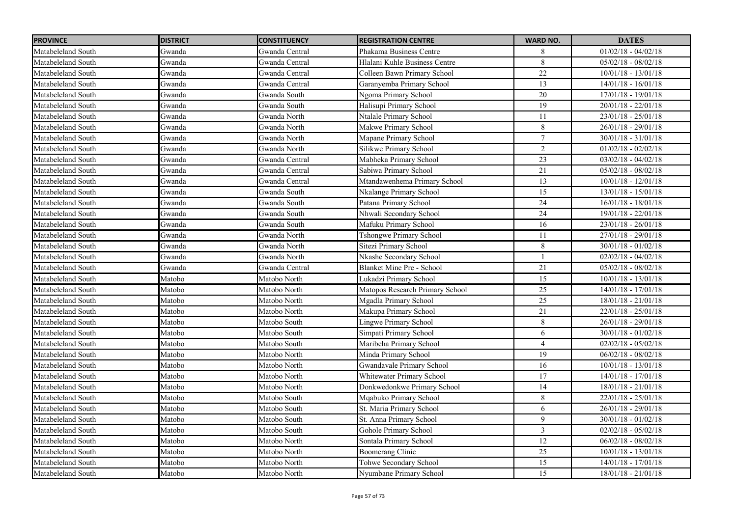| <b>PROVINCE</b>    | <b>DISTRICT</b> | <b>CONSTITUENCY</b> | <b>REGISTRATION CENTRE</b>      | <b>WARD NO.</b> | <b>DATES</b>          |
|--------------------|-----------------|---------------------|---------------------------------|-----------------|-----------------------|
| Matabeleland South | Gwanda          | Gwanda Central      | Phakama Business Centre         | 8               | $01/02/18 - 04/02/18$ |
| Matabeleland South | Gwanda          | Gwanda Central      | Hlalani Kuhle Business Centre   | $\overline{8}$  | $05/02/18 - 08/02/18$ |
| Matabeleland South | Gwanda          | Gwanda Central      | Colleen Bawn Primary School     | $\overline{22}$ | $10/01/18 - 13/01/18$ |
| Matabeleland South | Gwanda          | Gwanda Central      | Garanyemba Primary School       | 13              | $14/01/18 - 16/01/18$ |
| Matabeleland South | Gwanda          | Gwanda South        | Ngoma Primary School            | 20              | 17/01/18 - 19/01/18   |
| Matabeleland South | Gwanda          | Gwanda South        | Halisupi Primary School         | 19              | $20/01/18 - 22/01/18$ |
| Matabeleland South | Gwanda          | Gwanda North        | Ntalale Primary School          | 11              | $23/01/18 - 25/01/18$ |
| Matabeleland South | Gwanda          | Gwanda North        | Makwe Primary School            | 8               | 26/01/18 - 29/01/18   |
| Matabeleland South | Gwanda          | Gwanda North        | Mapane Primary School           | 7               | $30/01/18 - 31/01/18$ |
| Matabeleland South | Gwanda          | Gwanda North        | Silikwe Primary School          | $\sqrt{2}$      | $01/02/18 - 02/02/18$ |
| Matabeleland South | Gwanda          | Gwanda Central      | Mabheka Primary School          | $\overline{23}$ | $03/02/18 - 04/02/18$ |
| Matabeleland South | Gwanda          | Gwanda Central      | Sabiwa Primary School           | 21              | $05/02/18 - 08/02/18$ |
| Matabeleland South | Gwanda          | Gwanda Central      | Mtandawenhema Primary School    | 13              | $10/01/18 - 12/01/18$ |
| Matabeleland South | Gwanda          | Gwanda South        | Nkalange Primary School         | 15              | $13/01/18 - 15/01/18$ |
| Matabeleland South | Gwanda          | Gwanda South        | Patana Primary School           | 24              | $16/01/18 - 18/01/18$ |
| Matabeleland South | Gwanda          | Gwanda South        | Nhwali Secondary School         | 24              | $19/01/18 - 22/01/18$ |
| Matabeleland South | Gwanda          | Gwanda South        | Mafuku Primary School           | 16              | $23/01/18 - 26/01/18$ |
| Matabeleland South | Gwanda          | Gwanda North        | Tshongwe Primary School         | 11              | 27/01/18 - 29/01/18   |
| Matabeleland South | Gwanda          | Gwanda North        | Sitezi Primary School           | $\,8\,$         | $30/01/18 - 01/02/18$ |
| Matabeleland South | Gwanda          | Gwanda North        | Nkashe Secondary School         |                 | $02/02/18 - 04/02/18$ |
| Matabeleland South | Gwanda          | Gwanda Central      | Blanket Mine Pre - School       | 21              | $05/02/18 - 08/02/18$ |
| Matabeleland South | Matobo          | Matobo North        | Lukadzi Primary School          | 15              | $10/01/18 - 13/01/18$ |
| Matabeleland South | Matobo          | Matobo North        | Matopos Research Primary School | 25              | $14/01/18 - 17/01/18$ |
| Matabeleland South | Matobo          | Matobo North        | Mgadla Primary School           | 25              | $18/01/18 - 21/01/18$ |
| Matabeleland South | Matobo          | Matobo North        | Makupa Primary School           | 21              | $22/01/18 - 25/01/18$ |
| Matabeleland South | Matobo          | Matobo South        | <b>Lingwe Primary School</b>    | 8               | $26/01/18 - 29/01/18$ |
| Matabeleland South | Matobo          | Matobo South        | Simpati Primary School          | 6               | $30/01/18 - 01/02/18$ |
| Matabeleland South | Matobo          | Matobo South        | Maribeha Primary School         | $\overline{4}$  | $02/02/18 - 05/02/18$ |
| Matabeleland South | Matobo          | Matobo North        | Minda Primary School            | 19              | $06/02/18 - 08/02/18$ |
| Matabeleland South | Matobo          | Matobo North        | Gwandavale Primary School       | 16              | $10/01/18 - 13/01/18$ |
| Matabeleland South | Matobo          | Matobo North        | Whitewater Primary School       | 17              | $14/01/18 - 17/01/18$ |
| Matabeleland South | Matobo          | Matobo North        | Donkwedonkwe Primary School     | 14              | $18/01/18 - 21/01/18$ |
| Matabeleland South | Matobo          | Matobo South        | Mqabuko Primary School          | 8               | $22/01/18 - 25/01/18$ |
| Matabeleland South | Matobo          | Matobo South        | St. Maria Primary School        | 6               | $26/01/18 - 29/01/18$ |
| Matabeleland South | Matobo          | Matobo South        | St. Anna Primary School         | 9               | $30/01/18 - 01/02/18$ |
| Matabeleland South | Matobo          | Matobo South        | Gohole Primary School           | 3               | $02/02/18 - 05/02/18$ |
| Matabeleland South | Matobo          | Matobo North        | Sontala Primary School          | 12              | $06/02/18 - 08/02/18$ |
| Matabeleland South | Matobo          | Matobo North        | Boomerang Clinic                | 25              | $10/01/18 - 13/01/18$ |
| Matabeleland South | Matobo          | Matobo North        | Tohwe Secondary School          | $\overline{15}$ | $14/01/18 - 17/01/18$ |
| Matabeleland South | Matobo          | Matobo North        | Nyumbane Primary School         | $\overline{15}$ | $18/01/18 - 21/01/18$ |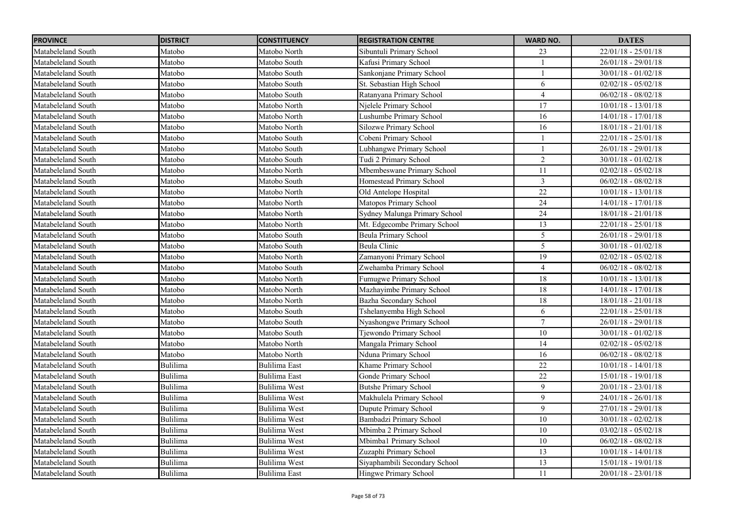| <b>PROVINCE</b>    | <b>DISTRICT</b> | <b>CONSTITUENCY</b>  | <b>REGISTRATION CENTRE</b>    | <b>WARD NO.</b> | <b>DATES</b>          |
|--------------------|-----------------|----------------------|-------------------------------|-----------------|-----------------------|
| Matabeleland South | Matobo          | Matobo North         | Sibuntuli Primary School      | 23              | $22/01/18 - 25/01/18$ |
| Matabeleland South | Matobo          | Matobo South         | Kafusi Primary School         |                 | $26/01/18 - 29/01/18$ |
| Matabeleland South | Matobo          | Matobo South         | Sankonjane Primary School     |                 | $30/01/18 - 01/02/18$ |
| Matabeleland South | Matobo          | Matobo South         | St. Sebastian High School     | 6               | $02/02/18 - 05/02/18$ |
| Matabeleland South | Matobo          | Matobo South         | Ratanyana Primary School      | $\overline{4}$  | $06/02/18 - 08/02/18$ |
| Matabeleland South | Matobo          | Matobo North         | Njelele Primary School        | $\overline{17}$ | $10/01/18 - 13/01/18$ |
| Matabeleland South | Matobo          | Matobo North         | Lushumbe Primary School       | 16              | $14/01/18 - 17/01/18$ |
| Matabeleland South | Matobo          | Matobo North         | Silozwe Primary School        | 16              | $18/01/18 - 21/01/18$ |
| Matabeleland South | Matobo          | Matobo South         | Cobeni Primary School         |                 | $22/01/18 - 25/01/18$ |
| Matabeleland South | Matobo          | Matobo South         | Lubhangwe Primary School      |                 | $26/01/18 - 29/01/18$ |
| Matabeleland South | Matobo          | Matobo South         | Tudi 2 Primary School         | $\overline{c}$  | $30/01/18 - 01/02/18$ |
| Matabeleland South | Matobo          | Matobo North         | Mbembeswane Primary School    | 11              | $02/02/18 - 05/02/18$ |
| Matabeleland South | Matobo          | Matobo South         | Homestead Primary School      | $\overline{3}$  | $06/02/18 - 08/02/18$ |
| Matabeleland South | Matobo          | Matobo North         | Old Antelope Hospital         | 22              | $10/01/18 - 13/01/18$ |
| Matabeleland South | Matobo          | Matobo North         | Matopos Primary School        | $\overline{24}$ | $14/01/18 - 17/01/18$ |
| Matabeleland South | Matobo          | Matobo North         | Sydney Malunga Primary School | 24              | 18/01/18 - 21/01/18   |
| Matabeleland South | Matobo          | Matobo North         | Mt. Edgecombe Primary School  | 13              | $22/01/18 - 25/01/18$ |
| Matabeleland South | Matobo          | Matobo South         | <b>Beula Primary School</b>   | $\overline{5}$  | $26/01/18 - 29/01/18$ |
| Matabeleland South | Matobo          | Matobo South         | Beula Clinic                  | 5               | $30/01/18 - 01/02/18$ |
| Matabeleland South | Matobo          | Matobo North         | Zamanyoni Primary School      | 19              | $02/02/18 - 05/02/18$ |
| Matabeleland South | Matobo          | Matobo South         | Zwehamba Primary School       | 4               | $06/02/18 - 08/02/18$ |
| Matabeleland South | Matobo          | Matobo North         | Fumugwe Primary School        | 18              | $10/01/18 - 13/01/18$ |
| Matabeleland South | Matobo          | Matobo North         | Mazhayimbe Primary School     | $18\,$          | 14/01/18 - 17/01/18   |
| Matabeleland South | Matobo          | Matobo North         | Bazha Secondary School        | 18              | $18/01/18 - 21/01/18$ |
| Matabeleland South | Matobo          | Matobo South         | Tshelanyemba High School      | 6               | $22/01/18 - 25/01/18$ |
| Matabeleland South | Matobo          | Matobo South         | Nyashongwe Primary School     | $\overline{7}$  | $26/01/18 - 29/01/18$ |
| Matabeleland South | Matobo          | Matobo South         | Tjewondo Primary School       | $10\,$          | $30/01/18 - 01/02/18$ |
| Matabeleland South | Matobo          | Matobo North         | Mangala Primary School        | 14              | $02/02/18 - 05/02/18$ |
| Matabeleland South | Matobo          | Matobo North         | Nduna Primary School          | 16              | $06/02/18 - 08/02/18$ |
| Matabeleland South | Bulilima        | Bulilima East        | Khame Primary School          | 22              | $10/01/18 - 14/01/18$ |
| Matabeleland South | Bulilima        | <b>Bulilima East</b> | Gonde Primary School          | 22              | 15/01/18 - 19/01/18   |
| Matabeleland South | Bulilima        | <b>Bulilima West</b> | <b>Butshe Primary School</b>  | 9               | $20/01/18 - 23/01/18$ |
| Matabeleland South | Bulilima        | <b>Bulilima West</b> | Makhulela Primary School      | 9               | $24/01/18 - 26/01/18$ |
| Matabeleland South | <b>Bulilima</b> | <b>Bulilima West</b> | Dupute Primary School         | 9               | $27/01/18 - 29/01/18$ |
| Matabeleland South | Bulilima        | <b>Bulilima West</b> | Bambadzi Primary School       | 10              | $30/01/18 - 02/02/18$ |
| Matabeleland South | <b>Bulilima</b> | <b>Bulilima West</b> | Mbimba 2 Primary School       | 10              | $03/02/18 - 05/02/18$ |
| Matabeleland South | <b>Bulilima</b> | <b>Bulilima West</b> | Mbimba1 Primary School        | $10\,$          | $06/02/18 - 08/02/18$ |
| Matabeleland South | Bulilima        | <b>Bulilima West</b> | Zuzaphi Primary School        | 13              | $10/01/18 - 14/01/18$ |
| Matabeleland South | Bulilima        | <b>Bulilima West</b> | Siyaphambili Secondary School | 13              | $15/01/18 - 19/01/18$ |
| Matabeleland South | <b>Bulilima</b> | <b>Bulilima East</b> | Hingwe Primary School         | 11              | $20/01/18 - 23/01/18$ |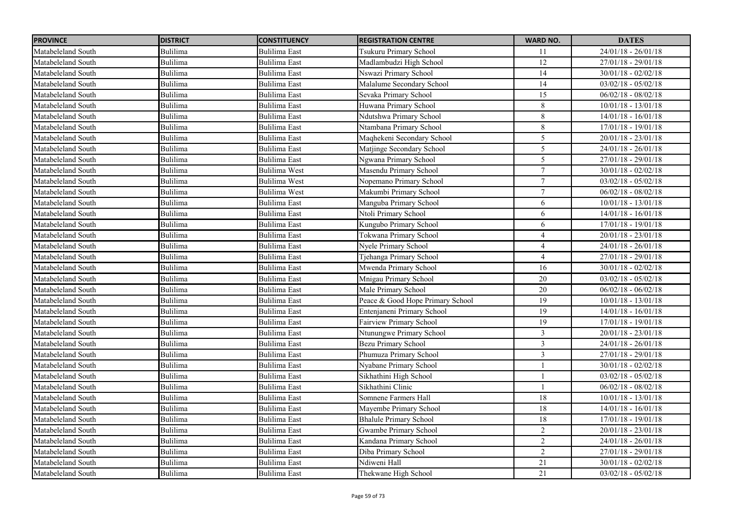| <b>PROVINCE</b>    | <b>DISTRICT</b> | <b>CONSTITUENCY</b>  | <b>REGISTRATION CENTRE</b>       | <b>WARD NO.</b> | <b>DATES</b>            |
|--------------------|-----------------|----------------------|----------------------------------|-----------------|-------------------------|
| Matabeleland South | Bulilima        | Bulilima East        | Tsukuru Primary School           | 11              | $24/01/18 - 26/01/18$   |
| Matabeleland South | Bulilima        | <b>Bulilima East</b> | Madlambudzi High School          | 12              | $27/01/18 - 29/01/18$   |
| Matabeleland South | Bulilima        | <b>Bulilima East</b> | Nswazi Primary School            | $\overline{14}$ | $30/01/18 - 02/02/18$   |
| Matabeleland South | Bulilima        | <b>Bulilima</b> East | Malalume Secondary School        | 14              | $03/02/18 - 05/02/18$   |
| Matabeleland South | Bulilima        | Bulilima East        | Sevaka Primary School            | 15              | $06/02/18 - 08/02/18$   |
| Matabeleland South | Bulilima        | <b>Bulilima East</b> | Huwana Primary School            | 8               | $10/01/18 - 13/01/18$   |
| Matabeleland South | Bulilima        | <b>Bulilima</b> East | Ndutshwa Primary School          | 8               | $14/01/18 - 16/01/18$   |
| Matabeleland South | Bulilima        | <b>Bulilima</b> East | Ntambana Primary School          | 8               | $17/01/18 - 19/01/18$   |
| Matabeleland South | Bulilima        | <b>Bulilima</b> East | Maqhekeni Secondary School       | 5               | $20/01/18 - 23/01/18$   |
| Matabeleland South | Bulilima        | Bulilima East        | Matjinge Secondary School        | 5               | $24/01/18 - 26/01/18$   |
| Matabeleland South | Bulilima        | Bulilima East        | Ngwana Primary School            | 5               | $27/01/18 - 29/01/18$   |
| Matabeleland South | Bulilima        | Bulilima West        | Masendu Primary School           | 7               | $30/01/18 - 02/02/18$   |
| Matabeleland South | Bulilima        | <b>Bulilima West</b> | Nopemano Primary School          | $\tau$          | $03/02/18 - 05/02/18$   |
| Matabeleland South | Bulilima        | <b>Bulilima West</b> | Makumbi Primary School           | $\tau$          | $06/02/18 - 08/02/18$   |
| Matabeleland South | Bulilima        | <b>Bulilima</b> East | Manguba Primary School           | 6               | $10/01/18 - 13/01/18$   |
| Matabeleland South | Bulilima        | Bulilima East        | Ntoli Primary School             | 6               | $14/01/18 - 16/01/18$   |
| Matabeleland South | Bulilima        | <b>Bulilima</b> East | Kungubo Primary School           | 6               | $17/01/18 - 19/01/18$   |
| Matabeleland South | Bulilima        | <b>Bulilima</b> East | Tokwana Primary School           | $\overline{4}$  | $20/01/18 - 23/01/18$   |
| Matabeleland South | Bulilima        | <b>Bulilima East</b> | Nyele Primary School             | $\overline{4}$  | $24/01/18 - 26/01/18$   |
| Matabeleland South | Bulilima        | <b>Bulilima</b> East | Tjehanga Primary School          | $\overline{4}$  | $27/01/18 - 29/01/18$   |
| Matabeleland South | Bulilima        | Bulilima East        | Mwenda Primary School            | 16              | $30/01/18 - 02/02/18$   |
| Matabeleland South | Bulilima        | <b>Bulilima East</b> | Mnigau Primary School            | 20              | $03/02/18 - 05/02/18$   |
| Matabeleland South | Bulilima        | <b>Bulilima East</b> | Male Primary School              | 20              | $06/02/18 - 06/02/18$   |
| Matabeleland South | Bulilima        | <b>Bulilima East</b> | Peace & Good Hope Primary School | 19              | $10/01/18 - 13/01/18$   |
| Matabeleland South | Bulilima        | <b>Bulilima</b> East | Entenjaneni Primary School       | 19              | $14/01/18 - 16/01/18$   |
| Matabeleland South | Bulilima        | <b>Bulilima</b> East | Fairview Primary School          | 19              | $17/01/18 - 19/01/18$   |
| Matabeleland South | Bulilima        | Bulilima East        | Ntunungwe Primary School         | $\mathfrak{Z}$  | $20/01/18 - 23/01/18$   |
| Matabeleland South | Bulilima        | <b>Bulilima East</b> | <b>Bezu Primary School</b>       | $\overline{3}$  | $24/01/18 - 26/01/18$   |
| Matabeleland South | Bulilima        | <b>Bulilima East</b> | Phumuza Primary School           | 3               | $27/01/18 - 29/01/18$   |
| Matabeleland South | Bulilima        | <b>Bulilima East</b> | Nyabane Primary School           |                 | $30/01/18 - 02/02/18$   |
| Matabeleland South | Bulilima        | <b>Bulilima</b> East | Sikhathini High School           |                 | $03/02/18 - 05/02/18$   |
| Matabeleland South | Bulilima        | <b>Bulilima East</b> | Sikhathini Clinic                |                 | $06/02/18 - 08/02/18$   |
| Matabeleland South | Bulilima        | <b>Bulilima East</b> | Somnene Farmers Hall             | $18\,$          | $10/01/18$ - $13/01/18$ |
| Matabeleland South | Bulilima        | <b>Bulilima East</b> | Mayembe Primary School           | 18              | $14/01/18 - 16/01/18$   |
| Matabeleland South | Bulilima        | <b>Bulilima</b> East | <b>Bhalule Primary School</b>    | 18              | $17/01/18 - 19/01/18$   |
| Matabeleland South | Bulilima        | <b>Bulilima</b> East | Gwambe Primary School            | $\overline{2}$  | $20/01/18 - 23/01/18$   |
| Matabeleland South | Bulilima        | <b>Bulilima</b> East | Kandana Primary School           | $\sqrt{2}$      | $24/01/18 - 26/01/18$   |
| Matabeleland South | Bulilima        | <b>Bulilima</b> East | Diba Primary School              | $\overline{2}$  | $27/01/18 - 29/01/18$   |
| Matabeleland South | Bulilima        | <b>Bulilima East</b> | Ndiweni Hall                     | 21              | $30/01/18 - 02/02/18$   |
| Matabeleland South | Bulilima        | <b>Bulilima</b> East | Thekwane High School             | 21              | $03/02/18 - 05/02/18$   |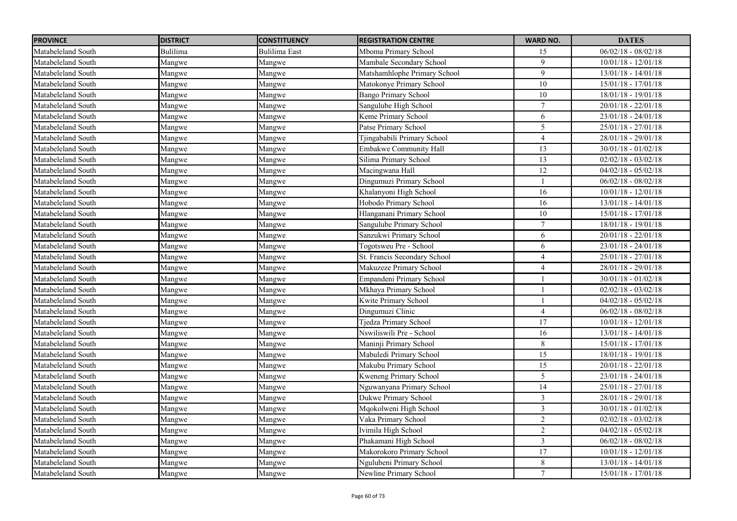| <b>PROVINCE</b>    | <b>DISTRICT</b> | <b>CONSTITUENCY</b> | <b>REGISTRATION CENTRE</b>    | <b>WARD NO.</b> | <b>DATES</b>          |
|--------------------|-----------------|---------------------|-------------------------------|-----------------|-----------------------|
| Matabeleland South | Bulilima        | Bulilima East       | Mboma Primary School          | 15              | $06/02/18 - 08/02/18$ |
| Matabeleland South | Mangwe          | Mangwe              | Mambale Secondary School      | $\mathbf{Q}$    | $10/01/18 - 12/01/18$ |
| Matabeleland South | Mangwe          | Mangwe              | Matshamhlophe Primary School  | 9               | $13/01/18 - 14/01/18$ |
| Matabeleland South | Mangwe          | Mangwe              | Matokonye Primary School      | 10              | $15/01/18 - 17/01/18$ |
| Matabeleland South | Mangwe          | Mangwe              | <b>Bango Primary School</b>   | 10              | $18/01/18 - 19/01/18$ |
| Matabeleland South | Mangwe          | Mangwe              | Sangulube High School         | $\overline{7}$  | $20/01/18 - 22/01/18$ |
| Matabeleland South | Mangwe          | Mangwe              | Keme Primary School           | 6               | $23/01/18 - 24/01/18$ |
| Matabeleland South | Mangwe          | Mangwe              | Patse Primary School          | 5               | $25/01/18 - 27/01/18$ |
| Matabeleland South | Mangwe          | Mangwe              | Tjingababili Primary School   | $\overline{4}$  | $28/01/18 - 29/01/18$ |
| Matabeleland South | Mangwe          | Mangwe              | <b>Embakwe Community Hall</b> | 13              | $30/01/18 - 01/02/18$ |
| Matabeleland South | Mangwe          | Mangwe              | Silima Primary School         | 13              | $02/02/18 - 03/02/18$ |
| Matabeleland South | Mangwe          | Mangwe              | Macingwana Hall               | 12              | $04/02/18 - 05/02/18$ |
| Matabeleland South | Mangwe          | Mangwe              | Dingumuzi Primary School      |                 | $06/02/18 - 08/02/18$ |
| Matabeleland South | Mangwe          | Mangwe              | Khalanyoni High School        | 16              | $10/01/18 - 12/01/18$ |
| Matabeleland South | Mangwe          | Mangwe              | Hobodo Primary School         | 16              | $13/01/18 - 14/01/18$ |
| Matabeleland South | Mangwe          | Mangwe              | Hlanganani Primary School     | $10\,$          | $15/01/18 - 17/01/18$ |
| Matabeleland South | Mangwe          | Mangwe              | Sangulube Primary School      | $\overline{7}$  | $18/01/18 - 19/01/18$ |
| Matabeleland South | Mangwe          | Mangwe              | Sanzukwi Primary School       | 6               | $20/01/18 - 22/01/18$ |
| Matabeleland South | Mangwe          | Mangwe              | Togotsweu Pre - School        | $\sqrt{6}$      | $23/01/18 - 24/01/18$ |
| Matabeleland South | Mangwe          | Mangwe              | St. Francis Secondary School  | $\overline{4}$  | $25/01/18 - 27/01/18$ |
| Matabeleland South | Mangwe          | Mangwe              | Makuzeze Primary School       | $\overline{4}$  | $28/01/18 - 29/01/18$ |
| Matabeleland South | Mangwe          | Mangwe              | Empandeni Primary School      |                 | $30/01/18 - 01/02/18$ |
| Matabeleland South | Mangwe          | Mangwe              | Mkhaya Primary School         |                 | $02/02/18 - 03/02/18$ |
| Matabeleland South | Mangwe          | Mangwe              | Kwite Primary School          |                 | $04/02/18 - 05/02/18$ |
| Matabeleland South | Mangwe          | Mangwe              | Dingumuzi Clinic              | $\overline{4}$  | $06/02/18 - 08/02/18$ |
| Matabeleland South | Mangwe          | Mangwe              | <b>Tjedza Primary School</b>  | 17              | $10/01/18 - 12/01/18$ |
| Matabeleland South | Mangwe          | Mangwe              | Nswiliswili Pre - School      | 16              | 13/01/18 - 14/01/18   |
| Matabeleland South | Mangwe          | Mangwe              | Maninji Primary School        | $\,8\,$         | 15/01/18 - 17/01/18   |
| Matabeleland South | Mangwe          | Mangwe              | Mabuledi Primary School       | 15              | 18/01/18 - 19/01/18   |
| Matabeleland South | Mangwe          | Mangwe              | Makubu Primary School         | 15              | $20/01/18 - 22/01/18$ |
| Matabeleland South | Mangwe          | Mangwe              | Kweneng Primary School        | $\sqrt{5}$      | $23/01/18 - 24/01/18$ |
| Matabeleland South | Mangwe          | Mangwe              | Nguwanyana Primary School     | 14              | 25/01/18 - 27/01/18   |
| Matabeleland South | Mangwe          | Mangwe              | Dukwe Primary School          | $\mathfrak{Z}$  | $28/01/18 - 29/01/18$ |
| Matabeleland South | Mangwe          | Mangwe              | Mqokolweni High School        | $\overline{3}$  | $30/01/18 - 01/02/18$ |
| Matabeleland South | Mangwe          | Mangwe              | Vaka Primary School           | $\overline{2}$  | $02/02/18 - 03/02/18$ |
| Matabeleland South | Mangwe          | Mangwe              | Ivimila High School           | $\overline{2}$  | $04/02/18 - 05/02/18$ |
| Matabeleland South | Mangwe          | Mangwe              | Phakamani High School         | $\mathfrak{Z}$  | $06/02/18 - 08/02/18$ |
| Matabeleland South | Mangwe          | Mangwe              | Makorokoro Primary School     | 17              | $10/01/18 - 12/01/18$ |
| Matabeleland South | Mangwe          | Mangwe              | Ngulubeni Primary School      | 8               | $13/01/18 - 14/01/18$ |
| Matabeleland South | Mangwe          | Mangwe              | Newline Primary School        | $7\phantom{.0}$ | $15/01/18 - 17/01/18$ |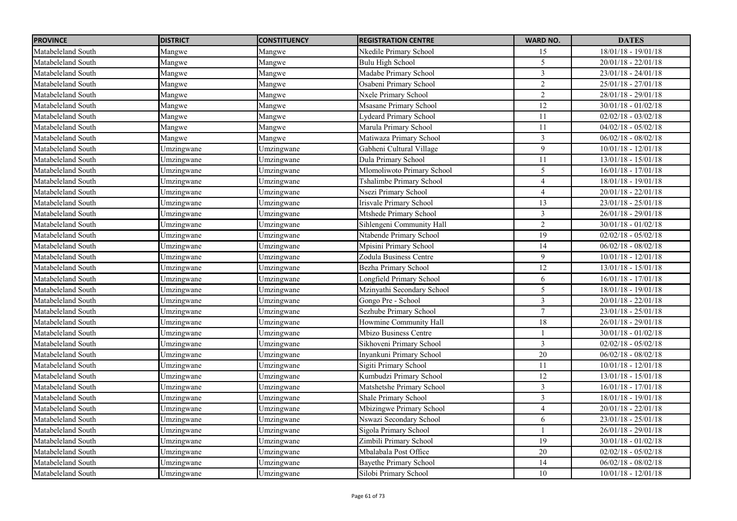| <b>PROVINCE</b>    | <b>DISTRICT</b> | <b>CONSTITUENCY</b> | <b>REGISTRATION CENTRE</b>    | <b>WARD NO.</b> | <b>DATES</b>            |
|--------------------|-----------------|---------------------|-------------------------------|-----------------|-------------------------|
| Matabeleland South | Mangwe          | Mangwe              | Nkedile Primary School        | 15              | 18/01/18 - 19/01/18     |
| Matabeleland South | Mangwe          | Mangwe              | Bulu High School              | 5               | $20/01/18 - 22/01/18$   |
| Matabeleland South | Mangwe          | Mangwe              | Madabe Primary School         | $\mathfrak{Z}$  | $23/01/18 - 24/01/18$   |
| Matabeleland South | Mangwe          | Mangwe              | Osabeni Primary School        | $\overline{2}$  | $25/01/18 - 27/01/18$   |
| Matabeleland South | Mangwe          | Mangwe              | Nxele Primary School          | $\overline{2}$  | 28/01/18 - 29/01/18     |
| Matabeleland South | Mangwe          | Mangwe              | Msasane Primary School        | $\overline{12}$ | $30/01/18 - 01/02/18$   |
| Matabeleland South | Mangwe          | Mangwe              | Lydeard Primary School        | 11              | $02/02/18 - 03/02/18$   |
| Matabeleland South | Mangwe          | Mangwe              | Marula Primary School         | 11              | $04/02/18 - 05/02/18$   |
| Matabeleland South | Mangwe          | Mangwe              | Matiwaza Primary School       | 3               | $06/02/18 - 08/02/18$   |
| Matabeleland South | Umzingwane      | Umzingwane          | Gabheni Cultural Village      | 9               | $10/01/18 - 12/01/18$   |
| Matabeleland South | Umzingwane      | Umzingwane          | Dula Primary School           | 11              | $13/01/18 - 15/01/18$   |
| Matabeleland South | Umzingwane      | Umzingwane          | Mlomoliwoto Primary School    | 5               | $16/01/18 - 17/01/18$   |
| Matabeleland South | Umzingwane      | Umzingwane          | Tshalimbe Primary School      | $\overline{4}$  | 18/01/18 - 19/01/18     |
| Matabeleland South | Umzingwane      | Umzingwane          | Nsezi Primary School          | $\overline{4}$  | $20/01/18 - 22/01/18$   |
| Matabeleland South | Umzingwane      | Umzingwane          | Irisvale Primary School       | 13              | $23/01/18 - 25/01/18$   |
| Matabeleland South | Umzingwane      | Umzingwane          | Mtshede Primary School        | $\mathfrak{Z}$  | $26/01/18 - 29/01/18$   |
| Matabeleland South | Umzingwane      | Umzingwane          | Sihlengeni Community Hall     | $\overline{2}$  | $30/01/18 - 01/02/18$   |
| Matabeleland South | Umzingwane      | Umzingwane          | Ntabende Primary School       | 19              | $02/02/18 - 05/02/18$   |
| Matabeleland South | Umzingwane      | Umzingwane          | Mpisini Primary School        | 14              | $06/02/18 - 08/02/18$   |
| Matabeleland South | Umzingwane      | Umzingwane          | Zodula Business Centre        | 9               | $10/01/18 - 12/01/18$   |
| Matabeleland South | Umzingwane      | Umzingwane          | Bezha Primary School          | 12              | $13/01/18 - 15/01/18$   |
| Matabeleland South | Umzingwane      | Umzingwane          | Longfield Primary School      | $\sqrt{6}$      | $16/01/18 - 17/01/18$   |
| Matabeleland South | Umzingwane      | Umzingwane          | Mzinyathi Secondary School    | 5               | 18/01/18 - 19/01/18     |
| Matabeleland South | Umzingwane      | Umzingwane          | Gongo Pre - School            | $\overline{3}$  | $20/01/18 - 22/01/18$   |
| Matabeleland South | Umzingwane      | Umzingwane          | Sezhube Primary School        | $\tau$          | $23/01/18 - 25/01/18$   |
| Matabeleland South | Umzingwane      | Umzingwane          | Howmine Community Hall        | $18\,$          | $26/01/18 - 29/01/18$   |
| Matabeleland South | Umzingwane      | Umzingwane          | Mbizo Business Centre         |                 | $30/01/18 - 01/02/18$   |
| Matabeleland South | Umzingwane      | Umzingwane          | Sikhoveni Primary School      | $\mathfrak{Z}$  | $02/02/18 - 05/02/18$   |
| Matabeleland South | Umzingwane      | Umzingwane          | Inyankuni Primary School      | $20\,$          | $06/02/18 - 08/02/18$   |
| Matabeleland South | Umzingwane      | Umzingwane          | Sigiti Primary School         | 11              | $10/01/18 - 12/01/18$   |
| Matabeleland South | Umzingwane      | Umzingwane          | Kumbudzi Primary School       | 12              | 13/01/18 - 15/01/18     |
| Matabeleland South | Umzingwane      | Umzingwane          | Matshetshe Primary School     | $\mathfrak{Z}$  | $16/01/18 - 17/01/18$   |
| Matabeleland South | Umzingwane      | Umzingwane          | Shale Primary School          | $\mathfrak{Z}$  | $18/01/18$ - $19/01/18$ |
| Matabeleland South | Umzingwane      | Umzingwane          | Mbizingwe Primary School      | $\overline{4}$  | $20/01/18 - 22/01/18$   |
| Matabeleland South | Umzingwane      | Umzingwane          | Nswazi Secondary School       | 6               | $23/01/18 - 25/01/18$   |
| Matabeleland South | Umzingwane      | Umzingwane          | Sigola Primary School         |                 | $26/01/18 - 29/01/18$   |
| Matabeleland South | Umzingwane      | Umzingwane          | Zimbili Primary School        | 19              | $30/01/18 - 01/02/18$   |
| Matabeleland South | Umzingwane      | Umzingwane          | Mbalabala Post Office         | 20              | $02/02/18 - 05/02/18$   |
| Matabeleland South | Umzingwane      | Umzingwane          | <b>Bayethe Primary School</b> | 14              | $06/02/18 - 08/02/18$   |
| Matabeleland South | Umzingwane      | Umzingwane          | Silobi Primary School         | 10              | $10/01/18 - 12/01/18$   |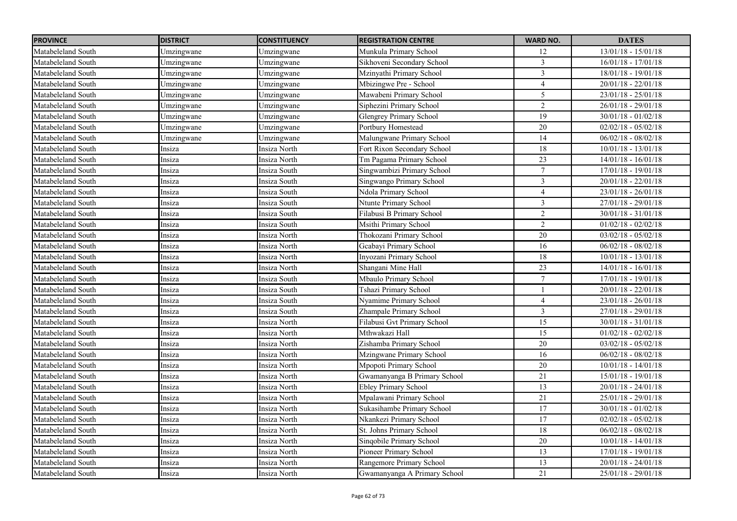| <b>PROVINCE</b>    | <b>DISTRICT</b> | <b>CONSTITUENCY</b> | <b>REGISTRATION CENTRE</b>   | <b>WARD NO.</b> | <b>DATES</b>            |
|--------------------|-----------------|---------------------|------------------------------|-----------------|-------------------------|
| Matabeleland South | Umzingwane      | Umzingwane          | Munkula Primary School       | 12              | $13/01/18 - 15/01/18$   |
| Matabeleland South | Umzingwane      | Umzingwane          | Sikhoveni Secondary School   | 3               | $16/01/18 - 17/01/18$   |
| Matabeleland South | Umzingwane      | Umzingwane          | Mzinyathi Primary School     | $\mathfrak{Z}$  | $18/01/18 - 19/01/18$   |
| Matabeleland South | Umzingwane      | Umzingwane          | Mbizingwe Pre - School       | $\overline{4}$  | $20/01/18 - 22/01/18$   |
| Matabeleland South | Umzingwane      | Umzingwane          | Mawabeni Primary School      | 5               | 23/01/18 - 25/01/18     |
| Matabeleland South | Umzingwane      | Umzingwane          | Siphezini Primary School     | $\overline{2}$  | $26/01/18 - 29/01/18$   |
| Matabeleland South | Umzingwane      | Umzingwane          | Glengrey Primary School      | 19              | $30/01/18 - 01/02/18$   |
| Matabeleland South | Umzingwane      | Umzingwane          | Portbury Homestead           | 20              | $02/02/18 - 05/02/18$   |
| Matabeleland South | Umzingwane      | Umzingwane          | Malungwane Primary School    | 14              | $06/02/18 - 08/02/18$   |
| Matabeleland South | Insiza          | Insiza North        | Fort Rixon Secondary School  | $18\,$          | $10/01/18 - 13/01/18$   |
| Matabeleland South | Insiza          | Insiza North        | Tm Pagama Primary School     | 23              | $14/01/18 - 16/01/18$   |
| Matabeleland South | Insiza          | Insiza South        | Singwambizi Primary School   | 7               | $17/01/18 - 19/01/18$   |
| Matabeleland South | Insiza          | Insiza South        | Singwango Primary School     | $\mathfrak{Z}$  | $20/01/18 - 22/01/18$   |
| Matabeleland South | Insiza          | Insiza South        | Ndola Primary School         | $\overline{4}$  | $23/01/18 - 26/01/18$   |
| Matabeleland South | Insiza          | Insiza South        | Ntunte Primary School        | $\mathfrak{Z}$  | $27/01/18 - 29/01/18$   |
| Matabeleland South | Insiza          | Insiza South        | Filabusi B Primary School    | $\overline{2}$  | $30/01/18 - 31/01/18$   |
| Matabeleland South | Insiza          | Insiza South        | Msithi Primary School        | $\overline{2}$  | $01/02/18 - 02/02/18$   |
| Matabeleland South | Insiza          | Insiza North        | Thokozani Primary School     | 20              | $03/02/18 - 05/02/18$   |
| Matabeleland South | Insiza          | Insiza North        | Gcabayi Primary School       | 16              | $06/02/18 - 08/02/18$   |
| Matabeleland South | Insiza          | Insiza North        | Inyozani Primary School      | 18              | $10/01/18 - 13/01/18$   |
| Matabeleland South | Insiza          | Insiza North        | Shangani Mine Hall           | 23              | $14/01/18 - 16/01/18$   |
| Matabeleland South | Insiza          | Insiza South        | Mbaulo Primary School        | $\tau$          | $17/01/18$ - $19/01/18$ |
| Matabeleland South | Insiza          | Insiza South        | Tshazi Primary School        |                 | $20/01/18 - 22/01/18$   |
| Matabeleland South | Insiza          | Insiza South        | Nyamime Primary School       | $\overline{4}$  | $23/01/18 - 26/01/18$   |
| Matabeleland South | Insiza          | Insiza South        | Zhampale Primary School      | $\overline{3}$  | 27/01/18 - 29/01/18     |
| Matabeleland South | Insiza          | Insiza North        | Filabusi Gvt Primary School  | 15              | $30/01/18 - 31/01/18$   |
| Matabeleland South | Insiza          | Insiza North        | Mthwakazi Hall               | 15              | $01/02/18 - 02/02/18$   |
| Matabeleland South | Insiza          | Insiza North        | Zishamba Primary School      | 20              | $03/02/18 - 05/02/18$   |
| Matabeleland South | Insiza          | Insiza North        | Mzingwane Primary School     | 16              | $06/02/18 - 08/02/18$   |
| Matabeleland South | Insiza          | Insiza North        | Mpopoti Primary School       | 20              | $10/01/18 - 14/01/18$   |
| Matabeleland South | Insiza          | Insiza North        | Gwamanyanga B Primary School | 21              | $15/01/18 - 19/01/18$   |
| Matabeleland South | Insiza          | Insiza North        | <b>Ebley Primary School</b>  | 13              | $20/01/18 - 24/01/18$   |
| Matabeleland South | Insiza          | Insiza North        | Mpalawani Primary School     | 21              | 25/01/18 - 29/01/18     |
| Matabeleland South | Insiza          | Insiza North        | Sukasihambe Primary School   | 17              | $30/01/18 - 01/02/18$   |
| Matabeleland South | Insiza          | Insiza North        | Nkankezi Primary School      | 17              | $02/02/18 - 05/02/18$   |
| Matabeleland South | Insiza          | Insiza North        | St. Johns Primary School     | 18              | $06/02/18 - 08/02/18$   |
| Matabeleland South | Insiza          | Insiza North        | Singobile Primary School     | 20              | $10/01/18 - 14/01/18$   |
| Matabeleland South | Insiza          | Insiza North        | Pioneer Primary School       | 13              | $17/01/18 - 19/01/18$   |
| Matabeleland South | Insiza          | Insiza North        | Rangemore Primary School     | $\overline{13}$ | $20/01/18 - 24/01/18$   |
| Matabeleland South | Insiza          | Insiza North        | Gwamanyanga A Primary School | 21              | 25/01/18 - 29/01/18     |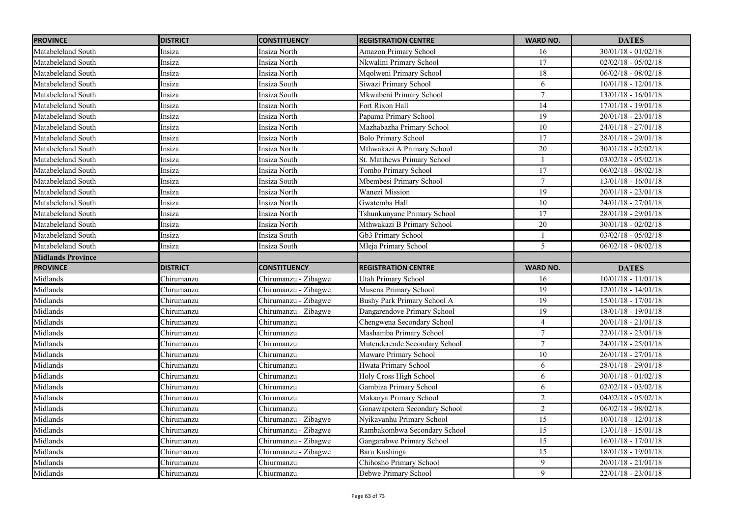| <b>PROVINCE</b>          | <b>DISTRICT</b> | <b>CONSTITUENCY</b>  | <b>REGISTRATION CENTRE</b>    | <b>WARD NO.</b>  | <b>DATES</b>          |
|--------------------------|-----------------|----------------------|-------------------------------|------------------|-----------------------|
| Matabeleland South       | Insiza          | Insiza North         | Amazon Primary School         | 16               | $30/01/18 - 01/02/18$ |
| Matabeleland South       | Insiza          | Insiza North         | Nkwalini Primary School       | 17               | $02/02/18 - 05/02/18$ |
| Matabeleland South       | Insiza          | Insiza North         | Mqolweni Primary School       | 18               | $06/02/18 - 08/02/18$ |
| Matabeleland South       | Insiza          | Insiza South         | Siwazi Primary School         | 6                | $10/01/18 - 12/01/18$ |
| Matabeleland South       | Insiza          | Insiza South         | Mkwabeni Primary School       | $\tau$           | $13/01/18 - 16/01/18$ |
| Matabeleland South       | Insiza          | Insiza North         | Fort Rixon Hall               | $\overline{14}$  | $17/01/18 - 19/01/18$ |
| Matabeleland South       | Insiza          | Insiza North         | Papama Primary School         | 19               | $20/01/18 - 23/01/18$ |
| Matabeleland South       | Insiza          | Insiza North         | Mazhabazha Primary School     | $\overline{10}$  | $24/01/18 - 27/01/18$ |
| Matabeleland South       | Insiza          | Insiza North         | <b>Bolo Primary School</b>    | 17               | $28/01/18 - 29/01/18$ |
| Matabeleland South       | Insiza          | Insiza North         | Mthwakazi A Primary School    | 20               | $30/01/18 - 02/02/18$ |
| Matabeleland South       | Insiza          | Insiza South         | St. Matthews Primary School   |                  | $03/02/18 - 05/02/18$ |
| Matabeleland South       | Insiza          | Insiza North         | Tombo Primary School          | 17               | $06/02/18 - 08/02/18$ |
| Matabeleland South       | Insiza          | Insiza South         | Mbembesi Primary School       | $\overline{7}$   | $13/01/18 - 16/01/18$ |
| Matabeleland South       | Insiza          | Insiza North         | Wanezi Mission                | 19               | $20/01/18 - 23/01/18$ |
| Matabeleland South       | Insiza          | Insiza North         | Gwatemba Hall                 | $\overline{10}$  | $24/01/18 - 27/01/18$ |
| Matabeleland South       | Insiza          | Insiza North         | Tshunkunyane Primary School   | 17               | $28/01/18 - 29/01/18$ |
| Matabeleland South       | Insiza          | Insiza North         | Mthwakazi B Primary School    | 20               | $30/01/18 - 02/02/18$ |
| Matabeleland South       | Insiza          | Insiza South         | Gb3 Primary School            |                  | $03/02/18 - 05/02/18$ |
| Matabeleland South       | Insiza          | Insiza South         | Mleja Primary School          | 5                | $06/02/18 - 08/02/18$ |
| <b>Midlands Province</b> |                 |                      |                               |                  |                       |
| <b>PROVINCE</b>          | <b>DISTRICT</b> | <b>CONSTITUENCY</b>  | <b>REGISTRATION CENTRE</b>    | <b>WARD NO.</b>  | <b>DATES</b>          |
| Midlands                 | Chirumanzu      | Chirumanzu - Zibagwe | <b>Utah Primary School</b>    | 16               | $10/01/18 - 11/01/18$ |
| Midlands                 | Chirumanzu      | Chirumanzu - Zibagwe | Musena Primary School         | 19               | $12/01/18 - 14/01/18$ |
| Midlands                 | Chirumanzu      | Chirumanzu - Zibagwe | Bushy Park Primary School A   | $\overline{19}$  | $15/01/18 - 17/01/18$ |
| Midlands                 | Chirumanzu      | Chirumanzu - Zibagwe | Dangarendove Primary School   | 19               | $18/01/18 - 19/01/18$ |
| Midlands                 | Chirumanzu      | Chirumanzu           | Chengwena Secondary School    | $\overline{4}$   | $20/01/18 - 21/01/18$ |
| Midlands                 | Chirumanzu      | Chirumanzu           | Mashamba Primary School       | $\boldsymbol{7}$ | $22/01/18 - 23/01/18$ |
| Midlands                 | Chirumanzu      | Chirumanzu           | Mutenderende Secondary School | $\overline{7}$   | $24/01/18 - 25/01/18$ |
| Midlands                 | Chirumanzu      | Chirumanzu           | Maware Primary School         | 10               | $26/01/18 - 27/01/18$ |
| Midlands                 | Chirumanzu      | Chirumanzu           | Hwata Primary School          | 6                | $28/01/18 - 29/01/18$ |
| Midlands                 | Chirumanzu      | Chirumanzu           | Holy Cross High School        | 6                | $30/01/18 - 01/02/18$ |
| Midlands                 | Chirumanzu      | Chirumanzu           | Gambiza Primary School        | 6                | $02/02/18 - 03/02/18$ |
| Midlands                 | Chirumanzu      | Chirumanzu           | Makanya Primary School        | $\overline{c}$   | $04/02/18 - 05/02/18$ |
| Midlands                 | Chirumanzu      | Chirumanzu           | Gonawapotera Secondary School | $\overline{2}$   | $06/02/18 - 08/02/18$ |
| Midlands                 | Chirumanzu      | Chirumanzu - Zibagwe | Nyikavanhu Primary School     | 15               | $10/01/18 - 12/01/18$ |
| Midlands                 | Chirumanzu      | Chirumanzu - Zibagwe | Rambakombwa Secondary School  | 15               | $13/01/18 - 15/01/18$ |
| Midlands                 | Chirumanzu      | Chirumanzu - Zibagwe | Gangarabwe Primary School     | 15               | $16/01/18 - 17/01/18$ |
| Midlands                 | Chirumanzu      | Chirumanzu - Zibagwe | Baru Kushinga                 | 15               | $18/01/18 - 19/01/18$ |
| Midlands                 | Chirumanzu      | Chiurmanzu           | Chihosho Primary School       | 9                | $20/01/18 - 21/01/18$ |
| Midlands                 | Chirumanzu      | Chiurmanzu           | Debwe Primary School          | 9                | $22/01/18 - 23/01/18$ |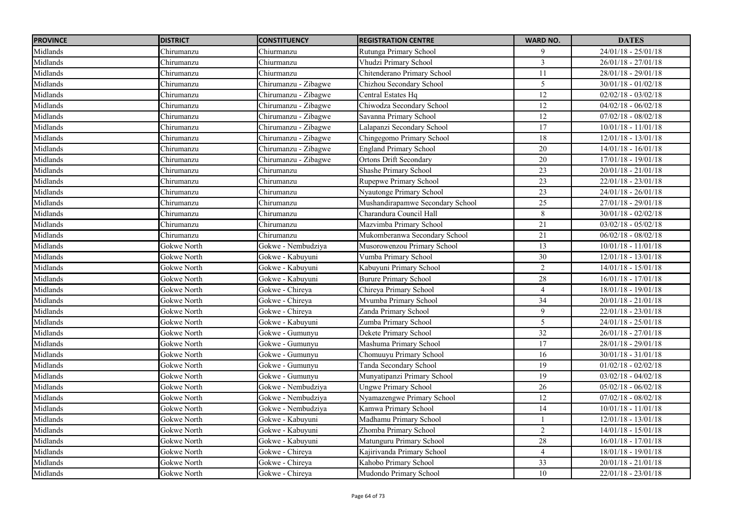| <b>PROVINCE</b> | <b>DISTRICT</b> | <b>CONSTITUENCY</b>  | <b>REGISTRATION CENTRE</b>       | <b>WARD NO.</b> | <b>DATES</b>          |
|-----------------|-----------------|----------------------|----------------------------------|-----------------|-----------------------|
| Midlands        | Chirumanzu      | Chiurmanzu           | Rutunga Primary School           | 9               | $24/01/18 - 25/01/18$ |
| Midlands        | Chirumanzu      | Chiurmanzu           | Vhudzi Primary School            | $\overline{3}$  | $26/01/18 - 27/01/18$ |
| Midlands        | Chirumanzu      | Chiurmanzu           | Chitenderano Primary School      | 11              | $28/01/18 - 29/01/18$ |
| Midlands        | Chirumanzu      | Chirumanzu - Zibagwe | Chizhou Secondary School         | 5               | $30/01/18 - 01/02/18$ |
| Midlands        | Chirumanzu      | Chirumanzu - Zibagwe | Central Estates Hq               | 12              | $02/02/18 - 03/02/18$ |
| Midlands        | Chirumanzu      | Chirumanzu - Zibagwe | Chiwodza Secondary School        | $\overline{12}$ | $04/02/18 - 06/02/18$ |
| Midlands        | Chirumanzu      | Chirumanzu - Zibagwe | Savanna Primary School           | 12              | $07/02/18 - 08/02/18$ |
| Midlands        | Chirumanzu      | Chirumanzu - Zibagwe | Lalapanzi Secondary School       | $\overline{17}$ | $10/01/18 - 11/01/18$ |
| Midlands        | Chirumanzu      | Chirumanzu - Zibagwe | Chingegomo Primary School        | 18              | $12/01/18 - 13/01/18$ |
| Midlands        | Chirumanzu      | Chirumanzu - Zibagwe | <b>England Primary School</b>    | 20              | $14/01/18 - 16/01/18$ |
| Midlands        | Chirumanzu      | Chirumanzu - Zibagwe | <b>Ortons Drift Secondary</b>    | $20\,$          | $17/01/18 - 19/01/18$ |
| Midlands        | Chirumanzu      | Chirumanzu           | Shashe Primary School            | 23              | $20/01/18 - 21/01/18$ |
| Midlands        | Chirumanzu      | Chirumanzu           | Rupepwe Primary School           | 23              | $22/01/18 - 23/01/18$ |
| Midlands        | Chirumanzu      | Chirumanzu           | Nyautonge Primary School         | 23              | $24/01/18 - 26/01/18$ |
| Midlands        | Chirumanzu      | Chirumanzu           | Mushandirapamwe Secondary School | $\overline{25}$ | 27/01/18 - 29/01/18   |
| Midlands        | Chirumanzu      | Chirumanzu           | Charandura Council Hall          | 8               | $30/01/18 - 02/02/18$ |
| Midlands        | Chirumanzu      | Chirumanzu           | Mazvimba Primary School          | 21              | $03/02/18 - 05/02/18$ |
| Midlands        | Chirumanzu      | Chirumanzu           | Mukomberanwa Secondary School    | 21              | $06/02/18 - 08/02/18$ |
| Midlands        | Gokwe North     | Gokwe - Nembudziya   | Musorowenzou Primary School      | 13              | $10/01/18 - 11/01/18$ |
| Midlands        | Gokwe North     | Gokwe - Kabuyuni     | Vumba Primary School             | 30              | $12/01/18 - 13/01/18$ |
| Midlands        | Gokwe North     | Gokwe - Kabuyuni     | Kabuyuni Primary School          | 2               | $14/01/18 - 15/01/18$ |
| Midlands        | Gokwe North     | Gokwe - Kabuyuni     | <b>Burure Primary School</b>     | 28              | $16/01/18 - 17/01/18$ |
| Midlands        | Gokwe North     | Gokwe - Chireya      | Chireya Primary School           | $\overline{4}$  | 18/01/18 - 19/01/18   |
| Midlands        | Gokwe North     | Gokwe - Chireya      | Mvumba Primary School            | $\overline{34}$ | $20/01/18 - 21/01/18$ |
| Midlands        | Gokwe North     | Gokwe - Chireya      | Zanda Primary School             | 9               | $22/01/18 - 23/01/18$ |
| Midlands        | Gokwe North     | Gokwe - Kabuyuni     | Zumba Primary School             | 5               | $24/01/18 - 25/01/18$ |
| Midlands        | Gokwe North     | Gokwe - Gumunyu      | Dekete Primary School            | 32              | $26/01/18 - 27/01/18$ |
| Midlands        | Gokwe North     | Gokwe - Gumunyu      | Mashuma Primary School           | 17              | 28/01/18 - 29/01/18   |
| Midlands        | Gokwe North     | Gokwe - Gumunyu      | Chomuuyu Primary School          | 16              | $30/01/18 - 31/01/18$ |
| Midlands        | Gokwe North     | Gokwe - Gumunyu      | Tanda Secondary School           | 19              | $01/02/18 - 02/02/18$ |
| Midlands        | Gokwe North     | Gokwe - Gumunyu      | Munyatipanzi Primary School      | 19              | $03/02/18 - 04/02/18$ |
| Midlands        | Gokwe North     | Gokwe - Nembudziya   | Ungwe Primary School             | 26              | $05/02/18 - 06/02/18$ |
| Midlands        | Gokwe North     | Gokwe - Nembudziya   | Nyamazengwe Primary School       | 12              | $07/02/18 - 08/02/18$ |
| Midlands        | Gokwe North     | Gokwe - Nembudziya   | Kamwa Primary School             | 14              | $10/01/18 - 11/01/18$ |
| Midlands        | Gokwe North     | Gokwe - Kabuyuni     | Madhamu Primary School           |                 | $12/01/18 - 13/01/18$ |
| Midlands        | Gokwe North     | Gokwe - Kabuyuni     | Zhomba Primary School            | $\overline{2}$  | $14/01/18 - 15/01/18$ |
| Midlands        | Gokwe North     | Gokwe - Kabuyuni     | Matunguru Primary School         | 28              | $16/01/18 - 17/01/18$ |
| Midlands        | Gokwe North     | Gokwe - Chireya      | Kajirivanda Primary School       | $\overline{4}$  | $18/01/18 - 19/01/18$ |
| Midlands        | Gokwe North     | Gokwe - Chireya      | Kahobo Primary School            | 33              | $20/01/18 - 21/01/18$ |
| Midlands        | Gokwe North     | Gokwe - Chireya      | Mudondo Primary School           | 10              | $22/01/18 - 23/01/18$ |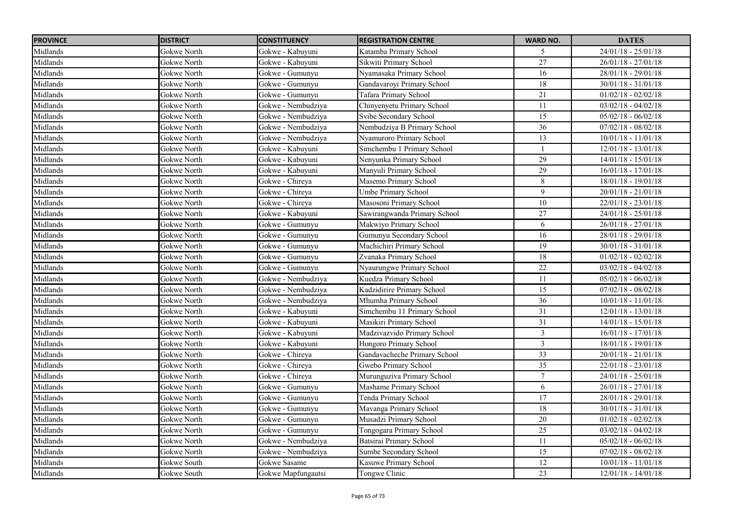| <b>PROVINCE</b> | <b>DISTRICT</b> | <b>CONSTITUENCY</b> | <b>REGISTRATION CENTRE</b>    | <b>WARD NO.</b> | <b>DATES</b>          |
|-----------------|-----------------|---------------------|-------------------------------|-----------------|-----------------------|
| Midlands        | Gokwe North     | Gokwe - Kabuyuni    | Katamba Primary School        | 5               | $24/01/18 - 25/01/18$ |
| Midlands        | Gokwe North     | Gokwe - Kabuyuni    | Sikwiti Primary School        | $\overline{27}$ | $26/01/18 - 27/01/18$ |
| Midlands        | Gokwe North     | Gokwe - Gumunyu     | Nyamasaka Primary School      | 16              | $28/01/18 - 29/01/18$ |
| Midlands        | Gokwe North     | Gokwe - Gumunyu     | Gandavaroyi Primary School    | 18              | $30/01/18 - 31/01/18$ |
| Midlands        | Gokwe North     | Gokwe - Gumunyu     | Tafara Primary School         | $\overline{21}$ | $01/02/18 - 02/02/18$ |
| Midlands        | Gokwe North     | Gokwe - Nembudziya  | Chinyenyetu Primary School    | 11              | $03/02/18 - 04/02/18$ |
| Midlands        | Gokwe North     | Gokwe - Nembudziya  | Svibe Secondary School        | 15              | $05/02/18 - 06/02/18$ |
| Midlands        | Gokwe North     | Gokwe - Nembudziya  | Nembudziya B Primary School   | $\overline{36}$ | $07/02/18 - 08/02/18$ |
| Midlands        | Gokwe North     | Gokwe - Nembudziya  | Nyamuroro Primary School      | 13              | $10/01/18 - 11/01/18$ |
| Midlands        | Gokwe North     | Gokwe - Kabuyuni    | Simchembu 1 Primary School    |                 | $12/01/18 - 13/01/18$ |
| Midlands        | Gokwe North     | Gokwe - Kabuyuni    | Nenyunka Primary School       | 29              | $14/01/18 - 15/01/18$ |
| Midlands        | Gokwe North     | Gokwe - Kabuyuni    | Manyuli Primary School        | $\overline{29}$ | $16/01/18 - 17/01/18$ |
| Midlands        | Gokwe North     | Gokwe - Chireya     | Masemo Primary School         | $\overline{8}$  | $18/01/18 - 19/01/18$ |
| Midlands        | Gokwe North     | Gokwe - Chireya     | Umbe Primary School           | 9               | $20/01/18 - 21/01/18$ |
| Midlands        | Gokwe North     | Gokwe - Chireya     | Masosoni Primary School       | 10              | 22/01/18 - 23/01/18   |
| Midlands        | Gokwe North     | Gokwe - Kabuvuni    | Sawirangwanda Primary School  | 27              | 24/01/18 - 25/01/18   |
| Midlands        | Gokwe North     | Gokwe - Gumunyu     | Makwiyo Primary School        | 6               | $26/01/18 - 27/01/18$ |
| Midlands        | Gokwe North     | Gokwe - Gumunyu     | Gumunyu Secondary School      | 16              | $28/01/18 - 29/01/18$ |
| Midlands        | Gokwe North     | Gokwe - Gumunyu     | Machichiri Primary School     | 19              | $30/01/18 - 31/01/18$ |
| Midlands        | Gokwe North     | Gokwe - Gumunyu     | Zvanaka Primary School        | 18              | $01/02/18 - 02/02/18$ |
| Midlands        | Gokwe North     | Gokwe - Gumunyu     | Nyaurungwe Primary School     | 22              | $03/02/18 - 04/02/18$ |
| Midlands        | Gokwe North     | Gokwe - Nembudziya  | Kuedza Primary School         | 11              | $05/02/18 - 06/02/18$ |
| Midlands        | Gokwe North     | Gokwe - Nembudziya  | Kadzidirire Primary School    | 15              | $07/02/18 - 08/02/18$ |
| Midlands        | Gokwe North     | Gokwe - Nembudziya  | Mhumha Primary School         | 36              | $10/01/18 - 11/01/18$ |
| Midlands        | Gokwe North     | Gokwe - Kabuyuni    | Simchembu 11 Primary School   | 31              | $12/01/18 - 13/01/18$ |
| Midlands        | Gokwe North     | Gokwe - Kabuyuni    | Masikiri Primary School       | 31              | $14/01/18 - 15/01/18$ |
| Midlands        | Gokwe North     | Gokwe - Kabuyuni    | Madzivazvido Primary School   | $\mathfrak{Z}$  | $16/01/18 - 17/01/18$ |
| Midlands        | Gokwe North     | Gokwe - Kabuyuni    | <b>Hongoro Primary School</b> | $\mathfrak{Z}$  | $18/01/18 - 19/01/18$ |
| Midlands        | Gokwe North     | Gokwe - Chireya     | Gandavacheche Primary School  | 33              | $20/01/18 - 21/01/18$ |
| Midlands        | Gokwe North     | Gokwe - Chireya     | Gwebo Primary School          | $\overline{35}$ | $22/01/18 - 23/01/18$ |
| Midlands        | Gokwe North     | Gokwe - Chireya     | Murunguziva Primary School    | $7\phantom{.0}$ | $24/01/18 - 25/01/18$ |
| Midlands        | Gokwe North     | Gokwe - Gumunyu     | Mashame Primary School        | 6               | $26/01/18 - 27/01/18$ |
| Midlands        | Gokwe North     | Gokwe - Gumunyu     | Tenda Primary School          | 17              | $28/01/18 - 29/01/18$ |
| Midlands        | Gokwe North     | Gokwe - Gumunyu     | Mavanga Primary School        | 18              | $30/01/18 - 31/01/18$ |
| Midlands        | Gokwe North     | Gokwe - Gumunyu     | Musadzi Primary School        | 20              | $01/02/18 - 02/02/18$ |
| Midlands        | Gokwe North     | Gokwe - Gumunyu     | Tongogara Primary School      | 25              | $03/02/18 - 04/02/18$ |
| Midlands        | Gokwe North     | Gokwe - Nembudziya  | Batsirai Primary School       | 11              | $05/02/18 - 06/02/18$ |
| Midlands        | Gokwe North     | Gokwe - Nembudziya  | Sumbe Secondary School        | 15              | $07/02/18 - 08/02/18$ |
| Midlands        | Gokwe South     | Gokwe Sasame        | Kasuwe Primary School         | 12              | $10/01/18 - 11/01/18$ |
| Midlands        | Gokwe South     | Gokwe Mapfungautsi  | Tongwe Clinic                 | 23              | $12/01/18 - 14/01/18$ |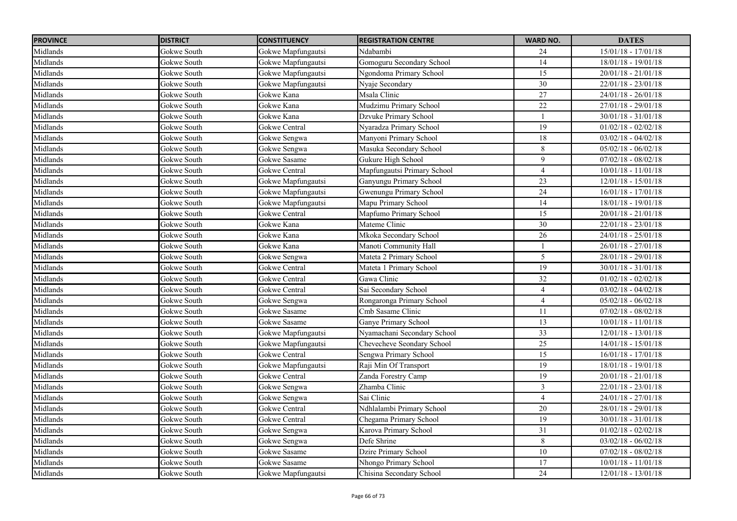| <b>PROVINCE</b> | <b>DISTRICT</b> | <b>CONSTITUENCY</b>  | <b>REGISTRATION CENTRE</b>  | <b>WARD NO.</b> | <b>DATES</b>          |
|-----------------|-----------------|----------------------|-----------------------------|-----------------|-----------------------|
| Midlands        | Gokwe South     | Gokwe Mapfungautsi   | Ndabambi                    | 24              | $15/01/18 - 17/01/18$ |
| Midlands        | Gokwe South     | Gokwe Mapfungautsi   | Gomoguru Secondary School   | 14              | $18/01/18 - 19/01/18$ |
| Midlands        | Gokwe South     | Gokwe Mapfungautsi   | Ngondoma Primary School     | $\overline{15}$ | $20/01/18 - 21/01/18$ |
| Midlands        | Gokwe South     | Gokwe Mapfungautsi   | Nyaje Secondary             | 30              | $22/01/18 - 23/01/18$ |
| Midlands        | Gokwe South     | Gokwe Kana           | Msala Clinic                | $27\,$          | $24/01/18 - 26/01/18$ |
| Midlands        | Gokwe South     | Gokwe Kana           | Mudzimu Primary School      | $\overline{22}$ | $27/01/18 - 29/01/18$ |
| Midlands        | Gokwe South     | Gokwe Kana           | Dzvuke Primary School       |                 | $30/01/18 - 31/01/18$ |
| Midlands        | Gokwe South     | Gokwe Central        | Nyaradza Primary School     | $\overline{19}$ | $01/02/18 - 02/02/18$ |
| Midlands        | Gokwe South     | Gokwe Sengwa         | Manyoni Primary School      | 18              | $03/02/18 - 04/02/18$ |
| Midlands        | Gokwe South     | Gokwe Sengwa         | Masuka Secondary School     | $8\,$           | $05/02/18 - 06/02/18$ |
| Midlands        | Gokwe South     | Gokwe Sasame         | Gukure High School          | $\overline{9}$  | $07/02/18 - 08/02/18$ |
| Midlands        | Gokwe South     | <b>Gokwe Central</b> | Mapfungautsi Primary School | $\overline{4}$  | $10/01/18 - 11/01/18$ |
| Midlands        | Gokwe South     | Gokwe Mapfungautsi   | Ganyungu Primary School     | 23              | $12/01/18 - 15/01/18$ |
| Midlands        | Gokwe South     | Gokwe Mapfungautsi   | Gwenungu Primary School     | 24              | $16/01/18 - 17/01/18$ |
| Midlands        | Gokwe South     | Gokwe Mapfungautsi   | Mapu Primary School         | 14              | $18/01/18 - 19/01/18$ |
| Midlands        | Gokwe South     | Gokwe Central        | Mapfumo Primary School      | 15              | $20/01/18 - 21/01/18$ |
| Midlands        | Gokwe South     | Gokwe Kana           | Mateme Clinic               | 30              | $22/01/18 - 23/01/18$ |
| Midlands        | Gokwe South     | Gokwe Kana           | Mkoka Secondary School      | $\overline{26}$ | $24/01/18 - 25/01/18$ |
| Midlands        | Gokwe South     | Gokwe Kana           | Manoti Community Hall       |                 | $26/01/18 - 27/01/18$ |
| Midlands        | Gokwe South     | Gokwe Sengwa         | Mateta 2 Primary School     | 5               | $28/01/18 - 29/01/18$ |
| Midlands        | Gokwe South     | Gokwe Central        | Mateta 1 Primary School     | 19              | $30/01/18 - 31/01/18$ |
| Midlands        | Gokwe South     | Gokwe Central        | Gawa Clinic                 | 32              | $01/02/18 - 02/02/18$ |
| Midlands        | Gokwe South     | Gokwe Central        | Sai Secondary School        | $\overline{4}$  | $03/02/18 - 04/02/18$ |
| Midlands        | Gokwe South     | Gokwe Sengwa         | Rongaronga Primary School   | $\overline{4}$  | $05/02/18 - 06/02/18$ |
| Midlands        | Gokwe South     | Gokwe Sasame         | Cmb Sasame Clinic           | 11              | $07/02/18 - 08/02/18$ |
| Midlands        | Gokwe South     | Gokwe Sasame         | Ganye Primary School        | 13              | $10/01/18 - 11/01/18$ |
| Midlands        | Gokwe South     | Gokwe Mapfungautsi   | Nyamachani Secondary School | 33              | 12/01/18 - 13/01/18   |
| Midlands        | Gokwe South     | Gokwe Mapfungautsi   | Chevecheve Seondary School  | 25              | 14/01/18 - 15/01/18   |
| Midlands        | Gokwe South     | Gokwe Central        | Sengwa Primary School       | 15              | $16/01/18 - 17/01/18$ |
| Midlands        | Gokwe South     | Gokwe Mapfungautsi   | Raji Min Of Transport       | $\overline{19}$ | $18/01/18 - 19/01/18$ |
| Midlands        | Gokwe South     | Gokwe Central        | Zanda Forestry Camp         | 19              | $20/01/18 - 21/01/18$ |
| Midlands        | Gokwe South     | Gokwe Sengwa         | Zhamba Clinic               | 3               | 22/01/18 - 23/01/18   |
| Midlands        | Gokwe South     | Gokwe Sengwa         | Sai Clinic                  | $\overline{4}$  | $24/01/18 - 27/01/18$ |
| Midlands        | Gokwe South     | <b>Gokwe Central</b> | Ndhlalambi Primary School   | $\overline{20}$ | $28/01/18 - 29/01/18$ |
| Midlands        | Gokwe South     | Gokwe Central        | Chegama Primary School      | 19              | $30/01/18 - 31/01/18$ |
| Midlands        | Gokwe South     | Gokwe Sengwa         | Karova Primary School       | 31              | $01/02/18 - 02/02/18$ |
| Midlands        | Gokwe South     | Gokwe Sengwa         | Defe Shrine                 | 8               | $03/02/18 - 06/02/18$ |
| Midlands        | Gokwe South     | Gokwe Sasame         | Dzire Primary School        | 10              | $07/02/18 - 08/02/18$ |
| Midlands        | Gokwe South     | Gokwe Sasame         | Nhongo Primary School       | 17              | $10/01/18 - 11/01/18$ |
| Midlands        | Gokwe South     | Gokwe Mapfungautsi   | Chisina Secondary School    | 24              | $12/01/18 - 13/01/18$ |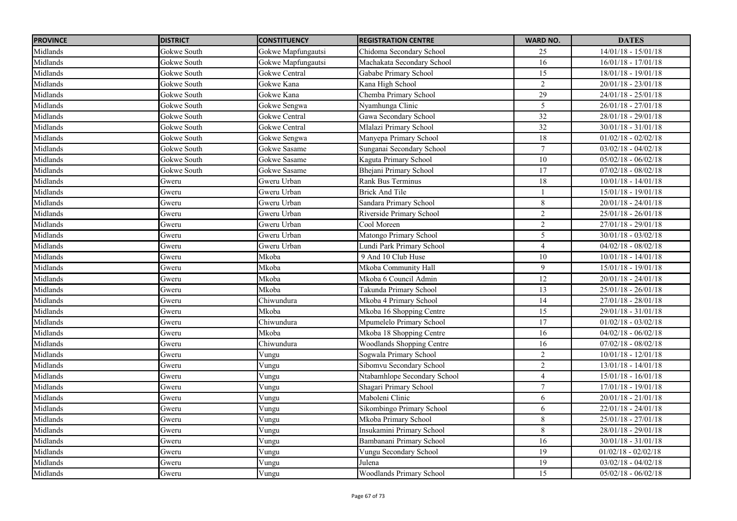| <b>PROVINCE</b> | <b>DISTRICT</b> | <b>CONSTITUENCY</b> | <b>REGISTRATION CENTRE</b>       | <b>WARD NO.</b>  | <b>DATES</b>          |
|-----------------|-----------------|---------------------|----------------------------------|------------------|-----------------------|
| Midlands        | Gokwe South     | Gokwe Mapfungautsi  | Chidoma Secondary School         | 25               | $14/01/18 - 15/01/18$ |
| Midlands        | Gokwe South     | Gokwe Mapfungautsi  | Machakata Secondary School       | 16               | $16/01/18 - 17/01/18$ |
| Midlands        | Gokwe South     | Gokwe Central       | Gababe Primary School            | 15               | $18/01/18 - 19/01/18$ |
| Midlands        | Gokwe South     | Gokwe Kana          | Kana High School                 | $\overline{2}$   | $20/01/18 - 23/01/18$ |
| Midlands        | Gokwe South     | Gokwe Kana          | Chemba Primary School            | 29               | $24/01/18 - 25/01/18$ |
| Midlands        | Gokwe South     | Gokwe Sengwa        | Nyamhunga Clinic                 | 5                | $26/01/18 - 27/01/18$ |
| Midlands        | Gokwe South     | Gokwe Central       | Gawa Secondary School            | $\overline{32}$  | 28/01/18 - 29/01/18   |
| Midlands        | Gokwe South     | Gokwe Central       | Mlalazi Primary School           | $\overline{32}$  | $30/01/18 - 31/01/18$ |
| Midlands        | Gokwe South     | Gokwe Sengwa        | Manyepa Primary School           | 18               | $01/02/18 - 02/02/18$ |
| Midlands        | Gokwe South     | Gokwe Sasame        | Sunganai Secondary School        | $\boldsymbol{7}$ | $03/02/18 - 04/02/18$ |
| Midlands        | Gokwe South     | Gokwe Sasame        | Kaguta Primary School            | $\overline{10}$  | $05/02/18 - 06/02/18$ |
| Midlands        | Gokwe South     | Gokwe Sasame        | Bhejani Primary School           | 17               | $07/02/18 - 08/02/18$ |
| Midlands        | Gweru           | Gweru Urban         | Rank Bus Terminus                | 18               | $10/01/18 - 14/01/18$ |
| Midlands        | Gweru           | Gweru Urban         | <b>Brick And Tile</b>            |                  | $15/01/18 - 19/01/18$ |
| Midlands        | Gweru           | Gweru Urban         | Sandara Primary School           | $\,8\,$          | $20/01/18 - 24/01/18$ |
| Midlands        | Gweru           | Gweru Urban         | Riverside Primary School         | $\sqrt{2}$       | $25/01/18 - 26/01/18$ |
| Midlands        | Gweru           | Gweru Urban         | Cool Moreen                      | $\overline{2}$   | $27/01/18 - 29/01/18$ |
| Midlands        | Gweru           | Gweru Urban         | Matongo Primary School           | 5                | $30/01/18 - 03/02/18$ |
| Midlands        | Gweru           | Gweru Urban         | Lundi Park Primary School        | $\overline{4}$   | $04/02/18 - 08/02/18$ |
| Midlands        | Gweru           | Mkoba               | 9 And 10 Club Huse               | 10               | $10/01/18 - 14/01/18$ |
| Midlands        | Gweru           | Mkoba               | Mkoba Community Hall             | 9                | $15/01/18 - 19/01/18$ |
| Midlands        | Gweru           | Mkoba               | Mkoba 6 Council Admin            | 12               | $20/01/18 - 24/01/18$ |
| Midlands        | Gweru           | Mkoba               | Takunda Primary School           | 13               | $25/01/18 - 26/01/18$ |
| Midlands        | Gweru           | Chiwundura          | Mkoba 4 Primary School           | 14               | $27/01/18 - 28/01/18$ |
| Midlands        | Gweru           | Mkoba               | Mkoba 16 Shopping Centre         | 15               | 29/01/18 - 31/01/18   |
| Midlands        | Gweru           | Chiwundura          | Mpumelelo Primary School         | 17               | $01/02/18 - 03/02/18$ |
| Midlands        | Gweru           | Mkoba               | Mkoba 18 Shopping Centre         | 16               | $04/02/18 - 06/02/18$ |
| Midlands        | Gweru           | Chiwundura          | <b>Woodlands Shopping Centre</b> | 16               | $07/02/18 - 08/02/18$ |
| Midlands        | Gweru           | Vungu               | Sogwala Primary School           | $\overline{2}$   | $10/01/18 - 12/01/18$ |
| Midlands        | Gweru           | Vungu               | Sibomvu Secondary School         | $\overline{2}$   | $13/01/18 - 14/01/18$ |
| Midlands        | Gweru           | Vungu               | Ntabamhlope Secondary School     | $\overline{4}$   | $15/01/18 - 16/01/18$ |
| Midlands        | Gweru           | Vungu               | Shagari Primary School           | $\boldsymbol{7}$ | $17/01/18 - 19/01/18$ |
| Midlands        | Gweru           | Vungu               | Maboleni Clinic                  | 6                | $20/01/18 - 21/01/18$ |
| Midlands        | Gweru           | Vungu               | Sikombingo Primary School        | 6                | $22/01/18 - 24/01/18$ |
| Midlands        | Gweru           | Vungu               | Mkoba Primary School             | $8\,$            | $25/01/18 - 27/01/18$ |
| Midlands        | Gweru           | Vungu               | Insukamini Primary School        | 8                | 28/01/18 - 29/01/18   |
| Midlands        | Gweru           | Vungu               | Bambanani Primary School         | 16               | $30/01/18 - 31/01/18$ |
| Midlands        | Gweru           | Vungu               | Vungu Secondary School           | 19               | $01/02/18 - 02/02/18$ |
| Midlands        | Gweru           | Vungu               | Julena                           | $\overline{19}$  | $03/02/18 - 04/02/18$ |
| Midlands        | Gweru           | Vungu               | <b>Woodlands Primary School</b>  | $\overline{15}$  | $05/02/18 - 06/02/18$ |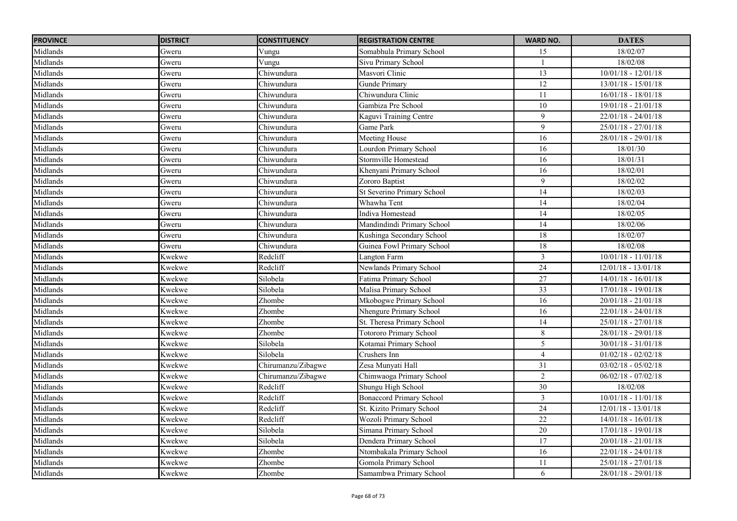| <b>PROVINCE</b> | <b>DISTRICT</b> | <b>CONSTITUENCY</b> | <b>REGISTRATION CENTRE</b>      | <b>WARD NO.</b> | <b>DATES</b>          |
|-----------------|-----------------|---------------------|---------------------------------|-----------------|-----------------------|
| Midlands        | Gweru           | Vungu               | Somabhula Primary School        | 15              | 18/02/07              |
| Midlands        | Gweru           | Vungu               | Sivu Primary School             |                 | 18/02/08              |
| Midlands        | Gweru           | Chiwundura          | Masvori Clinic                  | $\overline{13}$ | $10/01/18 - 12/01/18$ |
| Midlands        | Gweru           | Chiwundura          | <b>Gunde Primary</b>            | 12              | $13/01/18 - 15/01/18$ |
| Midlands        | Gweru           | Chiwundura          | Chiwundura Clinic               | 11              | $16/01/18 - 18/01/18$ |
| Midlands        | Gweru           | Chiwundura          | Gambiza Pre School              | $\overline{10}$ | $19/01/18 - 21/01/18$ |
| Midlands        | Gweru           | Chiwundura          | Kaguvi Training Centre          | 9               | $22/01/18 - 24/01/18$ |
| Midlands        | Gweru           | Chiwundura          | Game Park                       | 9               | $25/01/18 - 27/01/18$ |
| Midlands        | Gweru           | Chiwundura          | Meeting House                   | 16              | 28/01/18 - 29/01/18   |
| Midlands        | Gweru           | Chiwundura          | Lourdon Primary School          | 16              | 18/01/30              |
| Midlands        | Gweru           | Chiwundura          | Stormville Homestead            | 16              | 18/01/31              |
| Midlands        | Gweru           | Chiwundura          | Khenyani Primary School         | 16              | 18/02/01              |
| Midlands        | Gweru           | Chiwundura          | Zororo Baptist                  | 9               | 18/02/02              |
| Midlands        | Gweru           | Chiwundura          | St Severino Primary School      | 14              | 18/02/03              |
| Midlands        | Gweru           | Chiwundura          | Whawha Tent                     | 14              | 18/02/04              |
| Midlands        | Gweru           | Chiwundura          | Indiva Homestead                | 14              | 18/02/05              |
| Midlands        | Gweru           | Chiwundura          | Mandindindi Primary School      | 14              | 18/02/06              |
| Midlands        | Gweru           | Chiwundura          | Kushinga Secondary School       | 18              | 18/02/07              |
| Midlands        | Gweru           | Chiwundura          | Guinea Fowl Primary School      | 18              | 18/02/08              |
| Midlands        | Kwekwe          | Redcliff            | Langton Farm                    | $\mathfrak{Z}$  | $10/01/18 - 11/01/18$ |
| Midlands        | Kwekwe          | Redcliff            | Newlands Primary School         | 24              | $12/01/18 - 13/01/18$ |
| Midlands        | Kwekwe          | Silobela            | Fatima Primary School           | 27              | $14/01/18 - 16/01/18$ |
| Midlands        | Kwekwe          | Silobela            | Malisa Primary School           | $\overline{33}$ | $17/01/18 - 19/01/18$ |
| Midlands        | Kwekwe          | Zhombe              | Mkobogwe Primary School         | $\overline{16}$ | $20/01/18 - 21/01/18$ |
| Midlands        | Kwekwe          | Zhombe              | Nhengure Primary School         | 16              | $22/01/18 - 24/01/18$ |
| Midlands        | Kwekwe          | Zhombe              | St. Theresa Primary School      | 14              | $25/01/18 - 27/01/18$ |
| Midlands        | Kwekwe          | Zhombe              | <b>Totororo Primary School</b>  | $8\,$           | $28/01/18 - 29/01/18$ |
| Midlands        | Kwekwe          | Silobela            | Kotamai Primary School          | 5               | $30/01/18 - 31/01/18$ |
| Midlands        | Kwekwe          | Silobela            | Crushers Inn                    | $\overline{4}$  | $01/02/18 - 02/02/18$ |
| Midlands        | Kwekwe          | Chirumanzu/Zibagwe  | Zesa Munyati Hall               | $\overline{31}$ | $03/02/18 - 05/02/18$ |
| Midlands        | Kwekwe          | Chirumanzu/Zibagwe  | Chimwaoga Primary School        | 2               | $06/02/18 - 07/02/18$ |
| Midlands        | Kwekwe          | Redcliff            | Shungu High School              | 30              | 18/02/08              |
| Midlands        | Kwekwe          | Redcliff            | <b>Bonaccord Primary School</b> | $\mathfrak{Z}$  | $10/01/18 - 11/01/18$ |
| Midlands        | Kwekwe          | Redcliff            | St. Kizito Primary School       | 24              | $12/01/18 - 13/01/18$ |
| Midlands        | Kwekwe          | Redcliff            | Wozoli Primary School           | 22              | $14/01/18 - 16/01/18$ |
| Midlands        | Kwekwe          | Silobela            | Simana Primary School           | 20              | $17/01/18 - 19/01/18$ |
| Midlands        | Kwekwe          | Silobela            | Dendera Primary School          | 17              | $20/01/18 - 21/01/18$ |
| Midlands        | Kwekwe          | Zhombe              | Ntombakala Primary School       | 16              | $22/01/18 - 24/01/18$ |
| Midlands        | Kwekwe          | Zhombe              | Gomola Primary School           | 11              | $25/01/18 - 27/01/18$ |
| Midlands        | Kwekwe          | Zhombe              | Samambwa Primary School         | 6               | 28/01/18 - 29/01/18   |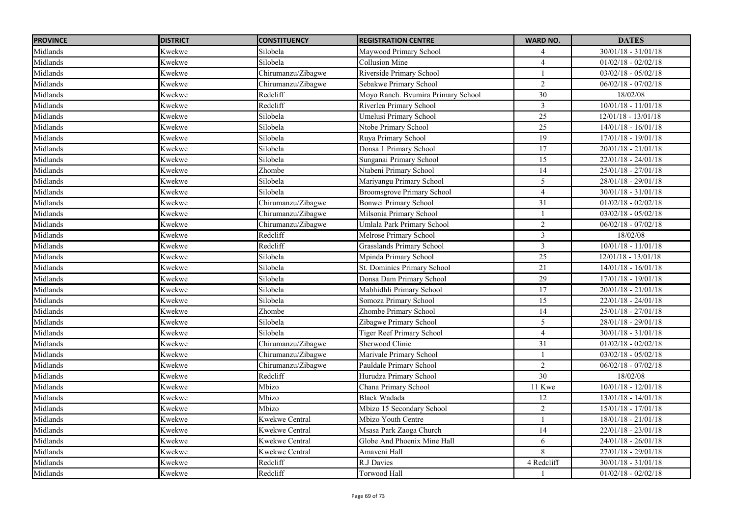| <b>PROVINCE</b> | <b>DISTRICT</b> | <b>CONSTITUENCY</b>   | <b>REGISTRATION CENTRE</b>         | <b>WARD NO.</b> | <b>DATES</b>            |
|-----------------|-----------------|-----------------------|------------------------------------|-----------------|-------------------------|
| Midlands        | Kwekwe          | Silobela              | Maywood Primary School             | $\overline{4}$  | $30/01/18 - 31/01/18$   |
| Midlands        | Kwekwe          | Silobela              | <b>Collusion Mine</b>              | $\overline{4}$  | $01/02/18 - 02/02/18$   |
| Midlands        | Kwekwe          | Chirumanzu/Zibagwe    | Riverside Primary School           |                 | $03/02/18 - 05/02/18$   |
| Midlands        | Kwekwe          | Chirumanzu/Zibagwe    | Sebakwe Primary School             | 2               | $06/02/18 - 07/02/18$   |
| Midlands        | Kwekwe          | Redcliff              | Moyo Ranch. Bvumira Primary School | 30              | 18/02/08                |
| Midlands        | Kwekwe          | Redcliff              | Riverlea Primary School            | 3               | $10/01/18 - 11/01/18$   |
| Midlands        | Kwekwe          | Silobela              | Umelusi Primary School             | 25              | $12/01/18 - 13/01/18$   |
| Midlands        | Kwekwe          | Silobela              | Ntobe Primary School               | $\overline{25}$ | $14/01/18 - 16/01/18$   |
| Midlands        | Kwekwe          | Silobela              | Ruya Primary School                | 19              | $17/01/18 - 19/01/18$   |
| Midlands        | Kwekwe          | Silobela              | Donsa 1 Primary School             | 17              | $20/01/18 - 21/01/18$   |
| Midlands        | Kwekwe          | Silobela              | Sunganai Primary School            | 15              | $22/01/18 - 24/01/18$   |
| Midlands        | Kwekwe          | Zhombe                | Ntabeni Primary School             | 14              | $25/01/18 - 27/01/18$   |
| Midlands        | Kwekwe          | Silobela              | Mariyangu Primary School           | $\overline{5}$  | $28/01/18 - 29/01/18$   |
| Midlands        | Kwekwe          | Silobela              | <b>Broomsgrove Primary School</b>  | $\overline{4}$  | $30/01/18 - 31/01/18$   |
| Midlands        | Kwekwe          | Chirumanzu/Zibagwe    | <b>Bonwei Primary School</b>       | 31              | $01/02/18 - 02/02/18$   |
| Midlands        | Kwekwe          | Chirumanzu/Zibagwe    | Milsonia Primary School            |                 | $03/02/18 - 05/02/18$   |
| Midlands        | Kwekwe          | Chirumanzu/Zibagwe    | Umlala Park Primary School         | $\overline{2}$  | $06/02/18 - 07/02/18$   |
| Midlands        | Kwekwe          | Redcliff              | Melrose Primary School             | 3               | 18/02/08                |
| Midlands        | Kwekwe          | Redcliff              | Grasslands Primary School          | $\overline{3}$  | $10/01/18 - 11/01/18$   |
| Midlands        | Kwekwe          | Silobela              | Mpinda Primary School              | 25              | $12/01/18 - 13/01/18$   |
| Midlands        | Kwekwe          | Silobela              | <b>St. Dominics Primary School</b> | 21              | $14/01/18 - 16/01/18$   |
| Midlands        | Kwekwe          | Silobela              | Donsa Dam Primary School           | 29              | $17/01/18 - 19/01/18$   |
| Midlands        | Kwekwe          | Silobela              | Mabhidhli Primary School           | $\overline{17}$ | $20/01/18 - 21/01/18$   |
| Midlands        | Kwekwe          | Silobela              | Somoza Primary School              | $\overline{15}$ | $22/01/18 - 24/01/18$   |
| Midlands        | Kwekwe          | Zhombe                | Zhombe Primary School              | 14              | $25/01/18 - 27/01/18$   |
| Midlands        | Kwekwe          | Silobela              | Zibagwe Primary School             | 5               | 28/01/18 - 29/01/18     |
| Midlands        | Kwekwe          | Silobela              | <b>Tiger Reef Primary School</b>   | $\overline{4}$  | $30/01/18 - 31/01/18$   |
| Midlands        | Kwekwe          | Chirumanzu/Zibagwe    | Sherwood Clinic                    | 31              | $01/02/18 - 02/02/18$   |
| Midlands        | Kwekwe          | Chirumanzu/Zibagwe    | Marivale Primary School            |                 | $03/02/18 - 05/02/18$   |
| Midlands        | Kwekwe          | Chirumanzu/Zibagwe    | Pauldale Primary School            | 2               | $06/02/18 - 07/02/18$   |
| Midlands        | Kwekwe          | Redcliff              | Hurudza Primary School             | 30              | 18/02/08                |
| Midlands        | Kwekwe          | Mbizo                 | Chana Primary School               | 11 Kwe          | $10/01/18 - 12/01/18$   |
| Midlands        | Kwekwe          | Mbizo                 | Black Wadada                       | 12              | $13/01/18 - 14/01/18$   |
| Midlands        | Kwekwe          | Mbizo                 | Mbizo 15 Secondary School          | $\overline{2}$  | $15/01/18 - 17/01/18$   |
| Midlands        | Kwekwe          | Kwekwe Central        | Mbizo Youth Centre                 |                 | $18/01/18 - 21/01/18$   |
| Midlands        | Kwekwe          | <b>Kwekwe Central</b> | Msasa Park Zaoga Church            | 14              | $22/01/18 - 23/01/18$   |
| Midlands        | Kwekwe          | <b>Kwekwe Central</b> | Globe And Phoenix Mine Hall        | 6               | $24/01/18$ - $26/01/18$ |
| Midlands        | Kwekwe          | Kwekwe Central        | Amaveni Hall                       | 8               | $27/01/18 - 29/01/18$   |
| Midlands        | Kwekwe          | Redcliff              | R.J Davies                         | 4 Redcliff      | $30/01/18 - 31/01/18$   |
| Midlands        | Kwekwe          | Redcliff              | <b>Torwood Hall</b>                |                 | $01/02/18 - 02/02/18$   |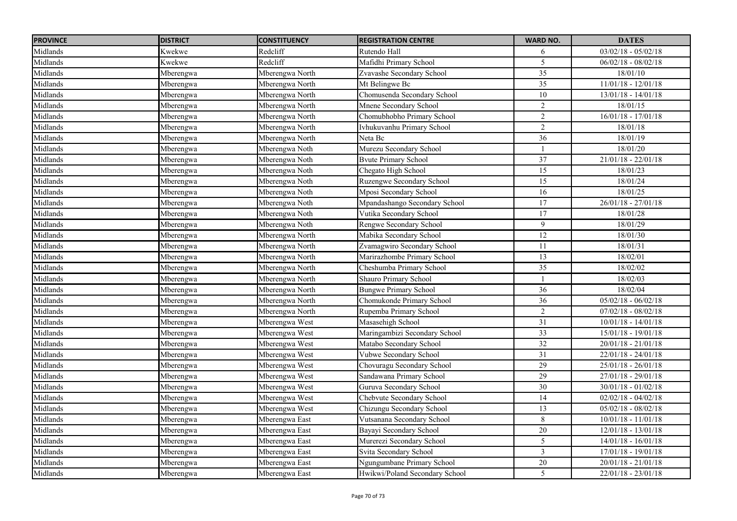| <b>PROVINCE</b> | <b>DISTRICT</b> | <b>CONSTITUENCY</b> | <b>REGISTRATION CENTRE</b>     | <b>WARD NO.</b> | <b>DATES</b>          |
|-----------------|-----------------|---------------------|--------------------------------|-----------------|-----------------------|
| Midlands        | Kwekwe          | Redcliff            | Rutendo Hall                   | 6               | $03/02/18 - 05/02/18$ |
| Midlands        | Kwekwe          | Redcliff            | Mafidhi Primary School         | $\overline{5}$  | $06/02/18 - 08/02/18$ |
| Midlands        | Mberengwa       | Mberengwa North     | Zvavashe Secondary School      | $\overline{35}$ | 18/01/10              |
| Midlands        | Mberengwa       | Mberengwa North     | Mt Belingwe Bc                 | 35              | $11/01/18 - 12/01/18$ |
| Midlands        | Mberengwa       | Mberengwa North     | Chomusenda Secondary School    | 10              | $13/01/18 - 14/01/18$ |
| Midlands        | Mberengwa       | Mberengwa North     | Mnene Secondary School         | $\overline{2}$  | 18/01/15              |
| Midlands        | Mberengwa       | Mberengwa North     | Chomubhobho Primary School     | $\overline{2}$  | $16/01/18 - 17/01/18$ |
| Midlands        | Mberengwa       | Mberengwa North     | Ivhukuvanhu Primary School     | $\overline{2}$  | 18/01/18              |
| Midlands        | Mberengwa       | Mberengwa North     | Neta Bc                        | 36              | 18/01/19              |
| Midlands        | Mberengwa       | Mberengwa Noth      | Murezu Secondary School        |                 | 18/01/20              |
| Midlands        | Mberengwa       | Mberengwa Noth      | <b>Byute Primary School</b>    | 37              | $21/01/18 - 22/01/18$ |
| Midlands        | Mberengwa       | Mberengwa Noth      | Chegato High School            | 15              | 18/01/23              |
| Midlands        | Mberengwa       | Mberengwa Noth      | Ruzengwe Secondary School      | 15              | 18/01/24              |
| Midlands        | Mberengwa       | Mberengwa Noth      | Mposi Secondary School         | 16              | 18/01/25              |
| Midlands        | Mberengwa       | Mberengwa Noth      | Mpandashango Secondary School  | 17              | $26/01/18 - 27/01/18$ |
| Midlands        | Mberengwa       | Mberengwa Noth      | Vutika Secondary School        | 17              | 18/01/28              |
| Midlands        | Mberengwa       | Mberengwa Noth      | Rengwe Secondary School        | 9               | 18/01/29              |
| Midlands        | Mberengwa       | Mberengwa North     | Mabika Secondary School        | 12              | 18/01/30              |
| Midlands        | Mberengwa       | Mberengwa North     | Zvamagwiro Secondary School    | 11              | 18/01/31              |
| Midlands        | Mberengwa       | Mberengwa North     | Marirazhombe Primary School    | 13              | 18/02/01              |
| Midlands        | Mberengwa       | Mberengwa North     | Cheshumba Primary School       | 35              | 18/02/02              |
| Midlands        | Mberengwa       | Mberengwa North     | Shauro Primary School          |                 | 18/02/03              |
| Midlands        | Mberengwa       | Mberengwa North     | <b>Bungwe Primary School</b>   | 36              | 18/02/04              |
| Midlands        | Mberengwa       | Mberengwa North     | Chomukonde Primary School      | 36              | $05/02/18 - 06/02/18$ |
| Midlands        | Mberengwa       | Mberengwa North     | Rupemba Primary School         | $\overline{2}$  | $07/02/18 - 08/02/18$ |
| Midlands        | Mberengwa       | Mberengwa West      | Masasehigh School              | 31              | $10/01/18 - 14/01/18$ |
| Midlands        | Mberengwa       | Mberengwa West      | Maringambizi Secondary School  | 33              | 15/01/18 - 19/01/18   |
| Midlands        | Mberengwa       | Mberengwa West      | Matabo Secondary School        | $\overline{32}$ | $20/01/18 - 21/01/18$ |
| Midlands        | Mberengwa       | Mberengwa West      | Vubwe Secondary School         | 31              | $22/01/18 - 24/01/18$ |
| Midlands        | Mberengwa       | Mberengwa West      | Chovuragu Secondary School     | $\overline{29}$ | $25/01/18 - 26/01/18$ |
| Midlands        | Mberengwa       | Mberengwa West      | Sandawana Primary School       | 29              | $27/01/18 - 29/01/18$ |
| Midlands        | Mberengwa       | Mberengwa West      | Guruva Secondary School        | 30              | $30/01/18 - 01/02/18$ |
| Midlands        | Mberengwa       | Mberengwa West      | Chebvute Secondary School      | 14              | $02/02/18 - 04/02/18$ |
| Midlands        | Mberengwa       | Mberengwa West      | Chizungu Secondary School      | 13              | $05/02/18 - 08/02/18$ |
| Midlands        | Mberengwa       | Mberengwa East      | Vutsanana Secondary School     | $8\,$           | $10/01/18 - 11/01/18$ |
| Midlands        | Mberengwa       | Mberengwa East      | Bayayi Secondary School        | 20              | $12/01/18 - 13/01/18$ |
| Midlands        | Mberengwa       | Mberengwa East      | Murerezi Secondary School      | 5               | $14/01/18 - 16/01/18$ |
| Midlands        | Mberengwa       | Mberengwa East      | Svita Secondary School         | $\overline{3}$  | $17/01/18 - 19/01/18$ |
| Midlands        | Mberengwa       | Mberengwa East      | Ngungumbane Primary School     | $20\,$          | $20/01/18 - 21/01/18$ |
| Midlands        | Mberengwa       | Mberengwa East      | Hwikwi/Poland Secondary School | 5               | $22/01/18 - 23/01/18$ |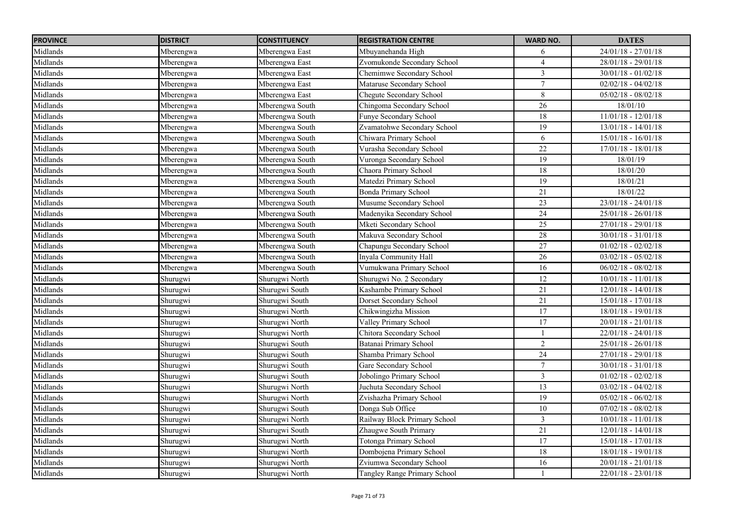| <b>PROVINCE</b> | <b>DISTRICT</b> | <b>CONSTITUENCY</b> | <b>REGISTRATION CENTRE</b>   | <b>WARD NO.</b> | <b>DATES</b>          |
|-----------------|-----------------|---------------------|------------------------------|-----------------|-----------------------|
| Midlands        | Mberengwa       | Mberengwa East      | Mbuyanehanda High            | 6               | $24/01/18 - 27/01/18$ |
| Midlands        | Mberengwa       | Mberengwa East      | Zvomukonde Secondary School  | $\overline{4}$  | $28/01/18 - 29/01/18$ |
| Midlands        | Mberengwa       | Mberengwa East      | Chemimwe Secondary School    | $\mathfrak{Z}$  | $30/01/18 - 01/02/18$ |
| Midlands        | Mberengwa       | Mberengwa East      | Mataruse Secondary School    | $\overline{7}$  | $02/02/18 - 04/02/18$ |
| Midlands        | Mberengwa       | Mberengwa East      | Chegute Secondary School     | 8               | $05/02/18 - 08/02/18$ |
| Midlands        | Mberengwa       | Mberengwa South     | Chingoma Secondary School    | 26              | 18/01/10              |
| Midlands        | Mberengwa       | Mberengwa South     | Funye Secondary School       | 18              | $11/01/18 - 12/01/18$ |
| Midlands        | Mberengwa       | Mberengwa South     | Zvamatohwe Secondary School  | 19              | $13/01/18 - 14/01/18$ |
| Midlands        | Mberengwa       | Mberengwa South     | Chiwara Primary School       | 6               | $15/01/18 - 16/01/18$ |
| Midlands        | Mberengwa       | Mberengwa South     | Vurasha Secondary School     | $\overline{22}$ | $17/01/18 - 18/01/18$ |
| Midlands        | Mberengwa       | Mberengwa South     | Vuronga Secondary School     | 19              | 18/01/19              |
| Midlands        | Mberengwa       | Mberengwa South     | Chaora Primary School        | 18              | 18/01/20              |
| Midlands        | Mberengwa       | Mberengwa South     | Matedzi Primary School       | 19              | 18/01/21              |
| Midlands        | Mberengwa       | Mberengwa South     | Bonda Primary School         | 21              | 18/01/22              |
| Midlands        | Mberengwa       | Mberengwa South     | Musume Secondary School      | $\overline{23}$ | $23/01/18 - 24/01/18$ |
| Midlands        | Mberengwa       | Mberengwa South     | Madenyika Secondary School   | 24              | $25/01/18 - 26/01/18$ |
| Midlands        | Mberengwa       | Mberengwa South     | Mketi Secondary School       | 25              | $27/01/18 - 29/01/18$ |
| Midlands        | Mberengwa       | Mberengwa South     | Makuva Secondary School      | 28              | $30/01/18 - 31/01/18$ |
| Midlands        | Mberengwa       | Mberengwa South     | Chapungu Secondary School    | $\overline{27}$ | $01/02/18 - 02/02/18$ |
| Midlands        | Mberengwa       | Mberengwa South     | Inyala Community Hall        | 26              | $03/02/18 - 05/02/18$ |
| Midlands        | Mberengwa       | Mberengwa South     | Vumukwana Primary School     | 16              | $06/02/18 - 08/02/18$ |
| Midlands        | Shurugwi        | Shurugwi North      | Shurugwi No. 2 Secondary     | 12              | $10/01/18 - 11/01/18$ |
| Midlands        | Shurugwi        | Shurugwi South      | Kashambe Primary School      | 21              | $12/01/18 - 14/01/18$ |
| Midlands        | Shurugwi        | Shurugwi South      | Dorset Secondary School      | 21              | $15/01/18 - 17/01/18$ |
| Midlands        | Shurugwi        | Shurugwi North      | Chikwingizha Mission         | 17              | $18/01/18 - 19/01/18$ |
| Midlands        | Shurugwi        | Shurugwi North      | Valley Primary School        | 17              | $20/01/18 - 21/01/18$ |
| Midlands        | Shurugwi        | Shurugwi North      | Chitora Secondary School     |                 | $22/01/18 - 24/01/18$ |
| Midlands        | Shurugwi        | Shurugwi South      | Batanai Primary School       | $\overline{2}$  | 25/01/18 - 26/01/18   |
| Midlands        | Shurugwi        | Shurugwi South      | Shamba Primary School        | 24              | 27/01/18 - 29/01/18   |
| Midlands        | Shurugwi        | Shurugwi South      | Gare Secondary School        | $\overline{7}$  | $30/01/18 - 31/01/18$ |
| Midlands        | Shurugwi        | Shurugwi South      | Jobolingo Primary School     | $\mathfrak{Z}$  | $01/02/18 - 02/02/18$ |
| Midlands        | Shurugwi        | Shurugwi North      | Juchuta Secondary School     | 13              | $03/02/18 - 04/02/18$ |
| Midlands        | Shurugwi        | Shurugwi North      | Zvishazha Primary School     | 19              | $05/02/18 - 06/02/18$ |
| Midlands        | Shurugwi        | Shurugwi South      | Donga Sub Office             | 10              | $07/02/18 - 08/02/18$ |
| Midlands        | Shurugwi        | Shurugwi North      | Railway Block Primary School | $\mathfrak{Z}$  | $10/01/18 - 11/01/18$ |
| Midlands        | Shurugwi        | Shurugwi South      | Zhaugwe South Primary        | 21              | $12/01/18 - 14/01/18$ |
| Midlands        | Shurugwi        | Shurugwi North      | Totonga Primary School       | 17              | $15/01/18 - 17/01/18$ |
| Midlands        | Shurugwi        | Shurugwi North      | Dombojena Primary School     | 18              | $18/01/18 - 19/01/18$ |
| Midlands        | Shurugwi        | Shurugwi North      | Zviumwa Secondary School     | 16              | $20/01/18 - 21/01/18$ |
| Midlands        | Shurugwi        | Shurugwi North      | Tangley Range Primary School |                 | $22/01/18 - 23/01/18$ |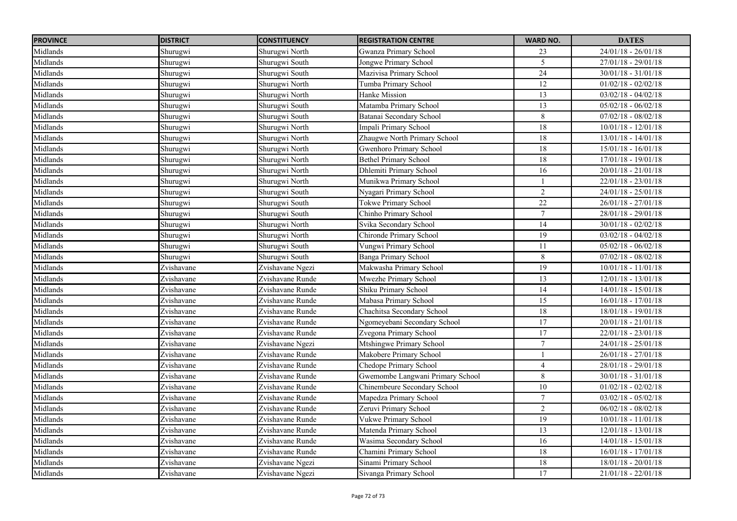| <b>PROVINCE</b> | <b>DISTRICT</b> | <b>CONSTITUENCY</b> | <b>REGISTRATION CENTRE</b>       | <b>WARD NO.</b> | <b>DATES</b>          |
|-----------------|-----------------|---------------------|----------------------------------|-----------------|-----------------------|
| Midlands        | Shurugwi        | Shurugwi North      | Gwanza Primary School            | 23              | $24/01/18 - 26/01/18$ |
| Midlands        | Shurugwi        | Shurugwi South      | Jongwe Primary School            | $\overline{5}$  | $27/01/18 - 29/01/18$ |
| Midlands        | Shurugwi        | Shurugwi South      | Mazivisa Primary School          | $\overline{24}$ | $30/01/18 - 31/01/18$ |
| Midlands        | Shurugwi        | Shurugwi North      | Tumba Primary School             | 12              | $01/02/18 - 02/02/18$ |
| Midlands        | Shurugwi        | Shurugwi North      | <b>Hanke Mission</b>             | 13              | $03/02/18 - 04/02/18$ |
| Midlands        | Shurugwi        | Shurugwi South      | Matamba Primary School           | 13              | $05/02/18 - 06/02/18$ |
| Midlands        | Shurugwi        | Shurugwi South      | Batanai Secondary School         | 8               | $07/02/18 - 08/02/18$ |
| Midlands        | Shurugwi        | Shurugwi North      | Impali Primary School            | 18              | $10/01/18 - 12/01/18$ |
| Midlands        | Shurugwi        | Shurugwi North      | Zhaugwe North Primary School     | 18              | $13/01/18 - 14/01/18$ |
| Midlands        | Shurugwi        | Shurugwi North      | Gwenhoro Primary School          | $\overline{18}$ | $15/01/18 - 16/01/18$ |
| Midlands        | Shurugwi        | Shurugwi North      | <b>Bethel Primary School</b>     | 18              | $17/01/18 - 19/01/18$ |
| Midlands        | Shurugwi        | Shurugwi North      | <b>Dhlemiti Primary School</b>   | 16              | $20/01/18 - 21/01/18$ |
| Midlands        | Shurugwi        | Shurugwi North      | Munikwa Primary School           |                 | $22/01/18 - 23/01/18$ |
| Midlands        | Shurugwi        | Shurugwi South      | Nyagari Primary School           | $\overline{2}$  | $24/01/18 - 25/01/18$ |
| Midlands        | Shurugwi        | Shurugwi South      | <b>Tokwe Primary School</b>      | $\overline{22}$ | $26/01/18 - 27/01/18$ |
| Midlands        | Shurugwi        | Shurugwi South      | Chinho Primary School            | $\tau$          | 28/01/18 - 29/01/18   |
| Midlands        | Shurugwi        | Shurugwi North      | Svika Secondary School           | 14              | $30/01/18 - 02/02/18$ |
| Midlands        | Shurugwi        | Shurugwi North      | Chironde Primary School          | $\overline{19}$ | $03/02/18 - 04/02/18$ |
| Midlands        | Shurugwi        | Shurugwi South      | Vungwi Primary School            | 11              | $05/02/18 - 06/02/18$ |
| Midlands        | Shurugwi        | Shurugwi South      | <b>Banga Primary School</b>      | $\,8\,$         | $07/02/18 - 08/02/18$ |
| Midlands        | Zvishavane      | Zvishavane Ngezi    | Makwasha Primary School          | 19              | $10/01/18 - 11/01/18$ |
| Midlands        | Zvishavane      | Zvishavane Runde    | Mwezhe Primary School            | 13              | $12/01/18 - 13/01/18$ |
| Midlands        | Zvishavane      | Zvishavane Runde    | Shiku Primary School             | 14              | $14/01/18 - 15/01/18$ |
| Midlands        | Zvishavane      | Zvishavane Runde    | Mabasa Primary School            | $\overline{15}$ | $16/01/18 - 17/01/18$ |
| Midlands        | Zvishavane      | Zvishavane Runde    | Chachitsa Secondary School       | 18              | $18/01/18 - 19/01/18$ |
| Midlands        | Zvishavane      | Zvishavane Runde    | Ngomeyebani Secondary School     | $\overline{17}$ | $20/01/18 - 21/01/18$ |
| Midlands        | Zvishavane      | Zvishavane Runde    | Zvegona Primary School           | 17              | $22/01/18 - 23/01/18$ |
| Midlands        | Zvishavane      | Zvishavane Ngezi    | Mtshingwe Primary School         | $\overline{7}$  | $24/01/18 - 25/01/18$ |
| Midlands        | Zvishavane      | Zvishavane Runde    | Makobere Primary School          |                 | 26/01/18 - 27/01/18   |
| Midlands        | Zvishavane      | Zvishavane Runde    | Chedope Primary School           | $\overline{4}$  | $28/01/18 - 29/01/18$ |
| Midlands        | Zvishavane      | Zvishavane Runde    | Gwemombe Langwani Primary School | $\,8\,$         | $30/01/18 - 31/01/18$ |
| Midlands        | Zvishavane      | Zvishavane Runde    | Chinembeure Secondary School     | $10\,$          | $01/02/18 - 02/02/18$ |
| Midlands        | Zvishavane      | Zvishavane Runde    | Mapedza Primary School           | $\tau$          | $03/02/18 - 05/02/18$ |
| Midlands        | Zvishavane      | Zvishavane Runde    | Zeruvi Primary School            | $\overline{2}$  | $06/02/18 - 08/02/18$ |
| Midlands        | Zvishavane      | Zvishavane Runde    | Vukwe Primary School             | 19              | $10/01/18 - 11/01/18$ |
| Midlands        | Zvishavane      | Zvishavane Runde    | Matenda Primary School           | 13              | $12/01/18 - 13/01/18$ |
| Midlands        | Zvishavane      | Zvishavane Runde    | Wasima Secondary School          | 16              | $14/01/18 - 15/01/18$ |
| Midlands        | Zvishavane      | Zvishavane Runde    | Chamini Primary School           | 18              | $16/01/18 - 17/01/18$ |
| Midlands        | Zvishavane      | Zvishavane Ngezi    | Sinami Primary School            | 18              | $18/01/18 - 20/01/18$ |
| Midlands        | Zvishavane      | Zvishavane Ngezi    | Sivanga Primary School           | 17              | $21/01/18 - 22/01/18$ |